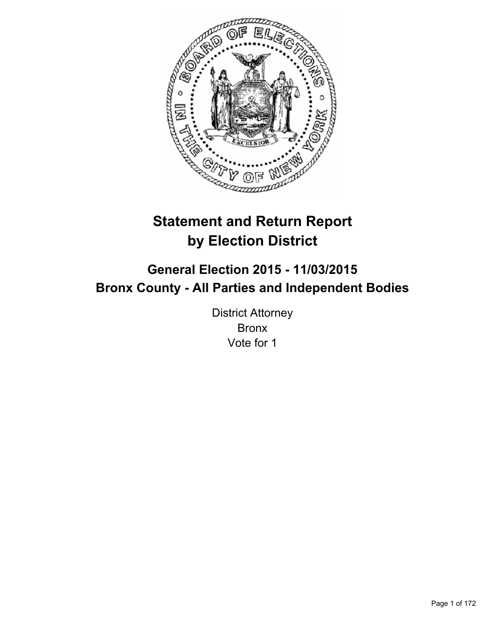

# **Statement and Return Report by Election District**

# **General Election 2015 - 11/03/2015 Bronx County - All Parties and Independent Bodies**

District Attorney Bronx Vote for 1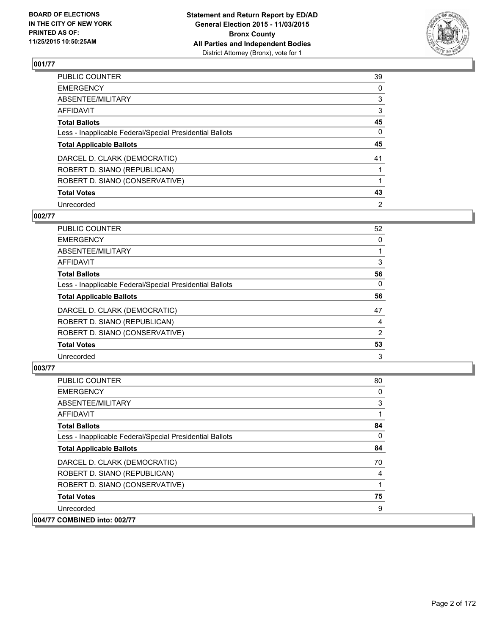

| PUBLIC COUNTER                                           | 39       |
|----------------------------------------------------------|----------|
| <b>EMERGENCY</b>                                         | 0        |
| ABSENTEE/MILITARY                                        | 3        |
| <b>AFFIDAVIT</b>                                         | 3        |
| <b>Total Ballots</b>                                     | 45       |
| Less - Inapplicable Federal/Special Presidential Ballots | $\Omega$ |
| <b>Total Applicable Ballots</b>                          | 45       |
| DARCEL D. CLARK (DEMOCRATIC)                             | 41       |
| ROBERT D. SIANO (REPUBLICAN)                             |          |
| ROBERT D. SIANO (CONSERVATIVE)                           |          |
| <b>Total Votes</b>                                       | 43       |
| Unrecorded                                               | 2        |

#### **002/77**

| PUBLIC COUNTER                                           | 52 |
|----------------------------------------------------------|----|
| <b>EMERGENCY</b>                                         | 0  |
| ABSENTEE/MILITARY                                        |    |
| AFFIDAVIT                                                | 3  |
| <b>Total Ballots</b>                                     | 56 |
| Less - Inapplicable Federal/Special Presidential Ballots | 0  |
| <b>Total Applicable Ballots</b>                          | 56 |
| DARCEL D. CLARK (DEMOCRATIC)                             | 47 |
| ROBERT D. SIANO (REPUBLICAN)                             | 4  |
| ROBERT D. SIANO (CONSERVATIVE)                           | 2  |
| <b>Total Votes</b>                                       | 53 |
| Unrecorded                                               | 3  |

| <b>PUBLIC COUNTER</b>                                    | 80 |
|----------------------------------------------------------|----|
| <b>EMERGENCY</b>                                         | 0  |
| ABSENTEE/MILITARY                                        | 3  |
| AFFIDAVIT                                                |    |
| <b>Total Ballots</b>                                     | 84 |
| Less - Inapplicable Federal/Special Presidential Ballots | 0  |
| <b>Total Applicable Ballots</b>                          | 84 |
| DARCEL D. CLARK (DEMOCRATIC)                             | 70 |
| ROBERT D. SIANO (REPUBLICAN)                             |    |
| ROBERT D. SIANO (CONSERVATIVE)                           |    |
| <b>Total Votes</b>                                       | 75 |
| Unrecorded                                               | 9  |
| 004/77 COMBINED into: 002/77                             |    |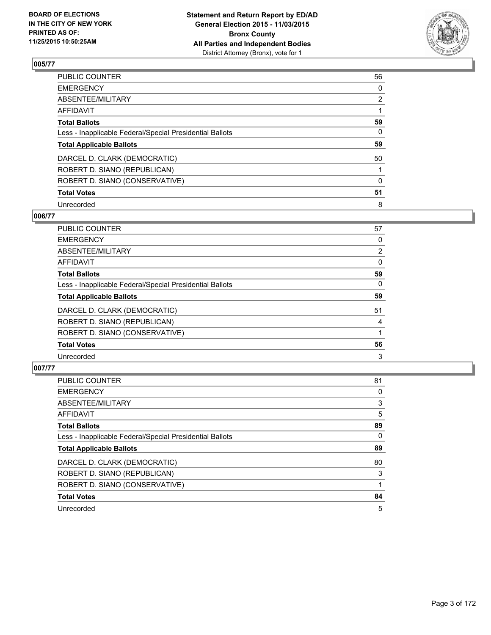

| PUBLIC COUNTER                                           | 56             |
|----------------------------------------------------------|----------------|
| <b>EMERGENCY</b>                                         | 0              |
| ABSENTEE/MILITARY                                        | $\overline{2}$ |
| <b>AFFIDAVIT</b>                                         |                |
| <b>Total Ballots</b>                                     | 59             |
| Less - Inapplicable Federal/Special Presidential Ballots | $\Omega$       |
| <b>Total Applicable Ballots</b>                          | 59             |
| DARCEL D. CLARK (DEMOCRATIC)                             | 50             |
| ROBERT D. SIANO (REPUBLICAN)                             |                |
| ROBERT D. SIANO (CONSERVATIVE)                           | $\Omega$       |
| <b>Total Votes</b>                                       | 51             |
| Unrecorded                                               | 8              |

#### **006/77**

| PUBLIC COUNTER                                           | 57             |
|----------------------------------------------------------|----------------|
| <b>EMERGENCY</b>                                         | 0              |
| ABSENTEE/MILITARY                                        | $\overline{2}$ |
| <b>AFFIDAVIT</b>                                         | 0              |
| <b>Total Ballots</b>                                     | 59             |
| Less - Inapplicable Federal/Special Presidential Ballots | 0              |
| <b>Total Applicable Ballots</b>                          | 59             |
| DARCEL D. CLARK (DEMOCRATIC)                             | 51             |
| ROBERT D. SIANO (REPUBLICAN)                             | 4              |
| ROBERT D. SIANO (CONSERVATIVE)                           |                |
| <b>Total Votes</b>                                       | 56             |
| Unrecorded                                               | 3              |

| PUBLIC COUNTER                                           | 81 |
|----------------------------------------------------------|----|
| <b>EMERGENCY</b>                                         | 0  |
| ABSENTEE/MILITARY                                        | 3  |
| <b>AFFIDAVIT</b>                                         | 5  |
| <b>Total Ballots</b>                                     | 89 |
| Less - Inapplicable Federal/Special Presidential Ballots | 0  |
| <b>Total Applicable Ballots</b>                          | 89 |
| DARCEL D. CLARK (DEMOCRATIC)                             | 80 |
| ROBERT D. SIANO (REPUBLICAN)                             | 3  |
| ROBERT D. SIANO (CONSERVATIVE)                           |    |
| <b>Total Votes</b>                                       | 84 |
| Unrecorded                                               | 5  |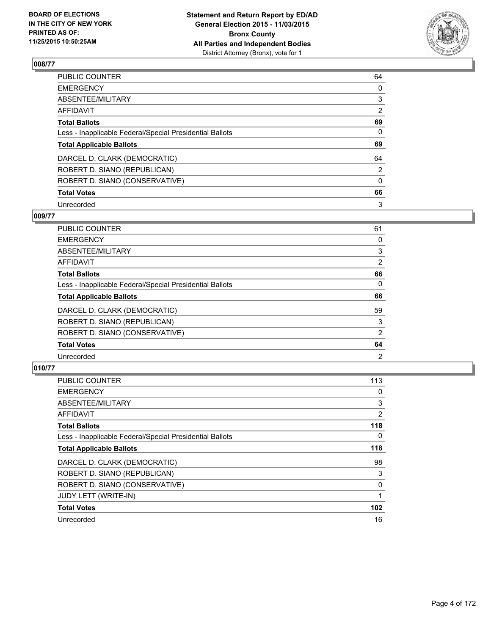

| PUBLIC COUNTER                                           | 64       |
|----------------------------------------------------------|----------|
| <b>EMERGENCY</b>                                         | 0        |
| ABSENTEE/MILITARY                                        | 3        |
| <b>AFFIDAVIT</b>                                         | 2        |
| <b>Total Ballots</b>                                     | 69       |
| Less - Inapplicable Federal/Special Presidential Ballots | $\Omega$ |
| <b>Total Applicable Ballots</b>                          | 69       |
| DARCEL D. CLARK (DEMOCRATIC)                             | 64       |
| ROBERT D. SIANO (REPUBLICAN)                             | 2        |
| ROBERT D. SIANO (CONSERVATIVE)                           | $\Omega$ |
| <b>Total Votes</b>                                       | 66       |
| Unrecorded                                               | 3        |

#### **009/77**

| PUBLIC COUNTER                                           | 61             |
|----------------------------------------------------------|----------------|
| <b>EMERGENCY</b>                                         | 0              |
| ABSENTEE/MILITARY                                        | 3              |
| AFFIDAVIT                                                | $\overline{2}$ |
| <b>Total Ballots</b>                                     | 66             |
| Less - Inapplicable Federal/Special Presidential Ballots | 0              |
| <b>Total Applicable Ballots</b>                          | 66             |
| DARCEL D. CLARK (DEMOCRATIC)                             | 59             |
| ROBERT D. SIANO (REPUBLICAN)                             | 3              |
| ROBERT D. SIANO (CONSERVATIVE)                           | 2              |
| <b>Total Votes</b>                                       | 64             |
| Unrecorded                                               | 2              |

| <b>PUBLIC COUNTER</b>                                    | 113              |
|----------------------------------------------------------|------------------|
| <b>EMERGENCY</b>                                         | 0                |
| ABSENTEE/MILITARY                                        | 3                |
| AFFIDAVIT                                                | $\overline{2}$   |
| <b>Total Ballots</b>                                     | 118              |
| Less - Inapplicable Federal/Special Presidential Ballots | $\Omega$         |
| <b>Total Applicable Ballots</b>                          | 118              |
| DARCEL D. CLARK (DEMOCRATIC)                             | 98               |
| ROBERT D. SIANO (REPUBLICAN)                             | 3                |
| ROBERT D. SIANO (CONSERVATIVE)                           | 0                |
| <b>JUDY LETT (WRITE-IN)</b>                              |                  |
| <b>Total Votes</b>                                       | 102 <sub>2</sub> |
| Unrecorded                                               | 16               |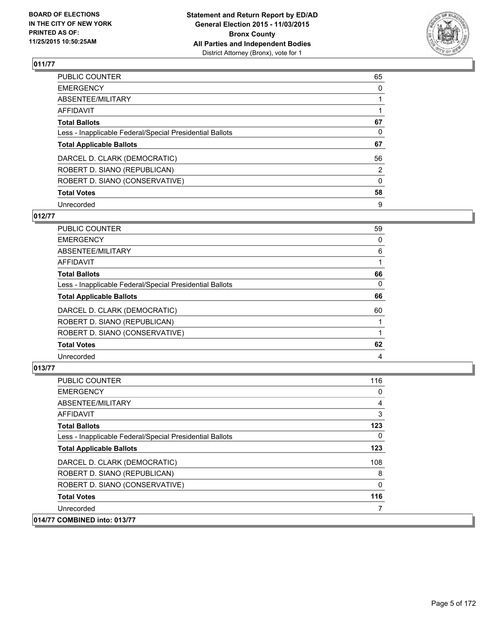

| PUBLIC COUNTER                                           | 65       |
|----------------------------------------------------------|----------|
| <b>EMERGENCY</b>                                         | 0        |
| ABSENTEE/MILITARY                                        |          |
| <b>AFFIDAVIT</b>                                         |          |
| <b>Total Ballots</b>                                     | 67       |
| Less - Inapplicable Federal/Special Presidential Ballots | 0        |
| <b>Total Applicable Ballots</b>                          | 67       |
| DARCEL D. CLARK (DEMOCRATIC)                             | 56       |
| ROBERT D. SIANO (REPUBLICAN)                             | 2        |
| ROBERT D. SIANO (CONSERVATIVE)                           | $\Omega$ |
| <b>Total Votes</b>                                       | 58       |
| Unrecorded                                               | 9        |

# **012/77**

| PUBLIC COUNTER                                           | 59 |
|----------------------------------------------------------|----|
| <b>EMERGENCY</b>                                         | 0  |
| ABSENTEE/MILITARY                                        | 6  |
| AFFIDAVIT                                                |    |
| <b>Total Ballots</b>                                     | 66 |
| Less - Inapplicable Federal/Special Presidential Ballots | 0  |
| <b>Total Applicable Ballots</b>                          | 66 |
| DARCEL D. CLARK (DEMOCRATIC)                             | 60 |
| ROBERT D. SIANO (REPUBLICAN)                             |    |
| ROBERT D. SIANO (CONSERVATIVE)                           |    |
| <b>Total Votes</b>                                       | 62 |
| Unrecorded                                               | 4  |
|                                                          |    |

| <b>PUBLIC COUNTER</b>                                    | 116 |
|----------------------------------------------------------|-----|
| <b>EMERGENCY</b>                                         | 0   |
| ABSENTEE/MILITARY                                        | 4   |
| AFFIDAVIT                                                | 3   |
| <b>Total Ballots</b>                                     | 123 |
| Less - Inapplicable Federal/Special Presidential Ballots | 0   |
| <b>Total Applicable Ballots</b>                          | 123 |
| DARCEL D. CLARK (DEMOCRATIC)                             | 108 |
| ROBERT D. SIANO (REPUBLICAN)                             | 8   |
| ROBERT D. SIANO (CONSERVATIVE)                           | 0   |
| <b>Total Votes</b>                                       | 116 |
| Unrecorded                                               |     |
| 014/77 COMBINED into: 013/77                             |     |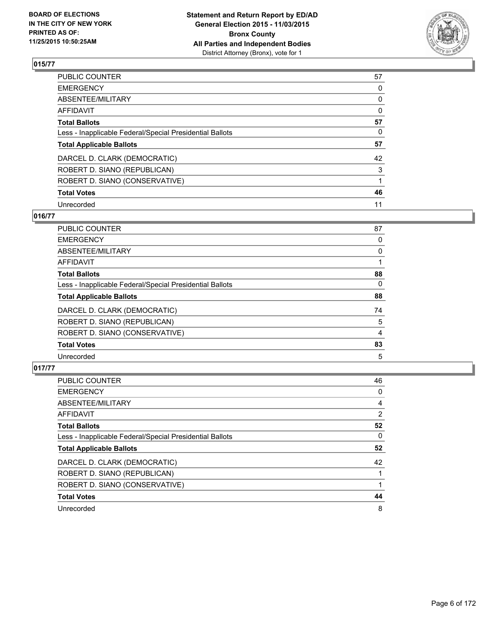

| PUBLIC COUNTER                                           | 57       |
|----------------------------------------------------------|----------|
| <b>EMERGENCY</b>                                         | 0        |
| ABSENTEE/MILITARY                                        | 0        |
| <b>AFFIDAVIT</b>                                         | $\Omega$ |
| <b>Total Ballots</b>                                     | 57       |
| Less - Inapplicable Federal/Special Presidential Ballots | 0        |
| <b>Total Applicable Ballots</b>                          | 57       |
| DARCEL D. CLARK (DEMOCRATIC)                             | 42       |
| ROBERT D. SIANO (REPUBLICAN)                             | 3        |
| ROBERT D. SIANO (CONSERVATIVE)                           |          |
| <b>Total Votes</b>                                       | 46       |
| Unrecorded                                               | 11       |

# **016/77**

| <b>PUBLIC COUNTER</b>                                    | 87 |
|----------------------------------------------------------|----|
| <b>EMERGENCY</b>                                         | 0  |
| <b>ABSENTEE/MILITARY</b>                                 | 0  |
| <b>AFFIDAVIT</b>                                         |    |
| <b>Total Ballots</b>                                     | 88 |
| Less - Inapplicable Federal/Special Presidential Ballots | 0  |
| <b>Total Applicable Ballots</b>                          | 88 |
| DARCEL D. CLARK (DEMOCRATIC)                             | 74 |
| ROBERT D. SIANO (REPUBLICAN)                             | 5  |
| ROBERT D. SIANO (CONSERVATIVE)                           | 4  |
| <b>Total Votes</b>                                       | 83 |
| Unrecorded                                               | 5  |
|                                                          |    |

| PUBLIC COUNTER                                           | 46 |
|----------------------------------------------------------|----|
| <b>EMERGENCY</b>                                         | 0  |
| ABSENTEE/MILITARY                                        | 4  |
| <b>AFFIDAVIT</b>                                         | 2  |
| <b>Total Ballots</b>                                     | 52 |
| Less - Inapplicable Federal/Special Presidential Ballots | 0  |
| <b>Total Applicable Ballots</b>                          | 52 |
| DARCEL D. CLARK (DEMOCRATIC)                             | 42 |
| ROBERT D. SIANO (REPUBLICAN)                             |    |
| ROBERT D. SIANO (CONSERVATIVE)                           |    |
| <b>Total Votes</b>                                       | 44 |
| Unrecorded                                               | 8  |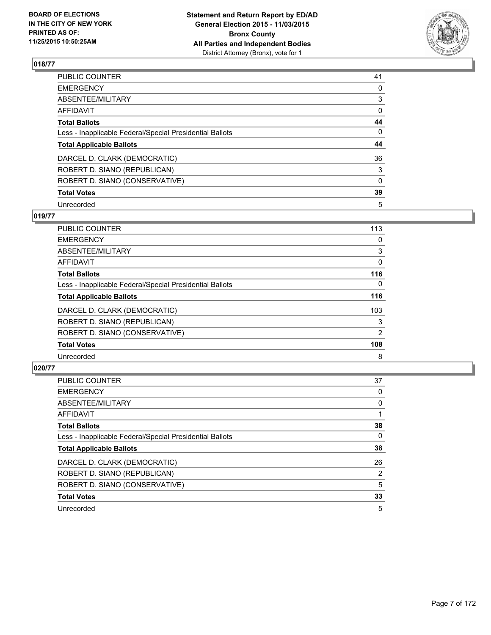

| PUBLIC COUNTER                                           | 41       |
|----------------------------------------------------------|----------|
| <b>EMERGENCY</b>                                         | 0        |
| ABSENTEE/MILITARY                                        | 3        |
| <b>AFFIDAVIT</b>                                         | 0        |
| <b>Total Ballots</b>                                     | 44       |
| Less - Inapplicable Federal/Special Presidential Ballots | 0        |
| <b>Total Applicable Ballots</b>                          | 44       |
| DARCEL D. CLARK (DEMOCRATIC)                             | 36       |
| ROBERT D. SIANO (REPUBLICAN)                             | 3        |
| ROBERT D. SIANO (CONSERVATIVE)                           | $\Omega$ |
| <b>Total Votes</b>                                       | 39       |
| Unrecorded                                               | 5        |

# **019/77**

| <b>PUBLIC COUNTER</b>                                    | 113 |
|----------------------------------------------------------|-----|
| <b>EMERGENCY</b>                                         | 0   |
| ABSENTEE/MILITARY                                        | 3   |
| AFFIDAVIT                                                | 0   |
| <b>Total Ballots</b>                                     | 116 |
| Less - Inapplicable Federal/Special Presidential Ballots | 0   |
| <b>Total Applicable Ballots</b>                          | 116 |
| DARCEL D. CLARK (DEMOCRATIC)                             | 103 |
| ROBERT D. SIANO (REPUBLICAN)                             | 3   |
| ROBERT D. SIANO (CONSERVATIVE)                           | 2   |
| <b>Total Votes</b>                                       | 108 |
| Unrecorded                                               | 8   |

| PUBLIC COUNTER                                           | 37 |
|----------------------------------------------------------|----|
| <b>EMERGENCY</b>                                         | 0  |
| ABSENTEE/MILITARY                                        | 0  |
| <b>AFFIDAVIT</b>                                         |    |
| <b>Total Ballots</b>                                     | 38 |
| Less - Inapplicable Federal/Special Presidential Ballots | 0  |
| <b>Total Applicable Ballots</b>                          | 38 |
| DARCEL D. CLARK (DEMOCRATIC)                             | 26 |
| ROBERT D. SIANO (REPUBLICAN)                             | 2  |
| ROBERT D. SIANO (CONSERVATIVE)                           | 5  |
| <b>Total Votes</b>                                       | 33 |
| Unrecorded                                               | 5  |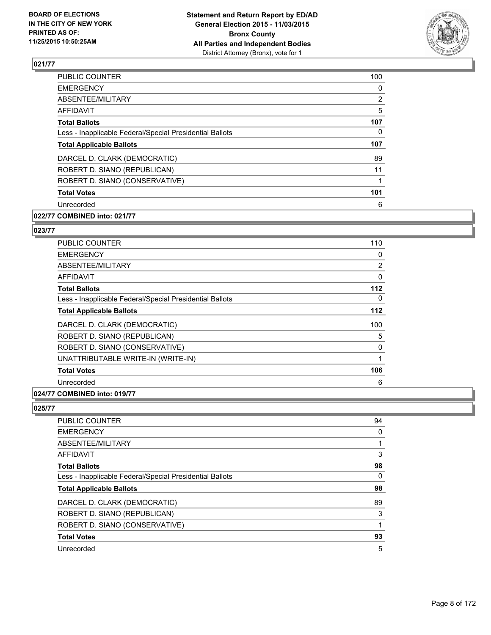

| <b>PUBLIC COUNTER</b>                                    | 100            |
|----------------------------------------------------------|----------------|
| <b>EMERGENCY</b>                                         | 0              |
| ABSENTEE/MILITARY                                        | $\overline{2}$ |
| AFFIDAVIT                                                | 5              |
| <b>Total Ballots</b>                                     | 107            |
| Less - Inapplicable Federal/Special Presidential Ballots | 0              |
| <b>Total Applicable Ballots</b>                          | 107            |
| DARCEL D. CLARK (DEMOCRATIC)                             | 89             |
| ROBERT D. SIANO (REPUBLICAN)                             | 11             |
| ROBERT D. SIANO (CONSERVATIVE)                           |                |
| <b>Total Votes</b>                                       | 101            |
| Unrecorded                                               | 6              |
|                                                          |                |

# **022/77 COMBINED into: 021/77**

# **023/77**

| PUBLIC COUNTER                                           | 110   |
|----------------------------------------------------------|-------|
| <b>EMERGENCY</b>                                         | 0     |
| ABSENTEE/MILITARY                                        | 2     |
| AFFIDAVIT                                                | 0     |
| <b>Total Ballots</b>                                     | $112$ |
| Less - Inapplicable Federal/Special Presidential Ballots | 0     |
| <b>Total Applicable Ballots</b>                          | 112   |
| DARCEL D. CLARK (DEMOCRATIC)                             | 100   |
| ROBERT D. SIANO (REPUBLICAN)                             | 5     |
| ROBERT D. SIANO (CONSERVATIVE)                           | 0     |
| UNATTRIBUTABLE WRITE-IN (WRITE-IN)                       | 1     |
| <b>Total Votes</b>                                       | 106   |
| Unrecorded                                               | 6     |
|                                                          |       |

## **024/77 COMBINED into: 019/77**

| 94 |
|----|
| 0  |
| 1  |
| 3  |
| 98 |
| 0  |
| 98 |
| 89 |
| 3  |
| 1  |
| 93 |
| 5  |
|    |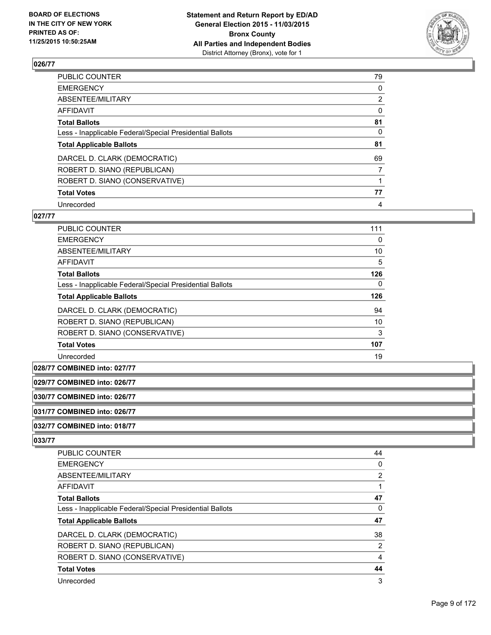

| PUBLIC COUNTER                                           | 79             |
|----------------------------------------------------------|----------------|
| <b>EMERGENCY</b>                                         | 0              |
| ABSENTEE/MILITARY                                        | $\overline{2}$ |
| <b>AFFIDAVIT</b>                                         | 0              |
| <b>Total Ballots</b>                                     | 81             |
| Less - Inapplicable Federal/Special Presidential Ballots | $\Omega$       |
| <b>Total Applicable Ballots</b>                          | 81             |
| DARCEL D. CLARK (DEMOCRATIC)                             | 69             |
| ROBERT D. SIANO (REPUBLICAN)                             | 7              |
| ROBERT D. SIANO (CONSERVATIVE)                           |                |
| <b>Total Votes</b>                                       | 77             |
| Unrecorded                                               | 4              |

#### **027/77**

| PUBLIC COUNTER                                           | 111 |
|----------------------------------------------------------|-----|
| <b>EMERGENCY</b>                                         | 0   |
| ABSENTEE/MILITARY                                        | 10  |
| <b>AFFIDAVIT</b>                                         | 5   |
| <b>Total Ballots</b>                                     | 126 |
| Less - Inapplicable Federal/Special Presidential Ballots | 0   |
| <b>Total Applicable Ballots</b>                          | 126 |
| DARCEL D. CLARK (DEMOCRATIC)                             | 94  |
| ROBERT D. SIANO (REPUBLICAN)                             | 10  |
| ROBERT D. SIANO (CONSERVATIVE)                           | 3   |
| <b>Total Votes</b>                                       | 107 |
| Unrecorded                                               | 19  |

**028/77 COMBINED into: 027/77**

**029/77 COMBINED into: 026/77**

**030/77 COMBINED into: 026/77**

**031/77 COMBINED into: 026/77**

#### **032/77 COMBINED into: 018/77**

| PUBLIC COUNTER                                           | 44             |
|----------------------------------------------------------|----------------|
|                                                          |                |
| <b>EMERGENCY</b>                                         | 0              |
| ABSENTEE/MILITARY                                        | $\overline{2}$ |
| AFFIDAVIT                                                |                |
| <b>Total Ballots</b>                                     | 47             |
| Less - Inapplicable Federal/Special Presidential Ballots | 0              |
| <b>Total Applicable Ballots</b>                          | 47             |
| DARCEL D. CLARK (DEMOCRATIC)                             | 38             |
| ROBERT D. SIANO (REPUBLICAN)                             | 2              |
| ROBERT D. SIANO (CONSERVATIVE)                           | 4              |
| <b>Total Votes</b>                                       | 44             |
| Unrecorded                                               | 3              |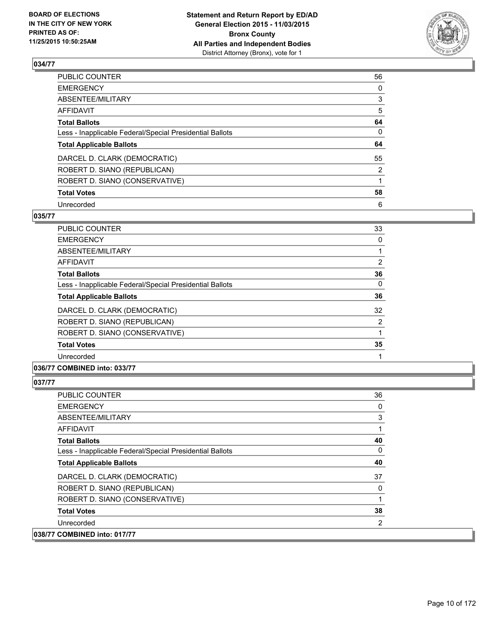

| PUBLIC COUNTER                                           | 56       |
|----------------------------------------------------------|----------|
| <b>EMERGENCY</b>                                         | 0        |
| ABSENTEE/MILITARY                                        | 3        |
| <b>AFFIDAVIT</b>                                         | 5        |
| <b>Total Ballots</b>                                     | 64       |
| Less - Inapplicable Federal/Special Presidential Ballots | $\Omega$ |
| <b>Total Applicable Ballots</b>                          | 64       |
| DARCEL D. CLARK (DEMOCRATIC)                             | 55       |
| ROBERT D. SIANO (REPUBLICAN)                             | 2        |
| ROBERT D. SIANO (CONSERVATIVE)                           |          |
| <b>Total Votes</b>                                       | 58       |
| Unrecorded                                               | 6        |

#### **035/77**

| <b>PUBLIC COUNTER</b>                                    | 33 |
|----------------------------------------------------------|----|
| <b>EMERGENCY</b>                                         | 0  |
| ABSENTEE/MILITARY                                        |    |
| AFFIDAVIT                                                | 2  |
| <b>Total Ballots</b>                                     | 36 |
| Less - Inapplicable Federal/Special Presidential Ballots | 0  |
| <b>Total Applicable Ballots</b>                          | 36 |
| DARCEL D. CLARK (DEMOCRATIC)                             | 32 |
| ROBERT D. SIANO (REPUBLICAN)                             | 2  |
| ROBERT D. SIANO (CONSERVATIVE)                           |    |
| <b>Total Votes</b>                                       | 35 |
| Unrecorded                                               |    |
|                                                          |    |

#### **036/77 COMBINED into: 033/77**

| <b>PUBLIC COUNTER</b>                                    | 36 |
|----------------------------------------------------------|----|
| <b>EMERGENCY</b>                                         | 0  |
| ABSENTEE/MILITARY                                        | 3  |
| <b>AFFIDAVIT</b>                                         | 1  |
| <b>Total Ballots</b>                                     | 40 |
| Less - Inapplicable Federal/Special Presidential Ballots | 0  |
| <b>Total Applicable Ballots</b>                          | 40 |
| DARCEL D. CLARK (DEMOCRATIC)                             | 37 |
| ROBERT D. SIANO (REPUBLICAN)                             | 0  |
| ROBERT D. SIANO (CONSERVATIVE)                           | 1  |
| <b>Total Votes</b>                                       | 38 |
| Unrecorded                                               | 2  |
| 038/77 COMBINED into: 017/77                             |    |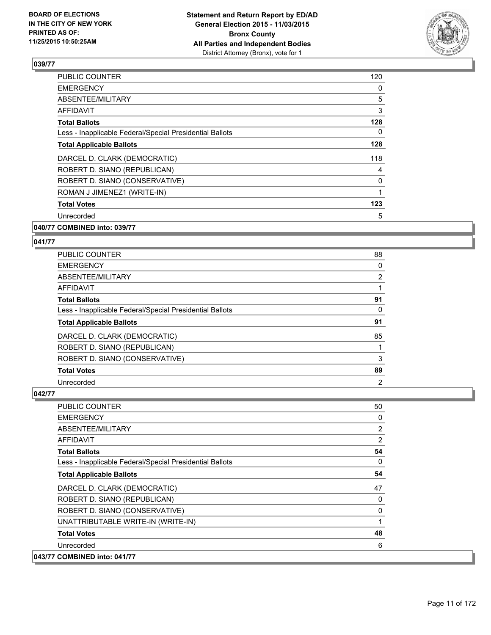

| <b>PUBLIC COUNTER</b>                                    | 120 |
|----------------------------------------------------------|-----|
| <b>EMERGENCY</b>                                         | 0   |
| ABSENTEE/MILITARY                                        | 5   |
| AFFIDAVIT                                                | 3   |
| <b>Total Ballots</b>                                     | 128 |
| Less - Inapplicable Federal/Special Presidential Ballots | 0   |
| <b>Total Applicable Ballots</b>                          | 128 |
| DARCEL D. CLARK (DEMOCRATIC)                             | 118 |
| ROBERT D. SIANO (REPUBLICAN)                             | 4   |
| ROBERT D. SIANO (CONSERVATIVE)                           | 0   |
| ROMAN J JIMENEZ1 (WRITE-IN)                              | 1   |
| <b>Total Votes</b>                                       | 123 |
| Unrecorded                                               | 5   |
|                                                          |     |

#### **040/77 COMBINED into: 039/77**

#### **041/77**

| <b>PUBLIC COUNTER</b>                                    | 88                    |
|----------------------------------------------------------|-----------------------|
| <b>EMERGENCY</b>                                         | 0                     |
| ABSENTEE/MILITARY                                        | $\mathbf{2}^{\prime}$ |
| <b>AFFIDAVIT</b>                                         |                       |
| <b>Total Ballots</b>                                     | 91                    |
| Less - Inapplicable Federal/Special Presidential Ballots | 0                     |
| <b>Total Applicable Ballots</b>                          | 91                    |
| DARCEL D. CLARK (DEMOCRATIC)                             | 85                    |
| ROBERT D. SIANO (REPUBLICAN)                             |                       |
| ROBERT D. SIANO (CONSERVATIVE)                           | 3                     |
| <b>Total Votes</b>                                       | 89                    |
| Unrecorded                                               | 2                     |

| <b>PUBLIC COUNTER</b>                                    | 50             |
|----------------------------------------------------------|----------------|
| <b>EMERGENCY</b>                                         | 0              |
| ABSENTEE/MILITARY                                        | $\overline{2}$ |
| <b>AFFIDAVIT</b>                                         | $\overline{2}$ |
| <b>Total Ballots</b>                                     | 54             |
| Less - Inapplicable Federal/Special Presidential Ballots | 0              |
| <b>Total Applicable Ballots</b>                          | 54             |
| DARCEL D. CLARK (DEMOCRATIC)                             | 47             |
| ROBERT D. SIANO (REPUBLICAN)                             | 0              |
| ROBERT D. SIANO (CONSERVATIVE)                           | 0              |
| UNATTRIBUTABLE WRITE-IN (WRITE-IN)                       | 1              |
| <b>Total Votes</b>                                       | 48             |
| Unrecorded                                               | 6              |
| 043/77 COMBINED into: 041/77                             |                |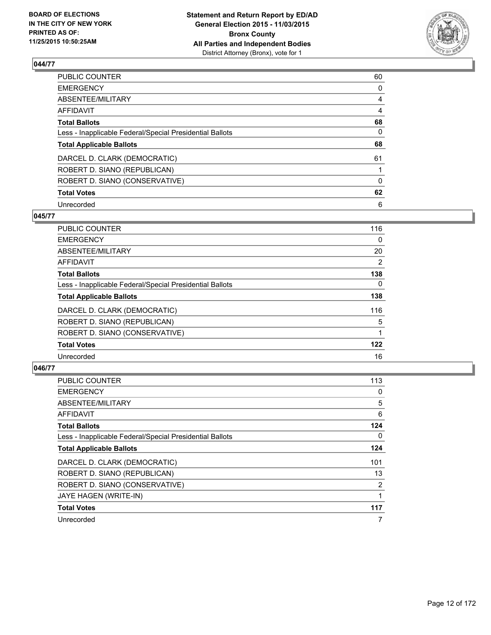

| PUBLIC COUNTER                                           | 60             |
|----------------------------------------------------------|----------------|
| <b>EMERGENCY</b>                                         | 0              |
| ABSENTEE/MILITARY                                        | $\overline{4}$ |
| <b>AFFIDAVIT</b>                                         | 4              |
| <b>Total Ballots</b>                                     | 68             |
| Less - Inapplicable Federal/Special Presidential Ballots | $\Omega$       |
| <b>Total Applicable Ballots</b>                          | 68             |
| DARCEL D. CLARK (DEMOCRATIC)                             | 61             |
| ROBERT D. SIANO (REPUBLICAN)                             |                |
| ROBERT D. SIANO (CONSERVATIVE)                           | $\Omega$       |
| <b>Total Votes</b>                                       | 62             |
| Unrecorded                                               | 6              |

#### **045/77**

| <b>PUBLIC COUNTER</b>                                    | 116 |
|----------------------------------------------------------|-----|
| <b>EMERGENCY</b>                                         | 0   |
| ABSENTEE/MILITARY                                        | 20  |
| AFFIDAVIT                                                | 2   |
| <b>Total Ballots</b>                                     | 138 |
| Less - Inapplicable Federal/Special Presidential Ballots | 0   |
| <b>Total Applicable Ballots</b>                          | 138 |
| DARCEL D. CLARK (DEMOCRATIC)                             | 116 |
| ROBERT D. SIANO (REPUBLICAN)                             | 5   |
| ROBERT D. SIANO (CONSERVATIVE)                           |     |
| <b>Total Votes</b>                                       | 122 |
| Unrecorded                                               | 16  |

| PUBLIC COUNTER                                           | 113 |
|----------------------------------------------------------|-----|
| <b>EMERGENCY</b>                                         | 0   |
| ABSENTEE/MILITARY                                        | 5   |
| <b>AFFIDAVIT</b>                                         | 6   |
| <b>Total Ballots</b>                                     | 124 |
| Less - Inapplicable Federal/Special Presidential Ballots | 0   |
| <b>Total Applicable Ballots</b>                          | 124 |
| DARCEL D. CLARK (DEMOCRATIC)                             | 101 |
| ROBERT D. SIANO (REPUBLICAN)                             | 13  |
| ROBERT D. SIANO (CONSERVATIVE)                           | 2   |
| JAYE HAGEN (WRITE-IN)                                    | 1   |
| <b>Total Votes</b>                                       | 117 |
| Unrecorded                                               | 7   |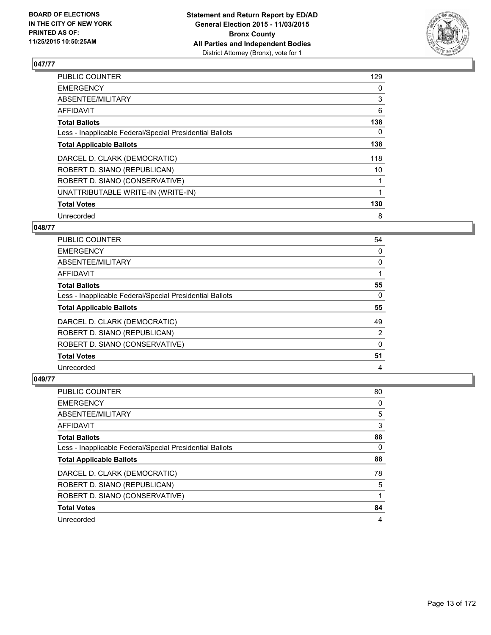

| <b>PUBLIC COUNTER</b>                                    | 129 |
|----------------------------------------------------------|-----|
| <b>EMERGENCY</b>                                         | 0   |
| ABSENTEE/MILITARY                                        | 3   |
| AFFIDAVIT                                                | 6   |
| <b>Total Ballots</b>                                     | 138 |
| Less - Inapplicable Federal/Special Presidential Ballots | 0   |
| <b>Total Applicable Ballots</b>                          | 138 |
| DARCEL D. CLARK (DEMOCRATIC)                             | 118 |
| ROBERT D. SIANO (REPUBLICAN)                             | 10  |
| ROBERT D. SIANO (CONSERVATIVE)                           |     |
| UNATTRIBUTABLE WRITE-IN (WRITE-IN)                       |     |
| <b>Total Votes</b>                                       | 130 |
| Unrecorded                                               | 8   |

## **048/77**

| <b>PUBLIC COUNTER</b>                                    | 54 |
|----------------------------------------------------------|----|
| <b>EMERGENCY</b>                                         | 0  |
| ABSENTEE/MILITARY                                        | 0  |
| AFFIDAVIT                                                |    |
| <b>Total Ballots</b>                                     | 55 |
| Less - Inapplicable Federal/Special Presidential Ballots | 0  |
| <b>Total Applicable Ballots</b>                          | 55 |
| DARCEL D. CLARK (DEMOCRATIC)                             | 49 |
| ROBERT D. SIANO (REPUBLICAN)                             | 2  |
| ROBERT D. SIANO (CONSERVATIVE)                           | 0  |
| <b>Total Votes</b>                                       | 51 |
|                                                          |    |

| <b>PUBLIC COUNTER</b>                                    | 80 |
|----------------------------------------------------------|----|
| <b>EMERGENCY</b>                                         | 0  |
| ABSENTEE/MILITARY                                        | 5  |
| AFFIDAVIT                                                | 3  |
| <b>Total Ballots</b>                                     | 88 |
| Less - Inapplicable Federal/Special Presidential Ballots | 0  |
| <b>Total Applicable Ballots</b>                          | 88 |
| DARCEL D. CLARK (DEMOCRATIC)                             | 78 |
| ROBERT D. SIANO (REPUBLICAN)                             | 5  |
| ROBERT D. SIANO (CONSERVATIVE)                           |    |
| <b>Total Votes</b>                                       | 84 |
| Unrecorded                                               | 4  |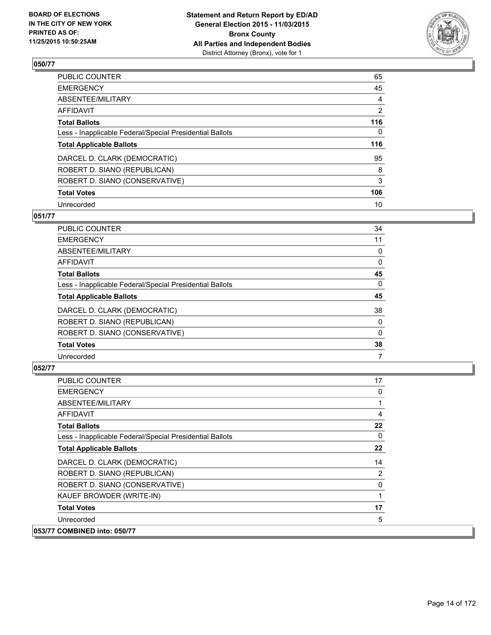

| PUBLIC COUNTER                                           | 65  |
|----------------------------------------------------------|-----|
| <b>EMERGENCY</b>                                         | 45  |
| ABSENTEE/MILITARY                                        | 4   |
| <b>AFFIDAVIT</b>                                         | 2   |
| <b>Total Ballots</b>                                     | 116 |
| Less - Inapplicable Federal/Special Presidential Ballots | 0   |
| <b>Total Applicable Ballots</b>                          | 116 |
| DARCEL D. CLARK (DEMOCRATIC)                             | 95  |
| ROBERT D. SIANO (REPUBLICAN)                             | 8   |
| ROBERT D. SIANO (CONSERVATIVE)                           | 3   |
| <b>Total Votes</b>                                       | 106 |
| Unrecorded                                               | 10  |

#### **051/77**

| PUBLIC COUNTER                                           | 34 |
|----------------------------------------------------------|----|
| <b>EMERGENCY</b>                                         | 11 |
| ABSENTEE/MILITARY                                        | 0  |
| <b>AFFIDAVIT</b>                                         | 0  |
| <b>Total Ballots</b>                                     | 45 |
| Less - Inapplicable Federal/Special Presidential Ballots | 0  |
| <b>Total Applicable Ballots</b>                          | 45 |
| DARCEL D. CLARK (DEMOCRATIC)                             | 38 |
| ROBERT D. SIANO (REPUBLICAN)                             | 0  |
| ROBERT D. SIANO (CONSERVATIVE)                           | 0  |
| <b>Total Votes</b>                                       | 38 |
| Unrecorded                                               | 7  |
|                                                          |    |

| <b>PUBLIC COUNTER</b>                                    | 17 |
|----------------------------------------------------------|----|
| <b>EMERGENCY</b>                                         | 0  |
| ABSENTEE/MILITARY                                        | 1  |
| AFFIDAVIT                                                | 4  |
| <b>Total Ballots</b>                                     | 22 |
| Less - Inapplicable Federal/Special Presidential Ballots | 0  |
| <b>Total Applicable Ballots</b>                          | 22 |
| DARCEL D. CLARK (DEMOCRATIC)                             | 14 |
| ROBERT D. SIANO (REPUBLICAN)                             | 2  |
| ROBERT D. SIANO (CONSERVATIVE)                           | 0  |
| KAUEF BROWDER (WRITE-IN)                                 | 1  |
| <b>Total Votes</b>                                       | 17 |
| Unrecorded                                               | 5  |
| 053/77 COMBINED into: 050/77                             |    |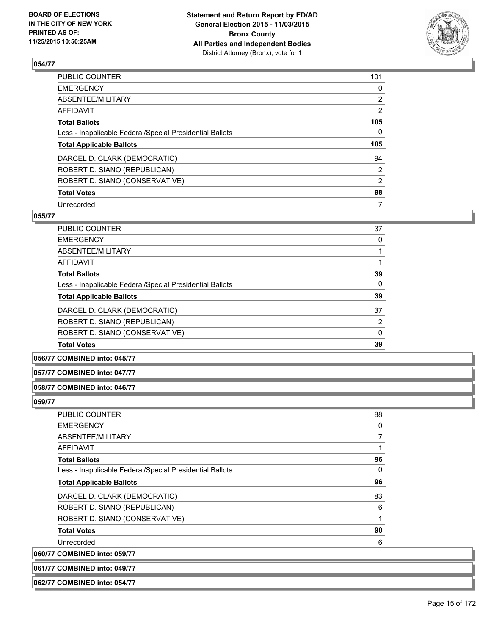

| PUBLIC COUNTER                                           | 101            |
|----------------------------------------------------------|----------------|
| <b>EMERGENCY</b>                                         | 0              |
| ABSENTEE/MILITARY                                        | $\overline{2}$ |
| <b>AFFIDAVIT</b>                                         | 2              |
| <b>Total Ballots</b>                                     | 105            |
| Less - Inapplicable Federal/Special Presidential Ballots | 0              |
| <b>Total Applicable Ballots</b>                          | 105            |
| DARCEL D. CLARK (DEMOCRATIC)                             | 94             |
| ROBERT D. SIANO (REPUBLICAN)                             | 2              |
| ROBERT D. SIANO (CONSERVATIVE)                           | $\overline{2}$ |
| <b>Total Votes</b>                                       | 98             |
| Unrecorded                                               | 7              |

# **055/77**

| <b>PUBLIC COUNTER</b>                                    | 37       |
|----------------------------------------------------------|----------|
| <b>EMERGENCY</b>                                         | 0        |
| ABSENTEE/MILITARY                                        |          |
| <b>AFFIDAVIT</b>                                         |          |
| <b>Total Ballots</b>                                     | 39       |
| Less - Inapplicable Federal/Special Presidential Ballots | $\Omega$ |
| <b>Total Applicable Ballots</b>                          | 39       |
| DARCEL D. CLARK (DEMOCRATIC)                             | 37       |
| ROBERT D. SIANO (REPUBLICAN)                             | 2        |
| ROBERT D. SIANO (CONSERVATIVE)                           | $\Omega$ |
| <b>Total Votes</b>                                       | 39       |
|                                                          |          |

#### **056/77 COMBINED into: 045/77**

#### **057/77 COMBINED into: 047/77**

#### **058/77 COMBINED into: 046/77**

#### **059/77**

| <b>PUBLIC COUNTER</b>                                    | 88 |
|----------------------------------------------------------|----|
| <b>EMERGENCY</b>                                         | 0  |
| ABSENTEE/MILITARY                                        | 7  |
| AFFIDAVIT                                                |    |
| <b>Total Ballots</b>                                     | 96 |
| Less - Inapplicable Federal/Special Presidential Ballots | 0  |
| <b>Total Applicable Ballots</b>                          | 96 |
| DARCEL D. CLARK (DEMOCRATIC)                             | 83 |
| ROBERT D. SIANO (REPUBLICAN)                             | 6  |
| ROBERT D. SIANO (CONSERVATIVE)                           | 1  |
| <b>Total Votes</b>                                       | 90 |
| Unrecorded                                               | 6  |
| 060/77 COMBINED into: 059/77                             |    |

**061/77 COMBINED into: 049/77**

**062/77 COMBINED into: 054/77**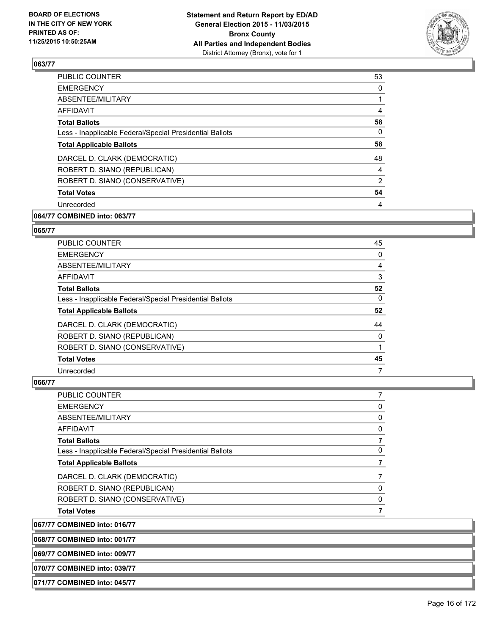

| <b>PUBLIC COUNTER</b>                                    | 53             |
|----------------------------------------------------------|----------------|
| <b>EMERGENCY</b>                                         | 0              |
| ABSENTEE/MILITARY                                        |                |
| AFFIDAVIT                                                | 4              |
| <b>Total Ballots</b>                                     | 58             |
| Less - Inapplicable Federal/Special Presidential Ballots | 0              |
| <b>Total Applicable Ballots</b>                          | 58             |
| DARCEL D. CLARK (DEMOCRATIC)                             | 48             |
| ROBERT D. SIANO (REPUBLICAN)                             | 4              |
| ROBERT D. SIANO (CONSERVATIVE)                           | $\overline{2}$ |
| <b>Total Votes</b>                                       | 54             |
| Unrecorded                                               | 4              |
|                                                          |                |

## **064/77 COMBINED into: 063/77**

#### **065/77**

| PUBLIC COUNTER                                           | 45 |
|----------------------------------------------------------|----|
| <b>EMERGENCY</b>                                         | 0  |
| ABSENTEE/MILITARY                                        | 4  |
| <b>AFFIDAVIT</b>                                         | 3  |
| <b>Total Ballots</b>                                     | 52 |
| Less - Inapplicable Federal/Special Presidential Ballots | 0  |
| <b>Total Applicable Ballots</b>                          | 52 |
| DARCEL D. CLARK (DEMOCRATIC)                             | 44 |
| ROBERT D. SIANO (REPUBLICAN)                             | 0  |
| ROBERT D. SIANO (CONSERVATIVE)                           |    |
| <b>Total Votes</b>                                       | 45 |
| Unrecorded                                               | 7  |

## **066/77**

| PUBLIC COUNTER                                           |    |
|----------------------------------------------------------|----|
| <b>EMERGENCY</b>                                         | O) |
| ABSENTEE/MILITARY                                        | 0  |
| <b>AFFIDAVIT</b>                                         |    |
| <b>Total Ballots</b>                                     |    |
| Less - Inapplicable Federal/Special Presidential Ballots |    |
| <b>Total Applicable Ballots</b>                          |    |
| DARCEL D. CLARK (DEMOCRATIC)                             |    |
| ROBERT D. SIANO (REPUBLICAN)                             |    |
| ROBERT D. SIANO (CONSERVATIVE)                           |    |
| <b>Total Votes</b>                                       |    |

**067/77 COMBINED into: 016/77**

**068/77 COMBINED into: 001/77**

**069/77 COMBINED into: 009/77**

**070/77 COMBINED into: 039/77**

**071/77 COMBINED into: 045/77**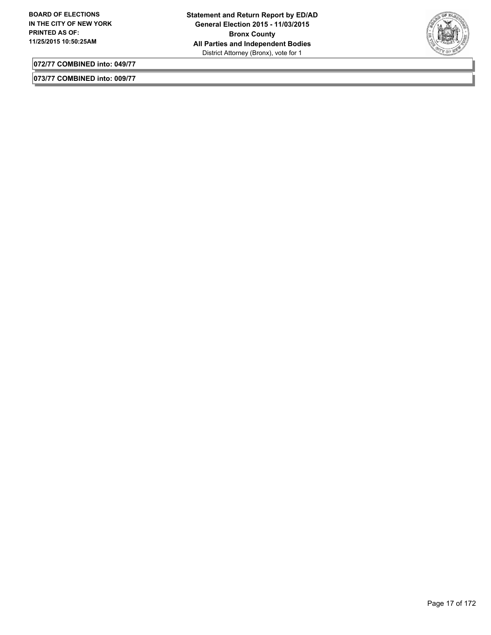

**072/77 COMBINED into: 049/77**

**073/77 COMBINED into: 009/77**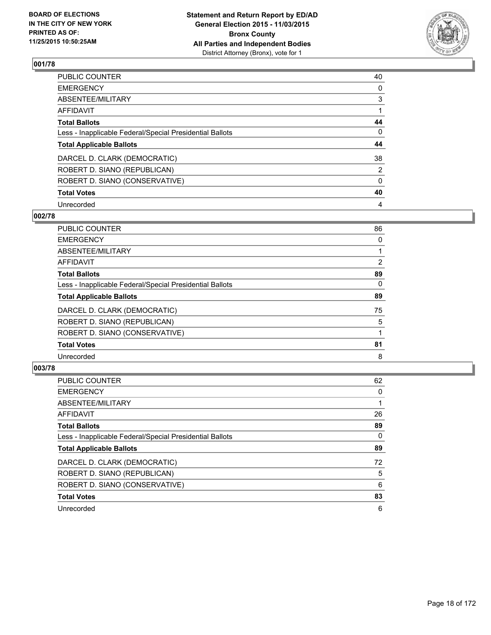

| PUBLIC COUNTER                                           | 40       |
|----------------------------------------------------------|----------|
| <b>EMERGENCY</b>                                         | 0        |
| ABSENTEE/MILITARY                                        | 3        |
| <b>AFFIDAVIT</b>                                         |          |
| <b>Total Ballots</b>                                     | 44       |
| Less - Inapplicable Federal/Special Presidential Ballots | 0        |
| <b>Total Applicable Ballots</b>                          | 44       |
| DARCEL D. CLARK (DEMOCRATIC)                             | 38       |
| ROBERT D. SIANO (REPUBLICAN)                             | 2        |
| ROBERT D. SIANO (CONSERVATIVE)                           | $\Omega$ |
| <b>Total Votes</b>                                       | 40       |
| Unrecorded                                               | 4        |

#### **002/78**

| PUBLIC COUNTER                                           | 86             |
|----------------------------------------------------------|----------------|
| <b>EMERGENCY</b>                                         | 0              |
| ABSENTEE/MILITARY                                        |                |
| <b>AFFIDAVIT</b>                                         | $\overline{2}$ |
| <b>Total Ballots</b>                                     | 89             |
| Less - Inapplicable Federal/Special Presidential Ballots | 0              |
| <b>Total Applicable Ballots</b>                          | 89             |
| DARCEL D. CLARK (DEMOCRATIC)                             | 75             |
| ROBERT D. SIANO (REPUBLICAN)                             | 5              |
| ROBERT D. SIANO (CONSERVATIVE)                           |                |
| <b>Total Votes</b>                                       | 81             |
| Unrecorded                                               | 8              |

| <b>PUBLIC COUNTER</b>                                    | 62 |
|----------------------------------------------------------|----|
| <b>EMERGENCY</b>                                         | 0  |
| ABSENTEE/MILITARY                                        |    |
| <b>AFFIDAVIT</b>                                         | 26 |
| <b>Total Ballots</b>                                     | 89 |
| Less - Inapplicable Federal/Special Presidential Ballots | 0  |
| <b>Total Applicable Ballots</b>                          | 89 |
| DARCEL D. CLARK (DEMOCRATIC)                             | 72 |
| ROBERT D. SIANO (REPUBLICAN)                             | 5  |
| ROBERT D. SIANO (CONSERVATIVE)                           | 6  |
| <b>Total Votes</b>                                       | 83 |
| Unrecorded                                               | 6  |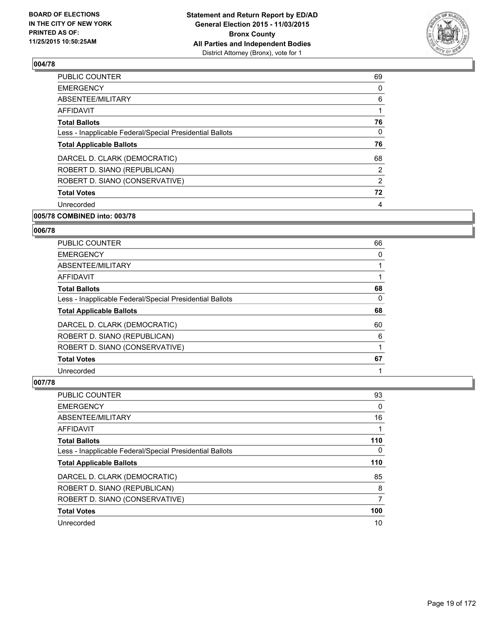

| <b>PUBLIC COUNTER</b>                                    | 69             |
|----------------------------------------------------------|----------------|
| <b>EMERGENCY</b>                                         | 0              |
| ABSENTEE/MILITARY                                        | 6              |
| AFFIDAVIT                                                |                |
| <b>Total Ballots</b>                                     | 76             |
| Less - Inapplicable Federal/Special Presidential Ballots | 0              |
| <b>Total Applicable Ballots</b>                          | 76             |
| DARCEL D. CLARK (DEMOCRATIC)                             | 68             |
| ROBERT D. SIANO (REPUBLICAN)                             | $\overline{2}$ |
| ROBERT D. SIANO (CONSERVATIVE)                           | $\overline{2}$ |
| <b>Total Votes</b>                                       | 72             |
| Unrecorded                                               | 4              |
|                                                          |                |

# **005/78 COMBINED into: 003/78**

#### **006/78**

| <b>PUBLIC COUNTER</b>                                    | 66 |
|----------------------------------------------------------|----|
| <b>EMERGENCY</b>                                         | 0  |
| ABSENTEE/MILITARY                                        |    |
| AFFIDAVIT                                                |    |
| <b>Total Ballots</b>                                     | 68 |
| Less - Inapplicable Federal/Special Presidential Ballots | 0  |
| <b>Total Applicable Ballots</b>                          | 68 |
| DARCEL D. CLARK (DEMOCRATIC)                             | 60 |
| ROBERT D. SIANO (REPUBLICAN)                             | 6  |
| ROBERT D. SIANO (CONSERVATIVE)                           |    |
| <b>Total Votes</b>                                       | 67 |
| Unrecorded                                               |    |

| PUBLIC COUNTER                                           | 93  |
|----------------------------------------------------------|-----|
| <b>EMERGENCY</b>                                         | 0   |
| ABSENTEE/MILITARY                                        | 16  |
| <b>AFFIDAVIT</b>                                         |     |
| <b>Total Ballots</b>                                     | 110 |
| Less - Inapplicable Federal/Special Presidential Ballots | 0   |
| <b>Total Applicable Ballots</b>                          | 110 |
| DARCEL D. CLARK (DEMOCRATIC)                             | 85  |
| ROBERT D. SIANO (REPUBLICAN)                             | 8   |
| ROBERT D. SIANO (CONSERVATIVE)                           | 7   |
| <b>Total Votes</b>                                       | 100 |
| Unrecorded                                               | 10  |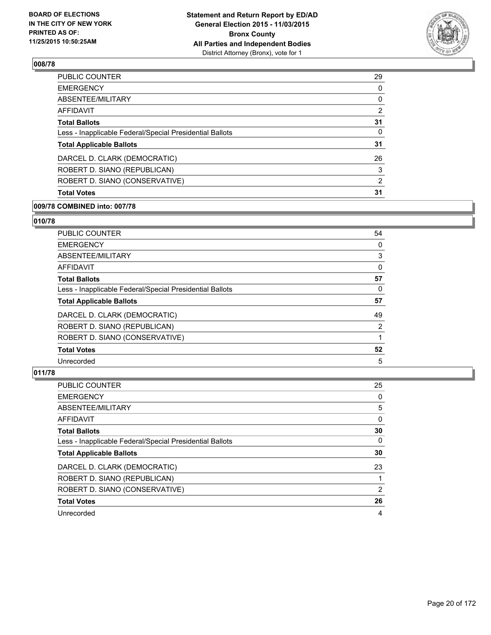

| PUBLIC COUNTER                                           | 29             |
|----------------------------------------------------------|----------------|
| <b>EMERGENCY</b>                                         | $\Omega$       |
| ABSENTEE/MILITARY                                        | 0              |
| <b>AFFIDAVIT</b>                                         | $\overline{2}$ |
| <b>Total Ballots</b>                                     | 31             |
| Less - Inapplicable Federal/Special Presidential Ballots | 0              |
| <b>Total Applicable Ballots</b>                          | 31             |
| DARCEL D. CLARK (DEMOCRATIC)                             | 26             |
| ROBERT D. SIANO (REPUBLICAN)                             | 3              |
| ROBERT D. SIANO (CONSERVATIVE)                           | 2              |
| <b>Total Votes</b>                                       | 31             |
|                                                          |                |

#### **009/78 COMBINED into: 007/78**

## **010/78**

| PUBLIC COUNTER                                           | 54 |
|----------------------------------------------------------|----|
| <b>EMERGENCY</b>                                         | 0  |
| ABSENTEE/MILITARY                                        | 3  |
| <b>AFFIDAVIT</b>                                         | 0  |
| <b>Total Ballots</b>                                     | 57 |
| Less - Inapplicable Federal/Special Presidential Ballots | 0  |
| <b>Total Applicable Ballots</b>                          | 57 |
| DARCEL D. CLARK (DEMOCRATIC)                             | 49 |
| ROBERT D. SIANO (REPUBLICAN)                             | 2  |
| ROBERT D. SIANO (CONSERVATIVE)                           |    |
| <b>Total Votes</b>                                       | 52 |
| Unrecorded                                               | 5  |

| <b>PUBLIC COUNTER</b>                                    | 25 |
|----------------------------------------------------------|----|
| <b>EMERGENCY</b>                                         | 0  |
| ABSENTEE/MILITARY                                        | 5  |
| AFFIDAVIT                                                | 0  |
| <b>Total Ballots</b>                                     | 30 |
| Less - Inapplicable Federal/Special Presidential Ballots | 0  |
| <b>Total Applicable Ballots</b>                          | 30 |
| DARCEL D. CLARK (DEMOCRATIC)                             | 23 |
| ROBERT D. SIANO (REPUBLICAN)                             |    |
| ROBERT D. SIANO (CONSERVATIVE)                           | 2  |
| <b>Total Votes</b>                                       | 26 |
| Unrecorded                                               | 4  |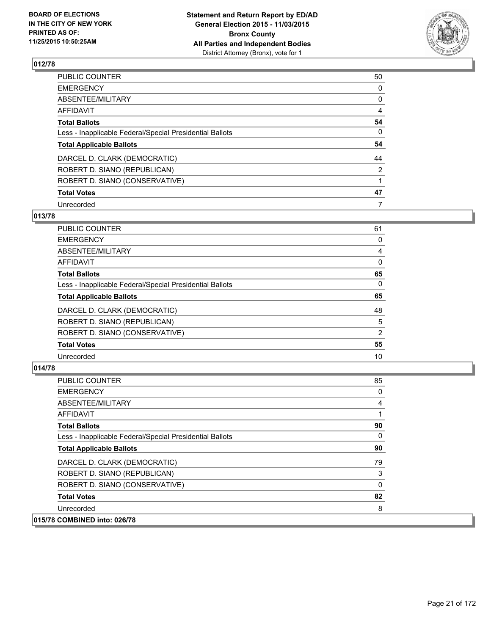

| PUBLIC COUNTER                                           | 50       |
|----------------------------------------------------------|----------|
| <b>EMERGENCY</b>                                         | 0        |
| ABSENTEE/MILITARY                                        | 0        |
| <b>AFFIDAVIT</b>                                         | 4        |
| <b>Total Ballots</b>                                     | 54       |
| Less - Inapplicable Federal/Special Presidential Ballots | $\Omega$ |
| <b>Total Applicable Ballots</b>                          | 54       |
| DARCEL D. CLARK (DEMOCRATIC)                             | 44       |
| ROBERT D. SIANO (REPUBLICAN)                             | 2        |
| ROBERT D. SIANO (CONSERVATIVE)                           |          |
| <b>Total Votes</b>                                       | 47       |
| Unrecorded                                               | 7        |

#### **013/78**

| <b>PUBLIC COUNTER</b>                                    | 61 |
|----------------------------------------------------------|----|
| <b>EMERGENCY</b>                                         | 0  |
| ABSENTEE/MILITARY                                        | 4  |
| AFFIDAVIT                                                | 0  |
| <b>Total Ballots</b>                                     | 65 |
| Less - Inapplicable Federal/Special Presidential Ballots | 0  |
| <b>Total Applicable Ballots</b>                          | 65 |
| DARCEL D. CLARK (DEMOCRATIC)                             | 48 |
| ROBERT D. SIANO (REPUBLICAN)                             | 5  |
| ROBERT D. SIANO (CONSERVATIVE)                           | 2  |
| <b>Total Votes</b>                                       | 55 |
| Unrecorded                                               | 10 |
|                                                          |    |

| <b>PUBLIC COUNTER</b>                                    | 85 |
|----------------------------------------------------------|----|
| <b>EMERGENCY</b>                                         | 0  |
| ABSENTEE/MILITARY                                        | 4  |
| <b>AFFIDAVIT</b>                                         |    |
| <b>Total Ballots</b>                                     | 90 |
| Less - Inapplicable Federal/Special Presidential Ballots | 0  |
| <b>Total Applicable Ballots</b>                          | 90 |
| DARCEL D. CLARK (DEMOCRATIC)                             | 79 |
| ROBERT D. SIANO (REPUBLICAN)                             | 3  |
| ROBERT D. SIANO (CONSERVATIVE)                           | 0  |
| <b>Total Votes</b>                                       | 82 |
| Unrecorded                                               | 8  |
| 015/78 COMBINED into: 026/78                             |    |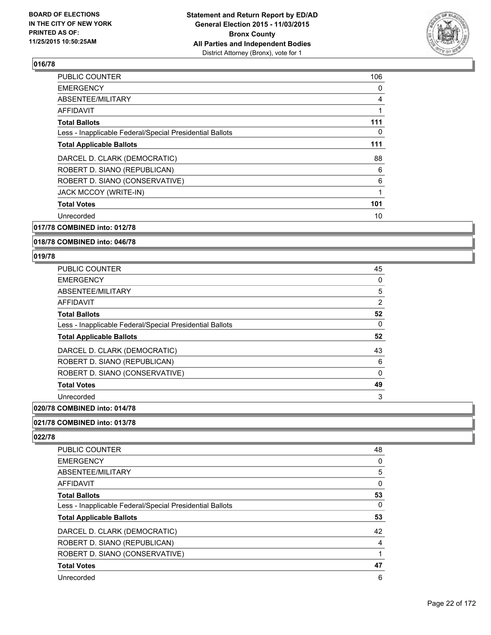

| <b>PUBLIC COUNTER</b>                                    | 106 |
|----------------------------------------------------------|-----|
| <b>EMERGENCY</b>                                         | 0   |
| ABSENTEE/MILITARY                                        | 4   |
| AFFIDAVIT                                                |     |
| <b>Total Ballots</b>                                     | 111 |
| Less - Inapplicable Federal/Special Presidential Ballots | 0   |
| <b>Total Applicable Ballots</b>                          | 111 |
| DARCEL D. CLARK (DEMOCRATIC)                             | 88  |
| ROBERT D. SIANO (REPUBLICAN)                             | 6   |
| ROBERT D. SIANO (CONSERVATIVE)                           | 6   |
| <b>JACK MCCOY (WRITE-IN)</b>                             |     |
| <b>Total Votes</b>                                       | 101 |
| Unrecorded                                               | 10  |
|                                                          |     |

# **017/78 COMBINED into: 012/78**

#### **018/78 COMBINED into: 046/78**

#### **019/78**

| PUBLIC COUNTER                                           | 45 |
|----------------------------------------------------------|----|
| <b>EMERGENCY</b>                                         | 0  |
| ABSENTEE/MILITARY                                        | 5  |
| AFFIDAVIT                                                | 2  |
| <b>Total Ballots</b>                                     | 52 |
| Less - Inapplicable Federal/Special Presidential Ballots | 0  |
| <b>Total Applicable Ballots</b>                          | 52 |
| DARCEL D. CLARK (DEMOCRATIC)                             | 43 |
| ROBERT D. SIANO (REPUBLICAN)                             | 6  |
| ROBERT D. SIANO (CONSERVATIVE)                           | 0  |
| <b>Total Votes</b>                                       | 49 |
| Unrecorded                                               | 3  |
|                                                          |    |

#### **020/78 COMBINED into: 014/78**

#### **021/78 COMBINED into: 013/78**

| PUBLIC COUNTER                                           | 48 |
|----------------------------------------------------------|----|
| <b>EMERGENCY</b>                                         | 0  |
| ABSENTEE/MILITARY                                        | 5  |
| AFFIDAVIT                                                | 0  |
| <b>Total Ballots</b>                                     | 53 |
| Less - Inapplicable Federal/Special Presidential Ballots | 0  |
| <b>Total Applicable Ballots</b>                          | 53 |
| DARCEL D. CLARK (DEMOCRATIC)                             | 42 |
| ROBERT D. SIANO (REPUBLICAN)                             | 4  |
| ROBERT D. SIANO (CONSERVATIVE)                           |    |
| <b>Total Votes</b>                                       | 47 |
| Unrecorded                                               | 6  |
|                                                          |    |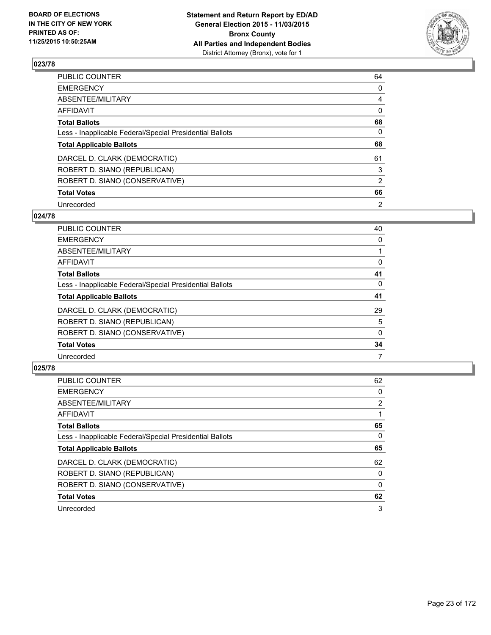

| PUBLIC COUNTER                                           | 64             |
|----------------------------------------------------------|----------------|
| <b>EMERGENCY</b>                                         | 0              |
| <b>ABSENTEE/MILITARY</b>                                 | 4              |
| AFFIDAVIT                                                | 0              |
| <b>Total Ballots</b>                                     | 68             |
| Less - Inapplicable Federal/Special Presidential Ballots | $\Omega$       |
| <b>Total Applicable Ballots</b>                          | 68             |
| DARCEL D. CLARK (DEMOCRATIC)                             | 61             |
| ROBERT D. SIANO (REPUBLICAN)                             | 3              |
| ROBERT D. SIANO (CONSERVATIVE)                           | $\overline{2}$ |
| <b>Total Votes</b>                                       | 66             |
| Unrecorded                                               | 2              |

#### **024/78**

| PUBLIC COUNTER                                           | 40 |
|----------------------------------------------------------|----|
| <b>EMERGENCY</b>                                         | 0  |
| ABSENTEE/MILITARY                                        |    |
| AFFIDAVIT                                                | 0  |
| <b>Total Ballots</b>                                     | 41 |
| Less - Inapplicable Federal/Special Presidential Ballots | 0  |
| <b>Total Applicable Ballots</b>                          | 41 |
| DARCEL D. CLARK (DEMOCRATIC)                             | 29 |
| ROBERT D. SIANO (REPUBLICAN)                             | 5  |
| ROBERT D. SIANO (CONSERVATIVE)                           | 0  |
| <b>Total Votes</b>                                       | 34 |
| Unrecorded                                               | 7  |

| PUBLIC COUNTER                                           | 62             |
|----------------------------------------------------------|----------------|
| <b>EMERGENCY</b>                                         | 0              |
| ABSENTEE/MILITARY                                        | $\overline{2}$ |
| <b>AFFIDAVIT</b>                                         |                |
| <b>Total Ballots</b>                                     | 65             |
| Less - Inapplicable Federal/Special Presidential Ballots | 0              |
| <b>Total Applicable Ballots</b>                          | 65             |
| DARCEL D. CLARK (DEMOCRATIC)                             | 62             |
| ROBERT D. SIANO (REPUBLICAN)                             | 0              |
| ROBERT D. SIANO (CONSERVATIVE)                           | 0              |
| <b>Total Votes</b>                                       | 62             |
| Unrecorded                                               | 3              |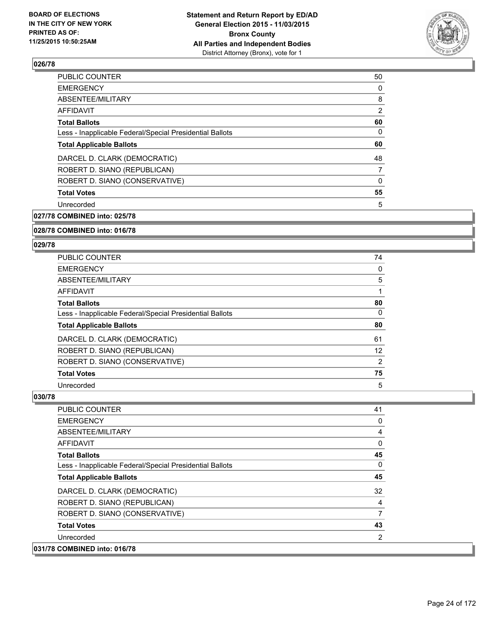

| <b>PUBLIC COUNTER</b>                                    | 50             |
|----------------------------------------------------------|----------------|
| <b>EMERGENCY</b>                                         | 0              |
| ABSENTEE/MILITARY                                        | 8              |
| AFFIDAVIT                                                | $\overline{2}$ |
| <b>Total Ballots</b>                                     | 60             |
| Less - Inapplicable Federal/Special Presidential Ballots | 0              |
| <b>Total Applicable Ballots</b>                          | 60             |
| DARCEL D. CLARK (DEMOCRATIC)                             | 48             |
| ROBERT D. SIANO (REPUBLICAN)                             | 7              |
| ROBERT D. SIANO (CONSERVATIVE)                           | 0              |
| <b>Total Votes</b>                                       | 55             |
| Unrecorded                                               | 5              |
|                                                          |                |

**027/78 COMBINED into: 025/78**

#### **028/78 COMBINED into: 016/78**

#### **029/78**

| <b>PUBLIC COUNTER</b>                                    | 74 |
|----------------------------------------------------------|----|
| <b>EMERGENCY</b>                                         | 0  |
| ABSENTEE/MILITARY                                        | 5  |
| AFFIDAVIT                                                |    |
| <b>Total Ballots</b>                                     | 80 |
| Less - Inapplicable Federal/Special Presidential Ballots | 0  |
| <b>Total Applicable Ballots</b>                          | 80 |
| DARCEL D. CLARK (DEMOCRATIC)                             | 61 |
| ROBERT D. SIANO (REPUBLICAN)                             | 12 |
| ROBERT D. SIANO (CONSERVATIVE)                           | 2  |
| <b>Total Votes</b>                                       | 75 |
| Unrecorded                                               | 5  |

| <b>PUBLIC COUNTER</b>                                    | 41           |
|----------------------------------------------------------|--------------|
| <b>EMERGENCY</b>                                         | 0            |
| ABSENTEE/MILITARY                                        | 4            |
| <b>AFFIDAVIT</b>                                         | 0            |
| <b>Total Ballots</b>                                     | 45           |
| Less - Inapplicable Federal/Special Presidential Ballots | $\mathbf{0}$ |
| <b>Total Applicable Ballots</b>                          | 45           |
| DARCEL D. CLARK (DEMOCRATIC)                             | 32           |
| ROBERT D. SIANO (REPUBLICAN)                             | 4            |
| ROBERT D. SIANO (CONSERVATIVE)                           | 7            |
| <b>Total Votes</b>                                       | 43           |
| Unrecorded                                               | 2            |
| 031/78 COMBINED into: 016/78                             |              |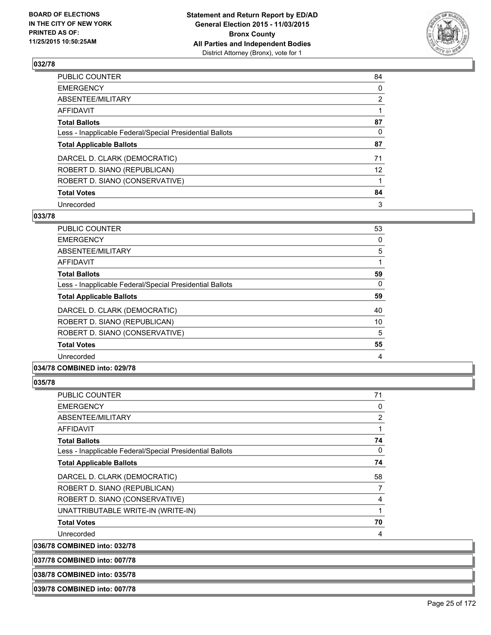

| PUBLIC COUNTER                                           | 84              |
|----------------------------------------------------------|-----------------|
| <b>EMERGENCY</b>                                         | 0               |
| ABSENTEE/MILITARY                                        | $\overline{2}$  |
| <b>AFFIDAVIT</b>                                         |                 |
| <b>Total Ballots</b>                                     | 87              |
| Less - Inapplicable Federal/Special Presidential Ballots | $\Omega$        |
| <b>Total Applicable Ballots</b>                          | 87              |
| DARCEL D. CLARK (DEMOCRATIC)                             | 71              |
| ROBERT D. SIANO (REPUBLICAN)                             | 12 <sup>°</sup> |
| ROBERT D. SIANO (CONSERVATIVE)                           |                 |
| <b>Total Votes</b>                                       | 84              |
| Unrecorded                                               | 3               |

#### **033/78**

| <b>PUBLIC COUNTER</b>                                    | 53 |
|----------------------------------------------------------|----|
| <b>EMERGENCY</b>                                         | 0  |
| ABSENTEE/MILITARY                                        | 5  |
| AFFIDAVIT                                                |    |
| <b>Total Ballots</b>                                     | 59 |
| Less - Inapplicable Federal/Special Presidential Ballots | 0  |
| <b>Total Applicable Ballots</b>                          | 59 |
| DARCEL D. CLARK (DEMOCRATIC)                             | 40 |
| ROBERT D. SIANO (REPUBLICAN)                             | 10 |
| ROBERT D. SIANO (CONSERVATIVE)                           | 5  |
| <b>Total Votes</b>                                       | 55 |
| Unrecorded                                               | 4  |
|                                                          |    |

## **034/78 COMBINED into: 029/78**

## **035/78**

| PUBLIC COUNTER                                           | 71             |
|----------------------------------------------------------|----------------|
| <b>EMERGENCY</b>                                         | 0              |
| ABSENTEE/MILITARY                                        | $\overline{2}$ |
| AFFIDAVIT                                                |                |
| <b>Total Ballots</b>                                     | 74             |
| Less - Inapplicable Federal/Special Presidential Ballots | 0              |
| <b>Total Applicable Ballots</b>                          | 74             |
| DARCEL D. CLARK (DEMOCRATIC)                             | 58             |
| ROBERT D. SIANO (REPUBLICAN)                             | 7              |
| ROBERT D. SIANO (CONSERVATIVE)                           | 4              |
| UNATTRIBUTABLE WRITE-IN (WRITE-IN)                       |                |
| <b>Total Votes</b>                                       | 70             |
| Unrecorded                                               | 4              |

**036/78 COMBINED into: 032/78**

**037/78 COMBINED into: 007/78**

**038/78 COMBINED into: 035/78**

**039/78 COMBINED into: 007/78**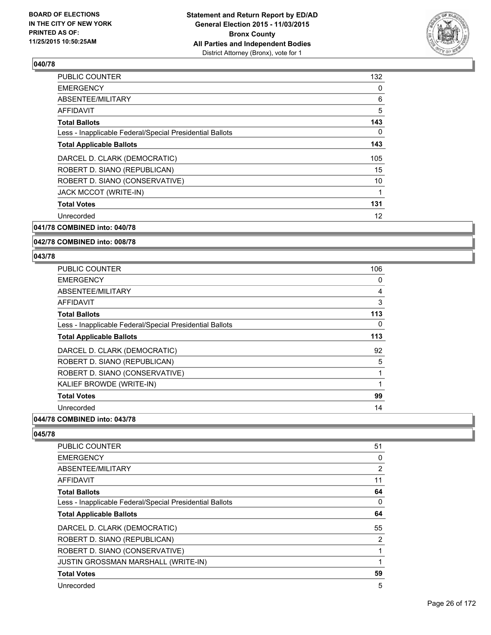

| PUBLIC COUNTER                                           | 132 |
|----------------------------------------------------------|-----|
| <b>EMERGENCY</b>                                         | 0   |
| ABSENTEE/MILITARY                                        | 6   |
| AFFIDAVIT                                                | 5   |
| <b>Total Ballots</b>                                     | 143 |
| Less - Inapplicable Federal/Special Presidential Ballots | 0   |
| <b>Total Applicable Ballots</b>                          | 143 |
| DARCEL D. CLARK (DEMOCRATIC)                             | 105 |
| ROBERT D. SIANO (REPUBLICAN)                             | 15  |
| ROBERT D. SIANO (CONSERVATIVE)                           | 10  |
| JACK MCCOT (WRITE-IN)                                    |     |
| <b>Total Votes</b>                                       | 131 |
| Unrecorded                                               | 12  |
|                                                          |     |

# **041/78 COMBINED into: 040/78**

#### **042/78 COMBINED into: 008/78**

#### **043/78**

| <b>PUBLIC COUNTER</b>                                    | 106 |
|----------------------------------------------------------|-----|
| <b>EMERGENCY</b>                                         | 0   |
| ABSENTEE/MILITARY                                        | 4   |
| AFFIDAVIT                                                | 3   |
| <b>Total Ballots</b>                                     | 113 |
| Less - Inapplicable Federal/Special Presidential Ballots | 0   |
| <b>Total Applicable Ballots</b>                          | 113 |
| DARCEL D. CLARK (DEMOCRATIC)                             | 92  |
| ROBERT D. SIANO (REPUBLICAN)                             | 5   |
| ROBERT D. SIANO (CONSERVATIVE)                           | 1   |
| KALIEF BROWDE (WRITE-IN)                                 | 1   |
| <b>Total Votes</b>                                       | 99  |
| Unrecorded                                               | 14  |

# **044/78 COMBINED into: 043/78**

| <b>PUBLIC COUNTER</b>                                    | 51             |
|----------------------------------------------------------|----------------|
| <b>EMERGENCY</b>                                         | 0              |
| ABSENTEE/MILITARY                                        | $\overline{2}$ |
| AFFIDAVIT                                                | 11             |
| <b>Total Ballots</b>                                     | 64             |
| Less - Inapplicable Federal/Special Presidential Ballots | 0              |
| <b>Total Applicable Ballots</b>                          | 64             |
| DARCEL D. CLARK (DEMOCRATIC)                             | 55             |
| ROBERT D. SIANO (REPUBLICAN)                             | 2              |
| ROBERT D. SIANO (CONSERVATIVE)                           |                |
| <b>JUSTIN GROSSMAN MARSHALL (WRITE-IN)</b>               |                |
| <b>Total Votes</b>                                       | 59             |
| Unrecorded                                               | 5              |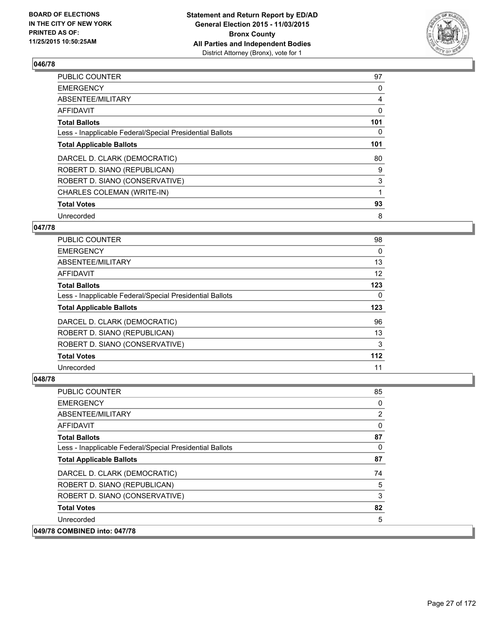

| <b>PUBLIC COUNTER</b>                                    | 97  |
|----------------------------------------------------------|-----|
| <b>EMERGENCY</b>                                         | 0   |
| ABSENTEE/MILITARY                                        | 4   |
| AFFIDAVIT                                                | 0   |
| <b>Total Ballots</b>                                     | 101 |
| Less - Inapplicable Federal/Special Presidential Ballots | 0   |
| <b>Total Applicable Ballots</b>                          | 101 |
| DARCEL D. CLARK (DEMOCRATIC)                             | 80  |
| ROBERT D. SIANO (REPUBLICAN)                             | 9   |
| ROBERT D. SIANO (CONSERVATIVE)                           | 3   |
| CHARLES COLEMAN (WRITE-IN)                               | 1   |
| <b>Total Votes</b>                                       | 93  |
| Unrecorded                                               | 8   |

#### **047/78**

| <b>PUBLIC COUNTER</b>                                    | 98  |
|----------------------------------------------------------|-----|
| <b>EMERGENCY</b>                                         | 0   |
| ABSENTEE/MILITARY                                        | 13  |
| AFFIDAVIT                                                | 12  |
| <b>Total Ballots</b>                                     | 123 |
| Less - Inapplicable Federal/Special Presidential Ballots | 0   |
| <b>Total Applicable Ballots</b>                          | 123 |
| DARCEL D. CLARK (DEMOCRATIC)                             | 96  |
| ROBERT D. SIANO (REPUBLICAN)                             | 13  |
| ROBERT D. SIANO (CONSERVATIVE)                           | 3   |
| <b>Total Votes</b>                                       | 112 |
| Unrecorded                                               | 11  |

| <b>PUBLIC COUNTER</b>                                    | 85 |
|----------------------------------------------------------|----|
| <b>EMERGENCY</b>                                         | 0  |
| ABSENTEE/MILITARY                                        | 2  |
| AFFIDAVIT                                                | 0  |
| <b>Total Ballots</b>                                     | 87 |
| Less - Inapplicable Federal/Special Presidential Ballots | 0  |
| <b>Total Applicable Ballots</b>                          | 87 |
| DARCEL D. CLARK (DEMOCRATIC)                             | 74 |
| ROBERT D. SIANO (REPUBLICAN)                             | 5  |
| ROBERT D. SIANO (CONSERVATIVE)                           | 3  |
| <b>Total Votes</b>                                       | 82 |
| Unrecorded                                               | 5  |
| 049/78 COMBINED into: 047/78                             |    |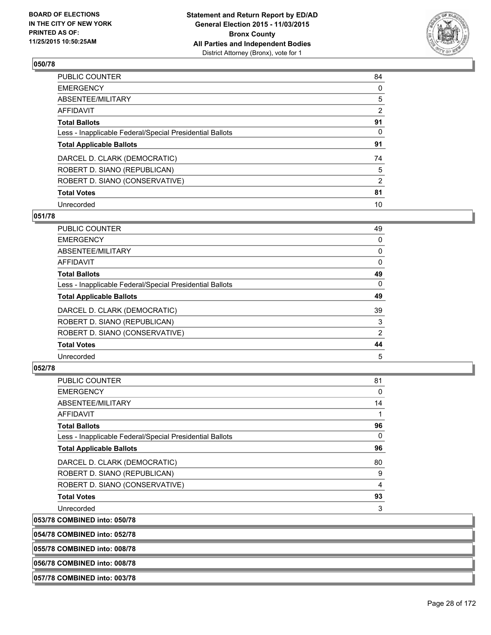

| PUBLIC COUNTER                                           | 84             |
|----------------------------------------------------------|----------------|
| <b>EMERGENCY</b>                                         | 0              |
| <b>ABSENTEE/MILITARY</b>                                 | 5              |
| AFFIDAVIT                                                | $\overline{2}$ |
| <b>Total Ballots</b>                                     | 91             |
| Less - Inapplicable Federal/Special Presidential Ballots | 0              |
| <b>Total Applicable Ballots</b>                          | 91             |
| DARCEL D. CLARK (DEMOCRATIC)                             | 74             |
| ROBERT D. SIANO (REPUBLICAN)                             | 5              |
| ROBERT D. SIANO (CONSERVATIVE)                           | $\overline{2}$ |
| <b>Total Votes</b>                                       | 81             |
| Unrecorded                                               | 10             |

#### **051/78**

| PUBLIC COUNTER                                           | 49 |
|----------------------------------------------------------|----|
| <b>EMERGENCY</b>                                         | 0  |
| ABSENTEE/MILITARY                                        | 0  |
| AFFIDAVIT                                                | 0  |
| <b>Total Ballots</b>                                     | 49 |
| Less - Inapplicable Federal/Special Presidential Ballots | 0  |
| <b>Total Applicable Ballots</b>                          | 49 |
| DARCEL D. CLARK (DEMOCRATIC)                             | 39 |
| ROBERT D. SIANO (REPUBLICAN)                             | 3  |
| ROBERT D. SIANO (CONSERVATIVE)                           | 2  |
| <b>Total Votes</b>                                       | 44 |
| Unrecorded                                               | 5  |

## **052/78**

| PUBLIC COUNTER                                           | 81           |
|----------------------------------------------------------|--------------|
| <b>EMERGENCY</b>                                         | $\mathbf{0}$ |
| ABSENTEE/MILITARY                                        | 14           |
| AFFIDAVIT                                                |              |
| <b>Total Ballots</b>                                     | 96           |
| Less - Inapplicable Federal/Special Presidential Ballots | $\Omega$     |
| <b>Total Applicable Ballots</b>                          | 96           |
| DARCEL D. CLARK (DEMOCRATIC)                             | 80           |
| ROBERT D. SIANO (REPUBLICAN)                             | 9            |
| ROBERT D. SIANO (CONSERVATIVE)                           | 4            |
| <b>Total Votes</b>                                       | 93           |
| Unrecorded                                               | 3            |
| 053/78 COMBINED into: 050/78                             |              |

**054/78 COMBINED into: 052/78**

**055/78 COMBINED into: 008/78**

**056/78 COMBINED into: 008/78**

**057/78 COMBINED into: 003/78**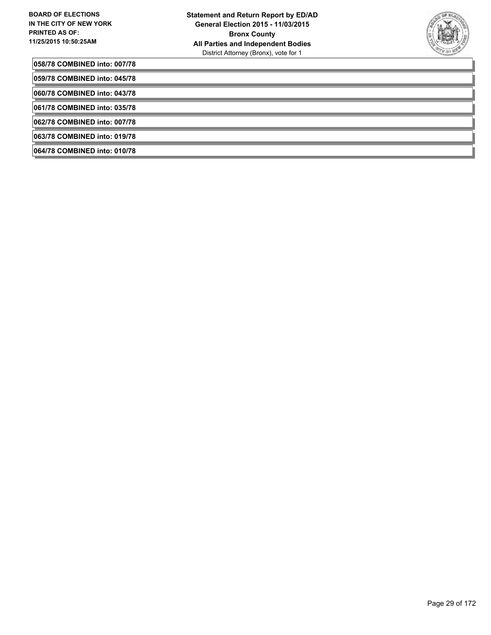

**058/78 COMBINED into: 007/78**

**059/78 COMBINED into: 045/78**

**060/78 COMBINED into: 043/78**

**061/78 COMBINED into: 035/78**

**062/78 COMBINED into: 007/78**

**063/78 COMBINED into: 019/78**

**064/78 COMBINED into: 010/78**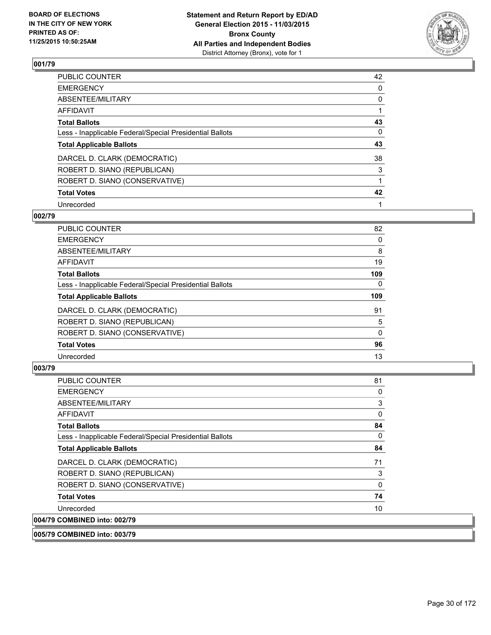

| PUBLIC COUNTER                                           | 42 |
|----------------------------------------------------------|----|
| <b>EMERGENCY</b>                                         | 0  |
| ABSENTEE/MILITARY                                        | 0  |
| <b>AFFIDAVIT</b>                                         |    |
| <b>Total Ballots</b>                                     | 43 |
| Less - Inapplicable Federal/Special Presidential Ballots | 0  |
| <b>Total Applicable Ballots</b>                          | 43 |
| DARCEL D. CLARK (DEMOCRATIC)                             | 38 |
| ROBERT D. SIANO (REPUBLICAN)                             | 3  |
| ROBERT D. SIANO (CONSERVATIVE)                           |    |
| <b>Total Votes</b>                                       | 42 |
| Unrecorded                                               |    |

#### **002/79**

| PUBLIC COUNTER                                           | 82  |
|----------------------------------------------------------|-----|
| <b>EMERGENCY</b>                                         | 0   |
| ABSENTEE/MILITARY                                        | 8   |
| <b>AFFIDAVIT</b>                                         | 19  |
| <b>Total Ballots</b>                                     | 109 |
| Less - Inapplicable Federal/Special Presidential Ballots | 0   |
| <b>Total Applicable Ballots</b>                          | 109 |
| DARCEL D. CLARK (DEMOCRATIC)                             | 91  |
| ROBERT D. SIANO (REPUBLICAN)                             | 5   |
| ROBERT D. SIANO (CONSERVATIVE)                           | 0   |
| <b>Total Votes</b>                                       | 96  |
| Unrecorded                                               | 13  |
|                                                          |     |

## **003/79**

| <b>PUBLIC COUNTER</b>                                    | 81 |
|----------------------------------------------------------|----|
| <b>EMERGENCY</b>                                         | 0  |
| ABSENTEE/MILITARY                                        | 3  |
| <b>AFFIDAVIT</b>                                         | 0  |
| <b>Total Ballots</b>                                     | 84 |
| Less - Inapplicable Federal/Special Presidential Ballots | 0  |
| <b>Total Applicable Ballots</b>                          | 84 |
| DARCEL D. CLARK (DEMOCRATIC)                             | 71 |
| ROBERT D. SIANO (REPUBLICAN)                             | 3  |
| ROBERT D. SIANO (CONSERVATIVE)                           | 0  |
| <b>Total Votes</b>                                       | 74 |
| Unrecorded                                               | 10 |
| 004/79 COMBINED into: 002/79                             |    |

## **005/79 COMBINED into: 003/79**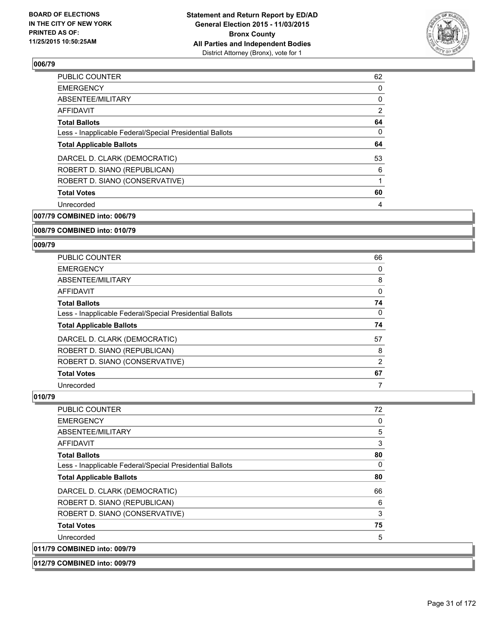

| <b>PUBLIC COUNTER</b>                                    | 62             |
|----------------------------------------------------------|----------------|
| <b>EMERGENCY</b>                                         | 0              |
| ABSENTEE/MILITARY                                        | 0              |
| AFFIDAVIT                                                | $\overline{2}$ |
| <b>Total Ballots</b>                                     | 64             |
| Less - Inapplicable Federal/Special Presidential Ballots | 0              |
| <b>Total Applicable Ballots</b>                          | 64             |
| DARCEL D. CLARK (DEMOCRATIC)                             | 53             |
| ROBERT D. SIANO (REPUBLICAN)                             | 6              |
| ROBERT D. SIANO (CONSERVATIVE)                           |                |
| <b>Total Votes</b>                                       | 60             |
| Unrecorded                                               | 4              |
|                                                          |                |

**007/79 COMBINED into: 006/79**

#### **008/79 COMBINED into: 010/79**

#### **009/79**

| <b>PUBLIC COUNTER</b>                                    | 66 |
|----------------------------------------------------------|----|
| <b>EMERGENCY</b>                                         | 0  |
| ABSENTEE/MILITARY                                        | 8  |
| AFFIDAVIT                                                | 0  |
| <b>Total Ballots</b>                                     | 74 |
| Less - Inapplicable Federal/Special Presidential Ballots | 0  |
| <b>Total Applicable Ballots</b>                          | 74 |
| DARCEL D. CLARK (DEMOCRATIC)                             | 57 |
| ROBERT D. SIANO (REPUBLICAN)                             | 8  |
| ROBERT D. SIANO (CONSERVATIVE)                           | 2  |
| <b>Total Votes</b>                                       | 67 |
| Unrecorded                                               |    |

| <b>PUBLIC COUNTER</b>                                    | 72 |
|----------------------------------------------------------|----|
| <b>EMERGENCY</b>                                         | 0  |
| ABSENTEE/MILITARY                                        | 5  |
| <b>AFFIDAVIT</b>                                         | 3  |
| <b>Total Ballots</b>                                     | 80 |
| Less - Inapplicable Federal/Special Presidential Ballots | 0  |
| <b>Total Applicable Ballots</b>                          | 80 |
| DARCEL D. CLARK (DEMOCRATIC)                             | 66 |
| ROBERT D. SIANO (REPUBLICAN)                             | 6  |
| ROBERT D. SIANO (CONSERVATIVE)                           | 3  |
| <b>Total Votes</b>                                       | 75 |
| Unrecorded                                               | 5  |
| 011/79 COMBINED into: 009/79                             |    |
| 012/79 COMBINED into: 009/79                             |    |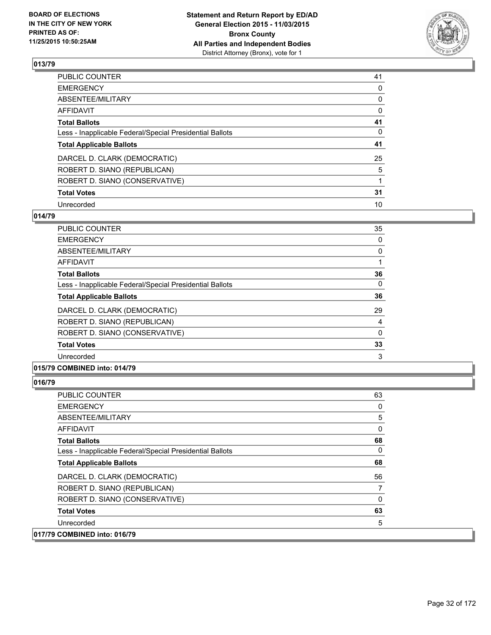

| PUBLIC COUNTER                                           | 41 |
|----------------------------------------------------------|----|
| <b>EMERGENCY</b>                                         | 0  |
| ABSENTEE/MILITARY                                        | 0  |
| <b>AFFIDAVIT</b>                                         | 0  |
| <b>Total Ballots</b>                                     | 41 |
| Less - Inapplicable Federal/Special Presidential Ballots | 0  |
| <b>Total Applicable Ballots</b>                          | 41 |
| DARCEL D. CLARK (DEMOCRATIC)                             | 25 |
| ROBERT D. SIANO (REPUBLICAN)                             | 5  |
| ROBERT D. SIANO (CONSERVATIVE)                           |    |
| <b>Total Votes</b>                                       | 31 |
| Unrecorded                                               | 10 |

#### **014/79**

| <b>PUBLIC COUNTER</b>                                    | 35       |
|----------------------------------------------------------|----------|
| <b>EMERGENCY</b>                                         | 0        |
| ABSENTEE/MILITARY                                        | 0        |
| AFFIDAVIT                                                |          |
| <b>Total Ballots</b>                                     | 36       |
| Less - Inapplicable Federal/Special Presidential Ballots | 0        |
| <b>Total Applicable Ballots</b>                          | 36       |
| DARCEL D. CLARK (DEMOCRATIC)                             | 29       |
| ROBERT D. SIANO (REPUBLICAN)                             | 4        |
| ROBERT D. SIANO (CONSERVATIVE)                           | $\Omega$ |
| <b>Total Votes</b>                                       | 33       |
| Unrecorded                                               | 3        |
|                                                          |          |

#### **015/79 COMBINED into: 014/79**

| <b>EMERGENCY</b><br>ABSENTEE/MILITARY                    | 0<br>5 |
|----------------------------------------------------------|--------|
| AFFIDAVIT                                                | 0      |
| <b>Total Ballots</b>                                     | 68     |
| Less - Inapplicable Federal/Special Presidential Ballots | 0      |
| <b>Total Applicable Ballots</b>                          | 68     |
| DARCEL D. CLARK (DEMOCRATIC)                             | 56     |
| ROBERT D. SIANO (REPUBLICAN)                             | 7      |
| ROBERT D. SIANO (CONSERVATIVE)                           | 0      |
| <b>Total Votes</b>                                       | 63     |
| Unrecorded                                               | 5      |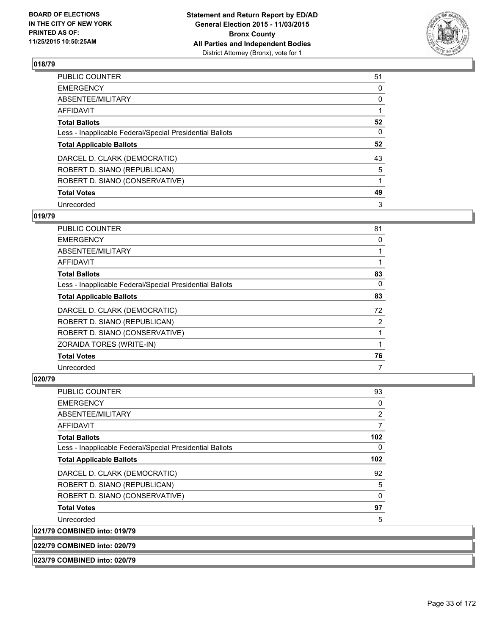

| PUBLIC COUNTER                                           | 51       |
|----------------------------------------------------------|----------|
| <b>EMERGENCY</b>                                         | 0        |
| ABSENTEE/MILITARY                                        | 0        |
| <b>AFFIDAVIT</b>                                         |          |
| <b>Total Ballots</b>                                     | 52       |
| Less - Inapplicable Federal/Special Presidential Ballots | $\Omega$ |
| <b>Total Applicable Ballots</b>                          | 52       |
| DARCEL D. CLARK (DEMOCRATIC)                             | 43       |
| ROBERT D. SIANO (REPUBLICAN)                             | 5        |
| ROBERT D. SIANO (CONSERVATIVE)                           |          |
| <b>Total Votes</b>                                       | 49       |
| Unrecorded                                               | 3        |

#### **019/79**

| PUBLIC COUNTER                                           | 81 |
|----------------------------------------------------------|----|
| <b>EMERGENCY</b>                                         | 0  |
| ABSENTEE/MILITARY                                        |    |
| AFFIDAVIT                                                |    |
| <b>Total Ballots</b>                                     | 83 |
| Less - Inapplicable Federal/Special Presidential Ballots | 0  |
| <b>Total Applicable Ballots</b>                          | 83 |
| DARCEL D. CLARK (DEMOCRATIC)                             | 72 |
| ROBERT D. SIANO (REPUBLICAN)                             | 2  |
| ROBERT D. SIANO (CONSERVATIVE)                           |    |
| ZORAIDA TORES (WRITE-IN)                                 |    |
| <b>Total Votes</b>                                       | 76 |
| Unrecorded                                               | 7  |

## **020/79**

| <b>PUBLIC COUNTER</b>                                    | 93  |
|----------------------------------------------------------|-----|
| <b>EMERGENCY</b>                                         | 0   |
| ABSENTEE/MILITARY                                        | 2   |
| AFFIDAVIT                                                | 7   |
| <b>Total Ballots</b>                                     | 102 |
| Less - Inapplicable Federal/Special Presidential Ballots | 0   |
| <b>Total Applicable Ballots</b>                          | 102 |
| DARCEL D. CLARK (DEMOCRATIC)                             | 92  |
| ROBERT D. SIANO (REPUBLICAN)                             | 5   |
| ROBERT D. SIANO (CONSERVATIVE)                           | 0   |
| <b>Total Votes</b>                                       | 97  |
| Unrecorded                                               | 5   |
| <b>COMBINED into: 019/79</b>                             |     |

021/79

**022/79 COMBINED into: 020/79**

**023/79 COMBINED into: 020/79**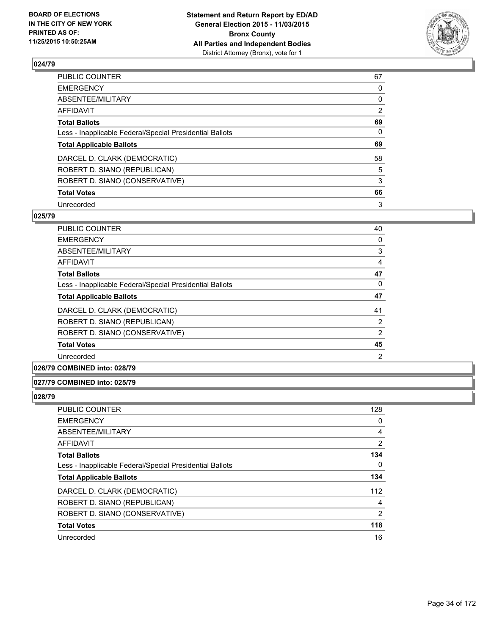

| PUBLIC COUNTER                                           | 67             |
|----------------------------------------------------------|----------------|
| <b>EMERGENCY</b>                                         | 0              |
| ABSENTEE/MILITARY                                        | 0              |
| <b>AFFIDAVIT</b>                                         | $\overline{2}$ |
| <b>Total Ballots</b>                                     | 69             |
| Less - Inapplicable Federal/Special Presidential Ballots | $\Omega$       |
| <b>Total Applicable Ballots</b>                          | 69             |
| DARCEL D. CLARK (DEMOCRATIC)                             | 58             |
| ROBERT D. SIANO (REPUBLICAN)                             | 5              |
| ROBERT D. SIANO (CONSERVATIVE)                           | 3              |
| <b>Total Votes</b>                                       | 66             |
| Unrecorded                                               | 3              |

#### **025/79**

| <b>PUBLIC COUNTER</b>                                    | 40             |
|----------------------------------------------------------|----------------|
| <b>EMERGENCY</b>                                         | 0              |
| ABSENTEE/MILITARY                                        | 3              |
| AFFIDAVIT                                                | 4              |
| <b>Total Ballots</b>                                     | 47             |
| Less - Inapplicable Federal/Special Presidential Ballots | $\Omega$       |
| <b>Total Applicable Ballots</b>                          | 47             |
| DARCEL D. CLARK (DEMOCRATIC)                             | 41             |
| ROBERT D. SIANO (REPUBLICAN)                             | $\overline{2}$ |
| ROBERT D. SIANO (CONSERVATIVE)                           | 2              |
| <b>Total Votes</b>                                       | 45             |
| Unrecorded                                               | $\overline{2}$ |

**026/79 COMBINED into: 028/79**

#### **027/79 COMBINED into: 025/79**

| PUBLIC COUNTER                                           | 128 |
|----------------------------------------------------------|-----|
| <b>EMERGENCY</b>                                         | 0   |
| ABSENTEE/MILITARY                                        | 4   |
| AFFIDAVIT                                                | 2   |
| <b>Total Ballots</b>                                     | 134 |
| Less - Inapplicable Federal/Special Presidential Ballots | 0   |
| <b>Total Applicable Ballots</b>                          | 134 |
| DARCEL D. CLARK (DEMOCRATIC)                             | 112 |
| ROBERT D. SIANO (REPUBLICAN)                             | 4   |
| ROBERT D. SIANO (CONSERVATIVE)                           | 2   |
| <b>Total Votes</b>                                       | 118 |
| Unrecorded                                               | 16  |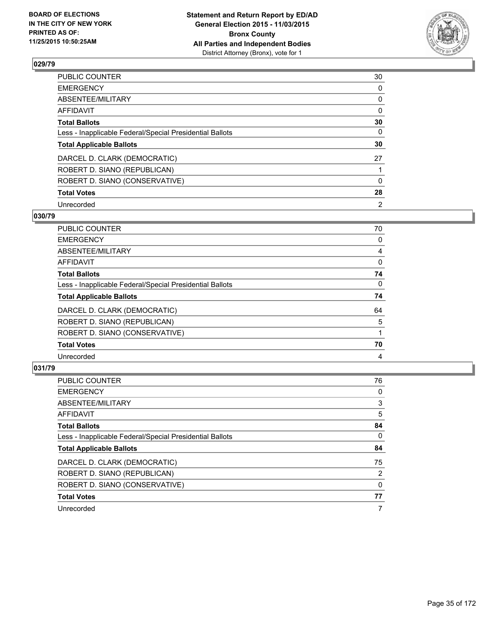

| PUBLIC COUNTER                                           | 30       |
|----------------------------------------------------------|----------|
| <b>EMERGENCY</b>                                         | 0        |
| ABSENTEE/MILITARY                                        | 0        |
| <b>AFFIDAVIT</b>                                         | $\Omega$ |
| <b>Total Ballots</b>                                     | 30       |
| Less - Inapplicable Federal/Special Presidential Ballots | $\Omega$ |
| <b>Total Applicable Ballots</b>                          | 30       |
| DARCEL D. CLARK (DEMOCRATIC)                             | 27       |
| ROBERT D. SIANO (REPUBLICAN)                             |          |
| ROBERT D. SIANO (CONSERVATIVE)                           | $\Omega$ |
| <b>Total Votes</b>                                       | 28       |
| Unrecorded                                               | 2        |

#### **030/79**

| PUBLIC COUNTER                                           | 70 |
|----------------------------------------------------------|----|
| <b>EMERGENCY</b>                                         | 0  |
| ABSENTEE/MILITARY                                        | 4  |
| AFFIDAVIT                                                | 0  |
| <b>Total Ballots</b>                                     | 74 |
| Less - Inapplicable Federal/Special Presidential Ballots | 0  |
| <b>Total Applicable Ballots</b>                          | 74 |
| DARCEL D. CLARK (DEMOCRATIC)                             | 64 |
| ROBERT D. SIANO (REPUBLICAN)                             | 5  |
| ROBERT D. SIANO (CONSERVATIVE)                           |    |
| <b>Total Votes</b>                                       | 70 |
| Unrecorded                                               | 4  |
|                                                          |    |

| PUBLIC COUNTER                                           | 76             |
|----------------------------------------------------------|----------------|
| <b>EMERGENCY</b>                                         | 0              |
| ABSENTEE/MILITARY                                        | 3              |
| <b>AFFIDAVIT</b>                                         | 5              |
| <b>Total Ballots</b>                                     | 84             |
| Less - Inapplicable Federal/Special Presidential Ballots | 0              |
| <b>Total Applicable Ballots</b>                          | 84             |
| DARCEL D. CLARK (DEMOCRATIC)                             | 75             |
| ROBERT D. SIANO (REPUBLICAN)                             | $\overline{2}$ |
| ROBERT D. SIANO (CONSERVATIVE)                           | 0              |
| <b>Total Votes</b>                                       | 77             |
| Unrecorded                                               | 7              |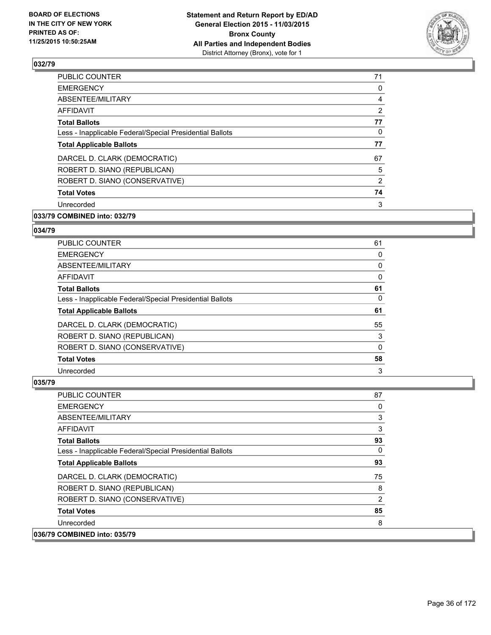

| <b>PUBLIC COUNTER</b>                                    | 71             |
|----------------------------------------------------------|----------------|
| <b>EMERGENCY</b>                                         | 0              |
| ABSENTEE/MILITARY                                        | 4              |
| AFFIDAVIT                                                | $\overline{2}$ |
| <b>Total Ballots</b>                                     | 77             |
| Less - Inapplicable Federal/Special Presidential Ballots | 0              |
| <b>Total Applicable Ballots</b>                          | 77             |
| DARCEL D. CLARK (DEMOCRATIC)                             | 67             |
| ROBERT D. SIANO (REPUBLICAN)                             | 5              |
| ROBERT D. SIANO (CONSERVATIVE)                           | $\overline{2}$ |
| <b>Total Votes</b>                                       | 74             |
| Unrecorded                                               | 3              |
|                                                          |                |

# **033/79 COMBINED into: 032/79**

#### **034/79**

| <b>PUBLIC COUNTER</b>                                    | 61 |
|----------------------------------------------------------|----|
| <b>EMERGENCY</b>                                         | 0  |
| ABSENTEE/MILITARY                                        | 0  |
| AFFIDAVIT                                                | 0  |
| <b>Total Ballots</b>                                     | 61 |
| Less - Inapplicable Federal/Special Presidential Ballots | 0  |
| <b>Total Applicable Ballots</b>                          | 61 |
| DARCEL D. CLARK (DEMOCRATIC)                             | 55 |
| ROBERT D. SIANO (REPUBLICAN)                             | 3  |
| ROBERT D. SIANO (CONSERVATIVE)                           | 0  |
| <b>Total Votes</b>                                       | 58 |
| Unrecorded                                               | 3  |

| <b>PUBLIC COUNTER</b>                                    | 87 |
|----------------------------------------------------------|----|
| <b>EMERGENCY</b>                                         | 0  |
| ABSENTEE/MILITARY                                        | 3  |
| <b>AFFIDAVIT</b>                                         | 3  |
| <b>Total Ballots</b>                                     | 93 |
| Less - Inapplicable Federal/Special Presidential Ballots | 0  |
| <b>Total Applicable Ballots</b>                          | 93 |
| DARCEL D. CLARK (DEMOCRATIC)                             | 75 |
| ROBERT D. SIANO (REPUBLICAN)                             | 8  |
| ROBERT D. SIANO (CONSERVATIVE)                           | 2  |
| <b>Total Votes</b>                                       | 85 |
| Unrecorded                                               | 8  |
| 036/79 COMBINED into: 035/79                             |    |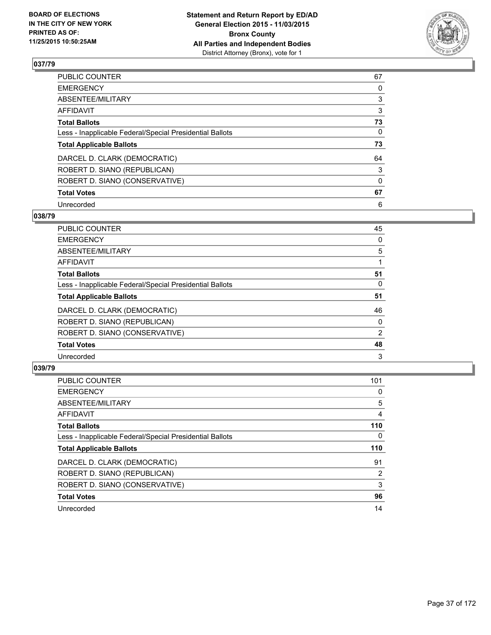

| PUBLIC COUNTER                                           | 67       |
|----------------------------------------------------------|----------|
| <b>EMERGENCY</b>                                         | 0        |
| ABSENTEE/MILITARY                                        | 3        |
| <b>AFFIDAVIT</b>                                         | 3        |
| <b>Total Ballots</b>                                     | 73       |
| Less - Inapplicable Federal/Special Presidential Ballots | $\Omega$ |
| <b>Total Applicable Ballots</b>                          | 73       |
| DARCEL D. CLARK (DEMOCRATIC)                             | 64       |
| ROBERT D. SIANO (REPUBLICAN)                             | 3        |
| ROBERT D. SIANO (CONSERVATIVE)                           | $\Omega$ |
| <b>Total Votes</b>                                       | 67       |
| Unrecorded                                               | 6        |

### **038/79**

| PUBLIC COUNTER                                           | 45             |
|----------------------------------------------------------|----------------|
| <b>EMERGENCY</b>                                         | 0              |
| ABSENTEE/MILITARY                                        | 5              |
| <b>AFFIDAVIT</b>                                         |                |
| <b>Total Ballots</b>                                     | 51             |
| Less - Inapplicable Federal/Special Presidential Ballots | 0              |
| <b>Total Applicable Ballots</b>                          | 51             |
| DARCEL D. CLARK (DEMOCRATIC)                             | 46             |
| ROBERT D. SIANO (REPUBLICAN)                             | 0              |
| ROBERT D. SIANO (CONSERVATIVE)                           | $\overline{2}$ |
| <b>Total Votes</b>                                       | 48             |
| Unrecorded                                               | 3              |

| PUBLIC COUNTER                                           | 101            |
|----------------------------------------------------------|----------------|
| <b>EMERGENCY</b>                                         | 0              |
| ABSENTEE/MILITARY                                        | 5              |
| <b>AFFIDAVIT</b>                                         | 4              |
| <b>Total Ballots</b>                                     | 110            |
| Less - Inapplicable Federal/Special Presidential Ballots | 0              |
| <b>Total Applicable Ballots</b>                          | 110            |
| DARCEL D. CLARK (DEMOCRATIC)                             | 91             |
| ROBERT D. SIANO (REPUBLICAN)                             | $\overline{2}$ |
| ROBERT D. SIANO (CONSERVATIVE)                           | 3              |
| <b>Total Votes</b>                                       | 96             |
| Unrecorded                                               | 14             |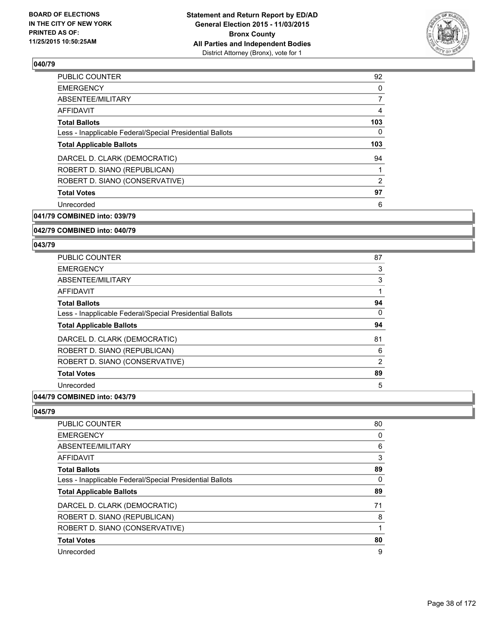

| <b>PUBLIC COUNTER</b>                                    | 92  |
|----------------------------------------------------------|-----|
| <b>EMERGENCY</b>                                         | 0   |
| ABSENTEE/MILITARY                                        | 7   |
| AFFIDAVIT                                                | 4   |
| <b>Total Ballots</b>                                     | 103 |
| Less - Inapplicable Federal/Special Presidential Ballots | 0   |
| <b>Total Applicable Ballots</b>                          | 103 |
| DARCEL D. CLARK (DEMOCRATIC)                             | 94  |
| ROBERT D. SIANO (REPUBLICAN)                             |     |
| ROBERT D. SIANO (CONSERVATIVE)                           | 2   |
| <b>Total Votes</b>                                       | 97  |
| Unrecorded                                               | 6   |
|                                                          |     |

**041/79 COMBINED into: 039/79**

### **042/79 COMBINED into: 040/79**

#### **043/79**

| PUBLIC COUNTER                                           | 87             |
|----------------------------------------------------------|----------------|
| <b>EMERGENCY</b>                                         | 3              |
| ABSENTEE/MILITARY                                        | 3              |
| AFFIDAVIT                                                |                |
| <b>Total Ballots</b>                                     | 94             |
| Less - Inapplicable Federal/Special Presidential Ballots | 0              |
| <b>Total Applicable Ballots</b>                          | 94             |
| DARCEL D. CLARK (DEMOCRATIC)                             | 81             |
| ROBERT D. SIANO (REPUBLICAN)                             | 6              |
| ROBERT D. SIANO (CONSERVATIVE)                           | $\overline{2}$ |
| <b>Total Votes</b>                                       | 89             |
| Unrecorded                                               | 5              |

# **044/79 COMBINED into: 043/79**

| PUBLIC COUNTER                                           | 80 |
|----------------------------------------------------------|----|
| <b>EMERGENCY</b>                                         | 0  |
| ABSENTEE/MILITARY                                        | 6  |
| <b>AFFIDAVIT</b>                                         | 3  |
| <b>Total Ballots</b>                                     | 89 |
| Less - Inapplicable Federal/Special Presidential Ballots | 0  |
| <b>Total Applicable Ballots</b>                          | 89 |
| DARCEL D. CLARK (DEMOCRATIC)                             | 71 |
| ROBERT D. SIANO (REPUBLICAN)                             | 8  |
| ROBERT D. SIANO (CONSERVATIVE)                           | 1  |
| <b>Total Votes</b>                                       | 80 |
| Unrecorded                                               | 9  |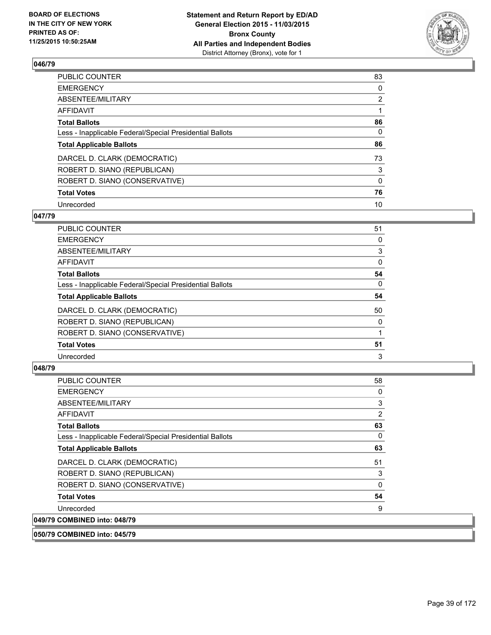

| PUBLIC COUNTER                                           | 83             |
|----------------------------------------------------------|----------------|
| <b>EMERGENCY</b>                                         | 0              |
| <b>ABSENTEE/MILITARY</b>                                 | $\overline{2}$ |
| AFFIDAVIT                                                |                |
| <b>Total Ballots</b>                                     | 86             |
| Less - Inapplicable Federal/Special Presidential Ballots | $\Omega$       |
| <b>Total Applicable Ballots</b>                          | 86             |
| DARCEL D. CLARK (DEMOCRATIC)                             | 73             |
| ROBERT D. SIANO (REPUBLICAN)                             | 3              |
| ROBERT D. SIANO (CONSERVATIVE)                           | $\mathbf{0}$   |
| <b>Total Votes</b>                                       | 76             |
| Unrecorded                                               | 10             |

### **047/79**

| PUBLIC COUNTER                                           | 51 |
|----------------------------------------------------------|----|
| <b>EMERGENCY</b>                                         | 0  |
| <b>ABSENTEE/MILITARY</b>                                 | 3  |
| <b>AFFIDAVIT</b>                                         | 0  |
| <b>Total Ballots</b>                                     | 54 |
| Less - Inapplicable Federal/Special Presidential Ballots | 0  |
| <b>Total Applicable Ballots</b>                          | 54 |
| DARCEL D. CLARK (DEMOCRATIC)                             | 50 |
| ROBERT D. SIANO (REPUBLICAN)                             | 0  |
| ROBERT D. SIANO (CONSERVATIVE)                           |    |
| <b>Total Votes</b>                                       | 51 |
| Unrecorded                                               | 3  |
|                                                          |    |

# **048/79**

 $|049/79$ 

| <b>PUBLIC COUNTER</b>                                    | 58 |
|----------------------------------------------------------|----|
| <b>EMERGENCY</b>                                         | 0  |
| ABSENTEE/MILITARY                                        | 3  |
| AFFIDAVIT                                                | 2  |
| <b>Total Ballots</b>                                     | 63 |
| Less - Inapplicable Federal/Special Presidential Ballots | 0  |
| <b>Total Applicable Ballots</b>                          | 63 |
| DARCEL D. CLARK (DEMOCRATIC)                             | 51 |
| ROBERT D. SIANO (REPUBLICAN)                             | 3  |
| ROBERT D. SIANO (CONSERVATIVE)                           | 0  |
| <b>Total Votes</b>                                       | 54 |
| Unrecorded                                               | 9  |
| <b>COMBINED into: 048/79</b>                             |    |

## **050/79 COMBINED into: 045/79**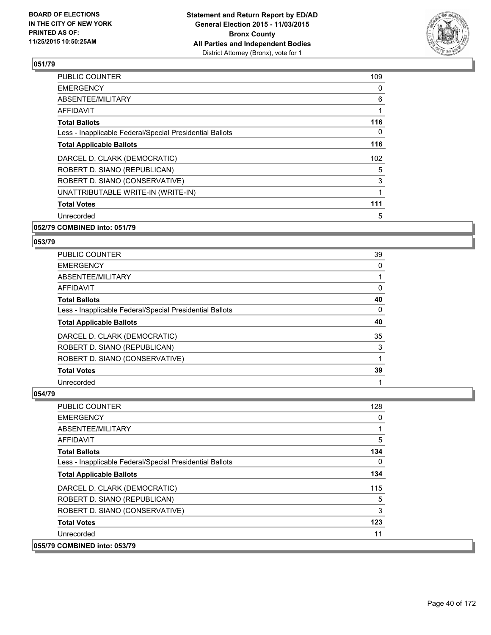

| <b>PUBLIC COUNTER</b>                                    | 109 |
|----------------------------------------------------------|-----|
| <b>EMERGENCY</b>                                         | 0   |
| ABSENTEE/MILITARY                                        | 6   |
| AFFIDAVIT                                                | 1   |
| <b>Total Ballots</b>                                     | 116 |
| Less - Inapplicable Federal/Special Presidential Ballots | 0   |
| <b>Total Applicable Ballots</b>                          | 116 |
| DARCEL D. CLARK (DEMOCRATIC)                             | 102 |
| ROBERT D. SIANO (REPUBLICAN)                             | 5   |
| ROBERT D. SIANO (CONSERVATIVE)                           | 3   |
| UNATTRIBUTABLE WRITE-IN (WRITE-IN)                       |     |
| <b>Total Votes</b>                                       | 111 |
| Unrecorded                                               | 5   |
|                                                          |     |

### **052/79 COMBINED into: 051/79**

## **053/79**

| PUBLIC COUNTER                                           | 39 |
|----------------------------------------------------------|----|
| <b>EMERGENCY</b>                                         | 0  |
| ABSENTEE/MILITARY                                        |    |
| <b>AFFIDAVIT</b>                                         | 0  |
| <b>Total Ballots</b>                                     | 40 |
| Less - Inapplicable Federal/Special Presidential Ballots | 0  |
| <b>Total Applicable Ballots</b>                          | 40 |
| DARCEL D. CLARK (DEMOCRATIC)                             | 35 |
| ROBERT D. SIANO (REPUBLICAN)                             | 3  |
| ROBERT D. SIANO (CONSERVATIVE)                           |    |
| <b>Total Votes</b>                                       | 39 |
| Unrecorded                                               |    |

| <b>PUBLIC COUNTER</b>                                    | 128          |
|----------------------------------------------------------|--------------|
| <b>EMERGENCY</b>                                         | 0            |
| ABSENTEE/MILITARY                                        | 1            |
| <b>AFFIDAVIT</b>                                         | 5            |
| <b>Total Ballots</b>                                     | 134          |
| Less - Inapplicable Federal/Special Presidential Ballots | $\mathbf{0}$ |
| <b>Total Applicable Ballots</b>                          | 134          |
| DARCEL D. CLARK (DEMOCRATIC)                             | 115          |
| ROBERT D. SIANO (REPUBLICAN)                             | 5            |
| ROBERT D. SIANO (CONSERVATIVE)                           | 3            |
| <b>Total Votes</b>                                       | 123          |
| Unrecorded                                               | 11           |
| 055/79 COMBINED into: 053/79                             |              |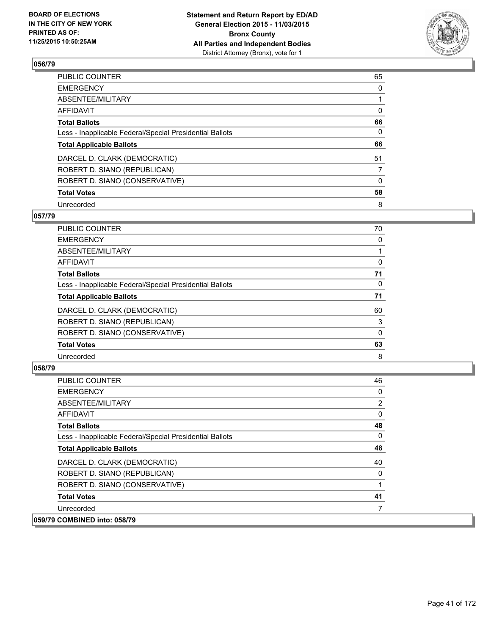

| PUBLIC COUNTER                                           | 65       |
|----------------------------------------------------------|----------|
| <b>EMERGENCY</b>                                         | 0        |
| ABSENTEE/MILITARY                                        |          |
| <b>AFFIDAVIT</b>                                         | $\Omega$ |
| <b>Total Ballots</b>                                     | 66       |
| Less - Inapplicable Federal/Special Presidential Ballots | $\Omega$ |
| <b>Total Applicable Ballots</b>                          | 66       |
| DARCEL D. CLARK (DEMOCRATIC)                             | 51       |
| ROBERT D. SIANO (REPUBLICAN)                             | 7        |
| ROBERT D. SIANO (CONSERVATIVE)                           | $\Omega$ |
| <b>Total Votes</b>                                       | 58       |
| Unrecorded                                               | 8        |

### **057/79**

| 70 |
|----|
| 0  |
|    |
| 0  |
| 71 |
| 0  |
| 71 |
| 60 |
| 3  |
| 0  |
| 63 |
| 8  |
|    |

| <b>PUBLIC COUNTER</b>                                    | 46 |
|----------------------------------------------------------|----|
| <b>EMERGENCY</b>                                         | 0  |
| ABSENTEE/MILITARY                                        | 2  |
| AFFIDAVIT                                                | 0  |
| <b>Total Ballots</b>                                     | 48 |
| Less - Inapplicable Federal/Special Presidential Ballots | 0  |
| <b>Total Applicable Ballots</b>                          | 48 |
| DARCEL D. CLARK (DEMOCRATIC)                             | 40 |
| ROBERT D. SIANO (REPUBLICAN)                             | 0  |
| ROBERT D. SIANO (CONSERVATIVE)                           |    |
| <b>Total Votes</b>                                       | 41 |
| Unrecorded                                               |    |
| 059/79 COMBINED into: 058/79                             |    |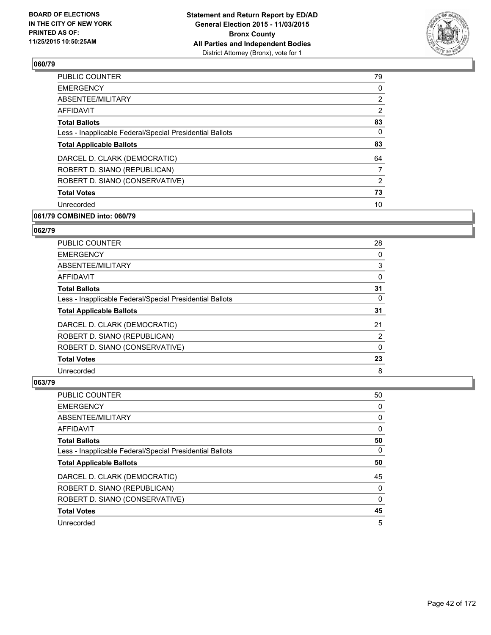

| <b>PUBLIC COUNTER</b>                                    | 79             |
|----------------------------------------------------------|----------------|
| <b>EMERGENCY</b>                                         | 0              |
| ABSENTEE/MILITARY                                        | $\overline{2}$ |
| AFFIDAVIT                                                | $\overline{2}$ |
| <b>Total Ballots</b>                                     | 83             |
| Less - Inapplicable Federal/Special Presidential Ballots | 0              |
| <b>Total Applicable Ballots</b>                          | 83             |
| DARCEL D. CLARK (DEMOCRATIC)                             | 64             |
| ROBERT D. SIANO (REPUBLICAN)                             | $\overline{7}$ |
| ROBERT D. SIANO (CONSERVATIVE)                           | $\overline{2}$ |
| <b>Total Votes</b>                                       | 73             |
| Unrecorded                                               | 10             |
|                                                          |                |

# **061/79 COMBINED into: 060/79**

### **062/79**

| PUBLIC COUNTER                                           | 28             |
|----------------------------------------------------------|----------------|
| <b>EMERGENCY</b>                                         | 0              |
| ABSENTEE/MILITARY                                        | 3              |
| <b>AFFIDAVIT</b>                                         | 0              |
| <b>Total Ballots</b>                                     | 31             |
| Less - Inapplicable Federal/Special Presidential Ballots | 0              |
| <b>Total Applicable Ballots</b>                          | 31             |
| DARCEL D. CLARK (DEMOCRATIC)                             | 21             |
| ROBERT D. SIANO (REPUBLICAN)                             | $\overline{2}$ |
| ROBERT D. SIANO (CONSERVATIVE)                           | 0              |
| <b>Total Votes</b>                                       | 23             |
| Unrecorded                                               | 8              |

| PUBLIC COUNTER                                           | 50 |
|----------------------------------------------------------|----|
| <b>EMERGENCY</b>                                         | 0  |
| ABSENTEE/MILITARY                                        | 0  |
| <b>AFFIDAVIT</b>                                         | 0  |
| <b>Total Ballots</b>                                     | 50 |
| Less - Inapplicable Federal/Special Presidential Ballots | 0  |
| <b>Total Applicable Ballots</b>                          | 50 |
| DARCEL D. CLARK (DEMOCRATIC)                             | 45 |
| ROBERT D. SIANO (REPUBLICAN)                             | 0  |
| ROBERT D. SIANO (CONSERVATIVE)                           | 0  |
| <b>Total Votes</b>                                       | 45 |
| Unrecorded                                               | 5  |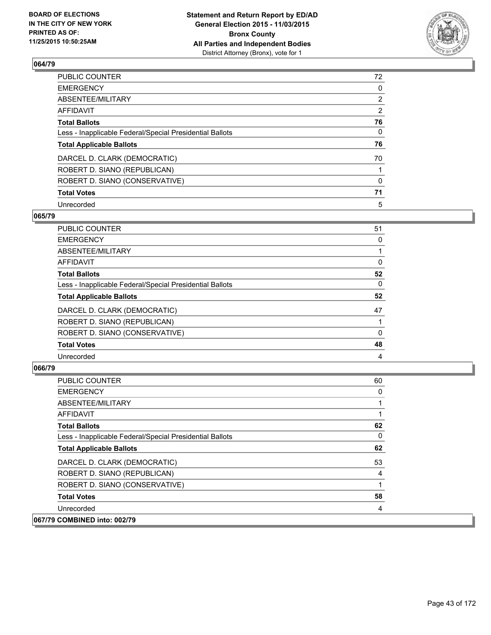

| PUBLIC COUNTER                                           | 72             |
|----------------------------------------------------------|----------------|
| <b>EMERGENCY</b>                                         | 0              |
| ABSENTEE/MILITARY                                        | $\overline{2}$ |
| <b>AFFIDAVIT</b>                                         | 2              |
| <b>Total Ballots</b>                                     | 76             |
| Less - Inapplicable Federal/Special Presidential Ballots | $\mathbf{0}$   |
| <b>Total Applicable Ballots</b>                          | 76             |
| DARCEL D. CLARK (DEMOCRATIC)                             | 70             |
| ROBERT D. SIANO (REPUBLICAN)                             |                |
| ROBERT D. SIANO (CONSERVATIVE)                           | $\Omega$       |
| <b>Total Votes</b>                                       | 71             |
| Unrecorded                                               | 5              |

### **065/79**

| <b>PUBLIC COUNTER</b>                                    | 51 |
|----------------------------------------------------------|----|
| <b>EMERGENCY</b>                                         | 0  |
| <b>ABSENTEE/MILITARY</b>                                 |    |
| <b>AFFIDAVIT</b>                                         | 0  |
| <b>Total Ballots</b>                                     | 52 |
| Less - Inapplicable Federal/Special Presidential Ballots | 0  |
| <b>Total Applicable Ballots</b>                          | 52 |
| DARCEL D. CLARK (DEMOCRATIC)                             | 47 |
| ROBERT D. SIANO (REPUBLICAN)                             |    |
| ROBERT D. SIANO (CONSERVATIVE)                           | 0  |
| <b>Total Votes</b>                                       | 48 |
| Unrecorded                                               | 4  |
|                                                          |    |

| <b>PUBLIC COUNTER</b>                                    | 60 |
|----------------------------------------------------------|----|
| <b>EMERGENCY</b>                                         | 0  |
| ABSENTEE/MILITARY                                        |    |
| <b>AFFIDAVIT</b>                                         |    |
| <b>Total Ballots</b>                                     | 62 |
| Less - Inapplicable Federal/Special Presidential Ballots | 0  |
| <b>Total Applicable Ballots</b>                          | 62 |
| DARCEL D. CLARK (DEMOCRATIC)                             | 53 |
| ROBERT D. SIANO (REPUBLICAN)                             | 4  |
| ROBERT D. SIANO (CONSERVATIVE)                           |    |
| <b>Total Votes</b>                                       | 58 |
| Unrecorded                                               | 4  |
| 067/79 COMBINED into: 002/79                             |    |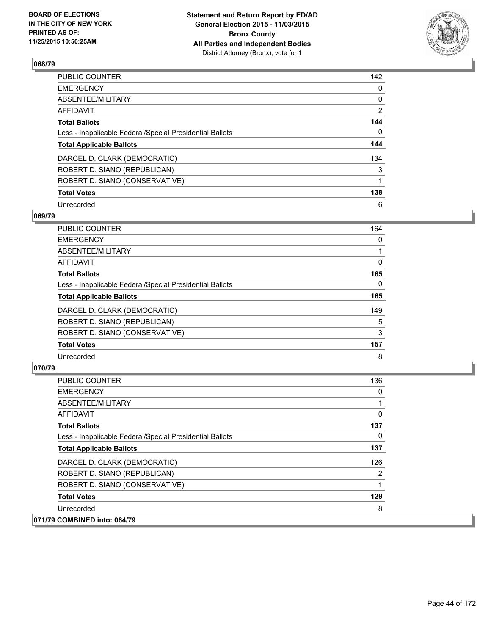

| PUBLIC COUNTER                                           | 142            |
|----------------------------------------------------------|----------------|
| <b>EMERGENCY</b>                                         | 0              |
| ABSENTEE/MILITARY                                        | 0              |
| <b>AFFIDAVIT</b>                                         | $\overline{2}$ |
| <b>Total Ballots</b>                                     | 144            |
| Less - Inapplicable Federal/Special Presidential Ballots | $\mathbf{0}$   |
| <b>Total Applicable Ballots</b>                          | 144            |
| DARCEL D. CLARK (DEMOCRATIC)                             | 134            |
| ROBERT D. SIANO (REPUBLICAN)                             | 3              |
| ROBERT D. SIANO (CONSERVATIVE)                           |                |
| <b>Total Votes</b>                                       | 138            |
| Unrecorded                                               | 6              |

### **069/79**

| PUBLIC COUNTER                                           | 164 |
|----------------------------------------------------------|-----|
| <b>EMERGENCY</b>                                         | 0   |
| ABSENTEE/MILITARY                                        |     |
| AFFIDAVIT                                                | 0   |
| <b>Total Ballots</b>                                     | 165 |
| Less - Inapplicable Federal/Special Presidential Ballots | 0   |
| <b>Total Applicable Ballots</b>                          | 165 |
| DARCEL D. CLARK (DEMOCRATIC)                             | 149 |
| ROBERT D. SIANO (REPUBLICAN)                             | 5   |
| ROBERT D. SIANO (CONSERVATIVE)                           | 3   |
| <b>Total Votes</b>                                       | 157 |
| Unrecorded                                               | 8   |

| <b>PUBLIC COUNTER</b>                                    | 136 |
|----------------------------------------------------------|-----|
| <b>EMERGENCY</b>                                         | 0   |
| ABSENTEE/MILITARY                                        |     |
| AFFIDAVIT                                                | 0   |
| <b>Total Ballots</b>                                     | 137 |
| Less - Inapplicable Federal/Special Presidential Ballots | 0   |
| <b>Total Applicable Ballots</b>                          | 137 |
| DARCEL D. CLARK (DEMOCRATIC)                             | 126 |
| ROBERT D. SIANO (REPUBLICAN)                             | 2   |
| ROBERT D. SIANO (CONSERVATIVE)                           |     |
| <b>Total Votes</b>                                       | 129 |
| Unrecorded                                               | 8   |
| 071/79 COMBINED into: 064/79                             |     |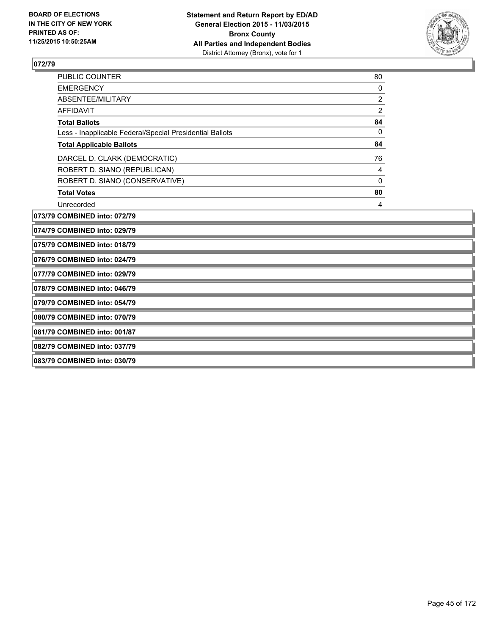

| <b>PUBLIC COUNTER</b>                                    | 80             |  |
|----------------------------------------------------------|----------------|--|
| <b>EMERGENCY</b>                                         | 0              |  |
| ABSENTEE/MILITARY                                        | 2              |  |
| AFFIDAVIT                                                | $\overline{2}$ |  |
| <b>Total Ballots</b>                                     | 84             |  |
| Less - Inapplicable Federal/Special Presidential Ballots | 0              |  |
| <b>Total Applicable Ballots</b>                          | 84             |  |
| DARCEL D. CLARK (DEMOCRATIC)                             | 76             |  |
| ROBERT D. SIANO (REPUBLICAN)                             | 4              |  |
| ROBERT D. SIANO (CONSERVATIVE)                           | 0              |  |
| <b>Total Votes</b>                                       | 80             |  |
| Unrecorded                                               | 4              |  |
| 073/79 COMBINED into: 072/79                             |                |  |
| 074/79 COMBINED into: 029/79                             |                |  |
| 075/79 COMBINED into: 018/79                             |                |  |
| 076/79 COMBINED into: 024/79                             |                |  |
| 077/79 COMBINED into: 029/79                             |                |  |
| 078/79 COMBINED into: 046/79                             |                |  |
| 079/79 COMBINED into: 054/79                             |                |  |
| 080/79 COMBINED into: 070/79                             |                |  |
| 081/79 COMBINED into: 001/87                             |                |  |
| 082/79 COMBINED into: 037/79                             |                |  |
| 083/79 COMBINED into: 030/79                             |                |  |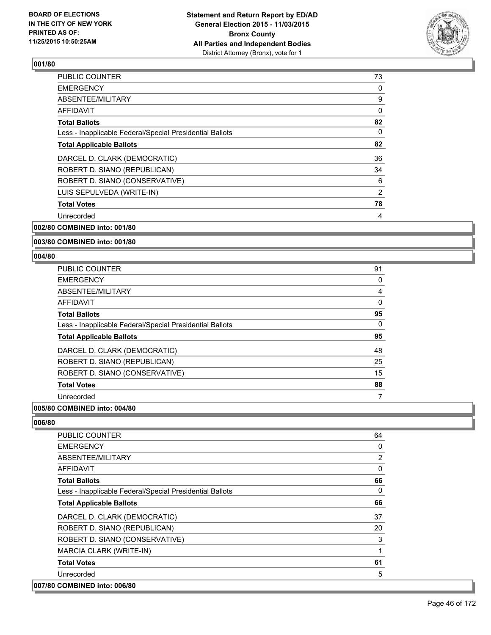

| <b>PUBLIC COUNTER</b>                                    | 73 |
|----------------------------------------------------------|----|
| <b>EMERGENCY</b>                                         | 0  |
| ABSENTEE/MILITARY                                        | 9  |
| AFFIDAVIT                                                | 0  |
| <b>Total Ballots</b>                                     | 82 |
| Less - Inapplicable Federal/Special Presidential Ballots | 0  |
| <b>Total Applicable Ballots</b>                          | 82 |
| DARCEL D. CLARK (DEMOCRATIC)                             | 36 |
| ROBERT D. SIANO (REPUBLICAN)                             | 34 |
| ROBERT D. SIANO (CONSERVATIVE)                           | 6  |
| LUIS SEPULVEDA (WRITE-IN)                                | 2  |
| <b>Total Votes</b>                                       | 78 |
| Unrecorded                                               | 4  |
|                                                          |    |

**002/80 COMBINED into: 001/80**

### **003/80 COMBINED into: 001/80**

#### **004/80**

| <b>PUBLIC COUNTER</b>                                    | 91 |
|----------------------------------------------------------|----|
| <b>EMERGENCY</b>                                         | 0  |
| ABSENTEE/MILITARY                                        | 4  |
| <b>AFFIDAVIT</b>                                         | 0  |
| <b>Total Ballots</b>                                     | 95 |
| Less - Inapplicable Federal/Special Presidential Ballots | 0  |
| <b>Total Applicable Ballots</b>                          | 95 |
| DARCEL D. CLARK (DEMOCRATIC)                             | 48 |
| ROBERT D. SIANO (REPUBLICAN)                             | 25 |
| ROBERT D. SIANO (CONSERVATIVE)                           | 15 |
| <b>Total Votes</b>                                       | 88 |
| Unrecorded                                               | 7  |

## **005/80 COMBINED into: 004/80**

| <b>PUBLIC COUNTER</b>                                    | 64 |
|----------------------------------------------------------|----|
| <b>EMERGENCY</b>                                         | 0  |
| ABSENTEE/MILITARY                                        | 2  |
| <b>AFFIDAVIT</b>                                         | 0  |
| <b>Total Ballots</b>                                     | 66 |
| Less - Inapplicable Federal/Special Presidential Ballots | 0  |
| <b>Total Applicable Ballots</b>                          | 66 |
| DARCEL D. CLARK (DEMOCRATIC)                             | 37 |
| ROBERT D. SIANO (REPUBLICAN)                             | 20 |
| ROBERT D. SIANO (CONSERVATIVE)                           | 3  |
| MARCIA CLARK (WRITE-IN)                                  | 1  |
| <b>Total Votes</b>                                       | 61 |
| Unrecorded                                               | 5  |
| 007/80 COMBINED into: 006/80                             |    |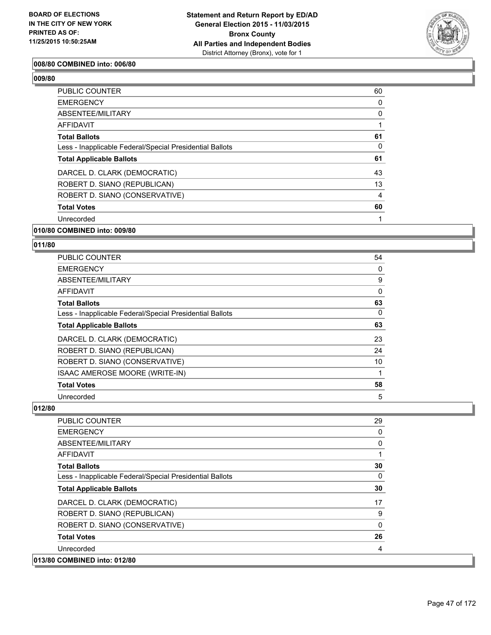

### **008/80 COMBINED into: 006/80**

**009/80** 

| <b>PUBLIC COUNTER</b>                                    | 60 |
|----------------------------------------------------------|----|
| <b>EMERGENCY</b>                                         | 0  |
| ABSENTEE/MILITARY                                        | 0  |
| AFFIDAVIT                                                |    |
| <b>Total Ballots</b>                                     | 61 |
| Less - Inapplicable Federal/Special Presidential Ballots | 0  |
| <b>Total Applicable Ballots</b>                          | 61 |
| DARCEL D. CLARK (DEMOCRATIC)                             | 43 |
| ROBERT D. SIANO (REPUBLICAN)                             | 13 |
| ROBERT D. SIANO (CONSERVATIVE)                           | 4  |
| <b>Total Votes</b>                                       | 60 |
| Unrecorded                                               |    |

## **010/80 COMBINED into: 009/80**

### **011/80**

| PUBLIC COUNTER                                           | 54 |
|----------------------------------------------------------|----|
| <b>EMERGENCY</b>                                         | 0  |
| ABSENTEE/MILITARY                                        | 9  |
| AFFIDAVIT                                                | 0  |
| <b>Total Ballots</b>                                     | 63 |
| Less - Inapplicable Federal/Special Presidential Ballots | 0  |
| <b>Total Applicable Ballots</b>                          | 63 |
| DARCEL D. CLARK (DEMOCRATIC)                             | 23 |
| ROBERT D. SIANO (REPUBLICAN)                             | 24 |
| ROBERT D. SIANO (CONSERVATIVE)                           | 10 |
| ISAAC AMEROSE MOORE (WRITE-IN)                           |    |
| <b>Total Votes</b>                                       | 58 |
| Unrecorded                                               | 5  |

| <b>PUBLIC COUNTER</b>                                    | 29           |
|----------------------------------------------------------|--------------|
| <b>EMERGENCY</b>                                         | 0            |
| ABSENTEE/MILITARY                                        | 0            |
| <b>AFFIDAVIT</b>                                         | 1            |
| <b>Total Ballots</b>                                     | 30           |
| Less - Inapplicable Federal/Special Presidential Ballots | $\Omega$     |
| <b>Total Applicable Ballots</b>                          | 30           |
| DARCEL D. CLARK (DEMOCRATIC)                             | 17           |
| ROBERT D. SIANO (REPUBLICAN)                             | 9            |
| ROBERT D. SIANO (CONSERVATIVE)                           | $\mathbf{0}$ |
| <b>Total Votes</b>                                       | 26           |
| Unrecorded                                               | 4            |
| 013/80 COMBINED into: 012/80                             |              |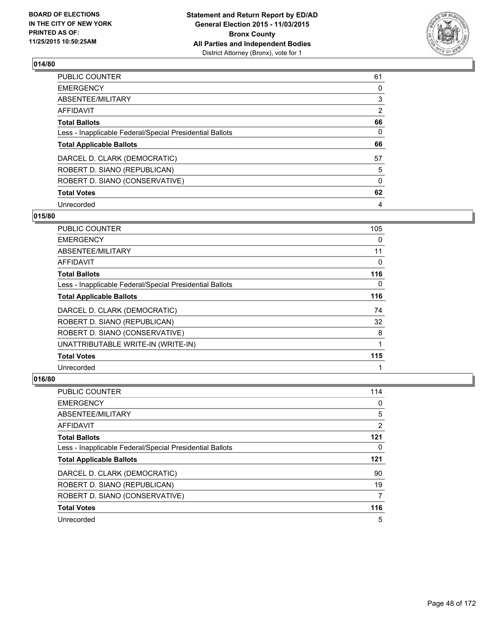

| PUBLIC COUNTER                                           | 61       |
|----------------------------------------------------------|----------|
| <b>EMERGENCY</b>                                         | 0        |
| ABSENTEE/MILITARY                                        | 3        |
| <b>AFFIDAVIT</b>                                         | 2        |
| <b>Total Ballots</b>                                     | 66       |
| Less - Inapplicable Federal/Special Presidential Ballots | 0        |
| <b>Total Applicable Ballots</b>                          | 66       |
| DARCEL D. CLARK (DEMOCRATIC)                             | 57       |
| ROBERT D. SIANO (REPUBLICAN)                             | 5        |
| ROBERT D. SIANO (CONSERVATIVE)                           | $\Omega$ |
| <b>Total Votes</b>                                       | 62       |
| Unrecorded                                               | 4        |

# **015/80**

| PUBLIC COUNTER                                           | 105 |
|----------------------------------------------------------|-----|
| <b>EMERGENCY</b>                                         | 0   |
| ABSENTEE/MILITARY                                        | 11  |
| <b>AFFIDAVIT</b>                                         | 0   |
| <b>Total Ballots</b>                                     | 116 |
| Less - Inapplicable Federal/Special Presidential Ballots | 0   |
| <b>Total Applicable Ballots</b>                          | 116 |
| DARCEL D. CLARK (DEMOCRATIC)                             | 74  |
| ROBERT D. SIANO (REPUBLICAN)                             | 32  |
| ROBERT D. SIANO (CONSERVATIVE)                           | 8   |
| UNATTRIBUTABLE WRITE-IN (WRITE-IN)                       | 1   |
| <b>Total Votes</b>                                       | 115 |
| Unrecorded                                               |     |

| PUBLIC COUNTER                                           | 114 |
|----------------------------------------------------------|-----|
| <b>EMERGENCY</b>                                         | 0   |
| ABSENTEE/MILITARY                                        | 5   |
| AFFIDAVIT                                                | 2   |
| <b>Total Ballots</b>                                     | 121 |
| Less - Inapplicable Federal/Special Presidential Ballots | 0   |
| <b>Total Applicable Ballots</b>                          | 121 |
|                                                          | 90  |
| DARCEL D. CLARK (DEMOCRATIC)                             |     |
| ROBERT D. SIANO (REPUBLICAN)                             | 19  |
| ROBERT D. SIANO (CONSERVATIVE)                           | 7   |
| <b>Total Votes</b>                                       | 116 |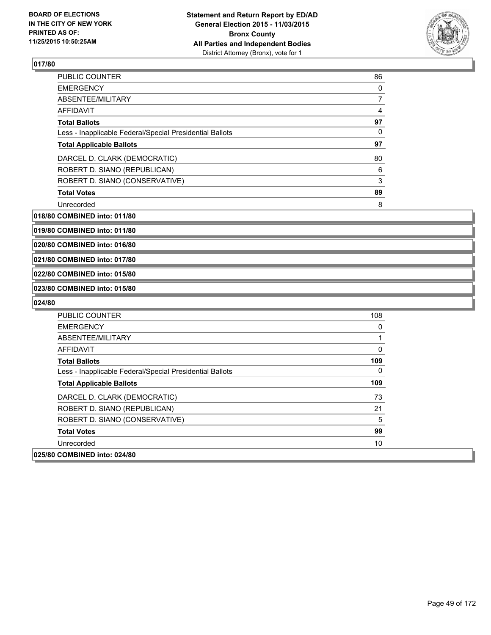

| <b>PUBLIC COUNTER</b>                                    | 86 |
|----------------------------------------------------------|----|
| <b>EMERGENCY</b>                                         | 0  |
| ABSENTEE/MILITARY                                        | 7  |
| <b>AFFIDAVIT</b>                                         | 4  |
| <b>Total Ballots</b>                                     | 97 |
| Less - Inapplicable Federal/Special Presidential Ballots | 0  |
| <b>Total Applicable Ballots</b>                          | 97 |
| DARCEL D. CLARK (DEMOCRATIC)                             | 80 |
| ROBERT D. SIANO (REPUBLICAN)                             | 6  |
| ROBERT D. SIANO (CONSERVATIVE)                           | 3  |
| <b>Total Votes</b>                                       | 89 |
| Unrecorded                                               | 8  |

**018/80 COMBINED into: 011/80**

**019/80 COMBINED into: 011/80**

**020/80 COMBINED into: 016/80**

**021/80 COMBINED into: 017/80**

### **022/80 COMBINED into: 015/80**

### **023/80 COMBINED into: 015/80**

| <b>PUBLIC COUNTER</b>                                    | 108 |
|----------------------------------------------------------|-----|
| <b>EMERGENCY</b>                                         | 0   |
| ABSENTEE/MILITARY                                        |     |
| AFFIDAVIT                                                | 0   |
| <b>Total Ballots</b>                                     | 109 |
| Less - Inapplicable Federal/Special Presidential Ballots | 0   |
| <b>Total Applicable Ballots</b>                          | 109 |
| DARCEL D. CLARK (DEMOCRATIC)                             | 73  |
| ROBERT D. SIANO (REPUBLICAN)                             | 21  |
| ROBERT D. SIANO (CONSERVATIVE)                           | 5   |
| <b>Total Votes</b>                                       | 99  |
| Unrecorded                                               | 10  |
| 025/80 COMBINED into: 024/80                             |     |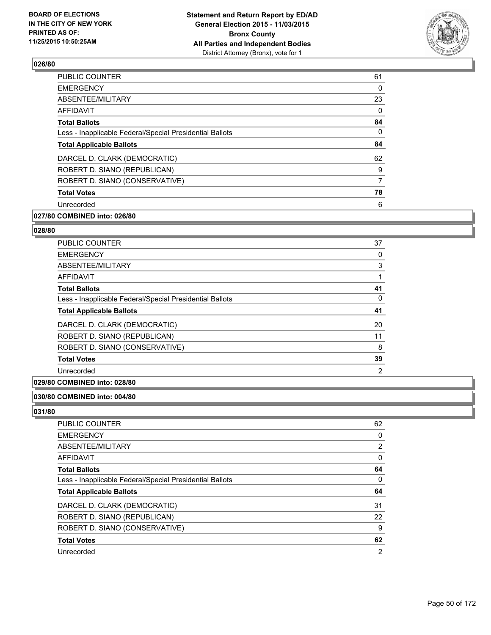

| <b>PUBLIC COUNTER</b>                                    | 61 |
|----------------------------------------------------------|----|
| <b>EMERGENCY</b>                                         | 0  |
| ABSENTEE/MILITARY                                        | 23 |
| AFFIDAVIT                                                | 0  |
| <b>Total Ballots</b>                                     | 84 |
| Less - Inapplicable Federal/Special Presidential Ballots | 0  |
| <b>Total Applicable Ballots</b>                          | 84 |
| DARCEL D. CLARK (DEMOCRATIC)                             | 62 |
| ROBERT D. SIANO (REPUBLICAN)                             | 9  |
| ROBERT D. SIANO (CONSERVATIVE)                           | 7  |
| <b>Total Votes</b>                                       | 78 |
| Unrecorded                                               | 6  |
|                                                          |    |

# **027/80 COMBINED into: 026/80**

#### **028/80**

| <b>PUBLIC COUNTER</b>                                    | 37             |
|----------------------------------------------------------|----------------|
| <b>EMERGENCY</b>                                         | 0              |
| ABSENTEE/MILITARY                                        | 3              |
| <b>AFFIDAVIT</b>                                         |                |
| <b>Total Ballots</b>                                     | 41             |
| Less - Inapplicable Federal/Special Presidential Ballots | 0              |
| <b>Total Applicable Ballots</b>                          | 41             |
| DARCEL D. CLARK (DEMOCRATIC)                             | 20             |
| ROBERT D. SIANO (REPUBLICAN)                             | 11             |
| ROBERT D. SIANO (CONSERVATIVE)                           | 8              |
| <b>Total Votes</b>                                       | 39             |
| Unrecorded                                               | $\overline{2}$ |
|                                                          |                |

## **029/80 COMBINED into: 028/80**

# **030/80 COMBINED into: 004/80**

| <b>PUBLIC COUNTER</b>                                    | 62 |
|----------------------------------------------------------|----|
| <b>EMERGENCY</b>                                         | 0  |
| ABSENTEE/MILITARY                                        | 2  |
| AFFIDAVIT                                                | 0  |
| <b>Total Ballots</b>                                     | 64 |
| Less - Inapplicable Federal/Special Presidential Ballots | 0  |
| <b>Total Applicable Ballots</b>                          | 64 |
| DARCEL D. CLARK (DEMOCRATIC)                             | 31 |
| ROBERT D. SIANO (REPUBLICAN)                             | 22 |
| ROBERT D. SIANO (CONSERVATIVE)                           | 9  |
| <b>Total Votes</b>                                       | 62 |
| Unrecorded                                               | 2  |
|                                                          |    |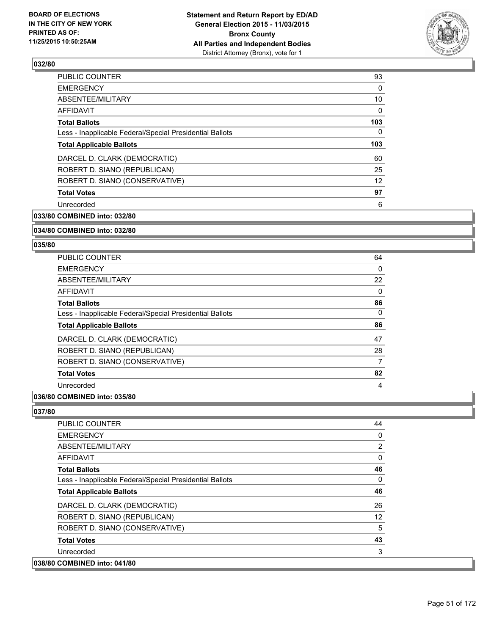

| <b>PUBLIC COUNTER</b>                                    | 93  |
|----------------------------------------------------------|-----|
| <b>EMERGENCY</b>                                         | 0   |
| ABSENTEE/MILITARY                                        | 10  |
| AFFIDAVIT                                                | 0   |
| <b>Total Ballots</b>                                     | 103 |
| Less - Inapplicable Federal/Special Presidential Ballots | 0   |
| <b>Total Applicable Ballots</b>                          | 103 |
| DARCEL D. CLARK (DEMOCRATIC)                             | 60  |
| ROBERT D. SIANO (REPUBLICAN)                             | 25  |
| ROBERT D. SIANO (CONSERVATIVE)                           | 12  |
| <b>Total Votes</b>                                       | 97  |
| Unrecorded                                               | 6   |
|                                                          |     |

**033/80 COMBINED into: 032/80**

### **034/80 COMBINED into: 032/80**

#### **035/80**

| PUBLIC COUNTER                                           | 64 |
|----------------------------------------------------------|----|
| <b>EMERGENCY</b>                                         | 0  |
| ABSENTEE/MILITARY                                        | 22 |
| <b>AFFIDAVIT</b>                                         | 0  |
| <b>Total Ballots</b>                                     | 86 |
| Less - Inapplicable Federal/Special Presidential Ballots | 0  |
| <b>Total Applicable Ballots</b>                          | 86 |
| DARCEL D. CLARK (DEMOCRATIC)                             | 47 |
| ROBERT D. SIANO (REPUBLICAN)                             | 28 |
| ROBERT D. SIANO (CONSERVATIVE)                           | 7  |
| <b>Total Votes</b>                                       | 82 |
| Unrecorded                                               | 4  |

# **036/80 COMBINED into: 035/80**

| <b>PUBLIC COUNTER</b>                                    | 44                |
|----------------------------------------------------------|-------------------|
| <b>EMERGENCY</b>                                         | 0                 |
| ABSENTEE/MILITARY                                        | $\overline{2}$    |
| AFFIDAVIT                                                | 0                 |
| <b>Total Ballots</b>                                     | 46                |
| Less - Inapplicable Federal/Special Presidential Ballots | 0                 |
| <b>Total Applicable Ballots</b>                          | 46                |
| DARCEL D. CLARK (DEMOCRATIC)                             | 26                |
| ROBERT D. SIANO (REPUBLICAN)                             | $12 \overline{ }$ |
| ROBERT D. SIANO (CONSERVATIVE)                           | 5                 |
| <b>Total Votes</b>                                       | 43                |
| Unrecorded                                               | 3                 |
| 038/80 COMBINED into: 041/80                             |                   |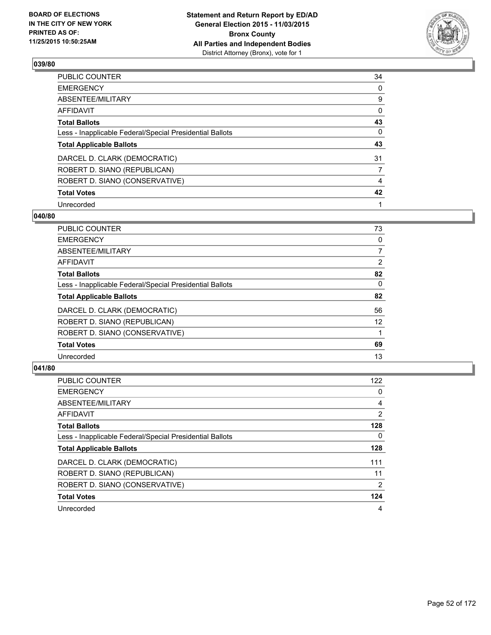

| PUBLIC COUNTER                                           | 34 |
|----------------------------------------------------------|----|
| <b>EMERGENCY</b>                                         | 0  |
| ABSENTEE/MILITARY                                        | 9  |
| <b>AFFIDAVIT</b>                                         | 0  |
| <b>Total Ballots</b>                                     | 43 |
| Less - Inapplicable Federal/Special Presidential Ballots | 0  |
| <b>Total Applicable Ballots</b>                          | 43 |
| DARCEL D. CLARK (DEMOCRATIC)                             | 31 |
| ROBERT D. SIANO (REPUBLICAN)                             | 7  |
| ROBERT D. SIANO (CONSERVATIVE)                           | 4  |
| <b>Total Votes</b>                                       | 42 |
| Unrecorded                                               |    |

### **040/80**

| PUBLIC COUNTER                                           | 73             |
|----------------------------------------------------------|----------------|
| <b>EMERGENCY</b>                                         | 0              |
| ABSENTEE/MILITARY                                        | $\overline{7}$ |
| <b>AFFIDAVIT</b>                                         | $\overline{2}$ |
| <b>Total Ballots</b>                                     | 82             |
| Less - Inapplicable Federal/Special Presidential Ballots | 0              |
| <b>Total Applicable Ballots</b>                          | 82             |
| DARCEL D. CLARK (DEMOCRATIC)                             | 56             |
| ROBERT D. SIANO (REPUBLICAN)                             | 12             |
| ROBERT D. SIANO (CONSERVATIVE)                           | 1              |
| <b>Total Votes</b>                                       | 69             |
| Unrecorded                                               | 13             |
|                                                          |                |

| PUBLIC COUNTER                                           | 122            |
|----------------------------------------------------------|----------------|
| <b>EMERGENCY</b>                                         | 0              |
| ABSENTEE/MILITARY                                        | 4              |
| <b>AFFIDAVIT</b>                                         | $\overline{2}$ |
| <b>Total Ballots</b>                                     | 128            |
| Less - Inapplicable Federal/Special Presidential Ballots | 0              |
| <b>Total Applicable Ballots</b>                          | 128            |
| DARCEL D. CLARK (DEMOCRATIC)                             | 111            |
| ROBERT D. SIANO (REPUBLICAN)                             | 11             |
| ROBERT D. SIANO (CONSERVATIVE)                           | 2              |
| <b>Total Votes</b>                                       | 124            |
| Unrecorded                                               | 4              |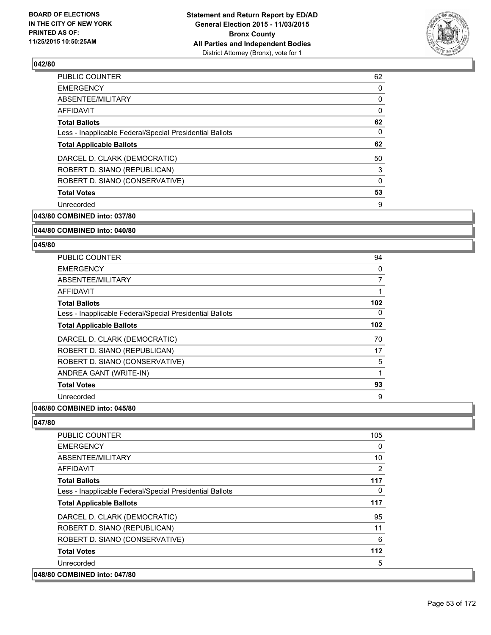

| <b>PUBLIC COUNTER</b>                                    | 62 |
|----------------------------------------------------------|----|
| <b>EMERGENCY</b>                                         | 0  |
| ABSENTEE/MILITARY                                        | 0  |
| AFFIDAVIT                                                | 0  |
| <b>Total Ballots</b>                                     | 62 |
| Less - Inapplicable Federal/Special Presidential Ballots | 0  |
| <b>Total Applicable Ballots</b>                          | 62 |
| DARCEL D. CLARK (DEMOCRATIC)                             | 50 |
| ROBERT D. SIANO (REPUBLICAN)                             | 3  |
| ROBERT D. SIANO (CONSERVATIVE)                           | 0  |
| <b>Total Votes</b>                                       | 53 |
| Unrecorded                                               | 9  |
|                                                          |    |

**043/80 COMBINED into: 037/80**

**044/80 COMBINED into: 040/80**

#### **045/80**

| <b>PUBLIC COUNTER</b>                                    | 94  |
|----------------------------------------------------------|-----|
| <b>EMERGENCY</b>                                         | 0   |
| ABSENTEE/MILITARY                                        | 7   |
| <b>AFFIDAVIT</b>                                         |     |
| <b>Total Ballots</b>                                     | 102 |
| Less - Inapplicable Federal/Special Presidential Ballots | 0   |
| <b>Total Applicable Ballots</b>                          | 102 |
| DARCEL D. CLARK (DEMOCRATIC)                             | 70  |
| ROBERT D. SIANO (REPUBLICAN)                             | 17  |
| ROBERT D. SIANO (CONSERVATIVE)                           | 5   |
| ANDREA GANT (WRITE-IN)                                   | 1   |
| <b>Total Votes</b>                                       | 93  |
| Unrecorded                                               | 9   |
|                                                          |     |

### **046/80 COMBINED into: 045/80**

| <b>PUBLIC COUNTER</b>                                    | 105            |
|----------------------------------------------------------|----------------|
| <b>EMERGENCY</b>                                         | 0              |
| ABSENTEE/MILITARY                                        | 10             |
| <b>AFFIDAVIT</b>                                         | $\overline{2}$ |
| <b>Total Ballots</b>                                     | 117            |
| Less - Inapplicable Federal/Special Presidential Ballots | 0              |
| <b>Total Applicable Ballots</b>                          | 117            |
| DARCEL D. CLARK (DEMOCRATIC)                             | 95             |
| ROBERT D. SIANO (REPUBLICAN)                             | 11             |
| ROBERT D. SIANO (CONSERVATIVE)                           | 6              |
| <b>Total Votes</b>                                       | 112            |
| Unrecorded                                               | 5              |
| 048/80 COMBINED into: 047/80                             |                |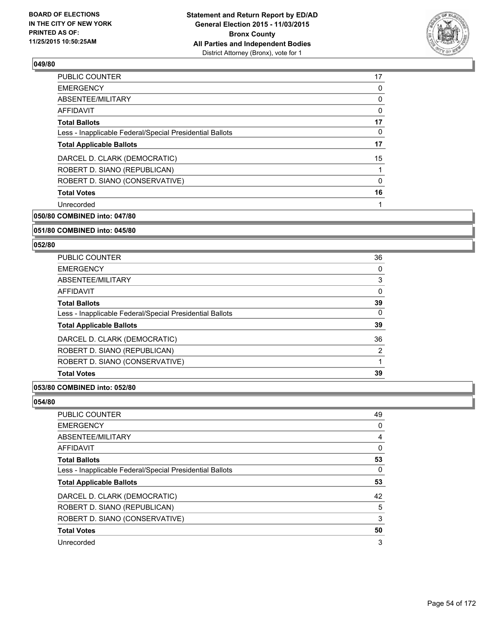

| <b>PUBLIC COUNTER</b>                                    | 17 |
|----------------------------------------------------------|----|
| <b>EMERGENCY</b>                                         | 0  |
| ABSENTEE/MILITARY                                        | 0  |
| AFFIDAVIT                                                | 0  |
| <b>Total Ballots</b>                                     | 17 |
| Less - Inapplicable Federal/Special Presidential Ballots | 0  |
| <b>Total Applicable Ballots</b>                          | 17 |
| DARCEL D. CLARK (DEMOCRATIC)                             | 15 |
| ROBERT D. SIANO (REPUBLICAN)                             | 1  |
| ROBERT D. SIANO (CONSERVATIVE)                           | 0  |
| <b>Total Votes</b>                                       | 16 |
| Unrecorded                                               |    |
|                                                          |    |

**050/80 COMBINED into: 047/80**

### **051/80 COMBINED into: 045/80**

### **052/80**

| PUBLIC COUNTER                                           | 36 |
|----------------------------------------------------------|----|
| <b>EMERGENCY</b>                                         | 0  |
| ABSENTEE/MILITARY                                        | 3  |
| AFFIDAVIT                                                | 0  |
| <b>Total Ballots</b>                                     | 39 |
| Less - Inapplicable Federal/Special Presidential Ballots | 0  |
| <b>Total Applicable Ballots</b>                          | 39 |
| DARCEL D. CLARK (DEMOCRATIC)                             | 36 |
| ROBERT D. SIANO (REPUBLICAN)                             | 2  |
| ROBERT D. SIANO (CONSERVATIVE)                           |    |
| <b>Total Votes</b>                                       | 39 |

#### **053/80 COMBINED into: 052/80**

| PUBLIC COUNTER                                           | 49 |
|----------------------------------------------------------|----|
| <b>EMERGENCY</b>                                         | 0  |
| ABSENTEE/MILITARY                                        | 4  |
| AFFIDAVIT                                                | 0  |
| <b>Total Ballots</b>                                     | 53 |
| Less - Inapplicable Federal/Special Presidential Ballots | 0  |
| <b>Total Applicable Ballots</b>                          | 53 |
| DARCEL D. CLARK (DEMOCRATIC)                             | 42 |
| ROBERT D. SIANO (REPUBLICAN)                             | 5  |
| ROBERT D. SIANO (CONSERVATIVE)                           | 3  |
| <b>Total Votes</b>                                       | 50 |
| Unrecorded                                               | 3  |
|                                                          |    |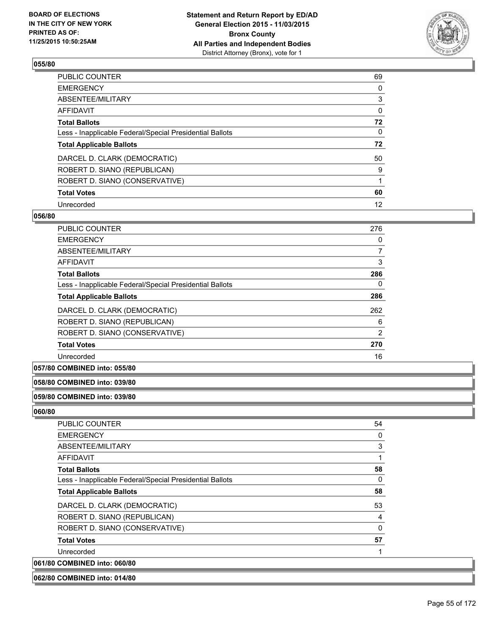

| PUBLIC COUNTER                                           | 69       |
|----------------------------------------------------------|----------|
| <b>EMERGENCY</b>                                         | 0        |
| ABSENTEE/MILITARY                                        | 3        |
| AFFIDAVIT                                                | $\Omega$ |
| <b>Total Ballots</b>                                     | 72       |
| Less - Inapplicable Federal/Special Presidential Ballots | $\Omega$ |
| <b>Total Applicable Ballots</b>                          | 72       |
| DARCEL D. CLARK (DEMOCRATIC)                             | 50       |
| ROBERT D. SIANO (REPUBLICAN)                             | 9        |
| ROBERT D. SIANO (CONSERVATIVE)                           |          |
| <b>Total Votes</b>                                       | 60       |
| Unrecorded                                               | 12       |

### **056/80**

| <b>PUBLIC COUNTER</b>                                    | 276            |
|----------------------------------------------------------|----------------|
| <b>EMERGENCY</b>                                         | 0              |
| ABSENTEE/MILITARY                                        | 7              |
| <b>AFFIDAVIT</b>                                         | 3              |
| <b>Total Ballots</b>                                     | 286            |
| Less - Inapplicable Federal/Special Presidential Ballots | 0              |
| <b>Total Applicable Ballots</b>                          | 286            |
| DARCEL D. CLARK (DEMOCRATIC)                             | 262            |
| ROBERT D. SIANO (REPUBLICAN)                             | 6              |
| ROBERT D. SIANO (CONSERVATIVE)                           | $\overline{2}$ |
| <b>Total Votes</b>                                       | 270            |
| Unrecorded                                               | 16             |
|                                                          |                |

## **057/80 COMBINED into: 055/80**

#### **058/80 COMBINED into: 039/80**

# **059/80 COMBINED into: 039/80**

| <b>PUBLIC COUNTER</b>                                    | 54 |
|----------------------------------------------------------|----|
| <b>EMERGENCY</b>                                         | 0  |
| ABSENTEE/MILITARY                                        | 3  |
| AFFIDAVIT                                                | 1  |
| <b>Total Ballots</b>                                     | 58 |
| Less - Inapplicable Federal/Special Presidential Ballots | 0  |
| <b>Total Applicable Ballots</b>                          | 58 |
| DARCEL D. CLARK (DEMOCRATIC)                             | 53 |
| ROBERT D. SIANO (REPUBLICAN)                             | 4  |
| ROBERT D. SIANO (CONSERVATIVE)                           | 0  |
| <b>Total Votes</b>                                       | 57 |
| Unrecorded                                               | 1  |
| 061/80 COMBINED into: 060/80                             |    |
| 062/80 COMBINED into: 014/80                             |    |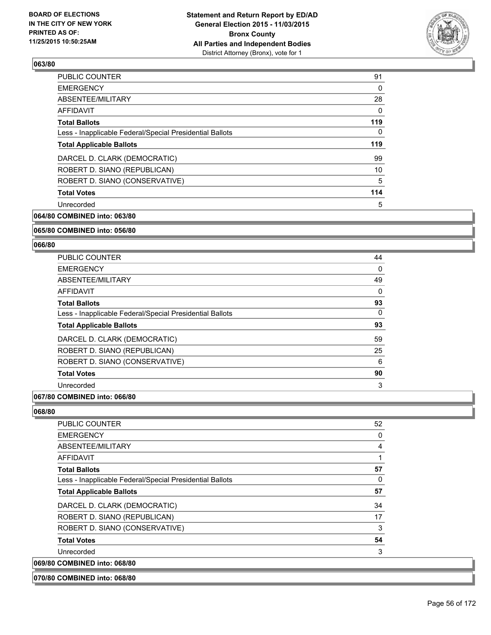

| <b>PUBLIC COUNTER</b>                                    | 91  |
|----------------------------------------------------------|-----|
| <b>EMERGENCY</b>                                         | 0   |
| ABSENTEE/MILITARY                                        | 28  |
| <b>AFFIDAVIT</b>                                         | 0   |
| <b>Total Ballots</b>                                     | 119 |
| Less - Inapplicable Federal/Special Presidential Ballots | 0   |
| <b>Total Applicable Ballots</b>                          | 119 |
| DARCEL D. CLARK (DEMOCRATIC)                             | 99  |
| ROBERT D. SIANO (REPUBLICAN)                             | 10  |
| ROBERT D. SIANO (CONSERVATIVE)                           | 5   |
| <b>Total Votes</b>                                       | 114 |
| Unrecorded                                               | 5   |
|                                                          |     |

**064/80 COMBINED into: 063/80**

### **065/80 COMBINED into: 056/80**

#### **066/80**

| <b>PUBLIC COUNTER</b>                                    | 44       |
|----------------------------------------------------------|----------|
| <b>EMERGENCY</b>                                         | 0        |
| ABSENTEE/MILITARY                                        | 49       |
| <b>AFFIDAVIT</b>                                         | $\Omega$ |
| <b>Total Ballots</b>                                     | 93       |
| Less - Inapplicable Federal/Special Presidential Ballots | 0        |
| <b>Total Applicable Ballots</b>                          | 93       |
| DARCEL D. CLARK (DEMOCRATIC)                             | 59       |
| ROBERT D. SIANO (REPUBLICAN)                             | 25       |
| ROBERT D. SIANO (CONSERVATIVE)                           | 6        |
| <b>Total Votes</b>                                       | 90       |
| Unrecorded                                               | 3        |

# **067/80 COMBINED into: 066/80**

| <b>PUBLIC COUNTER</b>                                    | 52 |
|----------------------------------------------------------|----|
| <b>EMERGENCY</b>                                         | 0  |
| ABSENTEE/MILITARY                                        | 4  |
| AFFIDAVIT                                                | 1  |
| <b>Total Ballots</b>                                     | 57 |
| Less - Inapplicable Federal/Special Presidential Ballots | 0  |
| <b>Total Applicable Ballots</b>                          | 57 |
| DARCEL D. CLARK (DEMOCRATIC)                             | 34 |
| ROBERT D. SIANO (REPUBLICAN)                             | 17 |
| ROBERT D. SIANO (CONSERVATIVE)                           | 3  |
| <b>Total Votes</b>                                       | 54 |
| Unrecorded                                               | 3  |
| 069/80 COMBINED into: 068/80                             |    |
| 070/80 COMBINED into: 068/80                             |    |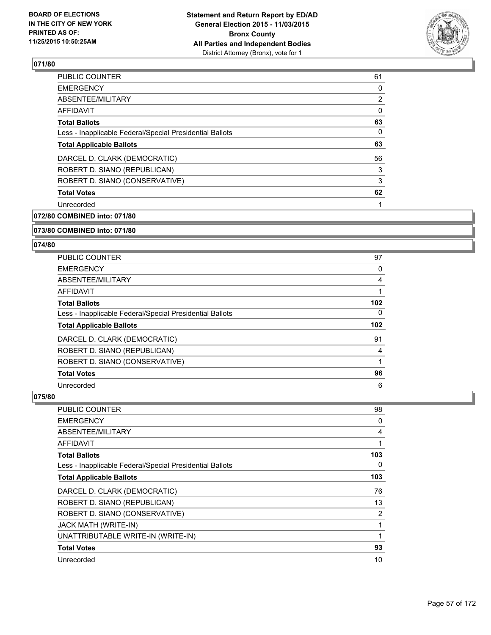

| <b>PUBLIC COUNTER</b>                                    | 61 |
|----------------------------------------------------------|----|
| <b>EMERGENCY</b>                                         | 0  |
| ABSENTEE/MILITARY                                        | 2  |
| AFFIDAVIT                                                | 0  |
| <b>Total Ballots</b>                                     | 63 |
| Less - Inapplicable Federal/Special Presidential Ballots | 0  |
| <b>Total Applicable Ballots</b>                          | 63 |
| DARCEL D. CLARK (DEMOCRATIC)                             | 56 |
| ROBERT D. SIANO (REPUBLICAN)                             | 3  |
| ROBERT D. SIANO (CONSERVATIVE)                           | 3  |
| <b>Total Votes</b>                                       | 62 |
| Unrecorded                                               |    |
|                                                          |    |

**072/80 COMBINED into: 071/80**

### **073/80 COMBINED into: 071/80**

### **074/80**

| PUBLIC COUNTER                                           | 97  |
|----------------------------------------------------------|-----|
| <b>EMERGENCY</b>                                         | 0   |
| ABSENTEE/MILITARY                                        | 4   |
| AFFIDAVIT                                                |     |
| <b>Total Ballots</b>                                     | 102 |
| Less - Inapplicable Federal/Special Presidential Ballots | 0   |
| <b>Total Applicable Ballots</b>                          | 102 |
| DARCEL D. CLARK (DEMOCRATIC)                             | 91  |
| ROBERT D. SIANO (REPUBLICAN)                             | 4   |
| ROBERT D. SIANO (CONSERVATIVE)                           |     |
| <b>Total Votes</b>                                       | 96  |
| Unrecorded                                               | 6   |

| <b>PUBLIC COUNTER</b>                                    | 98  |
|----------------------------------------------------------|-----|
| <b>EMERGENCY</b>                                         | 0   |
| ABSENTEE/MILITARY                                        | 4   |
| AFFIDAVIT                                                | 1   |
| <b>Total Ballots</b>                                     | 103 |
| Less - Inapplicable Federal/Special Presidential Ballots | 0   |
| <b>Total Applicable Ballots</b>                          | 103 |
| DARCEL D. CLARK (DEMOCRATIC)                             | 76  |
| ROBERT D. SIANO (REPUBLICAN)                             | 13  |
| ROBERT D. SIANO (CONSERVATIVE)                           | 2   |
| <b>JACK MATH (WRITE-IN)</b>                              | 1   |
| UNATTRIBUTABLE WRITE-IN (WRITE-IN)                       | 1   |
| <b>Total Votes</b>                                       | 93  |
| Unrecorded                                               | 10  |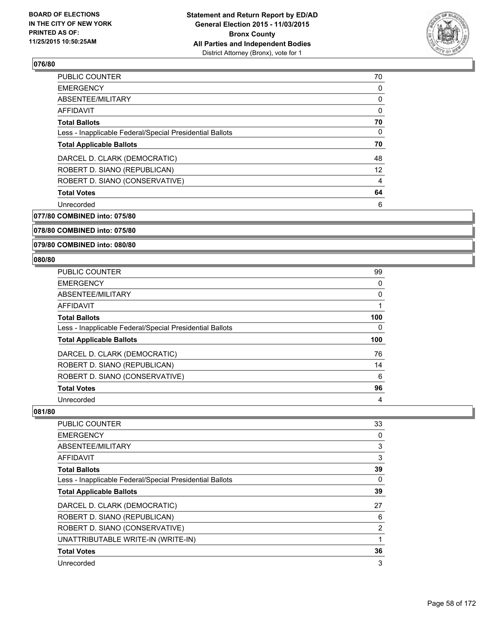

| 70 |
|----|
| 0  |
| 0  |
| 0  |
| 70 |
| 0  |
| 70 |
| 48 |
| 12 |
| 4  |
| 64 |
| 6  |
|    |

**077/80 COMBINED into: 075/80**

**078/80 COMBINED into: 075/80**

**079/80 COMBINED into: 080/80**

### **080/80**

| <b>PUBLIC COUNTER</b>                                    | 99  |
|----------------------------------------------------------|-----|
| <b>EMERGENCY</b>                                         | 0   |
| ABSENTEE/MILITARY                                        | 0   |
| <b>AFFIDAVIT</b>                                         |     |
| <b>Total Ballots</b>                                     | 100 |
| Less - Inapplicable Federal/Special Presidential Ballots | 0   |
| <b>Total Applicable Ballots</b>                          | 100 |
| DARCEL D. CLARK (DEMOCRATIC)                             | 76  |
| ROBERT D. SIANO (REPUBLICAN)                             | 14  |
|                                                          |     |
| ROBERT D. SIANO (CONSERVATIVE)                           | 6   |
| <b>Total Votes</b>                                       | 96  |

| <b>PUBLIC COUNTER</b>                                    | 33 |
|----------------------------------------------------------|----|
| <b>EMERGENCY</b>                                         | 0  |
| ABSENTEE/MILITARY                                        | 3  |
| AFFIDAVIT                                                | 3  |
| <b>Total Ballots</b>                                     | 39 |
| Less - Inapplicable Federal/Special Presidential Ballots | 0  |
| <b>Total Applicable Ballots</b>                          | 39 |
| DARCEL D. CLARK (DEMOCRATIC)                             | 27 |
| ROBERT D. SIANO (REPUBLICAN)                             | 6  |
| ROBERT D. SIANO (CONSERVATIVE)                           | 2  |
| UNATTRIBUTABLE WRITE-IN (WRITE-IN)                       |    |
| <b>Total Votes</b>                                       | 36 |
| Unrecorded                                               | 3  |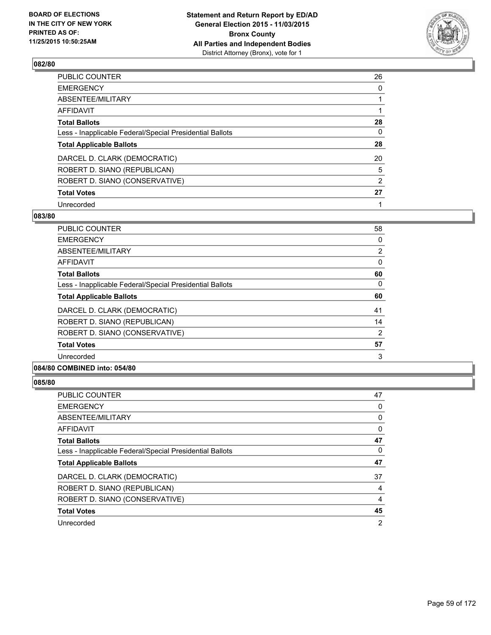

| PUBLIC COUNTER                                           | 26             |
|----------------------------------------------------------|----------------|
| <b>EMERGENCY</b>                                         | 0              |
| ABSENTEE/MILITARY                                        |                |
| <b>AFFIDAVIT</b>                                         |                |
| <b>Total Ballots</b>                                     | 28             |
| Less - Inapplicable Federal/Special Presidential Ballots | 0              |
| <b>Total Applicable Ballots</b>                          | 28             |
| DARCEL D. CLARK (DEMOCRATIC)                             | 20             |
| ROBERT D. SIANO (REPUBLICAN)                             | 5              |
| ROBERT D. SIANO (CONSERVATIVE)                           | $\overline{2}$ |
| <b>Total Votes</b>                                       | 27             |
| Unrecorded                                               |                |

### **083/80**

| <b>PUBLIC COUNTER</b>                                    | 58             |
|----------------------------------------------------------|----------------|
| <b>EMERGENCY</b>                                         | 0              |
| ABSENTEE/MILITARY                                        | $\overline{2}$ |
| AFFIDAVIT                                                | 0              |
| <b>Total Ballots</b>                                     | 60             |
| Less - Inapplicable Federal/Special Presidential Ballots | 0              |
| <b>Total Applicable Ballots</b>                          | 60             |
| DARCEL D. CLARK (DEMOCRATIC)                             | 41             |
| ROBERT D. SIANO (REPUBLICAN)                             | 14             |
| ROBERT D. SIANO (CONSERVATIVE)                           | 2              |
| <b>Total Votes</b>                                       | 57             |
| Unrecorded                                               | 3              |
|                                                          |                |

## **084/80 COMBINED into: 054/80**

| PUBLIC COUNTER                                           | 47 |
|----------------------------------------------------------|----|
| <b>EMERGENCY</b>                                         | 0  |
| ABSENTEE/MILITARY                                        | 0  |
| AFFIDAVIT                                                | 0  |
| <b>Total Ballots</b>                                     | 47 |
| Less - Inapplicable Federal/Special Presidential Ballots | 0  |
| <b>Total Applicable Ballots</b>                          | 47 |
| DARCEL D. CLARK (DEMOCRATIC)                             | 37 |
| ROBERT D. SIANO (REPUBLICAN)                             | 4  |
| ROBERT D. SIANO (CONSERVATIVE)                           | 4  |
| <b>Total Votes</b>                                       | 45 |
| Unrecorded                                               | 2  |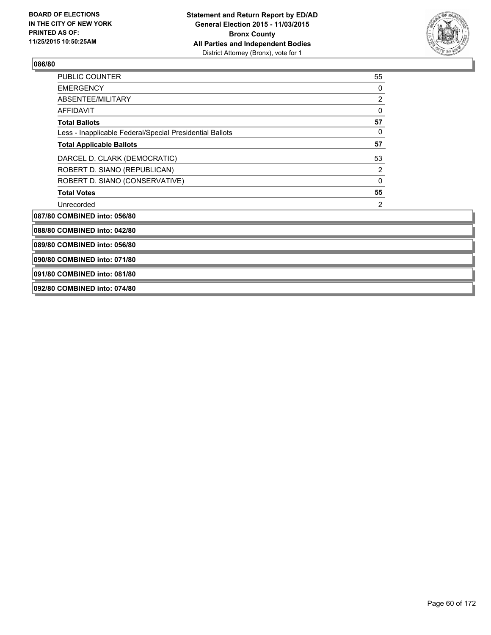

| PUBLIC COUNTER                                           | 55               |  |
|----------------------------------------------------------|------------------|--|
| <b>EMERGENCY</b>                                         | 0                |  |
| ABSENTEE/MILITARY                                        | $\boldsymbol{2}$ |  |
| <b>AFFIDAVIT</b>                                         | 0                |  |
| <b>Total Ballots</b>                                     | 57               |  |
| Less - Inapplicable Federal/Special Presidential Ballots | 0                |  |
| <b>Total Applicable Ballots</b>                          | 57               |  |
| DARCEL D. CLARK (DEMOCRATIC)                             | 53               |  |
| ROBERT D. SIANO (REPUBLICAN)                             | $\overline{2}$   |  |
| ROBERT D. SIANO (CONSERVATIVE)                           | 0                |  |
| <b>Total Votes</b>                                       | 55               |  |
| Unrecorded                                               | 2                |  |
| 087/80 COMBINED into: 056/80                             |                  |  |
| 088/80 COMBINED into: 042/80                             |                  |  |
| 089/80 COMBINED into: 056/80                             |                  |  |
| 090/80 COMBINED into: 071/80                             |                  |  |
| 091/80 COMBINED into: 081/80                             |                  |  |
| 092/80 COMBINED into: 074/80                             |                  |  |
|                                                          |                  |  |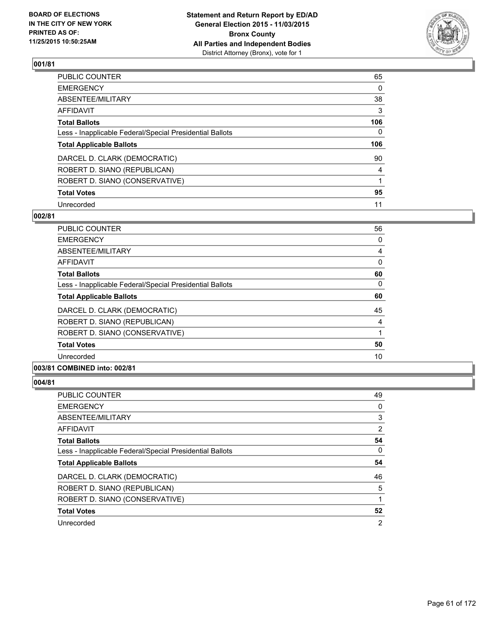

| PUBLIC COUNTER                                           | 65  |
|----------------------------------------------------------|-----|
| <b>EMERGENCY</b>                                         | 0   |
| ABSENTEE/MILITARY                                        | 38  |
| <b>AFFIDAVIT</b>                                         | 3   |
| <b>Total Ballots</b>                                     | 106 |
| Less - Inapplicable Federal/Special Presidential Ballots | 0   |
| <b>Total Applicable Ballots</b>                          | 106 |
| DARCEL D. CLARK (DEMOCRATIC)                             | 90  |
| ROBERT D. SIANO (REPUBLICAN)                             | 4   |
| ROBERT D. SIANO (CONSERVATIVE)                           |     |
| <b>Total Votes</b>                                       | 95  |
| Unrecorded                                               | 11  |

### **002/81**

| <b>PUBLIC COUNTER</b>                                    | 56 |
|----------------------------------------------------------|----|
| <b>EMERGENCY</b>                                         | 0  |
| ABSENTEE/MILITARY                                        | 4  |
| AFFIDAVIT                                                | 0  |
| <b>Total Ballots</b>                                     | 60 |
| Less - Inapplicable Federal/Special Presidential Ballots | 0  |
| <b>Total Applicable Ballots</b>                          | 60 |
| DARCEL D. CLARK (DEMOCRATIC)                             | 45 |
| ROBERT D. SIANO (REPUBLICAN)                             | 4  |
| ROBERT D. SIANO (CONSERVATIVE)                           |    |
| <b>Total Votes</b>                                       | 50 |
| Unrecorded                                               | 10 |
| A                                                        |    |

## **003/81 COMBINED into: 002/81**

| PUBLIC COUNTER                                           | 49 |
|----------------------------------------------------------|----|
| <b>EMERGENCY</b>                                         | 0  |
| ABSENTEE/MILITARY                                        | 3  |
| AFFIDAVIT                                                | 2  |
| <b>Total Ballots</b>                                     | 54 |
| Less - Inapplicable Federal/Special Presidential Ballots | 0  |
| <b>Total Applicable Ballots</b>                          | 54 |
|                                                          |    |
| DARCEL D. CLARK (DEMOCRATIC)                             | 46 |
| ROBERT D. SIANO (REPUBLICAN)                             | 5  |
| ROBERT D. SIANO (CONSERVATIVE)                           |    |
| <b>Total Votes</b>                                       | 52 |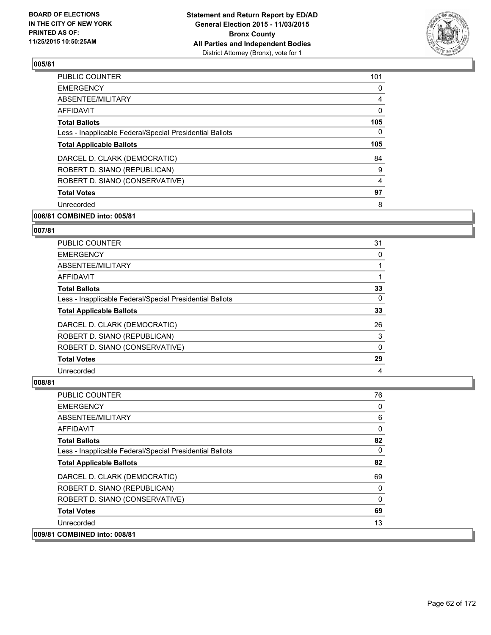

| <b>PUBLIC COUNTER</b>                                    | 101 |
|----------------------------------------------------------|-----|
| <b>EMERGENCY</b>                                         | 0   |
| ABSENTEE/MILITARY                                        | 4   |
| AFFIDAVIT                                                | 0   |
| <b>Total Ballots</b>                                     | 105 |
| Less - Inapplicable Federal/Special Presidential Ballots | 0   |
| <b>Total Applicable Ballots</b>                          | 105 |
| DARCEL D. CLARK (DEMOCRATIC)                             | 84  |
| ROBERT D. SIANO (REPUBLICAN)                             | 9   |
| ROBERT D. SIANO (CONSERVATIVE)                           | 4   |
| <b>Total Votes</b>                                       | 97  |
| Unrecorded                                               | 8   |
|                                                          |     |

# **006/81 COMBINED into: 005/81**

## **007/81**

| PUBLIC COUNTER                                           | 31 |
|----------------------------------------------------------|----|
| <b>EMERGENCY</b>                                         | 0  |
| ABSENTEE/MILITARY                                        |    |
| AFFIDAVIT                                                |    |
| <b>Total Ballots</b>                                     | 33 |
| Less - Inapplicable Federal/Special Presidential Ballots | 0  |
| <b>Total Applicable Ballots</b>                          | 33 |
| DARCEL D. CLARK (DEMOCRATIC)                             | 26 |
| ROBERT D. SIANO (REPUBLICAN)                             | 3  |
| ROBERT D. SIANO (CONSERVATIVE)                           | 0  |
| <b>Total Votes</b>                                       | 29 |
| Unrecorded                                               | 4  |

| <b>PUBLIC COUNTER</b>                                    | 76       |
|----------------------------------------------------------|----------|
| <b>EMERGENCY</b>                                         | 0        |
| ABSENTEE/MILITARY                                        | 6        |
| <b>AFFIDAVIT</b>                                         | 0        |
| <b>Total Ballots</b>                                     | 82       |
| Less - Inapplicable Federal/Special Presidential Ballots | $\Omega$ |
| <b>Total Applicable Ballots</b>                          | 82       |
| DARCEL D. CLARK (DEMOCRATIC)                             | 69       |
| ROBERT D. SIANO (REPUBLICAN)                             | 0        |
| ROBERT D. SIANO (CONSERVATIVE)                           | 0        |
| <b>Total Votes</b>                                       | 69       |
| Unrecorded                                               | 13       |
| 009/81 COMBINED into: 008/81                             |          |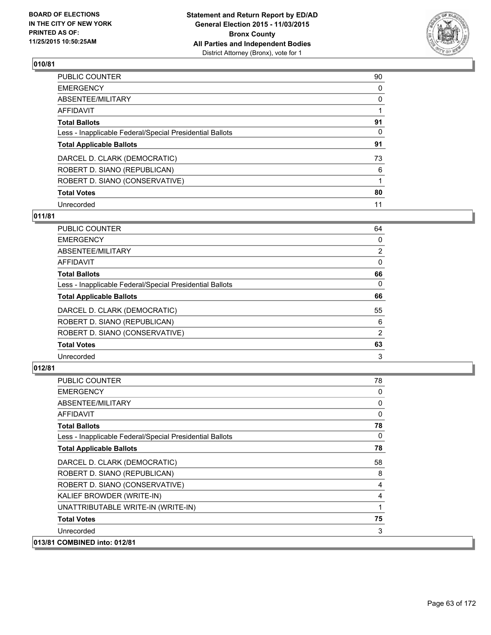

| PUBLIC COUNTER                                           | 90       |
|----------------------------------------------------------|----------|
| <b>EMERGENCY</b>                                         | 0        |
| ABSENTEE/MILITARY                                        | 0        |
| <b>AFFIDAVIT</b>                                         |          |
| <b>Total Ballots</b>                                     | 91       |
| Less - Inapplicable Federal/Special Presidential Ballots | $\Omega$ |
| <b>Total Applicable Ballots</b>                          | 91       |
| DARCEL D. CLARK (DEMOCRATIC)                             | 73       |
| ROBERT D. SIANO (REPUBLICAN)                             | 6        |
| ROBERT D. SIANO (CONSERVATIVE)                           |          |
| <b>Total Votes</b>                                       | 80       |
| Unrecorded                                               | 11       |

### **011/81**

| PUBLIC COUNTER                                           | 64             |
|----------------------------------------------------------|----------------|
| <b>EMERGENCY</b>                                         | 0              |
| ABSENTEE/MILITARY                                        | $\overline{2}$ |
| AFFIDAVIT                                                | 0              |
| <b>Total Ballots</b>                                     | 66             |
| Less - Inapplicable Federal/Special Presidential Ballots | 0              |
| <b>Total Applicable Ballots</b>                          | 66             |
| DARCEL D. CLARK (DEMOCRATIC)                             | 55             |
| ROBERT D. SIANO (REPUBLICAN)                             | 6              |
| ROBERT D. SIANO (CONSERVATIVE)                           | 2              |
| <b>Total Votes</b>                                       | 63             |
| Unrecorded                                               | 3              |
|                                                          |                |

| <b>PUBLIC COUNTER</b>                                    | 78 |
|----------------------------------------------------------|----|
| <b>EMERGENCY</b>                                         | 0  |
| ABSENTEE/MILITARY                                        | 0  |
| AFFIDAVIT                                                | 0  |
| <b>Total Ballots</b>                                     | 78 |
| Less - Inapplicable Federal/Special Presidential Ballots | 0  |
| <b>Total Applicable Ballots</b>                          | 78 |
| DARCEL D. CLARK (DEMOCRATIC)                             | 58 |
| ROBERT D. SIANO (REPUBLICAN)                             | 8  |
| ROBERT D. SIANO (CONSERVATIVE)                           | 4  |
| KALIEF BROWDER (WRITE-IN)                                | 4  |
| UNATTRIBUTABLE WRITE-IN (WRITE-IN)                       | 1  |
| <b>Total Votes</b>                                       | 75 |
| Unrecorded                                               | 3  |
| 013/81 COMBINED into: 012/81                             |    |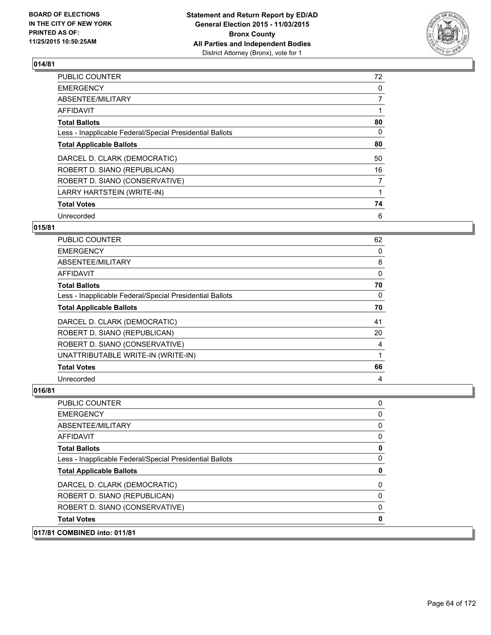

| <b>PUBLIC COUNTER</b>                                    | 72             |
|----------------------------------------------------------|----------------|
| <b>EMERGENCY</b>                                         | 0              |
| ABSENTEE/MILITARY                                        | 7              |
| AFFIDAVIT                                                |                |
| <b>Total Ballots</b>                                     | 80             |
| Less - Inapplicable Federal/Special Presidential Ballots | 0              |
| <b>Total Applicable Ballots</b>                          | 80             |
| DARCEL D. CLARK (DEMOCRATIC)                             | 50             |
| ROBERT D. SIANO (REPUBLICAN)                             | 16             |
| ROBERT D. SIANO (CONSERVATIVE)                           | $\overline{7}$ |
| LARRY HARTSTEIN (WRITE-IN)                               |                |
| <b>Total Votes</b>                                       | 74             |
| Unrecorded                                               | 6              |

## **015/81**

| PUBLIC COUNTER                                           | 62       |
|----------------------------------------------------------|----------|
| <b>EMERGENCY</b>                                         | 0        |
| ABSENTEE/MILITARY                                        | 8        |
| <b>AFFIDAVIT</b>                                         | $\Omega$ |
| <b>Total Ballots</b>                                     | 70       |
| Less - Inapplicable Federal/Special Presidential Ballots | 0        |
| <b>Total Applicable Ballots</b>                          | 70       |
| DARCEL D. CLARK (DEMOCRATIC)                             | 41       |
| ROBERT D. SIANO (REPUBLICAN)                             | 20       |
| ROBERT D. SIANO (CONSERVATIVE)                           | 4        |
| UNATTRIBUTABLE WRITE-IN (WRITE-IN)                       |          |
| <b>Total Votes</b>                                       | 66       |
| Unrecorded                                               | 4        |

| 017/81 COMBINED into: 011/81                             |   |
|----------------------------------------------------------|---|
| <b>Total Votes</b>                                       |   |
| ROBERT D. SIANO (CONSERVATIVE)                           | 0 |
| ROBERT D. SIANO (REPUBLICAN)                             | 0 |
| DARCEL D. CLARK (DEMOCRATIC)                             | 0 |
| <b>Total Applicable Ballots</b>                          | 0 |
| Less - Inapplicable Federal/Special Presidential Ballots | 0 |
| <b>Total Ballots</b>                                     | 0 |
| AFFIDAVIT                                                | 0 |
| ABSENTEE/MILITARY                                        | 0 |
| <b>EMERGENCY</b>                                         | 0 |
| <b>PUBLIC COUNTER</b>                                    | 0 |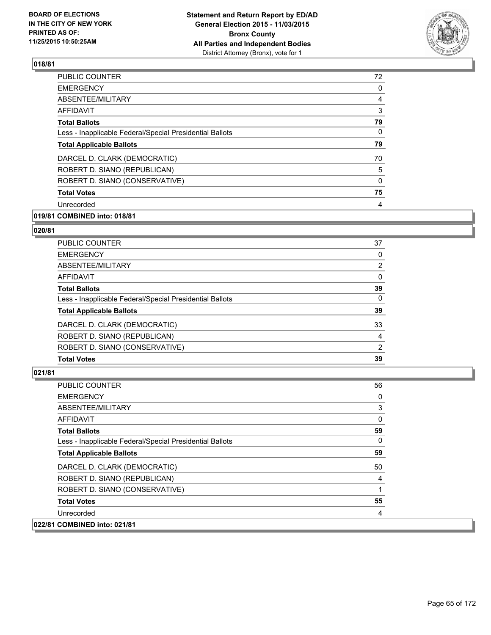

| 72 |
|----|
| 0  |
| 4  |
| 3  |
| 79 |
| 0  |
| 79 |
| 70 |
| 5  |
| 0  |
| 75 |
| 4  |
|    |

# **019/81 COMBINED into: 018/81**

## **020/81**

| PUBLIC COUNTER                                           | 37             |
|----------------------------------------------------------|----------------|
| <b>EMERGENCY</b>                                         | 0              |
| ABSENTEE/MILITARY                                        | 2              |
| <b>AFFIDAVIT</b>                                         | 0              |
| <b>Total Ballots</b>                                     | 39             |
| Less - Inapplicable Federal/Special Presidential Ballots | $\Omega$       |
| <b>Total Applicable Ballots</b>                          | 39             |
| DARCEL D. CLARK (DEMOCRATIC)                             | 33             |
| ROBERT D. SIANO (REPUBLICAN)                             | 4              |
| ROBERT D. SIANO (CONSERVATIVE)                           | $\overline{2}$ |
| <b>Total Votes</b>                                       | 39             |

| <b>PUBLIC COUNTER</b>                                    | 56       |
|----------------------------------------------------------|----------|
| <b>EMERGENCY</b>                                         | 0        |
| ABSENTEE/MILITARY                                        | 3        |
| <b>AFFIDAVIT</b>                                         | 0        |
| <b>Total Ballots</b>                                     | 59       |
| Less - Inapplicable Federal/Special Presidential Ballots | $\Omega$ |
| <b>Total Applicable Ballots</b>                          | 59       |
| DARCEL D. CLARK (DEMOCRATIC)                             | 50       |
| ROBERT D. SIANO (REPUBLICAN)                             | 4        |
| ROBERT D. SIANO (CONSERVATIVE)                           | 1        |
| <b>Total Votes</b>                                       | 55       |
| Unrecorded                                               | 4        |
| 022/81 COMBINED into: 021/81                             |          |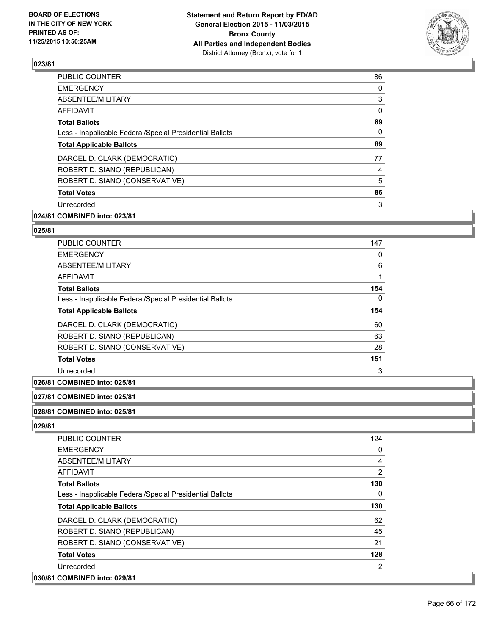

| <b>PUBLIC COUNTER</b>                                    | 86 |
|----------------------------------------------------------|----|
| <b>EMERGENCY</b>                                         | 0  |
| ABSENTEE/MILITARY                                        | 3  |
| AFFIDAVIT                                                | 0  |
| <b>Total Ballots</b>                                     | 89 |
| Less - Inapplicable Federal/Special Presidential Ballots | 0  |
| <b>Total Applicable Ballots</b>                          | 89 |
| DARCEL D. CLARK (DEMOCRATIC)                             | 77 |
| ROBERT D. SIANO (REPUBLICAN)                             | 4  |
| ROBERT D. SIANO (CONSERVATIVE)                           | 5  |
| <b>Total Votes</b>                                       | 86 |
| Unrecorded                                               | 3  |
|                                                          |    |

# **024/81 COMBINED into: 023/81**

#### **025/81**

| <b>PUBLIC COUNTER</b>                                    | 147      |
|----------------------------------------------------------|----------|
| <b>EMERGENCY</b>                                         | 0        |
| ABSENTEE/MILITARY                                        | 6        |
| <b>AFFIDAVIT</b>                                         |          |
| <b>Total Ballots</b>                                     | 154      |
| Less - Inapplicable Federal/Special Presidential Ballots | $\Omega$ |
| <b>Total Applicable Ballots</b>                          | 154      |
| DARCEL D. CLARK (DEMOCRATIC)                             | 60       |
| ROBERT D. SIANO (REPUBLICAN)                             | 63       |
| ROBERT D. SIANO (CONSERVATIVE)                           | 28       |
| <b>Total Votes</b>                                       | 151      |
| Unrecorded                                               | 3        |

# **026/81 COMBINED into: 025/81**

## **027/81 COMBINED into: 025/81**

#### **028/81 COMBINED into: 025/81**

| <b>PUBLIC COUNTER</b>                                    | 124            |
|----------------------------------------------------------|----------------|
| <b>EMERGENCY</b>                                         | 0              |
| ABSENTEE/MILITARY                                        | 4              |
| AFFIDAVIT                                                | $\overline{2}$ |
| <b>Total Ballots</b>                                     | 130            |
| Less - Inapplicable Federal/Special Presidential Ballots | 0              |
| <b>Total Applicable Ballots</b>                          | 130            |
| DARCEL D. CLARK (DEMOCRATIC)                             | 62             |
| ROBERT D. SIANO (REPUBLICAN)                             | 45             |
| ROBERT D. SIANO (CONSERVATIVE)                           | 21             |
| <b>Total Votes</b>                                       | 128            |
| Unrecorded                                               | 2              |
| 030/81 COMBINED into: 029/81                             |                |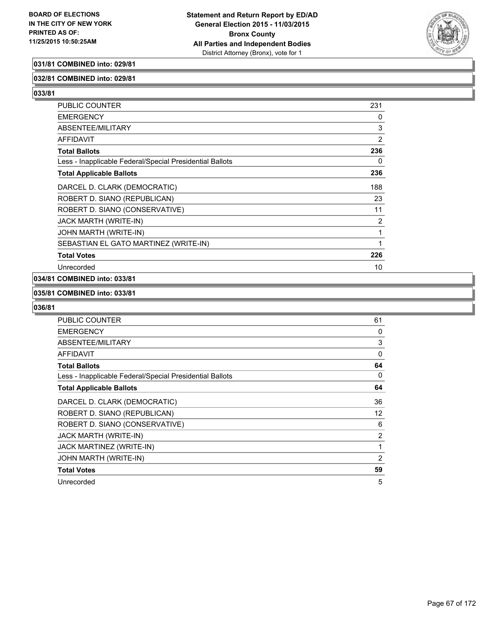

## **031/81 COMBINED into: 029/81**

### **032/81 COMBINED into: 029/81**

**033/81** 

| <b>PUBLIC COUNTER</b>                                    | 231            |
|----------------------------------------------------------|----------------|
| <b>EMERGENCY</b>                                         | 0              |
| <b>ABSENTEE/MILITARY</b>                                 | 3              |
| <b>AFFIDAVIT</b>                                         | $\overline{2}$ |
| <b>Total Ballots</b>                                     | 236            |
| Less - Inapplicable Federal/Special Presidential Ballots | 0              |
| <b>Total Applicable Ballots</b>                          | 236            |
| DARCEL D. CLARK (DEMOCRATIC)                             | 188            |
| ROBERT D. SIANO (REPUBLICAN)                             | 23             |
| ROBERT D. SIANO (CONSERVATIVE)                           | 11             |
| <b>JACK MARTH (WRITE-IN)</b>                             | 2              |
| JOHN MARTH (WRITE-IN)                                    | 1              |
| SEBASTIAN EL GATO MARTINEZ (WRITE-IN)                    | 1              |
| <b>Total Votes</b>                                       | 226            |
| Unrecorded                                               | 10             |

## **034/81 COMBINED into: 033/81**

### **035/81 COMBINED into: 033/81**

| <b>PUBLIC COUNTER</b>                                    | 61 |
|----------------------------------------------------------|----|
| <b>EMERGENCY</b>                                         | 0  |
| ABSENTEE/MILITARY                                        | 3  |
| <b>AFFIDAVIT</b>                                         | 0  |
| <b>Total Ballots</b>                                     | 64 |
| Less - Inapplicable Federal/Special Presidential Ballots | 0  |
| <b>Total Applicable Ballots</b>                          | 64 |
| DARCEL D. CLARK (DEMOCRATIC)                             | 36 |
| ROBERT D. SIANO (REPUBLICAN)                             | 12 |
| ROBERT D. SIANO (CONSERVATIVE)                           | 6  |
| <b>JACK MARTH (WRITE-IN)</b>                             | 2  |
| JACK MARTINEZ (WRITE-IN)                                 | 1  |
| JOHN MARTH (WRITE-IN)                                    | 2  |
| <b>Total Votes</b>                                       | 59 |
| Unrecorded                                               | 5  |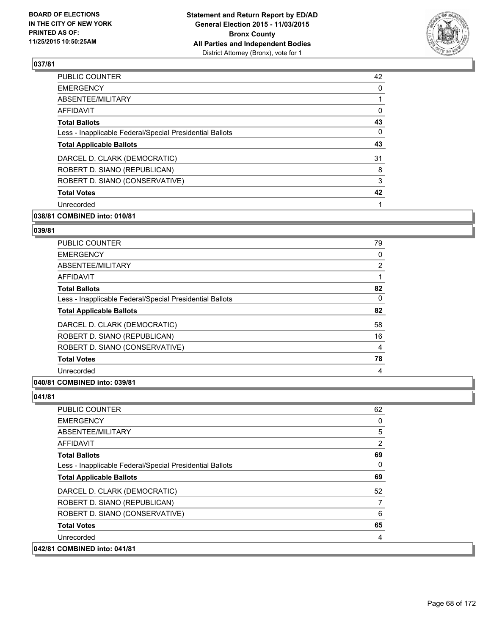

| <b>PUBLIC COUNTER</b>                                    | 42 |
|----------------------------------------------------------|----|
| <b>EMERGENCY</b>                                         | 0  |
| ABSENTEE/MILITARY                                        |    |
| AFFIDAVIT                                                | 0  |
| <b>Total Ballots</b>                                     | 43 |
| Less - Inapplicable Federal/Special Presidential Ballots | 0  |
| <b>Total Applicable Ballots</b>                          | 43 |
| DARCEL D. CLARK (DEMOCRATIC)                             | 31 |
| ROBERT D. SIANO (REPUBLICAN)                             | 8  |
| ROBERT D. SIANO (CONSERVATIVE)                           | 3  |
| <b>Total Votes</b>                                       | 42 |
| Unrecorded                                               |    |
|                                                          |    |

# **038/81 COMBINED into: 010/81**

#### **039/81**

| <b>PUBLIC COUNTER</b>                                    | 79             |
|----------------------------------------------------------|----------------|
| <b>EMERGENCY</b>                                         | 0              |
| ABSENTEE/MILITARY                                        | $\overline{2}$ |
| AFFIDAVIT                                                |                |
| <b>Total Ballots</b>                                     | 82             |
| Less - Inapplicable Federal/Special Presidential Ballots | 0              |
| <b>Total Applicable Ballots</b>                          | 82             |
| DARCEL D. CLARK (DEMOCRATIC)                             | 58             |
| ROBERT D. SIANO (REPUBLICAN)                             | 16             |
| ROBERT D. SIANO (CONSERVATIVE)                           | 4              |
| <b>Total Votes</b>                                       | 78             |
| Unrecorded                                               | 4              |

## **040/81 COMBINED into: 039/81**

| <b>PUBLIC COUNTER</b>                                    | 62             |
|----------------------------------------------------------|----------------|
| <b>EMERGENCY</b>                                         | 0              |
| ABSENTEE/MILITARY                                        | 5              |
| <b>AFFIDAVIT</b>                                         | $\overline{2}$ |
| <b>Total Ballots</b>                                     | 69             |
| Less - Inapplicable Federal/Special Presidential Ballots | $\mathbf{0}$   |
| <b>Total Applicable Ballots</b>                          | 69             |
| DARCEL D. CLARK (DEMOCRATIC)                             | 52             |
| ROBERT D. SIANO (REPUBLICAN)                             | 7              |
| ROBERT D. SIANO (CONSERVATIVE)                           | 6              |
| <b>Total Votes</b>                                       | 65             |
| Unrecorded                                               | 4              |
| 042/81 COMBINED into: 041/81                             |                |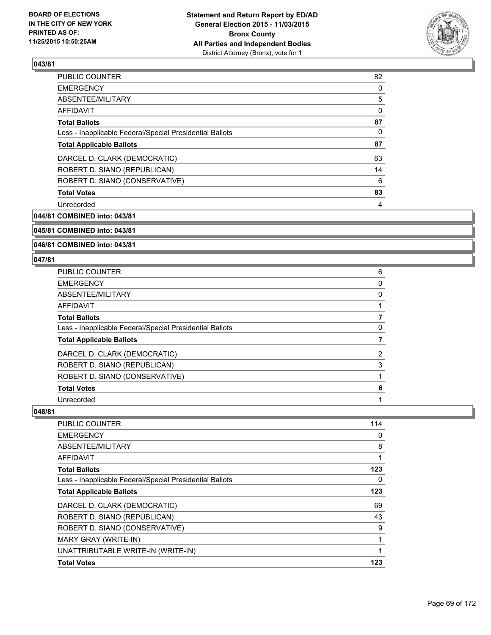

| PUBLIC COUNTER                                           | 82 |
|----------------------------------------------------------|----|
| <b>EMERGENCY</b>                                         | 0  |
| ABSENTEE/MILITARY                                        | 5  |
| AFFIDAVIT                                                | 0  |
| <b>Total Ballots</b>                                     | 87 |
| Less - Inapplicable Federal/Special Presidential Ballots | 0  |
| <b>Total Applicable Ballots</b>                          | 87 |
| DARCEL D. CLARK (DEMOCRATIC)                             | 63 |
| ROBERT D. SIANO (REPUBLICAN)                             | 14 |
| ROBERT D. SIANO (CONSERVATIVE)                           | 6  |
| <b>Total Votes</b>                                       | 83 |
| Unrecorded                                               | 4  |

**044/81 COMBINED into: 043/81**

**045/81 COMBINED into: 043/81**

**046/81 COMBINED into: 043/81**

### **047/81**

| PUBLIC COUNTER                                           | 6              |
|----------------------------------------------------------|----------------|
| <b>EMERGENCY</b>                                         | 0              |
| <b>ABSENTEE/MILITARY</b>                                 | 0              |
| <b>AFFIDAVIT</b>                                         |                |
| <b>Total Ballots</b>                                     |                |
| Less - Inapplicable Federal/Special Presidential Ballots | 0              |
| <b>Total Applicable Ballots</b>                          |                |
| DARCEL D. CLARK (DEMOCRATIC)                             | $\overline{2}$ |
| ROBERT D. SIANO (REPUBLICAN)                             | 3              |
| ROBERT D. SIANO (CONSERVATIVE)                           |                |
| <b>Total Votes</b>                                       | 6              |
| Unrecorded                                               |                |

| <b>Total Votes</b>                                       | 123 |
|----------------------------------------------------------|-----|
| UNATTRIBUTABLE WRITE-IN (WRITE-IN)                       | 1   |
| MARY GRAY (WRITE-IN)                                     |     |
| ROBERT D. SIANO (CONSERVATIVE)                           | 9   |
| ROBERT D. SIANO (REPUBLICAN)                             | 43  |
| DARCEL D. CLARK (DEMOCRATIC)                             | 69  |
| <b>Total Applicable Ballots</b>                          | 123 |
| Less - Inapplicable Federal/Special Presidential Ballots | 0   |
| <b>Total Ballots</b>                                     | 123 |
| AFFIDAVIT                                                | 1   |
| ABSENTEE/MILITARY                                        | 8   |
| <b>EMERGENCY</b>                                         | 0   |
| PUBLIC COUNTER                                           | 114 |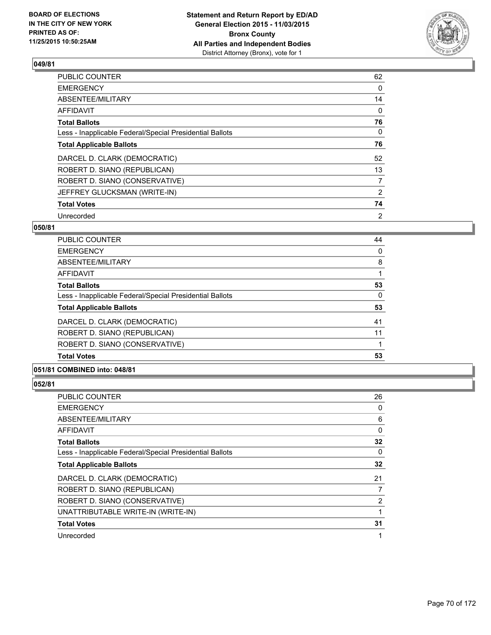

| PUBLIC COUNTER                                           | 62             |
|----------------------------------------------------------|----------------|
| <b>EMERGENCY</b>                                         | 0              |
| ABSENTEE/MILITARY                                        | 14             |
| <b>AFFIDAVIT</b>                                         | 0              |
| <b>Total Ballots</b>                                     | 76             |
| Less - Inapplicable Federal/Special Presidential Ballots | 0              |
| <b>Total Applicable Ballots</b>                          | 76             |
| DARCEL D. CLARK (DEMOCRATIC)                             | 52             |
| ROBERT D. SIANO (REPUBLICAN)                             | 13             |
| ROBERT D. SIANO (CONSERVATIVE)                           | $\overline{7}$ |
| JEFFREY GLUCKSMAN (WRITE-IN)                             | $\overline{2}$ |
| <b>Total Votes</b>                                       | 74             |
| Unrecorded                                               | $\overline{2}$ |

## **050/81**

| <b>Total Votes</b>                                       | 53 |
|----------------------------------------------------------|----|
| ROBERT D. SIANO (CONSERVATIVE)                           |    |
| ROBERT D. SIANO (REPUBLICAN)                             | 11 |
| DARCEL D. CLARK (DEMOCRATIC)                             | 41 |
| <b>Total Applicable Ballots</b>                          | 53 |
| Less - Inapplicable Federal/Special Presidential Ballots | 0  |
| <b>Total Ballots</b>                                     | 53 |
| AFFIDAVIT                                                |    |
| ABSENTEE/MILITARY                                        | 8  |
| <b>EMERGENCY</b>                                         | 0  |
| <b>PUBLIC COUNTER</b>                                    | 44 |

## **051/81 COMBINED into: 048/81**

| PUBLIC COUNTER                                           | 26             |
|----------------------------------------------------------|----------------|
| <b>EMERGENCY</b>                                         | 0              |
| ABSENTEE/MILITARY                                        | 6              |
| <b>AFFIDAVIT</b>                                         | 0              |
| <b>Total Ballots</b>                                     | 32             |
| Less - Inapplicable Federal/Special Presidential Ballots | 0              |
| <b>Total Applicable Ballots</b>                          | 32             |
| DARCEL D. CLARK (DEMOCRATIC)                             | 21             |
| ROBERT D. SIANO (REPUBLICAN)                             | 7              |
| ROBERT D. SIANO (CONSERVATIVE)                           | $\overline{2}$ |
| UNATTRIBUTABLE WRITE-IN (WRITE-IN)                       |                |
| <b>Total Votes</b>                                       | 31             |
| Unrecorded                                               |                |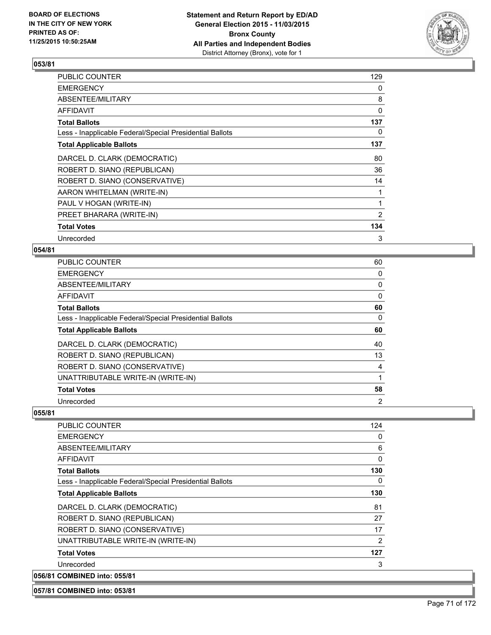

| PUBLIC COUNTER                                           | 129 |
|----------------------------------------------------------|-----|
| <b>EMERGENCY</b>                                         | 0   |
| ABSENTEE/MILITARY                                        | 8   |
| AFFIDAVIT                                                | 0   |
| <b>Total Ballots</b>                                     | 137 |
| Less - Inapplicable Federal/Special Presidential Ballots | 0   |
| <b>Total Applicable Ballots</b>                          | 137 |
| DARCEL D. CLARK (DEMOCRATIC)                             | 80  |
| ROBERT D. SIANO (REPUBLICAN)                             | 36  |
| ROBERT D. SIANO (CONSERVATIVE)                           | 14  |
| AARON WHITELMAN (WRITE-IN)                               |     |
| PAUL V HOGAN (WRITE-IN)                                  | 1   |
| PREET BHARARA (WRITE-IN)                                 | 2   |
| <b>Total Votes</b>                                       | 134 |
| Unrecorded                                               | 3   |

## **054/81**

| PUBLIC COUNTER                                           | 60             |
|----------------------------------------------------------|----------------|
| <b>EMERGENCY</b>                                         | 0              |
| ABSENTEE/MILITARY                                        | 0              |
| <b>AFFIDAVIT</b>                                         | 0              |
| <b>Total Ballots</b>                                     | 60             |
| Less - Inapplicable Federal/Special Presidential Ballots | 0              |
| <b>Total Applicable Ballots</b>                          | 60             |
| DARCEL D. CLARK (DEMOCRATIC)                             | 40             |
| ROBERT D. SIANO (REPUBLICAN)                             | 13             |
| ROBERT D. SIANO (CONSERVATIVE)                           | 4              |
| UNATTRIBUTABLE WRITE-IN (WRITE-IN)                       |                |
| <b>Total Votes</b>                                       | 58             |
| Unrecorded                                               | $\overline{2}$ |

### **055/81**

| <b>PUBLIC COUNTER</b>                                    | 124 |
|----------------------------------------------------------|-----|
| <b>EMERGENCY</b>                                         | 0   |
| ABSENTEE/MILITARY                                        | 6   |
| <b>AFFIDAVIT</b>                                         | 0   |
| <b>Total Ballots</b>                                     | 130 |
| Less - Inapplicable Federal/Special Presidential Ballots | 0   |
| <b>Total Applicable Ballots</b>                          | 130 |
| DARCEL D. CLARK (DEMOCRATIC)                             | 81  |
| ROBERT D. SIANO (REPUBLICAN)                             | 27  |
| ROBERT D. SIANO (CONSERVATIVE)                           | 17  |
| UNATTRIBUTABLE WRITE-IN (WRITE-IN)                       | 2   |
| <b>Total Votes</b>                                       | 127 |
| Unrecorded                                               | 3   |
| 056/81 COMBINED into: 055/81                             |     |

### **057/81 COMBINED into: 053/81**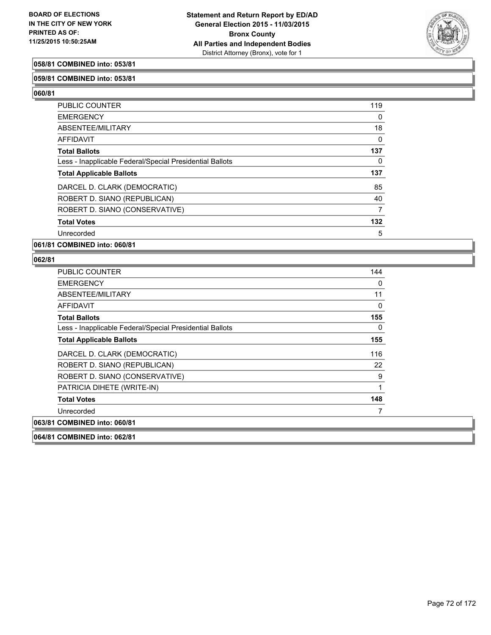

## **058/81 COMBINED into: 053/81**

### **059/81 COMBINED into: 053/81**

**060/81** 

| PUBLIC COUNTER                                           | 119      |
|----------------------------------------------------------|----------|
| <b>EMERGENCY</b>                                         | $\Omega$ |
| ABSENTEE/MILITARY                                        | 18       |
| <b>AFFIDAVIT</b>                                         | 0        |
| <b>Total Ballots</b>                                     | 137      |
| Less - Inapplicable Federal/Special Presidential Ballots | 0        |
| <b>Total Applicable Ballots</b>                          | 137      |
| DARCEL D. CLARK (DEMOCRATIC)                             | 85       |
| ROBERT D. SIANO (REPUBLICAN)                             | 40       |
| ROBERT D. SIANO (CONSERVATIVE)                           | 7        |
| <b>Total Votes</b>                                       | 132      |
| Unrecorded                                               | 5        |
|                                                          |          |

### **061/81 COMBINED into: 060/81**

| <b>PUBLIC COUNTER</b>                                    | 144 |
|----------------------------------------------------------|-----|
| <b>EMERGENCY</b>                                         | 0   |
| ABSENTEE/MILITARY                                        | 11  |
| <b>AFFIDAVIT</b>                                         | 0   |
| <b>Total Ballots</b>                                     | 155 |
| Less - Inapplicable Federal/Special Presidential Ballots | 0   |
| <b>Total Applicable Ballots</b>                          | 155 |
| DARCEL D. CLARK (DEMOCRATIC)                             | 116 |
| ROBERT D. SIANO (REPUBLICAN)                             | 22  |
| ROBERT D. SIANO (CONSERVATIVE)                           | 9   |
| PATRICIA DIHETE (WRITE-IN)                               | 1   |
| <b>Total Votes</b>                                       | 148 |
| Unrecorded                                               |     |
| 063/81 COMBINED into: 060/81                             |     |
| 064/81 COMBINED into: 062/81                             |     |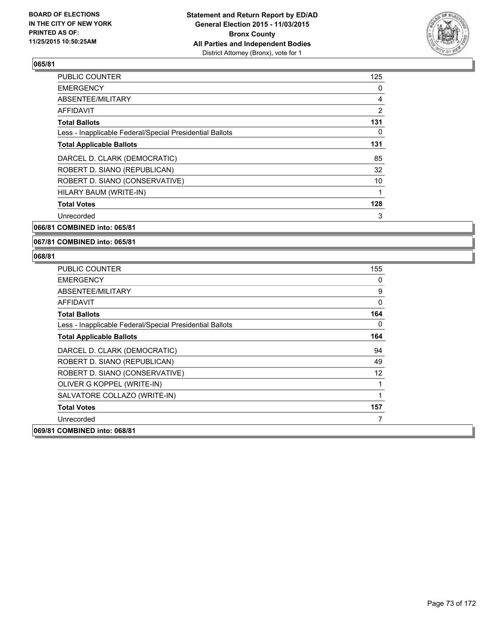

| <b>PUBLIC COUNTER</b>                                    | 125            |
|----------------------------------------------------------|----------------|
| <b>EMERGENCY</b>                                         | 0              |
| ABSENTEE/MILITARY                                        | 4              |
| AFFIDAVIT                                                | $\overline{2}$ |
| <b>Total Ballots</b>                                     | 131            |
| Less - Inapplicable Federal/Special Presidential Ballots | 0              |
| <b>Total Applicable Ballots</b>                          | 131            |
| DARCEL D. CLARK (DEMOCRATIC)                             | 85             |
| ROBERT D. SIANO (REPUBLICAN)                             | 32             |
| ROBERT D. SIANO (CONSERVATIVE)                           | 10             |
| HILARY BAUM (WRITE-IN)                                   |                |
| <b>Total Votes</b>                                       | 128            |
| Unrecorded                                               | 3              |
|                                                          |                |

**066/81 COMBINED into: 065/81**

#### **067/81 COMBINED into: 065/81**

| <b>PUBLIC COUNTER</b>                                    | 155 |
|----------------------------------------------------------|-----|
| <b>EMERGENCY</b>                                         | 0   |
| ABSENTEE/MILITARY                                        | 9   |
| <b>AFFIDAVIT</b>                                         | 0   |
| <b>Total Ballots</b>                                     | 164 |
| Less - Inapplicable Federal/Special Presidential Ballots | 0   |
| <b>Total Applicable Ballots</b>                          | 164 |
| DARCEL D. CLARK (DEMOCRATIC)                             | 94  |
| ROBERT D. SIANO (REPUBLICAN)                             | 49  |
| ROBERT D. SIANO (CONSERVATIVE)                           | 12  |
| OLIVER G KOPPEL (WRITE-IN)                               | 1   |
| SALVATORE COLLAZO (WRITE-IN)                             |     |
| <b>Total Votes</b>                                       | 157 |
| Unrecorded                                               | 7   |
| 069/81 COMBINED into: 068/81                             |     |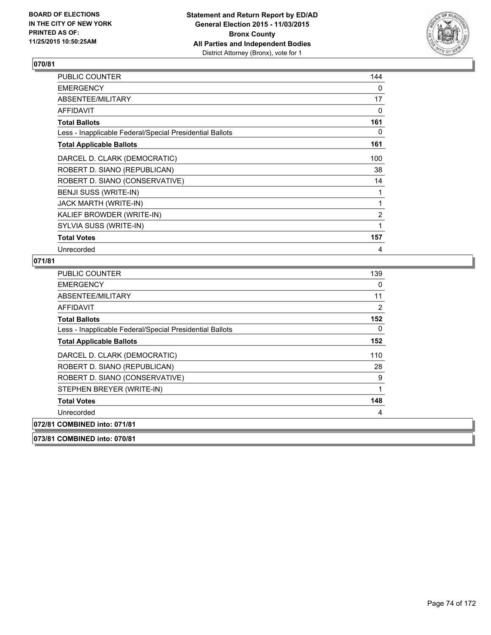

| <b>PUBLIC COUNTER</b>                                    | 144            |
|----------------------------------------------------------|----------------|
| <b>EMERGENCY</b>                                         | 0              |
| ABSENTEE/MILITARY                                        | 17             |
| AFFIDAVIT                                                | 0              |
| <b>Total Ballots</b>                                     | 161            |
| Less - Inapplicable Federal/Special Presidential Ballots | 0              |
| <b>Total Applicable Ballots</b>                          | 161            |
| DARCEL D. CLARK (DEMOCRATIC)                             | 100            |
| ROBERT D. SIANO (REPUBLICAN)                             | 38             |
| ROBERT D. SIANO (CONSERVATIVE)                           | 14             |
| BENJI SUSS (WRITE-IN)                                    | 1              |
| JACK MARTH (WRITE-IN)                                    | 1              |
| KALIEF BROWDER (WRITE-IN)                                | $\overline{2}$ |
| SYLVIA SUSS (WRITE-IN)                                   | 1              |
| <b>Total Votes</b>                                       | 157            |
| Unrecorded                                               | 4              |

| <b>PUBLIC COUNTER</b>                                    | 139 |
|----------------------------------------------------------|-----|
| <b>EMERGENCY</b>                                         | 0   |
| ABSENTEE/MILITARY                                        | 11  |
| AFFIDAVIT                                                | 2   |
| <b>Total Ballots</b>                                     | 152 |
| Less - Inapplicable Federal/Special Presidential Ballots | 0   |
| <b>Total Applicable Ballots</b>                          | 152 |
| DARCEL D. CLARK (DEMOCRATIC)                             | 110 |
| ROBERT D. SIANO (REPUBLICAN)                             | 28  |
| ROBERT D. SIANO (CONSERVATIVE)                           | 9   |
| STEPHEN BREYER (WRITE-IN)                                | 1   |
| <b>Total Votes</b>                                       | 148 |
| Unrecorded                                               | 4   |
| 072/81 COMBINED into: 071/81                             |     |
| 073/81 COMBINED into: 070/81                             |     |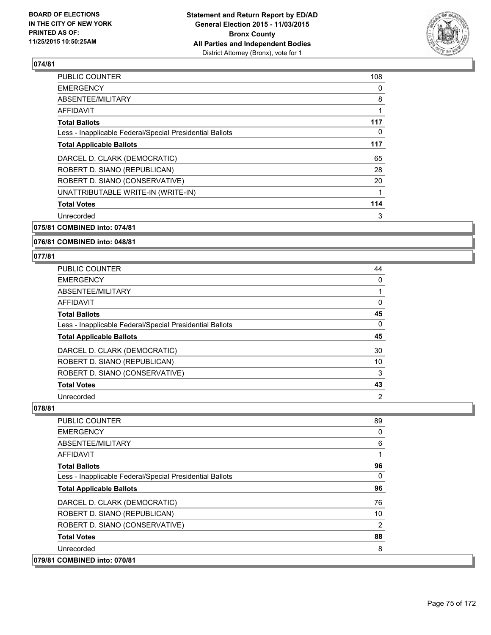

| <b>PUBLIC COUNTER</b>                                    | 108 |
|----------------------------------------------------------|-----|
| <b>EMERGENCY</b>                                         | 0   |
| ABSENTEE/MILITARY                                        | 8   |
| AFFIDAVIT                                                | 1   |
| <b>Total Ballots</b>                                     | 117 |
| Less - Inapplicable Federal/Special Presidential Ballots | 0   |
| <b>Total Applicable Ballots</b>                          | 117 |
| DARCEL D. CLARK (DEMOCRATIC)                             | 65  |
| ROBERT D. SIANO (REPUBLICAN)                             | 28  |
| ROBERT D. SIANO (CONSERVATIVE)                           | 20  |
| UNATTRIBUTABLE WRITE-IN (WRITE-IN)                       |     |
| <b>Total Votes</b>                                       | 114 |
| Unrecorded                                               | 3   |
|                                                          |     |

## **075/81 COMBINED into: 074/81**

#### **076/81 COMBINED into: 048/81**

#### **077/81**

| PUBLIC COUNTER                                           | 44             |
|----------------------------------------------------------|----------------|
| <b>EMERGENCY</b>                                         | 0              |
| ABSENTEE/MILITARY                                        |                |
| <b>AFFIDAVIT</b>                                         | 0              |
| <b>Total Ballots</b>                                     | 45             |
| Less - Inapplicable Federal/Special Presidential Ballots | 0              |
| <b>Total Applicable Ballots</b>                          | 45             |
| DARCEL D. CLARK (DEMOCRATIC)                             | 30             |
| ROBERT D. SIANO (REPUBLICAN)                             | 10             |
| ROBERT D. SIANO (CONSERVATIVE)                           | 3              |
| <b>Total Votes</b>                                       | 43             |
| Unrecorded                                               | $\overline{2}$ |

| <b>PUBLIC COUNTER</b>                                    | 89             |
|----------------------------------------------------------|----------------|
| <b>EMERGENCY</b>                                         | 0              |
| ABSENTEE/MILITARY                                        | 6              |
| AFFIDAVIT                                                | 1              |
| <b>Total Ballots</b>                                     | 96             |
| Less - Inapplicable Federal/Special Presidential Ballots | 0              |
| <b>Total Applicable Ballots</b>                          | 96             |
| DARCEL D. CLARK (DEMOCRATIC)                             | 76             |
| ROBERT D. SIANO (REPUBLICAN)                             | 10             |
| ROBERT D. SIANO (CONSERVATIVE)                           | $\overline{2}$ |
| <b>Total Votes</b>                                       | 88             |
| Unrecorded                                               | 8              |
| 079/81 COMBINED into: 070/81                             |                |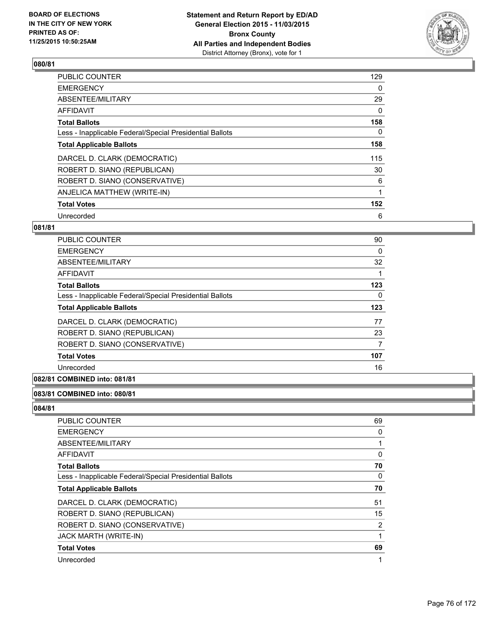

| <b>PUBLIC COUNTER</b>                                    | 129 |
|----------------------------------------------------------|-----|
| <b>EMERGENCY</b>                                         | 0   |
| ABSENTEE/MILITARY                                        | 29  |
| <b>AFFIDAVIT</b>                                         | 0   |
| <b>Total Ballots</b>                                     | 158 |
| Less - Inapplicable Federal/Special Presidential Ballots | 0   |
| <b>Total Applicable Ballots</b>                          | 158 |
| DARCEL D. CLARK (DEMOCRATIC)                             | 115 |
| ROBERT D. SIANO (REPUBLICAN)                             | 30  |
| ROBERT D. SIANO (CONSERVATIVE)                           | 6   |
| ANJELICA MATTHEW (WRITE-IN)                              | 1   |
| <b>Total Votes</b>                                       | 152 |
| Unrecorded                                               | 6   |

## **081/81**

| PUBLIC COUNTER                                           | 90  |
|----------------------------------------------------------|-----|
| <b>EMERGENCY</b>                                         | 0   |
| ABSENTEE/MILITARY                                        | 32  |
| AFFIDAVIT                                                |     |
| <b>Total Ballots</b>                                     | 123 |
| Less - Inapplicable Federal/Special Presidential Ballots | 0   |
| <b>Total Applicable Ballots</b>                          | 123 |
| DARCEL D. CLARK (DEMOCRATIC)                             | 77  |
| ROBERT D. SIANO (REPUBLICAN)                             | 23  |
| ROBERT D. SIANO (CONSERVATIVE)                           | 7   |
| <b>Total Votes</b>                                       | 107 |
| Unrecorded                                               | 16  |

# **082/81 COMBINED into: 081/81**

#### **083/81 COMBINED into: 080/81**

| <b>PUBLIC COUNTER</b>                                    | 69 |
|----------------------------------------------------------|----|
| <b>EMERGENCY</b>                                         | 0  |
| ABSENTEE/MILITARY                                        |    |
| AFFIDAVIT                                                | 0  |
| <b>Total Ballots</b>                                     | 70 |
| Less - Inapplicable Federal/Special Presidential Ballots | 0  |
| <b>Total Applicable Ballots</b>                          | 70 |
| DARCEL D. CLARK (DEMOCRATIC)                             | 51 |
| ROBERT D. SIANO (REPUBLICAN)                             | 15 |
| ROBERT D. SIANO (CONSERVATIVE)                           | 2  |
| JACK MARTH (WRITE-IN)                                    |    |
| <b>Total Votes</b>                                       | 69 |
| Unrecorded                                               | 1  |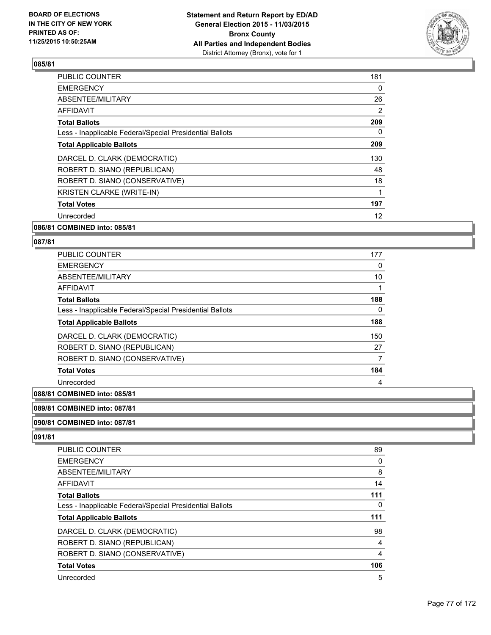

| PUBLIC COUNTER                                           | 181 |
|----------------------------------------------------------|-----|
| <b>EMERGENCY</b>                                         | 0   |
| ABSENTEE/MILITARY                                        | 26  |
| <b>AFFIDAVIT</b>                                         | 2   |
| <b>Total Ballots</b>                                     | 209 |
| Less - Inapplicable Federal/Special Presidential Ballots | 0   |
| <b>Total Applicable Ballots</b>                          | 209 |
| DARCEL D. CLARK (DEMOCRATIC)                             | 130 |
| ROBERT D. SIANO (REPUBLICAN)                             | 48  |
| ROBERT D. SIANO (CONSERVATIVE)                           | 18  |
| <b>KRISTEN CLARKE (WRITE-IN)</b>                         | 1   |
| <b>Total Votes</b>                                       | 197 |
| Unrecorded                                               | 12  |
|                                                          |     |

#### **086/81 COMBINED into: 085/81**

#### **087/81**

| <b>PUBLIC COUNTER</b>                                    | 177 |
|----------------------------------------------------------|-----|
| <b>EMERGENCY</b>                                         | 0   |
| ABSENTEE/MILITARY                                        | 10  |
| AFFIDAVIT                                                |     |
| <b>Total Ballots</b>                                     | 188 |
| Less - Inapplicable Federal/Special Presidential Ballots | 0   |
| <b>Total Applicable Ballots</b>                          | 188 |
| DARCEL D. CLARK (DEMOCRATIC)                             | 150 |
| ROBERT D. SIANO (REPUBLICAN)                             | 27  |
| ROBERT D. SIANO (CONSERVATIVE)                           | 7   |
| <b>Total Votes</b>                                       | 184 |
| Unrecorded                                               | 4   |

## **088/81 COMBINED into: 085/81**

#### **089/81 COMBINED into: 087/81**

#### **090/81 COMBINED into: 087/81**

| 89  |
|-----|
| 0   |
| 8   |
| 14  |
| 111 |
| 0   |
| 111 |
| 98  |
| 4   |
| 4   |
| 106 |
| 5   |
|     |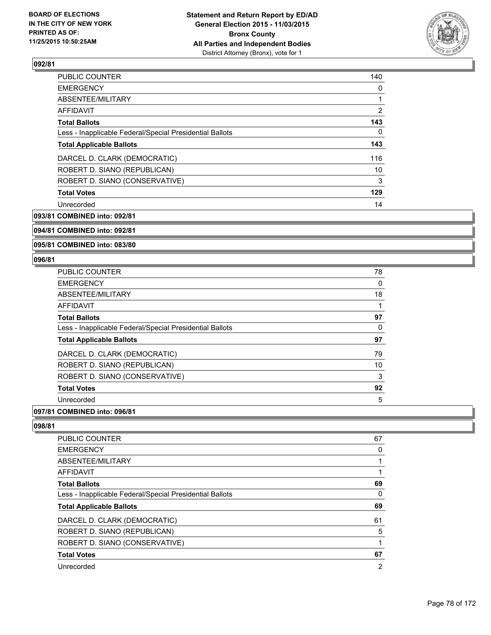

| <b>PUBLIC COUNTER</b>                                    | 140            |
|----------------------------------------------------------|----------------|
| <b>EMERGENCY</b>                                         | 0              |
| ABSENTEE/MILITARY                                        |                |
| AFFIDAVIT                                                | $\overline{2}$ |
| <b>Total Ballots</b>                                     | 143            |
| Less - Inapplicable Federal/Special Presidential Ballots | 0              |
| <b>Total Applicable Ballots</b>                          | 143            |
| DARCEL D. CLARK (DEMOCRATIC)                             | 116            |
| ROBERT D. SIANO (REPUBLICAN)                             | 10             |
| ROBERT D. SIANO (CONSERVATIVE)                           | 3              |
| <b>Total Votes</b>                                       | 129            |
| Unrecorded                                               | 14             |

**093/81 COMBINED into: 092/81**

**094/81 COMBINED into: 092/81**

**095/81 COMBINED into: 083/80**

#### **096/81**

| <b>PUBLIC COUNTER</b>                                    | 78 |
|----------------------------------------------------------|----|
| <b>EMERGENCY</b>                                         | 0  |
| ABSENTEE/MILITARY                                        | 18 |
| <b>AFFIDAVIT</b>                                         |    |
| <b>Total Ballots</b>                                     | 97 |
| Less - Inapplicable Federal/Special Presidential Ballots | 0  |
| <b>Total Applicable Ballots</b>                          | 97 |
| DARCEL D. CLARK (DEMOCRATIC)                             | 79 |
| ROBERT D. SIANO (REPUBLICAN)                             | 10 |
| ROBERT D. SIANO (CONSERVATIVE)                           | 3  |
| <b>Total Votes</b>                                       | 92 |
| Unrecorded                                               | 5  |

## **097/81 COMBINED into: 096/81**

| 67 |
|----|
| 0  |
|    |
| 1  |
| 69 |
| 0  |
| 69 |
| 61 |
| 5  |
|    |
| 67 |
| 2  |
|    |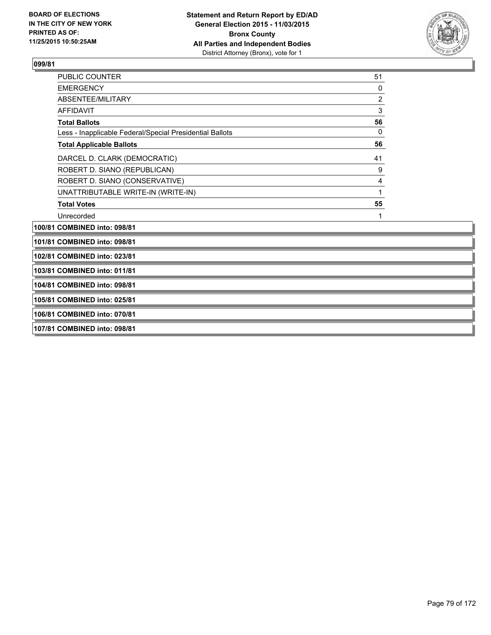

| <b>PUBLIC COUNTER</b>                                    | 51             |  |
|----------------------------------------------------------|----------------|--|
| <b>EMERGENCY</b>                                         | 0              |  |
| ABSENTEE/MILITARY                                        | $\overline{c}$ |  |
| <b>AFFIDAVIT</b>                                         | $\mathbf{3}$   |  |
| <b>Total Ballots</b>                                     | 56             |  |
| Less - Inapplicable Federal/Special Presidential Ballots | $\mathbf 0$    |  |
| <b>Total Applicable Ballots</b>                          | 56             |  |
| DARCEL D. CLARK (DEMOCRATIC)                             | 41             |  |
| ROBERT D. SIANO (REPUBLICAN)                             | 9              |  |
| ROBERT D. SIANO (CONSERVATIVE)                           | 4              |  |
| UNATTRIBUTABLE WRITE-IN (WRITE-IN)                       |                |  |
| <b>Total Votes</b>                                       | 55             |  |
| Unrecorded                                               | 1              |  |
| 100/81 COMBINED into: 098/81                             |                |  |
| 101/81 COMBINED into: 098/81                             |                |  |
| 102/81 COMBINED into: 023/81                             |                |  |
| 103/81 COMBINED into: 011/81                             |                |  |
| 104/81 COMBINED into: 098/81                             |                |  |
| 105/81 COMBINED into: 025/81                             |                |  |
| 106/81 COMBINED into: 070/81                             |                |  |
| 107/81 COMBINED into: 098/81                             |                |  |
|                                                          |                |  |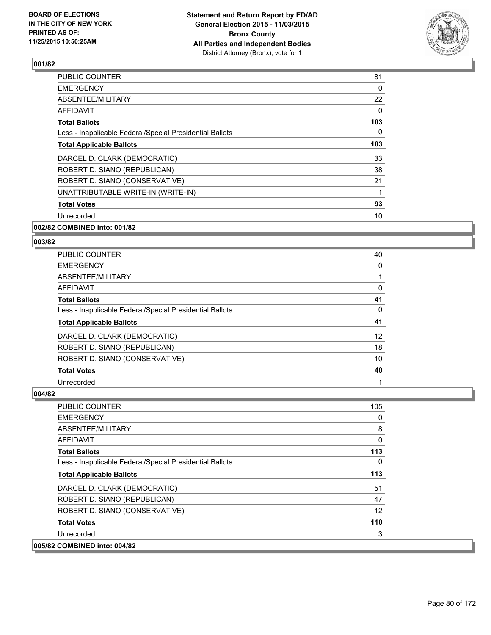

| <b>PUBLIC COUNTER</b>                                    | 81  |
|----------------------------------------------------------|-----|
| <b>EMERGENCY</b>                                         | 0   |
| ABSENTEE/MILITARY                                        | 22  |
| AFFIDAVIT                                                | 0   |
| <b>Total Ballots</b>                                     | 103 |
| Less - Inapplicable Federal/Special Presidential Ballots | 0   |
| <b>Total Applicable Ballots</b>                          | 103 |
| DARCEL D. CLARK (DEMOCRATIC)                             | 33  |
| ROBERT D. SIANO (REPUBLICAN)                             | 38  |
| ROBERT D. SIANO (CONSERVATIVE)                           | 21  |
| UNATTRIBUTABLE WRITE-IN (WRITE-IN)                       |     |
| <b>Total Votes</b>                                       | 93  |
| Unrecorded                                               | 10  |
|                                                          |     |

# **002/82 COMBINED into: 001/82**

#### **003/82**

| <b>PUBLIC COUNTER</b>                                    | 40                |
|----------------------------------------------------------|-------------------|
| <b>EMERGENCY</b>                                         | 0                 |
| ABSENTEE/MILITARY                                        |                   |
| <b>AFFIDAVIT</b>                                         | 0                 |
| <b>Total Ballots</b>                                     | 41                |
| Less - Inapplicable Federal/Special Presidential Ballots | 0                 |
| <b>Total Applicable Ballots</b>                          | 41                |
| DARCEL D. CLARK (DEMOCRATIC)                             | $12 \overline{ }$ |
| ROBERT D. SIANO (REPUBLICAN)                             | 18                |
| ROBERT D. SIANO (CONSERVATIVE)                           | 10                |
| <b>Total Votes</b>                                       | 40                |
| Unrecorded                                               |                   |

| <b>PUBLIC COUNTER</b>                                    | 105      |
|----------------------------------------------------------|----------|
| <b>EMERGENCY</b>                                         | 0        |
| ABSENTEE/MILITARY                                        | 8        |
| <b>AFFIDAVIT</b>                                         | 0        |
| <b>Total Ballots</b>                                     | 113      |
| Less - Inapplicable Federal/Special Presidential Ballots | $\Omega$ |
| <b>Total Applicable Ballots</b>                          | 113      |
| DARCEL D. CLARK (DEMOCRATIC)                             | 51       |
| ROBERT D. SIANO (REPUBLICAN)                             | 47       |
| ROBERT D. SIANO (CONSERVATIVE)                           | 12       |
| <b>Total Votes</b>                                       | 110      |
| Unrecorded                                               | 3        |
| 005/82 COMBINED into: 004/82                             |          |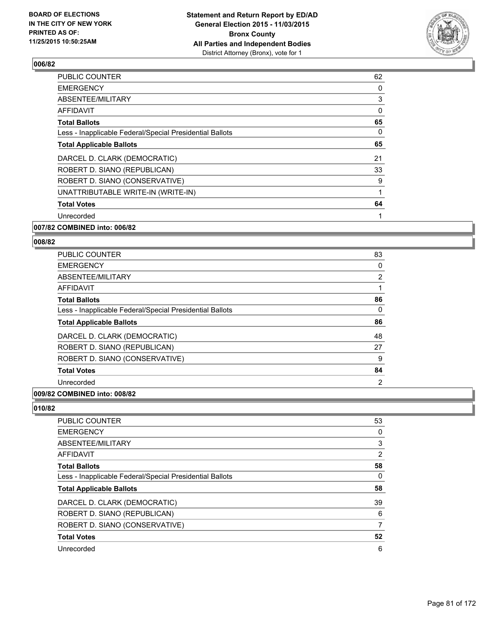

| <b>PUBLIC COUNTER</b>                                    | 62 |
|----------------------------------------------------------|----|
| <b>EMERGENCY</b>                                         | 0  |
| ABSENTEE/MILITARY                                        | 3  |
| <b>AFFIDAVIT</b>                                         | 0  |
| <b>Total Ballots</b>                                     | 65 |
| Less - Inapplicable Federal/Special Presidential Ballots | 0  |
| <b>Total Applicable Ballots</b>                          | 65 |
| DARCEL D. CLARK (DEMOCRATIC)                             | 21 |
| ROBERT D. SIANO (REPUBLICAN)                             | 33 |
| ROBERT D. SIANO (CONSERVATIVE)                           | 9  |
| UNATTRIBUTABLE WRITE-IN (WRITE-IN)                       | 1  |
| <b>Total Votes</b>                                       | 64 |
| Unrecorded                                               | 1  |
|                                                          |    |

# **007/82 COMBINED into: 006/82**

#### **008/82**

| <b>PUBLIC COUNTER</b>                                    | 83             |
|----------------------------------------------------------|----------------|
| <b>EMERGENCY</b>                                         | 0              |
| ABSENTEE/MILITARY                                        | $\overline{2}$ |
| <b>AFFIDAVIT</b>                                         |                |
| <b>Total Ballots</b>                                     | 86             |
| Less - Inapplicable Federal/Special Presidential Ballots | $\Omega$       |
| <b>Total Applicable Ballots</b>                          | 86             |
| DARCEL D. CLARK (DEMOCRATIC)                             | 48             |
| ROBERT D. SIANO (REPUBLICAN)                             | 27             |
| ROBERT D. SIANO (CONSERVATIVE)                           | 9              |
| <b>Total Votes</b>                                       | 84             |
| Unrecorded                                               | $\overline{2}$ |

# **009/82 COMBINED into: 008/82**

| 53             |
|----------------|
| 0              |
| 3              |
| $\overline{2}$ |
| 58             |
| 0              |
| 58             |
| 39             |
| 6              |
| 7              |
| 52             |
| 6              |
|                |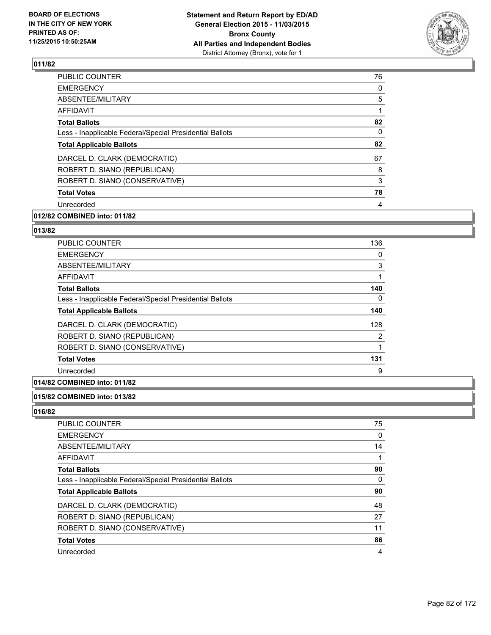

| <b>EMERGENCY</b><br>0<br>ABSENTEE/MILITARY<br>5<br>AFFIDAVIT<br>1<br>82<br><b>Total Ballots</b><br>0<br>Less - Inapplicable Federal/Special Presidential Ballots<br>82<br><b>Total Applicable Ballots</b><br>67<br>DARCEL D. CLARK (DEMOCRATIC)<br>ROBERT D. SIANO (REPUBLICAN)<br>8 |
|--------------------------------------------------------------------------------------------------------------------------------------------------------------------------------------------------------------------------------------------------------------------------------------|
|                                                                                                                                                                                                                                                                                      |
|                                                                                                                                                                                                                                                                                      |
|                                                                                                                                                                                                                                                                                      |
|                                                                                                                                                                                                                                                                                      |
|                                                                                                                                                                                                                                                                                      |
|                                                                                                                                                                                                                                                                                      |
|                                                                                                                                                                                                                                                                                      |
|                                                                                                                                                                                                                                                                                      |
| ROBERT D. SIANO (CONSERVATIVE)<br>3                                                                                                                                                                                                                                                  |
| 78<br><b>Total Votes</b>                                                                                                                                                                                                                                                             |
| Unrecorded<br>4                                                                                                                                                                                                                                                                      |

# **012/82 COMBINED into: 011/82**

## **013/82**

| <b>PUBLIC COUNTER</b>                                    | 136 |
|----------------------------------------------------------|-----|
| <b>EMERGENCY</b>                                         | 0   |
| ABSENTEE/MILITARY                                        | 3   |
| <b>AFFIDAVIT</b>                                         |     |
| <b>Total Ballots</b>                                     | 140 |
| Less - Inapplicable Federal/Special Presidential Ballots | 0   |
| <b>Total Applicable Ballots</b>                          | 140 |
| DARCEL D. CLARK (DEMOCRATIC)                             | 128 |
| ROBERT D. SIANO (REPUBLICAN)                             | 2   |
| ROBERT D. SIANO (CONSERVATIVE)                           | 1   |
| <b>Total Votes</b>                                       | 131 |
| Unrecorded                                               | 9   |

# **014/82 COMBINED into: 011/82**

# **015/82 COMBINED into: 013/82**

| <b>PUBLIC COUNTER</b>                                    | 75 |
|----------------------------------------------------------|----|
| <b>EMERGENCY</b>                                         | 0  |
| ABSENTEE/MILITARY                                        | 14 |
| AFFIDAVIT                                                |    |
| <b>Total Ballots</b>                                     | 90 |
| Less - Inapplicable Federal/Special Presidential Ballots | 0  |
| <b>Total Applicable Ballots</b>                          | 90 |
| DARCEL D. CLARK (DEMOCRATIC)                             | 48 |
| ROBERT D. SIANO (REPUBLICAN)                             | 27 |
| ROBERT D. SIANO (CONSERVATIVE)                           | 11 |
| <b>Total Votes</b>                                       | 86 |
| Unrecorded                                               | 4  |
|                                                          |    |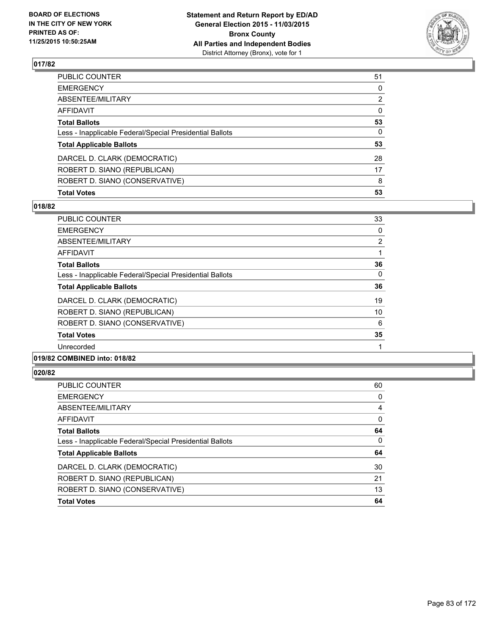

| <b>Total Votes</b>                                       | 53           |
|----------------------------------------------------------|--------------|
| ROBERT D. SIANO (CONSERVATIVE)                           | 8            |
| ROBERT D. SIANO (REPUBLICAN)                             | 17           |
| DARCEL D. CLARK (DEMOCRATIC)                             | 28           |
| <b>Total Applicable Ballots</b>                          | 53           |
| Less - Inapplicable Federal/Special Presidential Ballots | $\mathbf{0}$ |
| <b>Total Ballots</b>                                     | 53           |
| AFFIDAVIT                                                | 0            |
| ABSENTEE/MILITARY                                        | 2            |
| EMERGENCY                                                | 0            |
| PUBLIC COUNTER                                           | 51           |

## **018/82**

| PUBLIC COUNTER                                           | 33             |
|----------------------------------------------------------|----------------|
| <b>EMERGENCY</b>                                         | 0              |
| ABSENTEE/MILITARY                                        | $\overline{2}$ |
| AFFIDAVIT                                                | 1              |
| <b>Total Ballots</b>                                     | 36             |
| Less - Inapplicable Federal/Special Presidential Ballots | $\Omega$       |
| <b>Total Applicable Ballots</b>                          | 36             |
| DARCEL D. CLARK (DEMOCRATIC)                             | 19             |
| ROBERT D. SIANO (REPUBLICAN)                             | 10             |
| ROBERT D. SIANO (CONSERVATIVE)                           | 6              |
| <b>Total Votes</b>                                       | 35             |
| Unrecorded                                               |                |
|                                                          |                |

# **019/82 COMBINED into: 018/82**

| <b>PUBLIC COUNTER</b>                                    | 60 |
|----------------------------------------------------------|----|
| <b>EMERGENCY</b>                                         | 0  |
| ABSENTEE/MILITARY                                        | 4  |
| <b>AFFIDAVIT</b>                                         | 0  |
| <b>Total Ballots</b>                                     | 64 |
| Less - Inapplicable Federal/Special Presidential Ballots | 0  |
| <b>Total Applicable Ballots</b>                          | 64 |
| DARCEL D. CLARK (DEMOCRATIC)                             | 30 |
| ROBERT D. SIANO (REPUBLICAN)                             | 21 |
| ROBERT D. SIANO (CONSERVATIVE)                           | 13 |
| <b>Total Votes</b>                                       | 64 |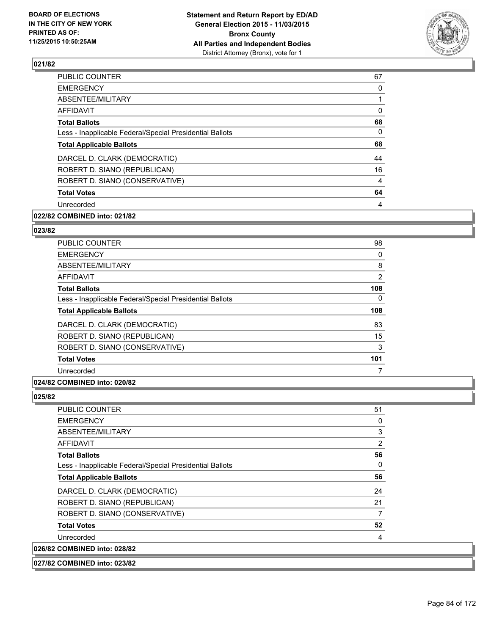

| <b>EMERGENCY</b><br>0<br>ABSENTEE/MILITARY<br>AFFIDAVIT<br>0<br><b>Total Ballots</b><br>0<br>Less - Inapplicable Federal/Special Presidential Ballots<br><b>Total Applicable Ballots</b><br>DARCEL D. CLARK (DEMOCRATIC)<br>44<br>ROBERT D. SIANO (REPUBLICAN)<br>ROBERT D. SIANO (CONSERVATIVE)<br>4<br>64<br><b>Total Votes</b><br>Unrecorded<br>4 | <b>PUBLIC COUNTER</b> | 67 |
|------------------------------------------------------------------------------------------------------------------------------------------------------------------------------------------------------------------------------------------------------------------------------------------------------------------------------------------------------|-----------------------|----|
|                                                                                                                                                                                                                                                                                                                                                      |                       |    |
|                                                                                                                                                                                                                                                                                                                                                      |                       |    |
|                                                                                                                                                                                                                                                                                                                                                      |                       |    |
|                                                                                                                                                                                                                                                                                                                                                      |                       | 68 |
|                                                                                                                                                                                                                                                                                                                                                      |                       |    |
|                                                                                                                                                                                                                                                                                                                                                      |                       | 68 |
|                                                                                                                                                                                                                                                                                                                                                      |                       |    |
|                                                                                                                                                                                                                                                                                                                                                      |                       | 16 |
|                                                                                                                                                                                                                                                                                                                                                      |                       |    |
|                                                                                                                                                                                                                                                                                                                                                      |                       |    |
|                                                                                                                                                                                                                                                                                                                                                      |                       |    |

# **022/82 COMBINED into: 021/82**

## **023/82**

| <b>PUBLIC COUNTER</b>                                    | 98  |
|----------------------------------------------------------|-----|
| <b>EMERGENCY</b>                                         | 0   |
| ABSENTEE/MILITARY                                        | 8   |
| AFFIDAVIT                                                | 2   |
| <b>Total Ballots</b>                                     | 108 |
| Less - Inapplicable Federal/Special Presidential Ballots | 0   |
| <b>Total Applicable Ballots</b>                          | 108 |
| DARCEL D. CLARK (DEMOCRATIC)                             | 83  |
| ROBERT D. SIANO (REPUBLICAN)                             | 15  |
| ROBERT D. SIANO (CONSERVATIVE)                           | 3   |
| <b>Total Votes</b>                                       | 101 |
| Unrecorded                                               |     |

#### **024/82 COMBINED into: 020/82**

| <b>PUBLIC COUNTER</b>                                    | 51 |
|----------------------------------------------------------|----|
| <b>EMERGENCY</b>                                         | 0  |
| ABSENTEE/MILITARY                                        | 3  |
| AFFIDAVIT                                                | 2  |
| <b>Total Ballots</b>                                     | 56 |
| Less - Inapplicable Federal/Special Presidential Ballots | 0  |
| <b>Total Applicable Ballots</b>                          | 56 |
| DARCEL D. CLARK (DEMOCRATIC)                             | 24 |
| ROBERT D. SIANO (REPUBLICAN)                             | 21 |
| ROBERT D. SIANO (CONSERVATIVE)                           | 7  |
| <b>Total Votes</b>                                       | 52 |
| Unrecorded                                               | 4  |
| 026/82 COMBINED into: 028/82                             |    |
| 027/82 COMBINED into: 023/82                             |    |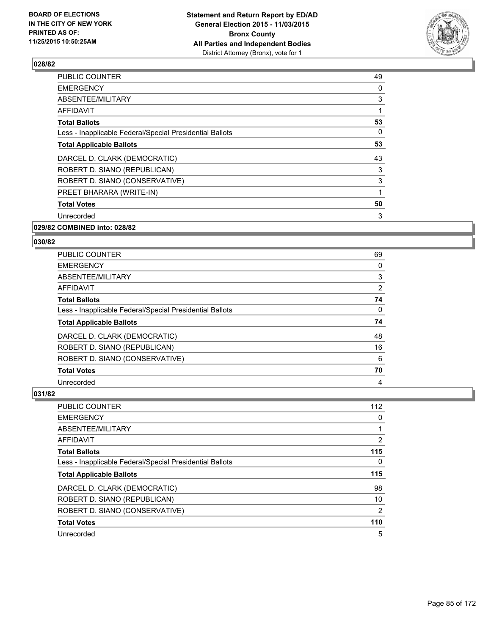

| <b>PUBLIC COUNTER</b>                                    | 49 |
|----------------------------------------------------------|----|
| <b>EMERGENCY</b>                                         | 0  |
| ABSENTEE/MILITARY                                        | 3  |
| AFFIDAVIT                                                |    |
| <b>Total Ballots</b>                                     | 53 |
| Less - Inapplicable Federal/Special Presidential Ballots | 0  |
| <b>Total Applicable Ballots</b>                          | 53 |
| DARCEL D. CLARK (DEMOCRATIC)                             | 43 |
| ROBERT D. SIANO (REPUBLICAN)                             | 3  |
| ROBERT D. SIANO (CONSERVATIVE)                           | 3  |
| PREET BHARARA (WRITE-IN)                                 |    |
| <b>Total Votes</b>                                       | 50 |
| Unrecorded                                               | 3  |
| 029/82 COMBINED into: 028/82                             |    |

| <b>PUBLIC COUNTER</b>                                    | 69                    |
|----------------------------------------------------------|-----------------------|
| <b>EMERGENCY</b>                                         | 0                     |
| ABSENTEE/MILITARY                                        | 3                     |
| AFFIDAVIT                                                | $\mathbf{2}^{\prime}$ |
| <b>Total Ballots</b>                                     | 74                    |
| Less - Inapplicable Federal/Special Presidential Ballots | 0                     |
| <b>Total Applicable Ballots</b>                          | 74                    |
| DARCEL D. CLARK (DEMOCRATIC)                             | 48                    |
| ROBERT D. SIANO (REPUBLICAN)                             | 16                    |
| ROBERT D. SIANO (CONSERVATIVE)                           | 6                     |
| <b>Total Votes</b>                                       | 70                    |
| Unrecorded                                               | 4                     |

| PUBLIC COUNTER                                           | 112            |
|----------------------------------------------------------|----------------|
| <b>EMERGENCY</b>                                         | 0              |
| ABSENTEE/MILITARY                                        |                |
| AFFIDAVIT                                                | $\overline{2}$ |
| <b>Total Ballots</b>                                     | 115            |
| Less - Inapplicable Federal/Special Presidential Ballots | 0              |
| <b>Total Applicable Ballots</b>                          | 115            |
| DARCEL D. CLARK (DEMOCRATIC)                             | 98             |
| ROBERT D. SIANO (REPUBLICAN)                             | 10             |
| ROBERT D. SIANO (CONSERVATIVE)                           | 2              |
| <b>Total Votes</b>                                       | 110            |
| Unrecorded                                               | 5              |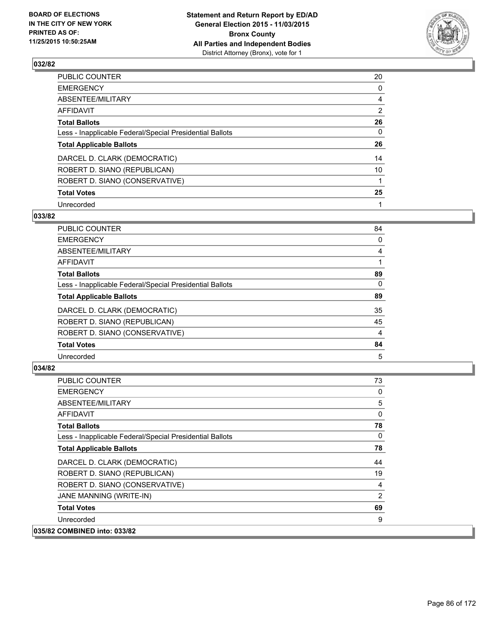

| PUBLIC COUNTER                                           | 20 |
|----------------------------------------------------------|----|
| <b>EMERGENCY</b>                                         | 0  |
| ABSENTEE/MILITARY                                        | 4  |
| <b>AFFIDAVIT</b>                                         | 2  |
| <b>Total Ballots</b>                                     | 26 |
| Less - Inapplicable Federal/Special Presidential Ballots | 0  |
| <b>Total Applicable Ballots</b>                          | 26 |
| DARCEL D. CLARK (DEMOCRATIC)                             | 14 |
| ROBERT D. SIANO (REPUBLICAN)                             | 10 |
| ROBERT D. SIANO (CONSERVATIVE)                           | 1  |
| <b>Total Votes</b>                                       | 25 |
| Unrecorded                                               |    |

#### **033/82**

| <b>PUBLIC COUNTER</b>                                    | 84 |
|----------------------------------------------------------|----|
| <b>EMERGENCY</b>                                         | 0  |
| <b>ABSENTEE/MILITARY</b>                                 | 4  |
| <b>AFFIDAVIT</b>                                         |    |
| <b>Total Ballots</b>                                     | 89 |
| Less - Inapplicable Federal/Special Presidential Ballots | 0  |
| <b>Total Applicable Ballots</b>                          | 89 |
| DARCEL D. CLARK (DEMOCRATIC)                             | 35 |
| ROBERT D. SIANO (REPUBLICAN)                             | 45 |
| ROBERT D. SIANO (CONSERVATIVE)                           | 4  |
| <b>Total Votes</b>                                       | 84 |
| Unrecorded                                               | 5  |
|                                                          |    |

| <b>PUBLIC COUNTER</b>                                    | 73           |
|----------------------------------------------------------|--------------|
| <b>EMERGENCY</b>                                         | 0            |
| ABSENTEE/MILITARY                                        | 5            |
| <b>AFFIDAVIT</b>                                         | 0            |
| <b>Total Ballots</b>                                     | 78           |
| Less - Inapplicable Federal/Special Presidential Ballots | $\mathbf{0}$ |
| <b>Total Applicable Ballots</b>                          | 78           |
| DARCEL D. CLARK (DEMOCRATIC)                             | 44           |
| ROBERT D. SIANO (REPUBLICAN)                             | 19           |
| ROBERT D. SIANO (CONSERVATIVE)                           | 4            |
| JANE MANNING (WRITE-IN)                                  | 2            |
| <b>Total Votes</b>                                       | 69           |
| Unrecorded                                               | 9            |
| 035/82 COMBINED into: 033/82                             |              |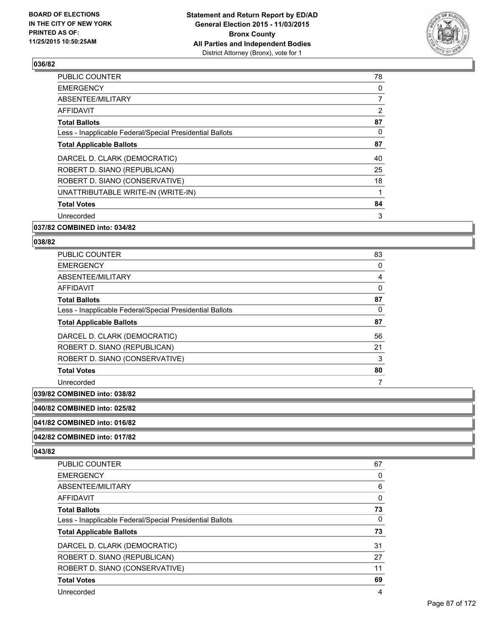

| <b>PUBLIC COUNTER</b>                                    | 78             |
|----------------------------------------------------------|----------------|
| <b>EMERGENCY</b>                                         | 0              |
| ABSENTEE/MILITARY                                        | $\overline{7}$ |
| <b>AFFIDAVIT</b>                                         | $\overline{2}$ |
| <b>Total Ballots</b>                                     | 87             |
| Less - Inapplicable Federal/Special Presidential Ballots | 0              |
| <b>Total Applicable Ballots</b>                          | 87             |
| DARCEL D. CLARK (DEMOCRATIC)                             | 40             |
| ROBERT D. SIANO (REPUBLICAN)                             | 25             |
| ROBERT D. SIANO (CONSERVATIVE)                           | 18             |
| UNATTRIBUTABLE WRITE-IN (WRITE-IN)                       | 1              |
| <b>Total Votes</b>                                       | 84             |
| Unrecorded                                               | 3              |
|                                                          |                |

#### **037/82 COMBINED into: 034/82**

#### **038/82**

| <b>PUBLIC COUNTER</b>                                    | 83 |
|----------------------------------------------------------|----|
| <b>EMERGENCY</b>                                         | 0  |
| ABSENTEE/MILITARY                                        | 4  |
| AFFIDAVIT                                                | 0  |
| <b>Total Ballots</b>                                     | 87 |
| Less - Inapplicable Federal/Special Presidential Ballots | 0  |
| <b>Total Applicable Ballots</b>                          | 87 |
|                                                          |    |
| DARCEL D. CLARK (DEMOCRATIC)                             | 56 |
| ROBERT D. SIANO (REPUBLICAN)                             | 21 |
| ROBERT D. SIANO (CONSERVATIVE)                           | 3  |
| <b>Total Votes</b>                                       | 80 |

#### **039/82 COMBINED into: 038/82**

**040/82 COMBINED into: 025/82**

#### **041/82 COMBINED into: 016/82**

#### **042/82 COMBINED into: 017/82**

| PUBLIC COUNTER                                           | 67 |
|----------------------------------------------------------|----|
| <b>EMERGENCY</b>                                         | 0  |
| ABSENTEE/MILITARY                                        | 6  |
| <b>AFFIDAVIT</b>                                         | 0  |
| <b>Total Ballots</b>                                     | 73 |
| Less - Inapplicable Federal/Special Presidential Ballots | 0  |
| <b>Total Applicable Ballots</b>                          | 73 |
| DARCEL D. CLARK (DEMOCRATIC)                             | 31 |
| ROBERT D. SIANO (REPUBLICAN)                             | 27 |
| ROBERT D. SIANO (CONSERVATIVE)                           | 11 |
| <b>Total Votes</b>                                       | 69 |
|                                                          |    |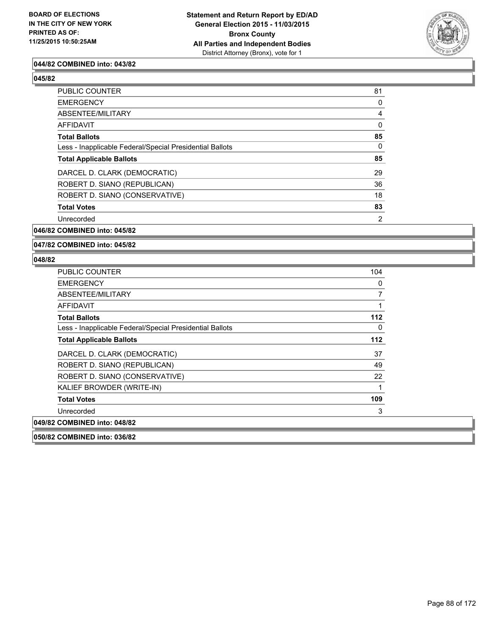

## **044/82 COMBINED into: 043/82**

#### **045/82**

| PUBLIC COUNTER                                           | 81 |
|----------------------------------------------------------|----|
| <b>EMERGENCY</b>                                         | 0  |
| ABSENTEE/MILITARY                                        | 4  |
| <b>AFFIDAVIT</b>                                         | 0  |
| <b>Total Ballots</b>                                     | 85 |
| Less - Inapplicable Federal/Special Presidential Ballots | 0  |
| <b>Total Applicable Ballots</b>                          | 85 |
| DARCEL D. CLARK (DEMOCRATIC)                             | 29 |
| ROBERT D. SIANO (REPUBLICAN)                             | 36 |
| ROBERT D. SIANO (CONSERVATIVE)                           | 18 |
| <b>Total Votes</b>                                       | 83 |
| Unrecorded                                               | 2  |

**046/82 COMBINED into: 045/82**

#### **047/82 COMBINED into: 045/82**

| <b>PUBLIC COUNTER</b>                                    | 104 |
|----------------------------------------------------------|-----|
| <b>EMERGENCY</b>                                         | 0   |
| ABSENTEE/MILITARY                                        | 7   |
| AFFIDAVIT                                                | 1   |
| <b>Total Ballots</b>                                     | 112 |
| Less - Inapplicable Federal/Special Presidential Ballots | 0   |
| <b>Total Applicable Ballots</b>                          | 112 |
| DARCEL D. CLARK (DEMOCRATIC)                             | 37  |
| ROBERT D. SIANO (REPUBLICAN)                             | 49  |
| ROBERT D. SIANO (CONSERVATIVE)                           | 22  |
| KALIEF BROWDER (WRITE-IN)                                | 1   |
| <b>Total Votes</b>                                       | 109 |
| Unrecorded                                               | 3   |
| 049/82 COMBINED into: 048/82                             |     |
| 050/82 COMBINED into: 036/82                             |     |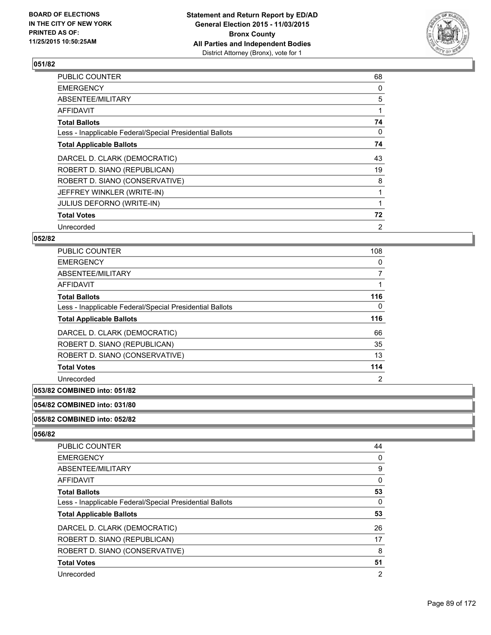

| <b>PUBLIC COUNTER</b>                                    | 68 |
|----------------------------------------------------------|----|
| <b>EMERGENCY</b>                                         | 0  |
| ABSENTEE/MILITARY                                        | 5  |
| AFFIDAVIT                                                |    |
| <b>Total Ballots</b>                                     | 74 |
| Less - Inapplicable Federal/Special Presidential Ballots | 0  |
| <b>Total Applicable Ballots</b>                          | 74 |
| DARCEL D. CLARK (DEMOCRATIC)                             | 43 |
| ROBERT D. SIANO (REPUBLICAN)                             | 19 |
| ROBERT D. SIANO (CONSERVATIVE)                           | 8  |
| JEFFREY WINKLER (WRITE-IN)                               |    |
| <b>JULIUS DEFORNO (WRITE-IN)</b>                         |    |
| <b>Total Votes</b>                                       | 72 |
| Unrecorded                                               | 2  |

## **052/82**

| <b>PUBLIC COUNTER</b>                                    | 108            |
|----------------------------------------------------------|----------------|
| <b>EMERGENCY</b>                                         | 0              |
| ABSENTEE/MILITARY                                        | 7              |
| <b>AFFIDAVIT</b>                                         |                |
| <b>Total Ballots</b>                                     | 116            |
| Less - Inapplicable Federal/Special Presidential Ballots | $\Omega$       |
| <b>Total Applicable Ballots</b>                          | 116            |
| DARCEL D. CLARK (DEMOCRATIC)                             | 66             |
| ROBERT D. SIANO (REPUBLICAN)                             | 35             |
| ROBERT D. SIANO (CONSERVATIVE)                           | 13             |
| <b>Total Votes</b>                                       | 114            |
| Unrecorded                                               | $\overline{2}$ |

#### **053/82 COMBINED into: 051/82**

## **054/82 COMBINED into: 031/80**

#### **055/82 COMBINED into: 052/82**

| <b>PUBLIC COUNTER</b>                                    | 44 |
|----------------------------------------------------------|----|
| <b>EMERGENCY</b>                                         | 0  |
| ABSENTEE/MILITARY                                        | 9  |
| AFFIDAVIT                                                | 0  |
| <b>Total Ballots</b>                                     | 53 |
| Less - Inapplicable Federal/Special Presidential Ballots | 0  |
| <b>Total Applicable Ballots</b>                          | 53 |
| DARCEL D. CLARK (DEMOCRATIC)                             | 26 |
| ROBERT D. SIANO (REPUBLICAN)                             | 17 |
| ROBERT D. SIANO (CONSERVATIVE)                           | 8  |
| <b>Total Votes</b>                                       | 51 |
| Unrecorded                                               | 2  |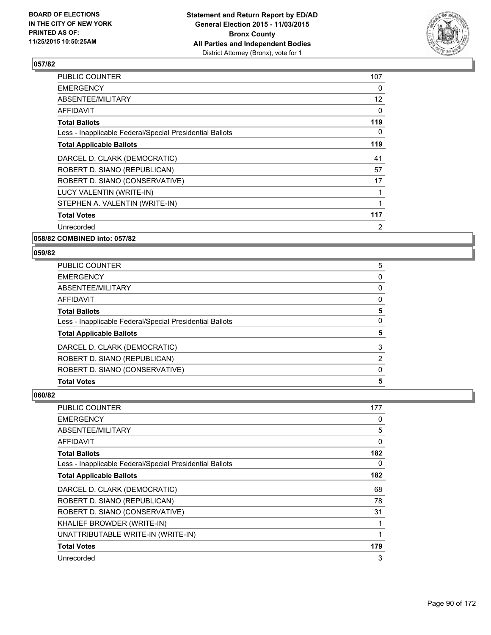

| <b>PUBLIC COUNTER</b>                                    | 107               |
|----------------------------------------------------------|-------------------|
| <b>EMERGENCY</b>                                         | 0                 |
| ABSENTEE/MILITARY                                        | $12 \overline{ }$ |
| AFFIDAVIT                                                | 0                 |
| <b>Total Ballots</b>                                     | 119               |
| Less - Inapplicable Federal/Special Presidential Ballots | 0                 |
| <b>Total Applicable Ballots</b>                          | 119               |
| DARCEL D. CLARK (DEMOCRATIC)                             | 41                |
| ROBERT D. SIANO (REPUBLICAN)                             | 57                |
| ROBERT D. SIANO (CONSERVATIVE)                           | 17                |
| LUCY VALENTIN (WRITE-IN)                                 | 1                 |
| STEPHEN A. VALENTIN (WRITE-IN)                           | 1                 |
| <b>Total Votes</b>                                       | 117               |
| Unrecorded                                               | 2                 |
|                                                          |                   |

**058/82 COMBINED into: 057/82**

#### **059/82**

| <b>Total Votes</b>                                       | 5 |
|----------------------------------------------------------|---|
| ROBERT D. SIANO (CONSERVATIVE)                           | 0 |
| ROBERT D. SIANO (REPUBLICAN)                             | 2 |
| DARCEL D. CLARK (DEMOCRATIC)                             | 3 |
| <b>Total Applicable Ballots</b>                          | 5 |
| Less - Inapplicable Federal/Special Presidential Ballots | 0 |
| <b>Total Ballots</b>                                     | 5 |
| <b>AFFIDAVIT</b>                                         | 0 |
| ABSENTEE/MILITARY                                        | 0 |
| <b>EMERGENCY</b>                                         | 0 |
| <b>PUBLIC COUNTER</b>                                    | 5 |

| <b>PUBLIC COUNTER</b>                                    | 177 |
|----------------------------------------------------------|-----|
| <b>EMERGENCY</b>                                         | 0   |
| ABSENTEE/MILITARY                                        | 5   |
| <b>AFFIDAVIT</b>                                         | 0   |
| <b>Total Ballots</b>                                     | 182 |
| Less - Inapplicable Federal/Special Presidential Ballots | 0   |
| <b>Total Applicable Ballots</b>                          | 182 |
| DARCEL D. CLARK (DEMOCRATIC)                             | 68  |
| ROBERT D. SIANO (REPUBLICAN)                             | 78  |
| ROBERT D. SIANO (CONSERVATIVE)                           | 31  |
| KHALIEF BROWDER (WRITE-IN)                               | 1   |
| UNATTRIBUTABLE WRITE-IN (WRITE-IN)                       | 1   |
| <b>Total Votes</b>                                       | 179 |
| Unrecorded                                               | 3   |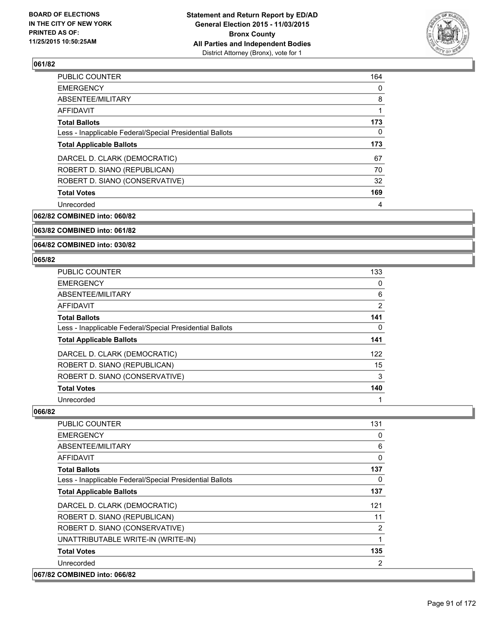

| PUBLIC COUNTER                                           | 164 |
|----------------------------------------------------------|-----|
| <b>EMERGENCY</b>                                         | 0   |
| ABSENTEE/MILITARY                                        | 8   |
| AFFIDAVIT                                                |     |
| <b>Total Ballots</b>                                     | 173 |
| Less - Inapplicable Federal/Special Presidential Ballots | 0   |
| <b>Total Applicable Ballots</b>                          | 173 |
| DARCEL D. CLARK (DEMOCRATIC)                             | 67  |
| ROBERT D. SIANO (REPUBLICAN)                             | 70  |
| ROBERT D. SIANO (CONSERVATIVE)                           | 32  |
| <b>Total Votes</b>                                       | 169 |
| Unrecorded                                               | 4   |

**062/82 COMBINED into: 060/82**

## **063/82 COMBINED into: 061/82**

#### **064/82 COMBINED into: 030/82**

#### **065/82**

| <b>PUBLIC COUNTER</b>                                    | 133            |
|----------------------------------------------------------|----------------|
| <b>EMERGENCY</b>                                         | 0              |
| ABSENTEE/MILITARY                                        | 6              |
| <b>AFFIDAVIT</b>                                         | $\overline{2}$ |
| <b>Total Ballots</b>                                     | 141            |
| Less - Inapplicable Federal/Special Presidential Ballots | 0              |
| <b>Total Applicable Ballots</b>                          | 141            |
| DARCEL D. CLARK (DEMOCRATIC)                             | 122            |
| ROBERT D. SIANO (REPUBLICAN)                             | 15             |
| ROBERT D. SIANO (CONSERVATIVE)                           | 3              |
| <b>Total Votes</b>                                       | 140            |
| Unrecorded                                               |                |

| PUBLIC COUNTER                                           | 131 |
|----------------------------------------------------------|-----|
| <b>EMERGENCY</b>                                         | 0   |
| ABSENTEE/MILITARY                                        | 6   |
| AFFIDAVIT                                                | 0   |
| <b>Total Ballots</b>                                     | 137 |
| Less - Inapplicable Federal/Special Presidential Ballots | 0   |
| <b>Total Applicable Ballots</b>                          | 137 |
| DARCEL D. CLARK (DEMOCRATIC)                             | 121 |
| ROBERT D. SIANO (REPUBLICAN)                             | 11  |
| ROBERT D. SIANO (CONSERVATIVE)                           | 2   |
| UNATTRIBUTABLE WRITE-IN (WRITE-IN)                       | 1   |
| <b>Total Votes</b>                                       | 135 |
| Unrecorded                                               | 2   |
| 067/82 COMBINED into: 066/82                             |     |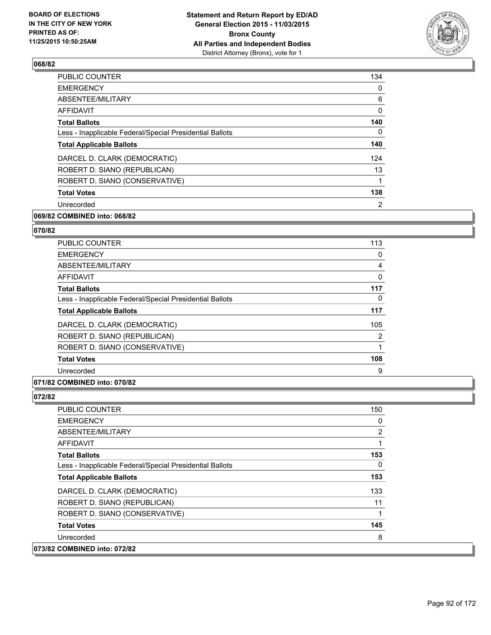

| PUBLIC COUNTER                                           | 134            |
|----------------------------------------------------------|----------------|
| <b>EMERGENCY</b>                                         | 0              |
| ABSENTEE/MILITARY                                        | 6              |
| AFFIDAVIT                                                | 0              |
| <b>Total Ballots</b>                                     | 140            |
| Less - Inapplicable Federal/Special Presidential Ballots | 0              |
| <b>Total Applicable Ballots</b>                          | 140            |
| DARCEL D. CLARK (DEMOCRATIC)                             | 124            |
| ROBERT D. SIANO (REPUBLICAN)                             | 13             |
| ROBERT D. SIANO (CONSERVATIVE)                           | 1              |
| <b>Total Votes</b>                                       | 138            |
| Unrecorded                                               | $\overline{2}$ |
|                                                          |                |

# **069/82 COMBINED into: 068/82**

## **070/82**

| <b>PUBLIC COUNTER</b>                                    | 113            |
|----------------------------------------------------------|----------------|
| <b>EMERGENCY</b>                                         | 0              |
| ABSENTEE/MILITARY                                        | 4              |
| <b>AFFIDAVIT</b>                                         | $\Omega$       |
| <b>Total Ballots</b>                                     | 117            |
| Less - Inapplicable Federal/Special Presidential Ballots | 0              |
| <b>Total Applicable Ballots</b>                          | 117            |
| DARCEL D. CLARK (DEMOCRATIC)                             | 105            |
| ROBERT D. SIANO (REPUBLICAN)                             | $\overline{2}$ |
| ROBERT D. SIANO (CONSERVATIVE)                           |                |
| <b>Total Votes</b>                                       | 108            |
| Unrecorded                                               | 9              |

## **071/82 COMBINED into: 070/82**

| <b>PUBLIC COUNTER</b>                                    | 150 |
|----------------------------------------------------------|-----|
| <b>EMERGENCY</b>                                         | 0   |
| ABSENTEE/MILITARY                                        | 2   |
| <b>AFFIDAVIT</b>                                         |     |
| <b>Total Ballots</b>                                     | 153 |
| Less - Inapplicable Federal/Special Presidential Ballots | 0   |
| <b>Total Applicable Ballots</b>                          | 153 |
| DARCEL D. CLARK (DEMOCRATIC)                             | 133 |
| ROBERT D. SIANO (REPUBLICAN)                             | 11  |
| ROBERT D. SIANO (CONSERVATIVE)                           | 1   |
| <b>Total Votes</b>                                       | 145 |
| Unrecorded                                               | 8   |
| 073/82 COMBINED into: 072/82                             |     |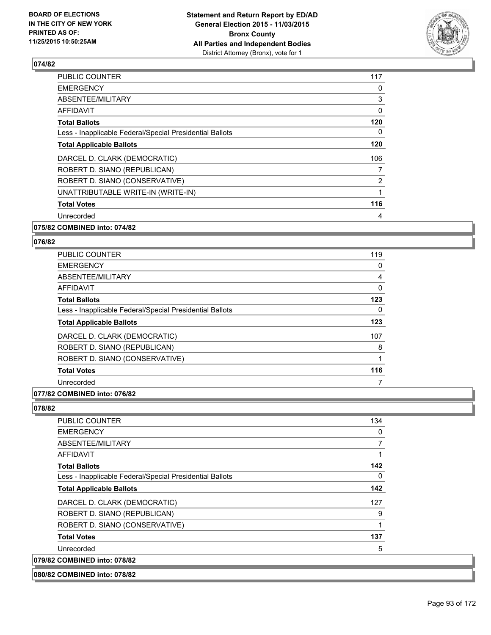

| <b>PUBLIC COUNTER</b>                                    | 117 |
|----------------------------------------------------------|-----|
| <b>EMERGENCY</b>                                         | 0   |
| ABSENTEE/MILITARY                                        | 3   |
| AFFIDAVIT                                                | 0   |
| <b>Total Ballots</b>                                     | 120 |
| Less - Inapplicable Federal/Special Presidential Ballots | 0   |
| <b>Total Applicable Ballots</b>                          | 120 |
| DARCEL D. CLARK (DEMOCRATIC)                             | 106 |
| ROBERT D. SIANO (REPUBLICAN)                             | 7   |
| ROBERT D. SIANO (CONSERVATIVE)                           | 2   |
| UNATTRIBUTABLE WRITE-IN (WRITE-IN)                       | 1   |
| <b>Total Votes</b>                                       | 116 |
| Unrecorded                                               | 4   |
|                                                          |     |

# **075/82 COMBINED into: 074/82**

#### **076/82**

| <b>PUBLIC COUNTER</b>                                    | 119 |
|----------------------------------------------------------|-----|
| <b>EMERGENCY</b>                                         | 0   |
| ABSENTEE/MILITARY                                        | 4   |
| AFFIDAVIT                                                | 0   |
| <b>Total Ballots</b>                                     | 123 |
| Less - Inapplicable Federal/Special Presidential Ballots | 0   |
| <b>Total Applicable Ballots</b>                          | 123 |
| DARCEL D. CLARK (DEMOCRATIC)                             | 107 |
| ROBERT D. SIANO (REPUBLICAN)                             | 8   |
| ROBERT D. SIANO (CONSERVATIVE)                           | 1   |
| <b>Total Votes</b>                                       | 116 |
| Unrecorded                                               |     |

# **077/82 COMBINED into: 076/82**

| PUBLIC COUNTER                                           | 134 |
|----------------------------------------------------------|-----|
| <b>EMERGENCY</b>                                         | 0   |
| ABSENTEE/MILITARY                                        | 7   |
| <b>AFFIDAVIT</b>                                         | 1   |
| <b>Total Ballots</b>                                     | 142 |
| Less - Inapplicable Federal/Special Presidential Ballots | 0   |
| <b>Total Applicable Ballots</b>                          | 142 |
| DARCEL D. CLARK (DEMOCRATIC)                             | 127 |
| ROBERT D. SIANO (REPUBLICAN)                             | 9   |
| ROBERT D. SIANO (CONSERVATIVE)                           | 1   |
| <b>Total Votes</b>                                       | 137 |
| Unrecorded                                               | 5   |
| 079/82 COMBINED into: 078/82                             |     |
| 080/82 COMBINED into: 078/82                             |     |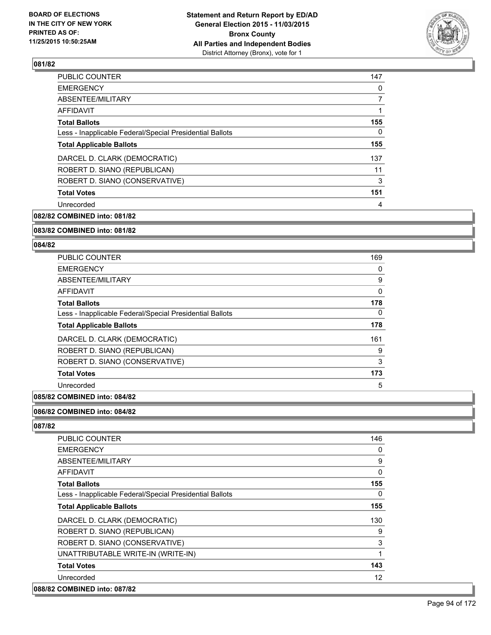

| <b>PUBLIC COUNTER</b>                                    | 147            |
|----------------------------------------------------------|----------------|
| <b>EMERGENCY</b>                                         | 0              |
| ABSENTEE/MILITARY                                        | $\overline{7}$ |
| AFFIDAVIT                                                |                |
| <b>Total Ballots</b>                                     | 155            |
| Less - Inapplicable Federal/Special Presidential Ballots | 0              |
| <b>Total Applicable Ballots</b>                          | 155            |
| DARCEL D. CLARK (DEMOCRATIC)                             | 137            |
| ROBERT D. SIANO (REPUBLICAN)                             | 11             |
| ROBERT D. SIANO (CONSERVATIVE)                           | 3              |
| <b>Total Votes</b>                                       | 151            |
| Unrecorded                                               | 4              |
|                                                          |                |

**082/82 COMBINED into: 081/82**

#### **083/82 COMBINED into: 081/82**

#### **084/82**

| <b>PUBLIC COUNTER</b>                                    | 169 |
|----------------------------------------------------------|-----|
| <b>EMERGENCY</b>                                         | 0   |
| ABSENTEE/MILITARY                                        | 9   |
| <b>AFFIDAVIT</b>                                         | 0   |
| <b>Total Ballots</b>                                     | 178 |
| Less - Inapplicable Federal/Special Presidential Ballots | 0   |
| <b>Total Applicable Ballots</b>                          | 178 |
| DARCEL D. CLARK (DEMOCRATIC)                             | 161 |
| ROBERT D. SIANO (REPUBLICAN)                             | 9   |
| ROBERT D. SIANO (CONSERVATIVE)                           | 3   |
| <b>Total Votes</b>                                       | 173 |
| Unrecorded                                               | 5   |
|                                                          |     |

# **085/82 COMBINED into: 084/82**

#### **086/82 COMBINED into: 084/82**

| <b>PUBLIC COUNTER</b>                                    | 146      |
|----------------------------------------------------------|----------|
| <b>EMERGENCY</b>                                         | 0        |
| ABSENTEE/MILITARY                                        | 9        |
| AFFIDAVIT                                                | $\Omega$ |
| <b>Total Ballots</b>                                     | 155      |
| Less - Inapplicable Federal/Special Presidential Ballots | $\Omega$ |
| <b>Total Applicable Ballots</b>                          | 155      |
| DARCEL D. CLARK (DEMOCRATIC)                             | 130      |
| ROBERT D. SIANO (REPUBLICAN)                             | 9        |
| ROBERT D. SIANO (CONSERVATIVE)                           | 3        |
| UNATTRIBUTABLE WRITE-IN (WRITE-IN)                       | 1        |
| <b>Total Votes</b>                                       | 143      |
| Unrecorded                                               | 12       |
| 088/82 COMBINED into: 087/82                             |          |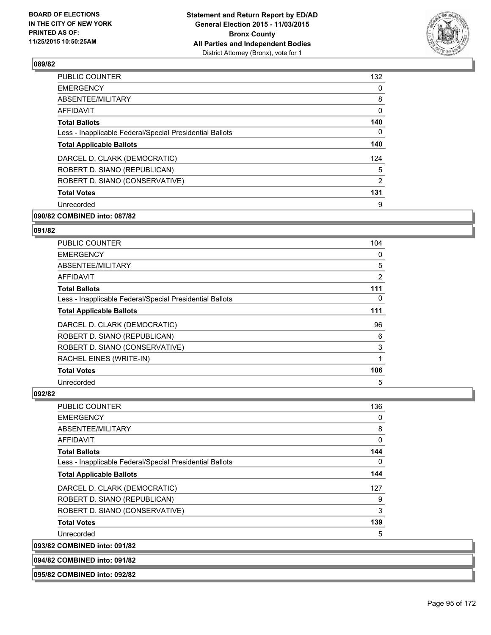

| <b>PUBLIC COUNTER</b>                                    | 132 |
|----------------------------------------------------------|-----|
| <b>EMERGENCY</b>                                         | 0   |
| ABSENTEE/MILITARY                                        | 8   |
| AFFIDAVIT                                                | 0   |
| <b>Total Ballots</b>                                     | 140 |
| Less - Inapplicable Federal/Special Presidential Ballots | 0   |
| <b>Total Applicable Ballots</b>                          | 140 |
| DARCEL D. CLARK (DEMOCRATIC)                             | 124 |
| ROBERT D. SIANO (REPUBLICAN)                             | 5   |
| ROBERT D. SIANO (CONSERVATIVE)                           | 2   |
| <b>Total Votes</b>                                       | 131 |
| Unrecorded                                               | 9   |
|                                                          |     |

# **090/82 COMBINED into: 087/82**

## **091/82**

| <b>PUBLIC COUNTER</b>                                    | 104            |
|----------------------------------------------------------|----------------|
| <b>EMERGENCY</b>                                         | 0              |
| ABSENTEE/MILITARY                                        | 5              |
| AFFIDAVIT                                                | $\overline{2}$ |
| <b>Total Ballots</b>                                     | 111            |
| Less - Inapplicable Federal/Special Presidential Ballots | 0              |
| <b>Total Applicable Ballots</b>                          | 111            |
| DARCEL D. CLARK (DEMOCRATIC)                             | 96             |
| ROBERT D. SIANO (REPUBLICAN)                             | 6              |
| ROBERT D. SIANO (CONSERVATIVE)                           | 3              |
| RACHEL EINES (WRITE-IN)                                  | 1              |
| <b>Total Votes</b>                                       | 106            |
| Unrecorded                                               | 5              |

## **092/82**

**093/82** 

| <b>COMBINED into: 091/82</b>                             |          |
|----------------------------------------------------------|----------|
| Unrecorded                                               | 5        |
| <b>Total Votes</b>                                       | 139      |
| ROBERT D. SIANO (CONSERVATIVE)                           | 3        |
| ROBERT D. SIANO (REPUBLICAN)                             | 9        |
| DARCEL D. CLARK (DEMOCRATIC)                             | 127      |
| <b>Total Applicable Ballots</b>                          | 144      |
| Less - Inapplicable Federal/Special Presidential Ballots | $\Omega$ |
| <b>Total Ballots</b>                                     | 144      |
| <b>AFFIDAVIT</b>                                         | 0        |
| ABSENTEE/MILITARY                                        | 8        |
| <b>EMERGENCY</b>                                         | 0        |
| PUBLIC COUNTER                                           | 136      |

#### **094/82 COMBINED into: 091/82**

**095/82 COMBINED into: 092/82**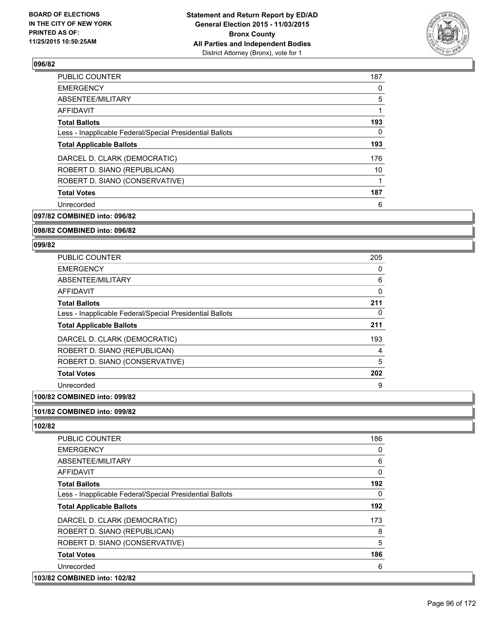

| <b>PUBLIC COUNTER</b>                                    | 187 |
|----------------------------------------------------------|-----|
| <b>EMERGENCY</b>                                         | 0   |
| ABSENTEE/MILITARY                                        | 5   |
| AFFIDAVIT                                                | 1   |
| <b>Total Ballots</b>                                     | 193 |
| Less - Inapplicable Federal/Special Presidential Ballots | 0   |
| <b>Total Applicable Ballots</b>                          | 193 |
| DARCEL D. CLARK (DEMOCRATIC)                             | 176 |
| ROBERT D. SIANO (REPUBLICAN)                             | 10  |
| ROBERT D. SIANO (CONSERVATIVE)                           | 1   |
| <b>Total Votes</b>                                       | 187 |
| Unrecorded                                               | 6   |
|                                                          |     |

**097/82 COMBINED into: 096/82**

#### **098/82 COMBINED into: 096/82**

#### **099/82**

| <b>PUBLIC COUNTER</b>                                    | 205 |
|----------------------------------------------------------|-----|
| <b>EMERGENCY</b>                                         | 0   |
| ABSENTEE/MILITARY                                        | 6   |
| <b>AFFIDAVIT</b>                                         | 0   |
| <b>Total Ballots</b>                                     | 211 |
| Less - Inapplicable Federal/Special Presidential Ballots | 0   |
| <b>Total Applicable Ballots</b>                          | 211 |
| DARCEL D. CLARK (DEMOCRATIC)                             | 193 |
| ROBERT D. SIANO (REPUBLICAN)                             | 4   |
| ROBERT D. SIANO (CONSERVATIVE)                           | 5   |
| <b>Total Votes</b>                                       | 202 |
| Unrecorded                                               | 9   |

# **100/82 COMBINED into: 099/82**

## **101/82 COMBINED into: 099/82**

| <b>PUBLIC COUNTER</b>                                    | 186      |
|----------------------------------------------------------|----------|
| <b>EMERGENCY</b>                                         | 0        |
| ABSENTEE/MILITARY                                        | 6        |
| <b>AFFIDAVIT</b>                                         | $\Omega$ |
| <b>Total Ballots</b>                                     | 192      |
| Less - Inapplicable Federal/Special Presidential Ballots | 0        |
| <b>Total Applicable Ballots</b>                          | 192      |
| DARCEL D. CLARK (DEMOCRATIC)                             | 173      |
| ROBERT D. SIANO (REPUBLICAN)                             | 8        |
| ROBERT D. SIANO (CONSERVATIVE)                           | 5        |
| <b>Total Votes</b>                                       | 186      |
| Unrecorded                                               | 6        |
| 103/82 COMBINED into: 102/82                             |          |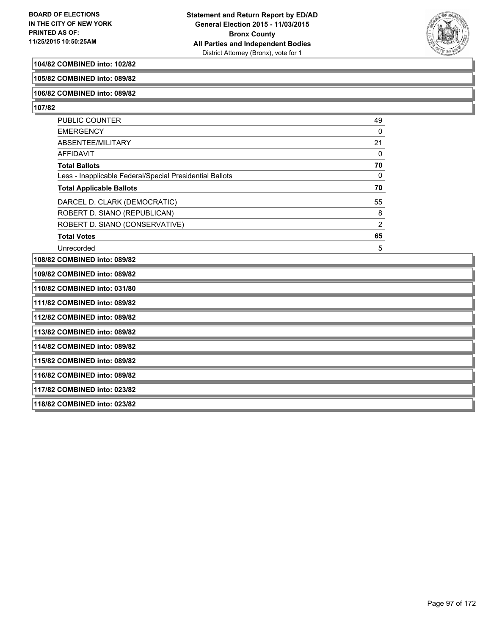

#### **104/82 COMBINED into: 102/82**

**105/82 COMBINED into: 089/82**

#### **106/82 COMBINED into: 089/82**

**107/82** 

| <b>PUBLIC COUNTER</b>                                    | 49             |
|----------------------------------------------------------|----------------|
| <b>EMERGENCY</b>                                         | 0              |
| ABSENTEE/MILITARY                                        | 21             |
| AFFIDAVIT                                                | 0              |
| <b>Total Ballots</b>                                     | 70             |
| Less - Inapplicable Federal/Special Presidential Ballots | 0              |
| <b>Total Applicable Ballots</b>                          | 70             |
| DARCEL D. CLARK (DEMOCRATIC)                             | 55             |
| ROBERT D. SIANO (REPUBLICAN)                             | 8              |
| ROBERT D. SIANO (CONSERVATIVE)                           | $\overline{2}$ |
| <b>Total Votes</b>                                       | 65             |
| Unrecorded                                               | 5              |

**108/82 COMBINED into: 089/82**

**109/82 COMBINED into: 089/82**

**110/82 COMBINED into: 031/80**

**111/82 COMBINED into: 089/82**

**112/82 COMBINED into: 089/82**

**113/82 COMBINED into: 089/82**

**114/82 COMBINED into: 089/82**

**115/82 COMBINED into: 089/82**

**116/82 COMBINED into: 089/82**

**117/82 COMBINED into: 023/82**

**118/82 COMBINED into: 023/82**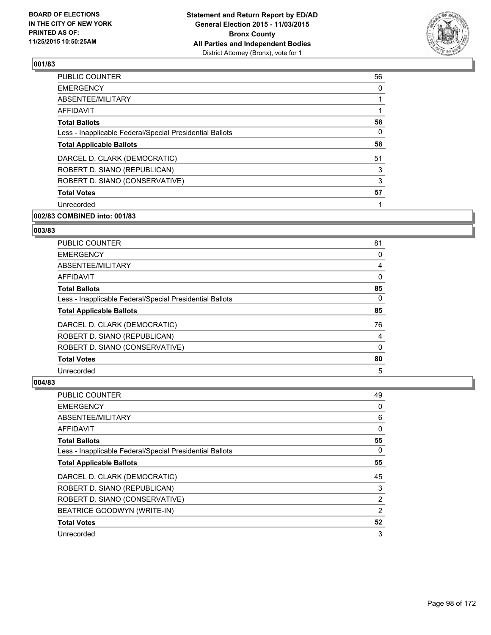

| <b>PUBLIC COUNTER</b>                                    | 56 |
|----------------------------------------------------------|----|
| <b>EMERGENCY</b>                                         | 0  |
| ABSENTEE/MILITARY                                        | 1  |
| AFFIDAVIT                                                | 1  |
| <b>Total Ballots</b>                                     | 58 |
| Less - Inapplicable Federal/Special Presidential Ballots | 0  |
| <b>Total Applicable Ballots</b>                          | 58 |
| DARCEL D. CLARK (DEMOCRATIC)                             | 51 |
| ROBERT D. SIANO (REPUBLICAN)                             | 3  |
| ROBERT D. SIANO (CONSERVATIVE)                           | 3  |
| <b>Total Votes</b>                                       | 57 |
| Unrecorded                                               |    |
|                                                          |    |

# **002/83 COMBINED into: 001/83**

## **003/83**

| <b>PUBLIC COUNTER</b>                                    | 81       |
|----------------------------------------------------------|----------|
| <b>EMERGENCY</b>                                         | 0        |
| ABSENTEE/MILITARY                                        | 4        |
| AFFIDAVIT                                                | 0        |
| <b>Total Ballots</b>                                     | 85       |
| Less - Inapplicable Federal/Special Presidential Ballots | $\Omega$ |
| <b>Total Applicable Ballots</b>                          | 85       |
| DARCEL D. CLARK (DEMOCRATIC)                             | 76       |
| ROBERT D. SIANO (REPUBLICAN)                             | 4        |
| ROBERT D. SIANO (CONSERVATIVE)                           | 0        |
| <b>Total Votes</b>                                       | 80       |
| Unrecorded                                               | 5        |

| <b>PUBLIC COUNTER</b>                                    | 49             |
|----------------------------------------------------------|----------------|
| <b>EMERGENCY</b>                                         | 0              |
| ABSENTEE/MILITARY                                        | 6              |
| AFFIDAVIT                                                | 0              |
| <b>Total Ballots</b>                                     | 55             |
| Less - Inapplicable Federal/Special Presidential Ballots | 0              |
| <b>Total Applicable Ballots</b>                          | 55             |
| DARCEL D. CLARK (DEMOCRATIC)                             | 45             |
| ROBERT D. SIANO (REPUBLICAN)                             | 3              |
| ROBERT D. SIANO (CONSERVATIVE)                           | $\overline{2}$ |
| BEATRICE GOODWYN (WRITE-IN)                              | 2              |
| <b>Total Votes</b>                                       | 52             |
| Unrecorded                                               | 3              |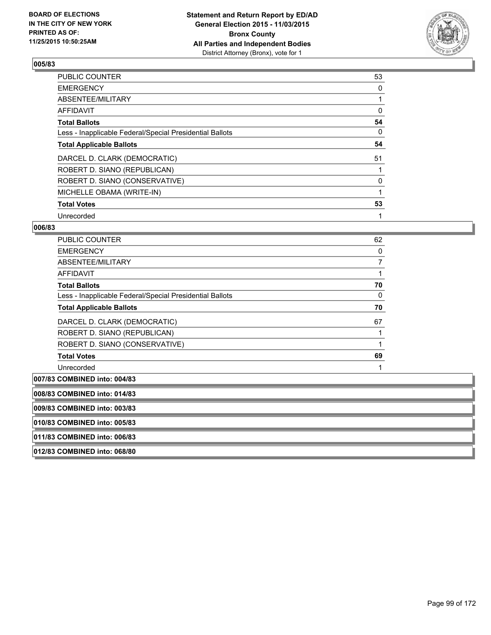

| <b>PUBLIC COUNTER</b>                                    | 53 |
|----------------------------------------------------------|----|
| <b>EMERGENCY</b>                                         | 0  |
| ABSENTEE/MILITARY                                        |    |
| AFFIDAVIT                                                | 0  |
| <b>Total Ballots</b>                                     | 54 |
| Less - Inapplicable Federal/Special Presidential Ballots | 0  |
| <b>Total Applicable Ballots</b>                          | 54 |
| DARCEL D. CLARK (DEMOCRATIC)                             | 51 |
| ROBERT D. SIANO (REPUBLICAN)                             |    |
| ROBERT D. SIANO (CONSERVATIVE)                           | 0  |
| MICHELLE OBAMA (WRITE-IN)                                |    |
| <b>Total Votes</b>                                       | 53 |
| Unrecorded                                               |    |

| <b>PUBLIC COUNTER</b>                                    | 62 |
|----------------------------------------------------------|----|
| <b>EMERGENCY</b>                                         | 0  |
| ABSENTEE/MILITARY                                        | 7  |
| <b>AFFIDAVIT</b>                                         |    |
| <b>Total Ballots</b>                                     | 70 |
| Less - Inapplicable Federal/Special Presidential Ballots | 0  |
| <b>Total Applicable Ballots</b>                          | 70 |
| DARCEL D. CLARK (DEMOCRATIC)                             | 67 |
| ROBERT D. SIANO (REPUBLICAN)                             |    |
| ROBERT D. SIANO (CONSERVATIVE)                           |    |
| <b>Total Votes</b>                                       | 69 |
| Unrecorded                                               |    |
|                                                          |    |

| 007/83 COMBINED into: 004/83 |  |
|------------------------------|--|
| 008/83 COMBINED into: 014/83 |  |
| 009/83 COMBINED into: 003/83 |  |
| 010/83 COMBINED into: 005/83 |  |
| 011/83 COMBINED into: 006/83 |  |
| 012/83 COMBINED into: 068/80 |  |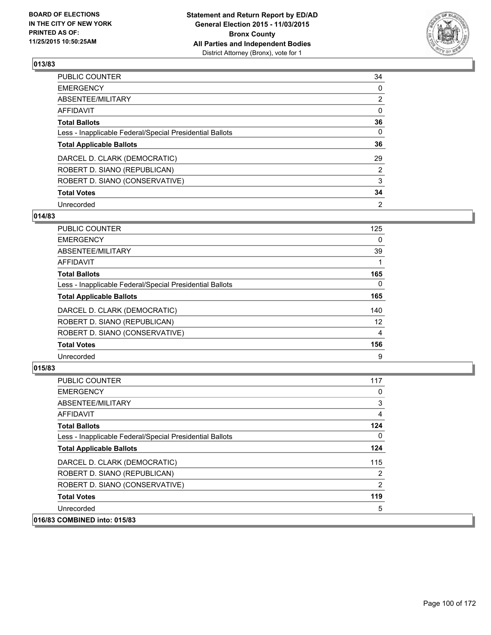

| PUBLIC COUNTER                                           | 34             |
|----------------------------------------------------------|----------------|
| <b>EMERGENCY</b>                                         | 0              |
| ABSENTEE/MILITARY                                        | $\overline{2}$ |
| <b>AFFIDAVIT</b>                                         | $\Omega$       |
| <b>Total Ballots</b>                                     | 36             |
| Less - Inapplicable Federal/Special Presidential Ballots | $\Omega$       |
| <b>Total Applicable Ballots</b>                          | 36             |
| DARCEL D. CLARK (DEMOCRATIC)                             | 29             |
| ROBERT D. SIANO (REPUBLICAN)                             | 2              |
| ROBERT D. SIANO (CONSERVATIVE)                           | 3              |
| <b>Total Votes</b>                                       | 34             |
| Unrecorded                                               | 2              |

#### **014/83**

| PUBLIC COUNTER                                           | 125 |
|----------------------------------------------------------|-----|
| <b>EMERGENCY</b>                                         | 0   |
| ABSENTEE/MILITARY                                        | 39  |
| <b>AFFIDAVIT</b>                                         |     |
| <b>Total Ballots</b>                                     | 165 |
| Less - Inapplicable Federal/Special Presidential Ballots | 0   |
| <b>Total Applicable Ballots</b>                          | 165 |
| DARCEL D. CLARK (DEMOCRATIC)                             | 140 |
| ROBERT D. SIANO (REPUBLICAN)                             | 12  |
| ROBERT D. SIANO (CONSERVATIVE)                           | 4   |
| <b>Total Votes</b>                                       | 156 |
| Unrecorded                                               | 9   |
|                                                          |     |

| <b>PUBLIC COUNTER</b>                                    | 117            |
|----------------------------------------------------------|----------------|
| <b>EMERGENCY</b>                                         | 0              |
| ABSENTEE/MILITARY                                        | 3              |
| <b>AFFIDAVIT</b>                                         | 4              |
| <b>Total Ballots</b>                                     | 124            |
| Less - Inapplicable Federal/Special Presidential Ballots | 0              |
| <b>Total Applicable Ballots</b>                          | 124            |
| DARCEL D. CLARK (DEMOCRATIC)                             | 115            |
| ROBERT D. SIANO (REPUBLICAN)                             | 2              |
| ROBERT D. SIANO (CONSERVATIVE)                           | $\overline{2}$ |
| <b>Total Votes</b>                                       | 119            |
| Unrecorded                                               | 5              |
| 016/83 COMBINED into: 015/83                             |                |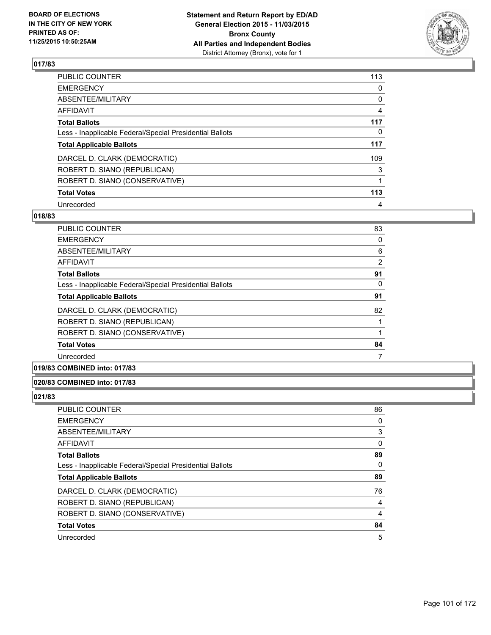

| PUBLIC COUNTER                                           | 113 |
|----------------------------------------------------------|-----|
| <b>EMERGENCY</b>                                         | 0   |
| ABSENTEE/MILITARY                                        | 0   |
| <b>AFFIDAVIT</b>                                         | 4   |
| <b>Total Ballots</b>                                     | 117 |
| Less - Inapplicable Federal/Special Presidential Ballots | 0   |
| <b>Total Applicable Ballots</b>                          | 117 |
| DARCEL D. CLARK (DEMOCRATIC)                             | 109 |
| ROBERT D. SIANO (REPUBLICAN)                             | 3   |
| ROBERT D. SIANO (CONSERVATIVE)                           |     |
| <b>Total Votes</b>                                       | 113 |
| Unrecorded                                               | 4   |

#### **018/83**

| <b>PUBLIC COUNTER</b>                                    | 83             |
|----------------------------------------------------------|----------------|
| <b>EMERGENCY</b>                                         | 0              |
| ABSENTEE/MILITARY                                        | 6              |
| AFFIDAVIT                                                | $\overline{2}$ |
| <b>Total Ballots</b>                                     | 91             |
| Less - Inapplicable Federal/Special Presidential Ballots | 0              |
| <b>Total Applicable Ballots</b>                          | 91             |
| DARCEL D. CLARK (DEMOCRATIC)                             | 82             |
| ROBERT D. SIANO (REPUBLICAN)                             |                |
| ROBERT D. SIANO (CONSERVATIVE)                           |                |
| <b>Total Votes</b>                                       | 84             |
| Unrecorded                                               | 7              |
|                                                          |                |

## **019/83 COMBINED into: 017/83**

### **020/83 COMBINED into: 017/83**

| <b>PUBLIC COUNTER</b>                                    | 86 |
|----------------------------------------------------------|----|
| <b>EMERGENCY</b>                                         | 0  |
| ABSENTEE/MILITARY                                        | 3  |
| AFFIDAVIT                                                | 0  |
| <b>Total Ballots</b>                                     | 89 |
| Less - Inapplicable Federal/Special Presidential Ballots | 0  |
| <b>Total Applicable Ballots</b>                          | 89 |
| DARCEL D. CLARK (DEMOCRATIC)                             | 76 |
| ROBERT D. SIANO (REPUBLICAN)                             | 4  |
| ROBERT D. SIANO (CONSERVATIVE)                           | 4  |
| <b>Total Votes</b>                                       | 84 |
| Unrecorded                                               | 5  |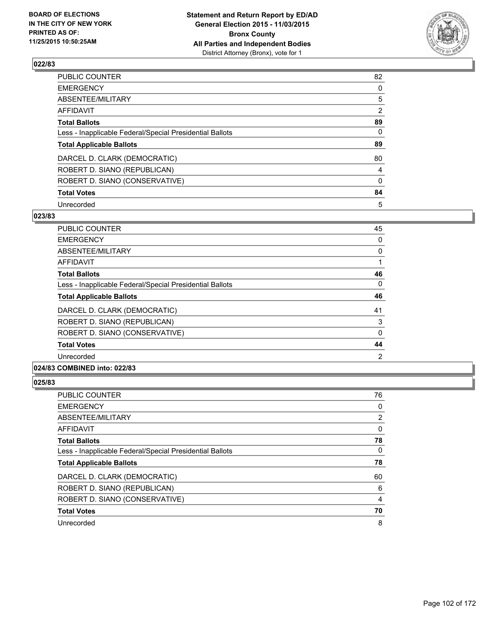

| PUBLIC COUNTER                                           | 82       |
|----------------------------------------------------------|----------|
| <b>EMERGENCY</b>                                         | 0        |
| ABSENTEE/MILITARY                                        | 5        |
| <b>AFFIDAVIT</b>                                         | 2        |
| <b>Total Ballots</b>                                     | 89       |
| Less - Inapplicable Federal/Special Presidential Ballots | $\Omega$ |
| <b>Total Applicable Ballots</b>                          | 89       |
| DARCEL D. CLARK (DEMOCRATIC)                             | 80       |
| ROBERT D. SIANO (REPUBLICAN)                             | 4        |
| ROBERT D. SIANO (CONSERVATIVE)                           | $\Omega$ |
| <b>Total Votes</b>                                       | 84       |
| Unrecorded                                               | 5        |

#### **023/83**

| <b>PUBLIC COUNTER</b>                                    | 45 |
|----------------------------------------------------------|----|
| <b>EMERGENCY</b>                                         | 0  |
| ABSENTEE/MILITARY                                        | 0  |
| AFFIDAVIT                                                |    |
| <b>Total Ballots</b>                                     | 46 |
| Less - Inapplicable Federal/Special Presidential Ballots | 0  |
| <b>Total Applicable Ballots</b>                          | 46 |
| DARCEL D. CLARK (DEMOCRATIC)                             | 41 |
| ROBERT D. SIANO (REPUBLICAN)                             | 3  |
| ROBERT D. SIANO (CONSERVATIVE)                           | 0  |
| <b>Total Votes</b>                                       | 44 |
| Unrecorded                                               | 2  |
|                                                          |    |

#### **024/83 COMBINED into: 022/83**

| <b>PUBLIC COUNTER</b>                                    | 76 |
|----------------------------------------------------------|----|
| <b>EMERGENCY</b>                                         | 0  |
| ABSENTEE/MILITARY                                        | 2  |
| AFFIDAVIT                                                | 0  |
| <b>Total Ballots</b>                                     | 78 |
| Less - Inapplicable Federal/Special Presidential Ballots | 0  |
| <b>Total Applicable Ballots</b>                          | 78 |
| DARCEL D. CLARK (DEMOCRATIC)                             | 60 |
| ROBERT D. SIANO (REPUBLICAN)                             | 6  |
| ROBERT D. SIANO (CONSERVATIVE)                           | 4  |
| <b>Total Votes</b>                                       | 70 |
| Unrecorded                                               | 8  |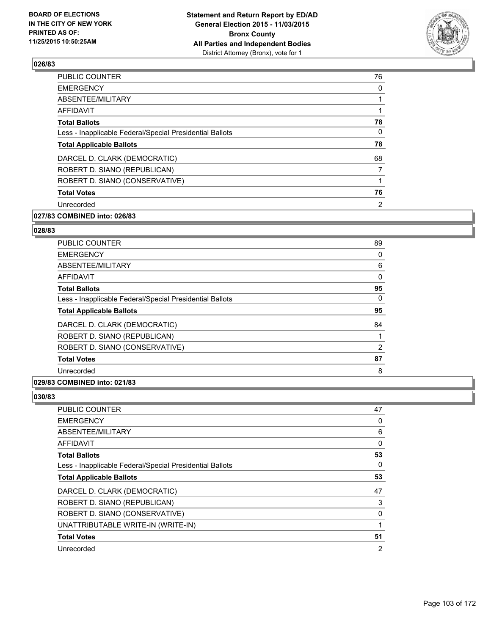

| <b>PUBLIC COUNTER</b>                                    | 76 |
|----------------------------------------------------------|----|
| <b>EMERGENCY</b>                                         | 0  |
| ABSENTEE/MILITARY                                        |    |
| AFFIDAVIT                                                |    |
| <b>Total Ballots</b>                                     | 78 |
| Less - Inapplicable Federal/Special Presidential Ballots | 0  |
| <b>Total Applicable Ballots</b>                          | 78 |
| DARCEL D. CLARK (DEMOCRATIC)                             | 68 |
| ROBERT D. SIANO (REPUBLICAN)                             | 7  |
| ROBERT D. SIANO (CONSERVATIVE)                           |    |
| <b>Total Votes</b>                                       | 76 |
| Unrecorded                                               | 2  |
|                                                          |    |

# **027/83 COMBINED into: 026/83**

#### **028/83**

| PUBLIC COUNTER                                           | 89 |
|----------------------------------------------------------|----|
| <b>EMERGENCY</b>                                         | 0  |
| ABSENTEE/MILITARY                                        | 6  |
| <b>AFFIDAVIT</b>                                         | 0  |
| <b>Total Ballots</b>                                     | 95 |
| Less - Inapplicable Federal/Special Presidential Ballots | 0  |
| <b>Total Applicable Ballots</b>                          | 95 |
| DARCEL D. CLARK (DEMOCRATIC)                             | 84 |
| ROBERT D. SIANO (REPUBLICAN)                             |    |
| ROBERT D. SIANO (CONSERVATIVE)                           | 2  |
| <b>Total Votes</b>                                       | 87 |
| Unrecorded                                               | 8  |
|                                                          |    |

## **029/83 COMBINED into: 021/83**

| <b>PUBLIC COUNTER</b>                                    | 47             |
|----------------------------------------------------------|----------------|
| <b>EMERGENCY</b>                                         | 0              |
| ABSENTEE/MILITARY                                        | 6              |
| AFFIDAVIT                                                | 0              |
| <b>Total Ballots</b>                                     | 53             |
| Less - Inapplicable Federal/Special Presidential Ballots | 0              |
| <b>Total Applicable Ballots</b>                          | 53             |
| DARCEL D. CLARK (DEMOCRATIC)                             | 47             |
| ROBERT D. SIANO (REPUBLICAN)                             | 3              |
| ROBERT D. SIANO (CONSERVATIVE)                           | 0              |
| UNATTRIBUTABLE WRITE-IN (WRITE-IN)                       | 1              |
| <b>Total Votes</b>                                       | 51             |
| Unrecorded                                               | $\overline{2}$ |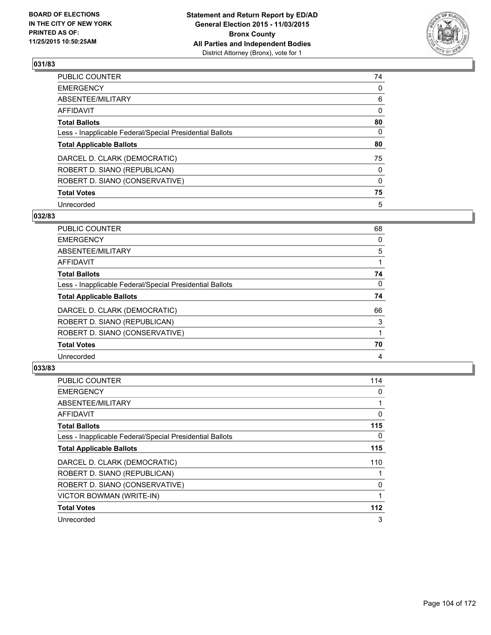

| PUBLIC COUNTER                                           | 74       |
|----------------------------------------------------------|----------|
| <b>EMERGENCY</b>                                         | 0        |
| ABSENTEE/MILITARY                                        | 6        |
| <b>AFFIDAVIT</b>                                         | 0        |
| <b>Total Ballots</b>                                     | 80       |
| Less - Inapplicable Federal/Special Presidential Ballots | $\Omega$ |
| <b>Total Applicable Ballots</b>                          | 80       |
| DARCEL D. CLARK (DEMOCRATIC)                             | 75       |
| ROBERT D. SIANO (REPUBLICAN)                             | 0        |
| ROBERT D. SIANO (CONSERVATIVE)                           | $\Omega$ |
| <b>Total Votes</b>                                       | 75       |
| Unrecorded                                               | 5        |

#### **032/83**

| PUBLIC COUNTER                                           | 68 |
|----------------------------------------------------------|----|
| <b>EMERGENCY</b>                                         | 0  |
| ABSENTEE/MILITARY                                        | 5  |
| <b>AFFIDAVIT</b>                                         |    |
| <b>Total Ballots</b>                                     | 74 |
| Less - Inapplicable Federal/Special Presidential Ballots | 0  |
| <b>Total Applicable Ballots</b>                          | 74 |
| DARCEL D. CLARK (DEMOCRATIC)                             | 66 |
| ROBERT D. SIANO (REPUBLICAN)                             | 3  |
| ROBERT D. SIANO (CONSERVATIVE)                           |    |
| <b>Total Votes</b>                                       | 70 |
| Unrecorded                                               | 4  |

| <b>PUBLIC COUNTER</b>                                    | 114 |
|----------------------------------------------------------|-----|
| <b>EMERGENCY</b>                                         | 0   |
| ABSENTEE/MILITARY                                        |     |
| AFFIDAVIT                                                | 0   |
| <b>Total Ballots</b>                                     | 115 |
| Less - Inapplicable Federal/Special Presidential Ballots | 0   |
| <b>Total Applicable Ballots</b>                          | 115 |
| DARCEL D. CLARK (DEMOCRATIC)                             | 110 |
| ROBERT D. SIANO (REPUBLICAN)                             |     |
| ROBERT D. SIANO (CONSERVATIVE)                           | 0   |
| VICTOR BOWMAN (WRITE-IN)                                 |     |
| <b>Total Votes</b>                                       | 112 |
| Unrecorded                                               | 3   |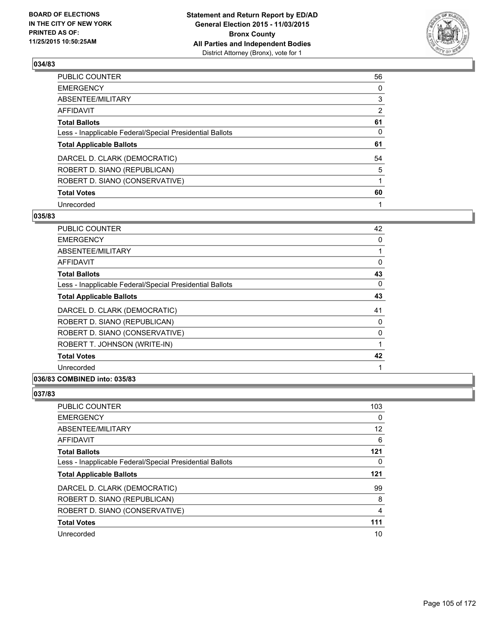

| PUBLIC COUNTER                                           | 56 |
|----------------------------------------------------------|----|
| <b>EMERGENCY</b>                                         | 0  |
| ABSENTEE/MILITARY                                        | 3  |
| <b>AFFIDAVIT</b>                                         | 2  |
| <b>Total Ballots</b>                                     | 61 |
| Less - Inapplicable Federal/Special Presidential Ballots | 0  |
| <b>Total Applicable Ballots</b>                          | 61 |
| DARCEL D. CLARK (DEMOCRATIC)                             | 54 |
| ROBERT D. SIANO (REPUBLICAN)                             | 5  |
| ROBERT D. SIANO (CONSERVATIVE)                           |    |
| <b>Total Votes</b>                                       | 60 |
| Unrecorded                                               |    |

#### **035/83**

| PUBLIC COUNTER                                           | 42       |
|----------------------------------------------------------|----------|
| <b>EMERGENCY</b>                                         | 0        |
| ABSENTEE/MILITARY                                        |          |
| <b>AFFIDAVIT</b>                                         | 0        |
| <b>Total Ballots</b>                                     | 43       |
| Less - Inapplicable Federal/Special Presidential Ballots | $\Omega$ |
| <b>Total Applicable Ballots</b>                          | 43       |
| DARCEL D. CLARK (DEMOCRATIC)                             | 41       |
| ROBERT D. SIANO (REPUBLICAN)                             | 0        |
| ROBERT D. SIANO (CONSERVATIVE)                           | 0        |
| ROBERT T. JOHNSON (WRITE-IN)                             |          |
| <b>Total Votes</b>                                       | 42       |
| Unrecorded                                               |          |
|                                                          |          |

## **036/83 COMBINED into: 035/83**

| <b>PUBLIC COUNTER</b>                                    | 103               |
|----------------------------------------------------------|-------------------|
| <b>EMERGENCY</b>                                         | 0                 |
| ABSENTEE/MILITARY                                        | $12 \overline{ }$ |
| <b>AFFIDAVIT</b>                                         | 6                 |
| <b>Total Ballots</b>                                     | 121               |
| Less - Inapplicable Federal/Special Presidential Ballots | 0                 |
| <b>Total Applicable Ballots</b>                          | 121               |
| DARCEL D. CLARK (DEMOCRATIC)                             | 99                |
| ROBERT D. SIANO (REPUBLICAN)                             | 8                 |
| ROBERT D. SIANO (CONSERVATIVE)                           | 4                 |
| <b>Total Votes</b>                                       | 111               |
| Unrecorded                                               | 10                |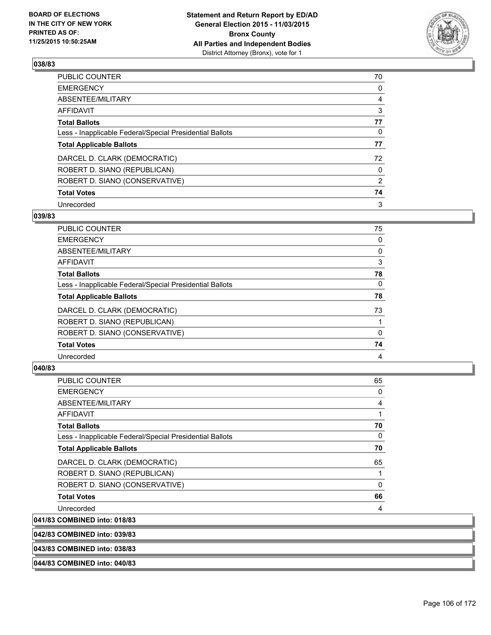

| PUBLIC COUNTER                                           | 70             |
|----------------------------------------------------------|----------------|
| <b>EMERGENCY</b>                                         | 0              |
| ABSENTEE/MILITARY                                        | 4              |
| <b>AFFIDAVIT</b>                                         | 3              |
| <b>Total Ballots</b>                                     | 77             |
| Less - Inapplicable Federal/Special Presidential Ballots | 0              |
| <b>Total Applicable Ballots</b>                          | 77             |
| DARCEL D. CLARK (DEMOCRATIC)                             | 72             |
| ROBERT D. SIANO (REPUBLICAN)                             | 0              |
| ROBERT D. SIANO (CONSERVATIVE)                           | $\overline{2}$ |
| <b>Total Votes</b>                                       | 74             |
| Unrecorded                                               | 3              |

#### **039/83**

| <b>PUBLIC COUNTER</b>                                    | 75 |
|----------------------------------------------------------|----|
| <b>EMERGENCY</b>                                         | 0  |
| <b>ABSENTEE/MILITARY</b>                                 | 0  |
| <b>AFFIDAVIT</b>                                         | 3  |
| <b>Total Ballots</b>                                     | 78 |
| Less - Inapplicable Federal/Special Presidential Ballots | 0  |
| <b>Total Applicable Ballots</b>                          | 78 |
| DARCEL D. CLARK (DEMOCRATIC)                             | 73 |
| ROBERT D. SIANO (REPUBLICAN)                             |    |
| ROBERT D. SIANO (CONSERVATIVE)                           | 0  |
| <b>Total Votes</b>                                       | 74 |
| Unrecorded                                               | 4  |
|                                                          |    |

# **040/83**

**041/83** 

| <b>PUBLIC COUNTER</b>                                    | 65           |
|----------------------------------------------------------|--------------|
| <b>EMERGENCY</b>                                         | 0            |
| ABSENTEE/MILITARY                                        | 4            |
| <b>AFFIDAVIT</b>                                         |              |
| <b>Total Ballots</b>                                     | 70           |
| Less - Inapplicable Federal/Special Presidential Ballots | 0            |
| <b>Total Applicable Ballots</b>                          | 70           |
| DARCEL D. CLARK (DEMOCRATIC)                             | 65           |
| ROBERT D. SIANO (REPUBLICAN)                             |              |
| ROBERT D. SIANO (CONSERVATIVE)                           | $\mathbf{0}$ |
| <b>Total Votes</b>                                       | 66           |
| Unrecorded                                               | 4            |
| <b>COMBINED into: 018/83</b>                             |              |

**042/83 COMBINED into: 039/83**

**043/83 COMBINED into: 038/83**

#### **044/83 COMBINED into: 040/83**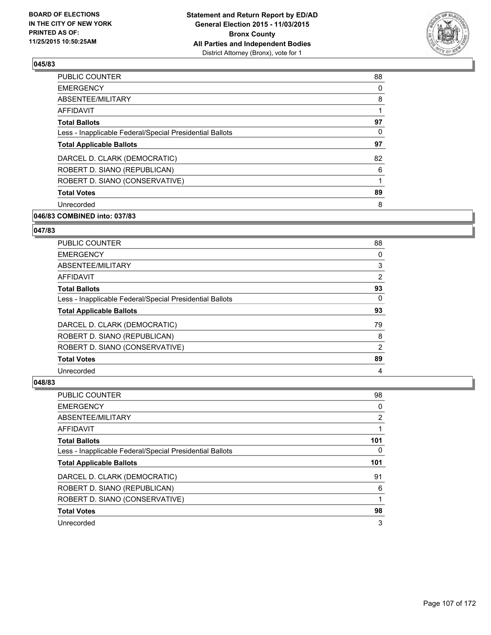

| <b>PUBLIC COUNTER</b>                                    | 88 |
|----------------------------------------------------------|----|
| <b>EMERGENCY</b>                                         | 0  |
| ABSENTEE/MILITARY                                        | 8  |
| AFFIDAVIT                                                |    |
| <b>Total Ballots</b>                                     | 97 |
| Less - Inapplicable Federal/Special Presidential Ballots | 0  |
| <b>Total Applicable Ballots</b>                          | 97 |
| DARCEL D. CLARK (DEMOCRATIC)                             | 82 |
| ROBERT D. SIANO (REPUBLICAN)                             | 6  |
| ROBERT D. SIANO (CONSERVATIVE)                           |    |
| <b>Total Votes</b>                                       | 89 |
| Unrecorded                                               | 8  |
|                                                          |    |

# **046/83 COMBINED into: 037/83**

## **047/83**

| <b>PUBLIC COUNTER</b>                                    | 88             |
|----------------------------------------------------------|----------------|
| <b>EMERGENCY</b>                                         | 0              |
| ABSENTEE/MILITARY                                        | 3              |
| AFFIDAVIT                                                | 2              |
| <b>Total Ballots</b>                                     | 93             |
| Less - Inapplicable Federal/Special Presidential Ballots | 0              |
| <b>Total Applicable Ballots</b>                          | 93             |
| DARCEL D. CLARK (DEMOCRATIC)                             | 79             |
| ROBERT D. SIANO (REPUBLICAN)                             | 8              |
| ROBERT D. SIANO (CONSERVATIVE)                           | $\overline{2}$ |
| <b>Total Votes</b>                                       | 89             |
| Unrecorded                                               | 4              |

| PUBLIC COUNTER                                               | 98             |
|--------------------------------------------------------------|----------------|
| <b>EMERGENCY</b>                                             | 0              |
| ABSENTEE/MILITARY                                            | $\overline{2}$ |
| <b>AFFIDAVIT</b>                                             |                |
| <b>Total Ballots</b>                                         | 101            |
| Less - Inapplicable Federal/Special Presidential Ballots     | 0              |
| <b>Total Applicable Ballots</b>                              | 101            |
|                                                              |                |
|                                                              | 91             |
| DARCEL D. CLARK (DEMOCRATIC)<br>ROBERT D. SIANO (REPUBLICAN) | 6              |
| ROBERT D. SIANO (CONSERVATIVE)                               |                |
| <b>Total Votes</b>                                           | 98             |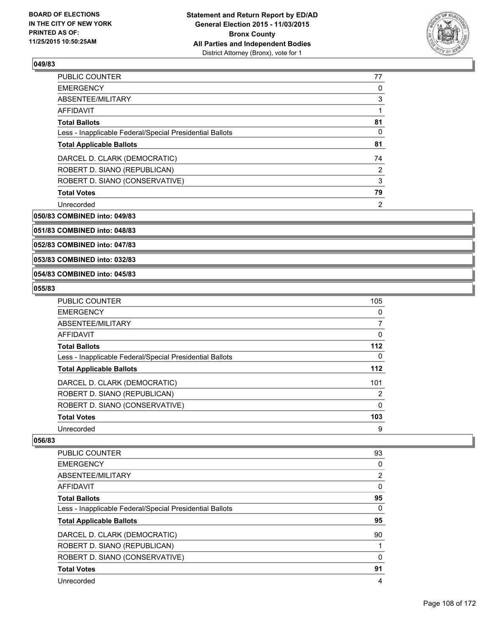

| <b>PUBLIC COUNTER</b>                                    | 77 |
|----------------------------------------------------------|----|
| <b>EMERGENCY</b>                                         | 0  |
| ABSENTEE/MILITARY                                        | 3  |
| AFFIDAVIT                                                | 1  |
| <b>Total Ballots</b>                                     | 81 |
| Less - Inapplicable Federal/Special Presidential Ballots | 0  |
| <b>Total Applicable Ballots</b>                          | 81 |
| DARCEL D. CLARK (DEMOCRATIC)                             | 74 |
| ROBERT D. SIANO (REPUBLICAN)                             | 2  |
| ROBERT D. SIANO (CONSERVATIVE)                           | 3  |
| <b>Total Votes</b>                                       | 79 |
| Unrecorded                                               | 2  |

**050/83 COMBINED into: 049/83**

**051/83 COMBINED into: 048/83**

**052/83 COMBINED into: 047/83**

**053/83 COMBINED into: 032/83**

#### **054/83 COMBINED into: 045/83**

#### **055/83**

| <b>PUBLIC COUNTER</b>                                    | 105      |
|----------------------------------------------------------|----------|
| <b>EMERGENCY</b>                                         | 0        |
| ABSENTEE/MILITARY                                        | 7        |
| AFFIDAVIT                                                | 0        |
| <b>Total Ballots</b>                                     | 112      |
| Less - Inapplicable Federal/Special Presidential Ballots | 0        |
| <b>Total Applicable Ballots</b>                          | 112      |
| DARCEL D. CLARK (DEMOCRATIC)                             | 101      |
| ROBERT D. SIANO (REPUBLICAN)                             | 2        |
| ROBERT D. SIANO (CONSERVATIVE)                           | $\Omega$ |
| <b>Total Votes</b>                                       | 103      |
| Unrecorded                                               | 9        |

| PUBLIC COUNTER                                           | 93 |
|----------------------------------------------------------|----|
| <b>EMERGENCY</b>                                         | 0  |
| ABSENTEE/MILITARY                                        | 2  |
| <b>AFFIDAVIT</b>                                         | 0  |
| <b>Total Ballots</b>                                     | 95 |
| Less - Inapplicable Federal/Special Presidential Ballots | 0  |
|                                                          |    |
| <b>Total Applicable Ballots</b>                          | 95 |
| DARCEL D. CLARK (DEMOCRATIC)                             | 90 |
| ROBERT D. SIANO (REPUBLICAN)                             |    |
| ROBERT D. SIANO (CONSERVATIVE)                           | 0  |
| <b>Total Votes</b>                                       | 91 |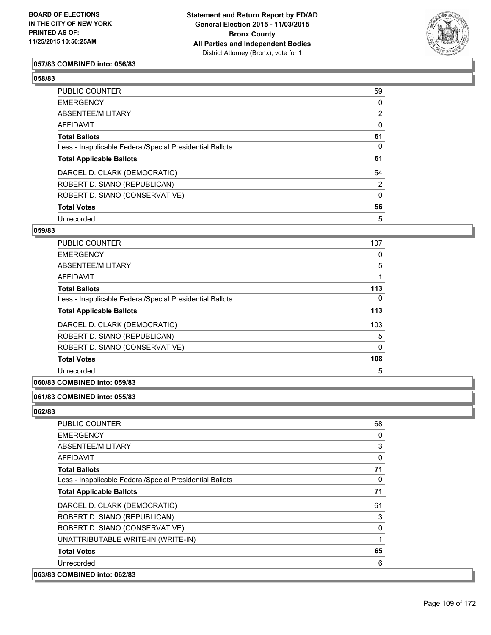

## **057/83 COMBINED into: 056/83**

#### **058/83**

| PUBLIC COUNTER                                           | 59             |
|----------------------------------------------------------|----------------|
| <b>EMERGENCY</b>                                         | 0              |
| ABSENTEE/MILITARY                                        | 2              |
| AFFIDAVIT                                                | 0              |
| <b>Total Ballots</b>                                     | 61             |
| Less - Inapplicable Federal/Special Presidential Ballots | 0              |
| <b>Total Applicable Ballots</b>                          | 61             |
| DARCEL D. CLARK (DEMOCRATIC)                             | 54             |
| ROBERT D. SIANO (REPUBLICAN)                             | $\overline{2}$ |
| ROBERT D. SIANO (CONSERVATIVE)                           | $\Omega$       |
| <b>Total Votes</b>                                       | 56             |
| Unrecorded                                               | 5              |

### **059/83**

| <b>PUBLIC COUNTER</b>                                    | 107      |
|----------------------------------------------------------|----------|
| <b>EMERGENCY</b>                                         | 0        |
| ABSENTEE/MILITARY                                        | 5        |
| <b>AFFIDAVIT</b>                                         |          |
| <b>Total Ballots</b>                                     | 113      |
| Less - Inapplicable Federal/Special Presidential Ballots | 0        |
| <b>Total Applicable Ballots</b>                          | 113      |
| DARCEL D. CLARK (DEMOCRATIC)                             | 103      |
| ROBERT D. SIANO (REPUBLICAN)                             | 5        |
| ROBERT D. SIANO (CONSERVATIVE)                           | $\Omega$ |
| <b>Total Votes</b>                                       | 108      |
| Unrecorded                                               | 5        |
|                                                          |          |

# **060/83 COMBINED into: 059/83**

# **061/83 COMBINED into: 055/83**

| <b>PUBLIC COUNTER</b>                                    | 68 |
|----------------------------------------------------------|----|
| <b>EMERGENCY</b>                                         | 0  |
| ABSENTEE/MILITARY                                        | 3  |
| AFFIDAVIT                                                | 0  |
| <b>Total Ballots</b>                                     | 71 |
| Less - Inapplicable Federal/Special Presidential Ballots | 0  |
| <b>Total Applicable Ballots</b>                          | 71 |
| DARCEL D. CLARK (DEMOCRATIC)                             | 61 |
| ROBERT D. SIANO (REPUBLICAN)                             | 3  |
| ROBERT D. SIANO (CONSERVATIVE)                           | 0  |
| UNATTRIBUTABLE WRITE-IN (WRITE-IN)                       | 1  |
| <b>Total Votes</b>                                       | 65 |
| Unrecorded                                               | 6  |
| 063/83 COMBINED into: 062/83                             |    |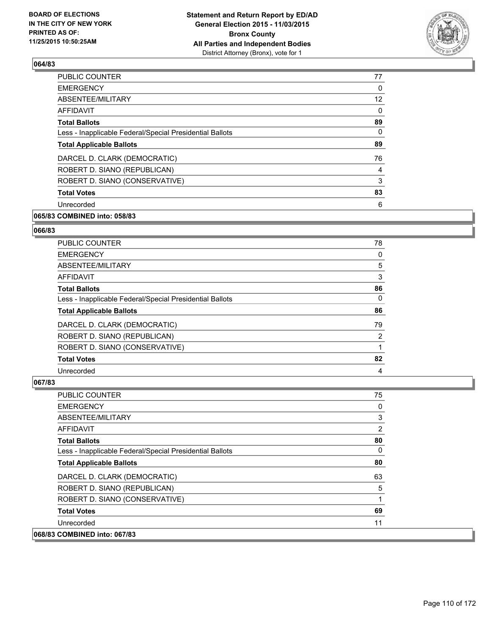

| <b>PUBLIC COUNTER</b>                                    | 77 |
|----------------------------------------------------------|----|
| <b>EMERGENCY</b>                                         | 0  |
| ABSENTEE/MILITARY                                        | 12 |
| AFFIDAVIT                                                | 0  |
| <b>Total Ballots</b>                                     | 89 |
| Less - Inapplicable Federal/Special Presidential Ballots | 0  |
| <b>Total Applicable Ballots</b>                          | 89 |
| DARCEL D. CLARK (DEMOCRATIC)                             | 76 |
| ROBERT D. SIANO (REPUBLICAN)                             | 4  |
| ROBERT D. SIANO (CONSERVATIVE)                           | 3  |
| <b>Total Votes</b>                                       | 83 |
| Unrecorded                                               | 6  |
|                                                          |    |

# **065/83 COMBINED into: 058/83**

#### **066/83**

| PUBLIC COUNTER                                           | 78 |
|----------------------------------------------------------|----|
| <b>EMERGENCY</b>                                         | 0  |
| ABSENTEE/MILITARY                                        | 5  |
| AFFIDAVIT                                                | 3  |
| <b>Total Ballots</b>                                     | 86 |
| Less - Inapplicable Federal/Special Presidential Ballots | 0  |
| <b>Total Applicable Ballots</b>                          | 86 |
| DARCEL D. CLARK (DEMOCRATIC)                             | 79 |
| ROBERT D. SIANO (REPUBLICAN)                             | 2  |
| ROBERT D. SIANO (CONSERVATIVE)                           |    |
| <b>Total Votes</b>                                       | 82 |
| Unrecorded                                               | 4  |

| <b>PUBLIC COUNTER</b>                                    | 75       |
|----------------------------------------------------------|----------|
| <b>EMERGENCY</b>                                         | 0        |
| ABSENTEE/MILITARY                                        | 3        |
| <b>AFFIDAVIT</b>                                         | 2        |
| <b>Total Ballots</b>                                     | 80       |
| Less - Inapplicable Federal/Special Presidential Ballots | $\Omega$ |
| <b>Total Applicable Ballots</b>                          | 80       |
| DARCEL D. CLARK (DEMOCRATIC)                             | 63       |
| ROBERT D. SIANO (REPUBLICAN)                             | 5        |
| ROBERT D. SIANO (CONSERVATIVE)                           | 1        |
| <b>Total Votes</b>                                       | 69       |
| Unrecorded                                               | 11       |
| 068/83 COMBINED into: 067/83                             |          |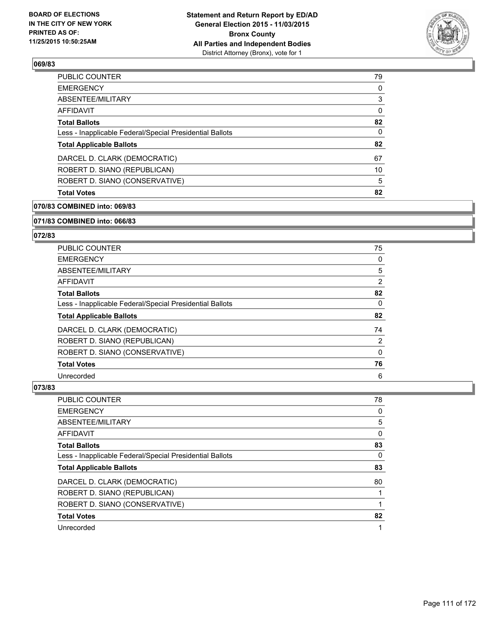

| <b>Total Votes</b>                                       | 82       |
|----------------------------------------------------------|----------|
| ROBERT D. SIANO (CONSERVATIVE)                           | 5        |
| ROBERT D. SIANO (REPUBLICAN)                             | 10       |
| DARCEL D. CLARK (DEMOCRATIC)                             | 67       |
| <b>Total Applicable Ballots</b>                          | 82       |
| Less - Inapplicable Federal/Special Presidential Ballots | 0        |
| <b>Total Ballots</b>                                     | 82       |
| <b>AFFIDAVIT</b>                                         | 0        |
| ABSENTEE/MILITARY                                        | 3        |
| <b>EMERGENCY</b>                                         | $\Omega$ |
| PUBLIC COUNTER                                           | 79       |

### **070/83 COMBINED into: 069/83**

### **071/83 COMBINED into: 066/83**

## **072/83**

| <b>PUBLIC COUNTER</b>                                    | 75 |
|----------------------------------------------------------|----|
| <b>EMERGENCY</b>                                         | 0  |
| ABSENTEE/MILITARY                                        | 5  |
| <b>AFFIDAVIT</b>                                         | 2  |
| <b>Total Ballots</b>                                     | 82 |
| Less - Inapplicable Federal/Special Presidential Ballots | 0  |
| <b>Total Applicable Ballots</b>                          | 82 |
| DARCEL D. CLARK (DEMOCRATIC)                             | 74 |
| ROBERT D. SIANO (REPUBLICAN)                             | 2  |
| ROBERT D. SIANO (CONSERVATIVE)                           | 0  |
| <b>Total Votes</b>                                       | 76 |
| Unrecorded                                               | 6  |

| <b>PUBLIC COUNTER</b>                                    | 78 |
|----------------------------------------------------------|----|
| <b>EMERGENCY</b>                                         | 0  |
| ABSENTEE/MILITARY                                        | 5  |
| <b>AFFIDAVIT</b>                                         | 0  |
| <b>Total Ballots</b>                                     | 83 |
| Less - Inapplicable Federal/Special Presidential Ballots | 0  |
| <b>Total Applicable Ballots</b>                          | 83 |
| DARCEL D. CLARK (DEMOCRATIC)                             | 80 |
| ROBERT D. SIANO (REPUBLICAN)                             |    |
| ROBERT D. SIANO (CONSERVATIVE)                           |    |
| <b>Total Votes</b>                                       | 82 |
| Unrecorded                                               |    |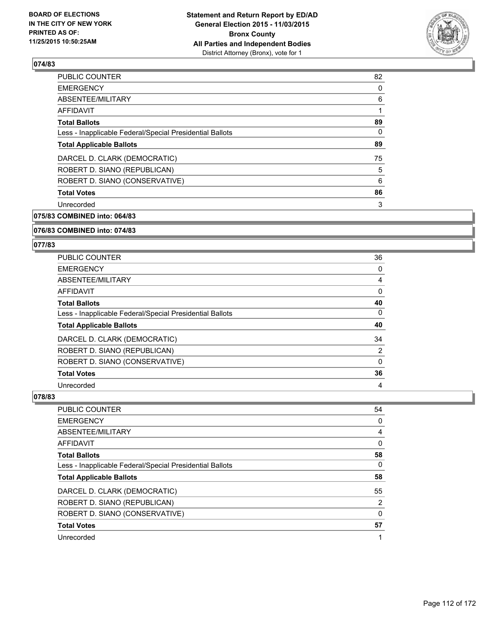

| <b>PUBLIC COUNTER</b>                                    | 82 |
|----------------------------------------------------------|----|
| <b>EMERGENCY</b>                                         | 0  |
| ABSENTEE/MILITARY                                        | 6  |
| AFFIDAVIT                                                |    |
| <b>Total Ballots</b>                                     | 89 |
| Less - Inapplicable Federal/Special Presidential Ballots | 0  |
| <b>Total Applicable Ballots</b>                          | 89 |
| DARCEL D. CLARK (DEMOCRATIC)                             | 75 |
| ROBERT D. SIANO (REPUBLICAN)                             | 5  |
| ROBERT D. SIANO (CONSERVATIVE)                           | 6  |
| <b>Total Votes</b>                                       | 86 |
| Unrecorded                                               | 3  |
|                                                          |    |

**075/83 COMBINED into: 064/83**

### **076/83 COMBINED into: 074/83**

### **077/83**

| PUBLIC COUNTER                                           | 36             |
|----------------------------------------------------------|----------------|
| <b>EMERGENCY</b>                                         | 0              |
| ABSENTEE/MILITARY                                        | 4              |
| AFFIDAVIT                                                | 0              |
| <b>Total Ballots</b>                                     | 40             |
| Less - Inapplicable Federal/Special Presidential Ballots | 0              |
| <b>Total Applicable Ballots</b>                          | 40             |
| DARCEL D. CLARK (DEMOCRATIC)                             | 34             |
| ROBERT D. SIANO (REPUBLICAN)                             | $\overline{2}$ |
| ROBERT D. SIANO (CONSERVATIVE)                           | 0              |
| <b>Total Votes</b>                                       | 36             |
| Unrecorded                                               | 4              |

| PUBLIC COUNTER                                           | 54 |
|----------------------------------------------------------|----|
| <b>EMERGENCY</b>                                         | 0  |
| ABSENTEE/MILITARY                                        | 4  |
| AFFIDAVIT                                                | 0  |
| <b>Total Ballots</b>                                     | 58 |
| Less - Inapplicable Federal/Special Presidential Ballots | 0  |
| <b>Total Applicable Ballots</b>                          | 58 |
| DARCEL D. CLARK (DEMOCRATIC)                             | 55 |
| ROBERT D. SIANO (REPUBLICAN)                             | 2  |
| ROBERT D. SIANO (CONSERVATIVE)                           | 0  |
| <b>Total Votes</b>                                       | 57 |
| Unrecorded                                               | 1  |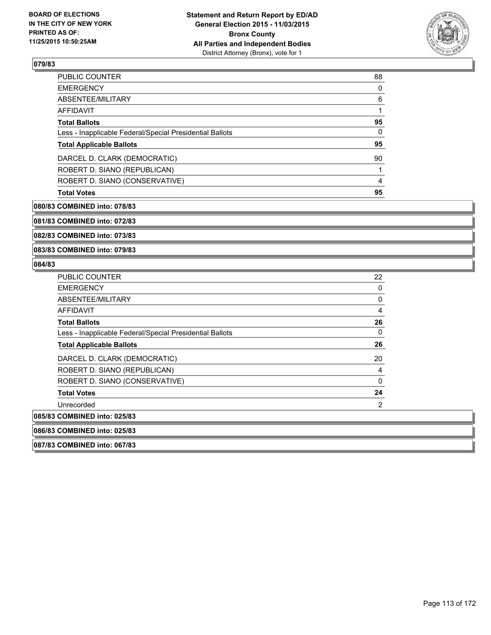

| 88 |
|----|
| 0  |
| 6  |
|    |
| 95 |
| 0  |
| 95 |
| 90 |
|    |
| 4  |
| 95 |
|    |

#### **080/83 COMBINED into: 078/83**

**081/83 COMBINED into: 072/83**

**082/83 COMBINED into: 073/83**

**083/83 COMBINED into: 079/83**

### **084/83**

| <b>PUBLIC COUNTER</b>                                    | 22 |
|----------------------------------------------------------|----|
| <b>EMERGENCY</b>                                         | 0  |
| ABSENTEE/MILITARY                                        | 0  |
| AFFIDAVIT                                                | 4  |
| <b>Total Ballots</b>                                     | 26 |
| Less - Inapplicable Federal/Special Presidential Ballots | 0  |
| <b>Total Applicable Ballots</b>                          | 26 |
| DARCEL D. CLARK (DEMOCRATIC)                             | 20 |
| ROBERT D. SIANO (REPUBLICAN)                             | 4  |
| ROBERT D. SIANO (CONSERVATIVE)                           | 0  |
| <b>Total Votes</b>                                       | 24 |
| Unrecorded                                               | 2  |
| 085/83 COMBINED into: 025/83                             |    |
| 086/83 COMBINED into: 025/83                             |    |

**087/83 COMBINED into: 067/83**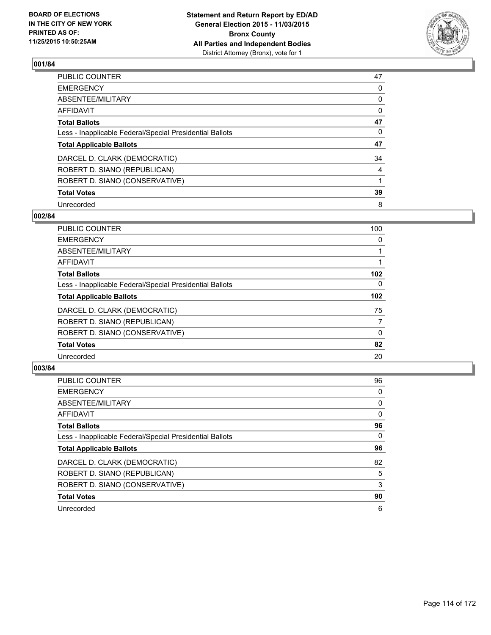

| PUBLIC COUNTER                                           | 47 |
|----------------------------------------------------------|----|
| <b>EMERGENCY</b>                                         | 0  |
| ABSENTEE/MILITARY                                        | 0  |
| <b>AFFIDAVIT</b>                                         | 0  |
| <b>Total Ballots</b>                                     | 47 |
| Less - Inapplicable Federal/Special Presidential Ballots | 0  |
| <b>Total Applicable Ballots</b>                          | 47 |
| DARCEL D. CLARK (DEMOCRATIC)                             | 34 |
| ROBERT D. SIANO (REPUBLICAN)                             | 4  |
| ROBERT D. SIANO (CONSERVATIVE)                           |    |
| <b>Total Votes</b>                                       | 39 |
| Unrecorded                                               | 8  |

### **002/84**

| PUBLIC COUNTER                                           | 100              |
|----------------------------------------------------------|------------------|
| <b>EMERGENCY</b>                                         | 0                |
| ABSENTEE/MILITARY                                        |                  |
| <b>AFFIDAVIT</b>                                         |                  |
| <b>Total Ballots</b>                                     | 102 <sub>2</sub> |
| Less - Inapplicable Federal/Special Presidential Ballots | 0                |
| <b>Total Applicable Ballots</b>                          | 102              |
| DARCEL D. CLARK (DEMOCRATIC)                             | 75               |
| ROBERT D. SIANO (REPUBLICAN)                             | $\overline{7}$   |
| ROBERT D. SIANO (CONSERVATIVE)                           | $\Omega$         |
| <b>Total Votes</b>                                       | 82               |
| Unrecorded                                               | 20               |

| PUBLIC COUNTER                                           | 96 |
|----------------------------------------------------------|----|
| <b>EMERGENCY</b>                                         | 0  |
| ABSENTEE/MILITARY                                        | 0  |
| <b>AFFIDAVIT</b>                                         | 0  |
| <b>Total Ballots</b>                                     | 96 |
| Less - Inapplicable Federal/Special Presidential Ballots | 0  |
| <b>Total Applicable Ballots</b>                          | 96 |
| DARCEL D. CLARK (DEMOCRATIC)                             | 82 |
| ROBERT D. SIANO (REPUBLICAN)                             | 5  |
| ROBERT D. SIANO (CONSERVATIVE)                           | 3  |
| <b>Total Votes</b>                                       | 90 |
| Unrecorded                                               | 6  |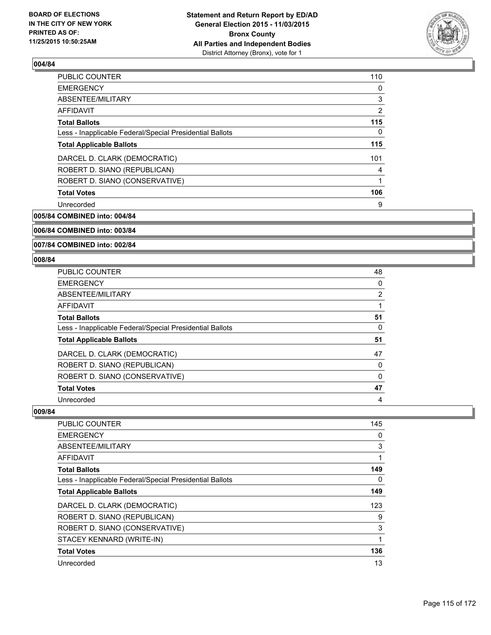

| PUBLIC COUNTER                                           | 110            |
|----------------------------------------------------------|----------------|
| <b>EMERGENCY</b>                                         | 0              |
| ABSENTEE/MILITARY                                        | 3              |
| AFFIDAVIT                                                | $\overline{2}$ |
| <b>Total Ballots</b>                                     | 115            |
| Less - Inapplicable Federal/Special Presidential Ballots | 0              |
| <b>Total Applicable Ballots</b>                          | 115            |
| DARCEL D. CLARK (DEMOCRATIC)                             | 101            |
| ROBERT D. SIANO (REPUBLICAN)                             | 4              |
| ROBERT D. SIANO (CONSERVATIVE)                           |                |
| <b>Total Votes</b>                                       | 106            |
| Unrecorded                                               | 9              |

**005/84 COMBINED into: 004/84**

**006/84 COMBINED into: 003/84**

**007/84 COMBINED into: 002/84**

### **008/84**

| PUBLIC COUNTER                                           | 48             |
|----------------------------------------------------------|----------------|
| <b>EMERGENCY</b>                                         | 0              |
| ABSENTEE/MILITARY                                        | $\overline{2}$ |
| <b>AFFIDAVIT</b>                                         |                |
| <b>Total Ballots</b>                                     | 51             |
| Less - Inapplicable Federal/Special Presidential Ballots | 0              |
| <b>Total Applicable Ballots</b>                          | 51             |
| DARCEL D. CLARK (DEMOCRATIC)                             | 47             |
| ROBERT D. SIANO (REPUBLICAN)                             | 0              |
| ROBERT D. SIANO (CONSERVATIVE)                           | 0              |
| <b>Total Votes</b>                                       | 47             |
| Unrecorded                                               | 4              |

| <b>PUBLIC COUNTER</b>                                    | 145 |
|----------------------------------------------------------|-----|
| <b>EMERGENCY</b>                                         | 0   |
| ABSENTEE/MILITARY                                        | 3   |
| AFFIDAVIT                                                | 1   |
| <b>Total Ballots</b>                                     | 149 |
| Less - Inapplicable Federal/Special Presidential Ballots | 0   |
| <b>Total Applicable Ballots</b>                          | 149 |
| DARCEL D. CLARK (DEMOCRATIC)                             | 123 |
| ROBERT D. SIANO (REPUBLICAN)                             | 9   |
| ROBERT D. SIANO (CONSERVATIVE)                           | 3   |
| STACEY KENNARD (WRITE-IN)                                | 1   |
| <b>Total Votes</b>                                       | 136 |
| Unrecorded                                               | 13  |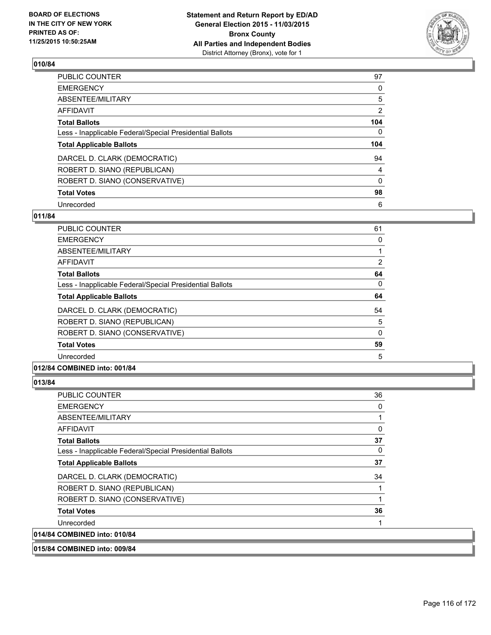

| PUBLIC COUNTER                                           | 97             |
|----------------------------------------------------------|----------------|
| <b>EMERGENCY</b>                                         | 0              |
| ABSENTEE/MILITARY                                        | 5              |
| <b>AFFIDAVIT</b>                                         | $\overline{2}$ |
| <b>Total Ballots</b>                                     | 104            |
| Less - Inapplicable Federal/Special Presidential Ballots | $\mathbf{0}$   |
| <b>Total Applicable Ballots</b>                          | 104            |
| DARCEL D. CLARK (DEMOCRATIC)                             | 94             |
| ROBERT D. SIANO (REPUBLICAN)                             | 4              |
| ROBERT D. SIANO (CONSERVATIVE)                           | $\Omega$       |
| <b>Total Votes</b>                                       | 98             |
| Unrecorded                                               | 6              |

### **011/84**

| <b>PUBLIC COUNTER</b>                                    | 61       |
|----------------------------------------------------------|----------|
| <b>EMERGENCY</b>                                         | 0        |
| ABSENTEE/MILITARY                                        |          |
| AFFIDAVIT                                                | 2        |
| <b>Total Ballots</b>                                     | 64       |
| Less - Inapplicable Federal/Special Presidential Ballots | 0        |
| <b>Total Applicable Ballots</b>                          | 64       |
| DARCEL D. CLARK (DEMOCRATIC)                             | 54       |
| ROBERT D. SIANO (REPUBLICAN)                             | 5        |
| ROBERT D. SIANO (CONSERVATIVE)                           | $\Omega$ |
| <b>Total Votes</b>                                       | 59       |
| Unrecorded                                               | 5        |
|                                                          |          |

# **012/84 COMBINED into: 001/84**

| <b>PUBLIC COUNTER</b>                                    | 36       |
|----------------------------------------------------------|----------|
| <b>EMERGENCY</b>                                         | 0        |
| ABSENTEE/MILITARY                                        |          |
| AFFIDAVIT                                                | $\Omega$ |
| <b>Total Ballots</b>                                     | 37       |
| Less - Inapplicable Federal/Special Presidential Ballots | 0        |
| <b>Total Applicable Ballots</b>                          | 37       |
| DARCEL D. CLARK (DEMOCRATIC)                             | 34       |
| ROBERT D. SIANO (REPUBLICAN)                             |          |
| ROBERT D. SIANO (CONSERVATIVE)                           | 1        |
| <b>Total Votes</b>                                       | 36       |
| Unrecorded                                               | 1        |
| 014/84 COMBINED into: 010/84                             |          |
| 015/84 COMBINED into: 009/84                             |          |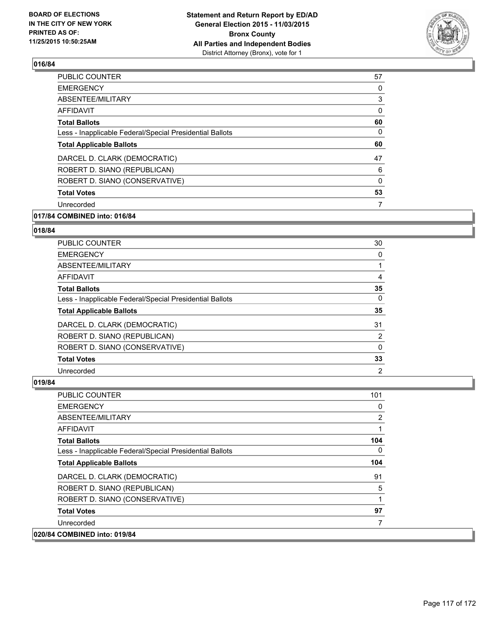

| PUBLIC COUNTER                                           | 57 |
|----------------------------------------------------------|----|
| <b>EMERGENCY</b>                                         | 0  |
| ABSENTEE/MILITARY                                        | 3  |
| AFFIDAVIT                                                | 0  |
| <b>Total Ballots</b>                                     | 60 |
| Less - Inapplicable Federal/Special Presidential Ballots | 0  |
| <b>Total Applicable Ballots</b>                          | 60 |
| DARCEL D. CLARK (DEMOCRATIC)                             | 47 |
| ROBERT D. SIANO (REPUBLICAN)                             | 6  |
| ROBERT D. SIANO (CONSERVATIVE)                           | 0  |
| <b>Total Votes</b>                                       | 53 |
| Unrecorded                                               |    |
|                                                          |    |

# **017/84 COMBINED into: 016/84**

#### **018/84**

| PUBLIC COUNTER                                           | 30             |
|----------------------------------------------------------|----------------|
| <b>EMERGENCY</b>                                         | 0              |
| ABSENTEE/MILITARY                                        |                |
| <b>AFFIDAVIT</b>                                         | 4              |
| <b>Total Ballots</b>                                     | 35             |
| Less - Inapplicable Federal/Special Presidential Ballots | $\Omega$       |
| <b>Total Applicable Ballots</b>                          | 35             |
| DARCEL D. CLARK (DEMOCRATIC)                             | 31             |
| ROBERT D. SIANO (REPUBLICAN)                             | 2              |
| ROBERT D. SIANO (CONSERVATIVE)                           | 0              |
| <b>Total Votes</b>                                       | 33             |
| Unrecorded                                               | $\overline{2}$ |

| <b>PUBLIC COUNTER</b>                                    | 101 |
|----------------------------------------------------------|-----|
| <b>EMERGENCY</b>                                         | 0   |
| ABSENTEE/MILITARY                                        | 2   |
| <b>AFFIDAVIT</b>                                         |     |
| <b>Total Ballots</b>                                     | 104 |
| Less - Inapplicable Federal/Special Presidential Ballots | 0   |
| <b>Total Applicable Ballots</b>                          | 104 |
| DARCEL D. CLARK (DEMOCRATIC)                             | 91  |
| ROBERT D. SIANO (REPUBLICAN)                             | 5   |
| ROBERT D. SIANO (CONSERVATIVE)                           | 1   |
| <b>Total Votes</b>                                       | 97  |
| Unrecorded                                               | 7   |
| 020/84 COMBINED into: 019/84                             |     |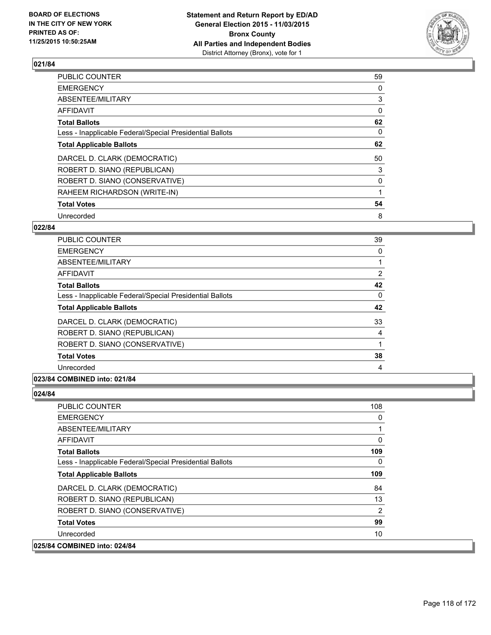

| PUBLIC COUNTER                                           | 59 |
|----------------------------------------------------------|----|
| <b>EMERGENCY</b>                                         | 0  |
| ABSENTEE/MILITARY                                        | 3  |
| AFFIDAVIT                                                | 0  |
| <b>Total Ballots</b>                                     | 62 |
| Less - Inapplicable Federal/Special Presidential Ballots | 0  |
| <b>Total Applicable Ballots</b>                          | 62 |
| DARCEL D. CLARK (DEMOCRATIC)                             | 50 |
| ROBERT D. SIANO (REPUBLICAN)                             | 3  |
| ROBERT D. SIANO (CONSERVATIVE)                           | 0  |
| RAHEEM RICHARDSON (WRITE-IN)                             |    |
| <b>Total Votes</b>                                       | 54 |
| Unrecorded                                               | 8  |

### **022/84**

| <b>PUBLIC COUNTER</b>                                    | 39             |
|----------------------------------------------------------|----------------|
| <b>EMERGENCY</b>                                         | 0              |
| ABSENTEE/MILITARY                                        |                |
| AFFIDAVIT                                                | $\overline{2}$ |
| <b>Total Ballots</b>                                     | 42             |
| Less - Inapplicable Federal/Special Presidential Ballots | $\Omega$       |
| <b>Total Applicable Ballots</b>                          | 42             |
| DARCEL D. CLARK (DEMOCRATIC)                             | 33             |
| ROBERT D. SIANO (REPUBLICAN)                             | 4              |
| ROBERT D. SIANO (CONSERVATIVE)                           |                |
| <b>Total Votes</b>                                       | 38             |
| Unrecorded                                               | 4              |

# **023/84 COMBINED into: 021/84**

| <b>PUBLIC COUNTER</b>                                    | 108            |
|----------------------------------------------------------|----------------|
| <b>EMERGENCY</b>                                         | 0              |
| ABSENTEE/MILITARY                                        | 1              |
| <b>AFFIDAVIT</b>                                         | 0              |
| <b>Total Ballots</b>                                     | 109            |
| Less - Inapplicable Federal/Special Presidential Ballots | 0              |
| <b>Total Applicable Ballots</b>                          | 109            |
| DARCEL D. CLARK (DEMOCRATIC)                             | 84             |
| ROBERT D. SIANO (REPUBLICAN)                             | 13             |
| ROBERT D. SIANO (CONSERVATIVE)                           | $\overline{2}$ |
| <b>Total Votes</b>                                       | 99             |
| Unrecorded                                               | 10             |
| 025/84 COMBINED into: 024/84                             |                |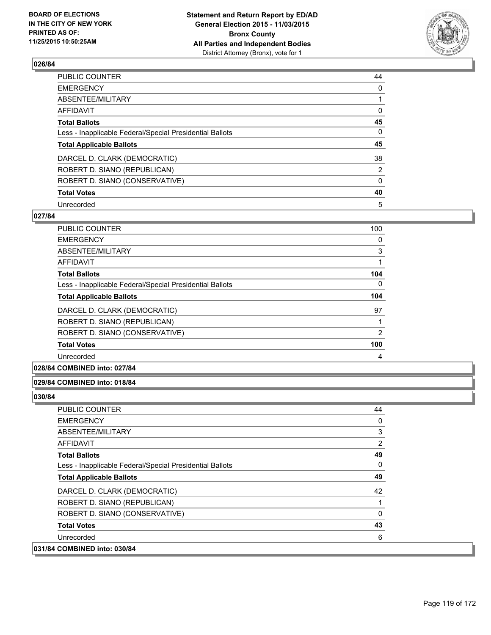

| PUBLIC COUNTER                                           | 44       |
|----------------------------------------------------------|----------|
| <b>EMERGENCY</b>                                         | 0        |
| ABSENTEE/MILITARY                                        |          |
| <b>AFFIDAVIT</b>                                         | 0        |
| <b>Total Ballots</b>                                     | 45       |
| Less - Inapplicable Federal/Special Presidential Ballots | $\Omega$ |
| <b>Total Applicable Ballots</b>                          | 45       |
| DARCEL D. CLARK (DEMOCRATIC)                             | 38       |
| ROBERT D. SIANO (REPUBLICAN)                             | 2        |
| ROBERT D. SIANO (CONSERVATIVE)                           | $\Omega$ |
| <b>Total Votes</b>                                       | 40       |
| Unrecorded                                               | 5        |

### **027/84**

| <b>PUBLIC COUNTER</b>                                    | 100            |
|----------------------------------------------------------|----------------|
| <b>EMERGENCY</b>                                         | 0              |
| ABSENTEE/MILITARY                                        | 3              |
| <b>AFFIDAVIT</b>                                         | 1              |
| <b>Total Ballots</b>                                     | 104            |
| Less - Inapplicable Federal/Special Presidential Ballots | 0              |
| <b>Total Applicable Ballots</b>                          | 104            |
| DARCEL D. CLARK (DEMOCRATIC)                             | 97             |
| ROBERT D. SIANO (REPUBLICAN)                             |                |
| ROBERT D. SIANO (CONSERVATIVE)                           | $\overline{2}$ |
| <b>Total Votes</b>                                       | 100            |
| Unrecorded                                               | 4              |

**028/84 COMBINED into: 027/84**

### **029/84 COMBINED into: 018/84**

| <b>PUBLIC COUNTER</b>                                    | 44           |
|----------------------------------------------------------|--------------|
| <b>EMERGENCY</b>                                         | 0            |
| ABSENTEE/MILITARY                                        | 3            |
| <b>AFFIDAVIT</b>                                         | 2            |
| <b>Total Ballots</b>                                     | 49           |
| Less - Inapplicable Federal/Special Presidential Ballots | 0            |
| <b>Total Applicable Ballots</b>                          | 49           |
| DARCEL D. CLARK (DEMOCRATIC)                             | 42           |
| ROBERT D. SIANO (REPUBLICAN)                             |              |
| ROBERT D. SIANO (CONSERVATIVE)                           | $\mathbf{0}$ |
| <b>Total Votes</b>                                       | 43           |
| Unrecorded                                               | 6            |
| 031/84 COMBINED into: 030/84                             |              |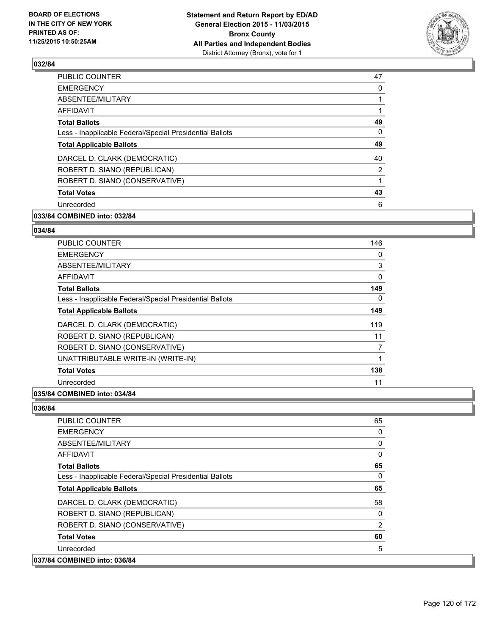

| <b>PUBLIC COUNTER</b>                                    | 47             |
|----------------------------------------------------------|----------------|
| <b>EMERGENCY</b>                                         | 0              |
| ABSENTEE/MILITARY                                        |                |
| AFFIDAVIT                                                |                |
| <b>Total Ballots</b>                                     | 49             |
| Less - Inapplicable Federal/Special Presidential Ballots | 0              |
| <b>Total Applicable Ballots</b>                          | 49             |
| DARCEL D. CLARK (DEMOCRATIC)                             | 40             |
| ROBERT D. SIANO (REPUBLICAN)                             | $\overline{2}$ |
| ROBERT D. SIANO (CONSERVATIVE)                           |                |
| <b>Total Votes</b>                                       | 43             |
| Unrecorded                                               | 6              |
|                                                          |                |

# **033/84 COMBINED into: 032/84**

### **034/84**

| <b>PUBLIC COUNTER</b>                                    | 146 |
|----------------------------------------------------------|-----|
| <b>EMERGENCY</b>                                         | 0   |
| ABSENTEE/MILITARY                                        | 3   |
| <b>AFFIDAVIT</b>                                         | 0   |
| <b>Total Ballots</b>                                     | 149 |
| Less - Inapplicable Federal/Special Presidential Ballots | 0   |
| <b>Total Applicable Ballots</b>                          | 149 |
| DARCEL D. CLARK (DEMOCRATIC)                             | 119 |
| ROBERT D. SIANO (REPUBLICAN)                             | 11  |
| ROBERT D. SIANO (CONSERVATIVE)                           |     |
| UNATTRIBUTABLE WRITE-IN (WRITE-IN)                       | 1   |
| <b>Total Votes</b>                                       | 138 |
| Unrecorded                                               | 11  |

## **035/84 COMBINED into: 034/84**

| <b>PUBLIC COUNTER</b>                                    | 65       |
|----------------------------------------------------------|----------|
| <b>EMERGENCY</b>                                         | 0        |
| ABSENTEE/MILITARY                                        | 0        |
| <b>AFFIDAVIT</b>                                         | $\Omega$ |
| <b>Total Ballots</b>                                     | 65       |
| Less - Inapplicable Federal/Special Presidential Ballots | 0        |
| <b>Total Applicable Ballots</b>                          | 65       |
| DARCEL D. CLARK (DEMOCRATIC)                             | 58       |
| ROBERT D. SIANO (REPUBLICAN)                             | 0        |
| ROBERT D. SIANO (CONSERVATIVE)                           | 2        |
| <b>Total Votes</b>                                       | 60       |
| Unrecorded                                               | 5        |
| 037/84 COMBINED into: 036/84                             |          |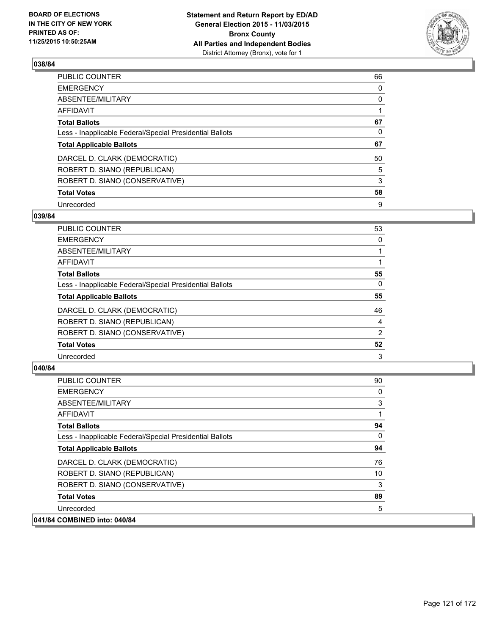

| PUBLIC COUNTER                                           | 66 |
|----------------------------------------------------------|----|
| <b>EMERGENCY</b>                                         | 0  |
| ABSENTEE/MILITARY                                        | 0  |
| <b>AFFIDAVIT</b>                                         |    |
| <b>Total Ballots</b>                                     | 67 |
| Less - Inapplicable Federal/Special Presidential Ballots | 0  |
| <b>Total Applicable Ballots</b>                          | 67 |
| DARCEL D. CLARK (DEMOCRATIC)                             | 50 |
| ROBERT D. SIANO (REPUBLICAN)                             | 5  |
| ROBERT D. SIANO (CONSERVATIVE)                           | 3  |
| <b>Total Votes</b>                                       | 58 |
| Unrecorded                                               | 9  |

### **039/84**

| 53 |
|----|
| 0  |
|    |
|    |
| 55 |
| 0  |
| 55 |
| 46 |
| 4  |
| 2  |
| 52 |
| 3  |
|    |

| <b>PUBLIC COUNTER</b>                                    | 90 |
|----------------------------------------------------------|----|
| <b>EMERGENCY</b>                                         | 0  |
| ABSENTEE/MILITARY                                        | 3  |
| AFFIDAVIT                                                |    |
| <b>Total Ballots</b>                                     | 94 |
| Less - Inapplicable Federal/Special Presidential Ballots | 0  |
| <b>Total Applicable Ballots</b>                          | 94 |
| DARCEL D. CLARK (DEMOCRATIC)                             | 76 |
| ROBERT D. SIANO (REPUBLICAN)                             | 10 |
| ROBERT D. SIANO (CONSERVATIVE)                           | 3  |
| <b>Total Votes</b>                                       | 89 |
| Unrecorded                                               | 5  |
| 041/84 COMBINED into: 040/84                             |    |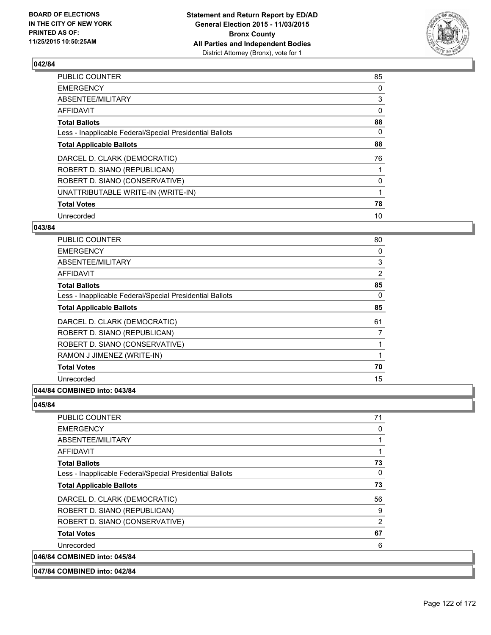

| PUBLIC COUNTER                                           | 85       |
|----------------------------------------------------------|----------|
| <b>EMERGENCY</b>                                         | 0        |
| ABSENTEE/MILITARY                                        | 3        |
| AFFIDAVIT                                                | $\Omega$ |
| <b>Total Ballots</b>                                     | 88       |
| Less - Inapplicable Federal/Special Presidential Ballots | 0        |
| <b>Total Applicable Ballots</b>                          | 88       |
| DARCEL D. CLARK (DEMOCRATIC)                             | 76       |
| ROBERT D. SIANO (REPUBLICAN)                             |          |
| ROBERT D. SIANO (CONSERVATIVE)                           | 0        |
| UNATTRIBUTABLE WRITE-IN (WRITE-IN)                       |          |
| <b>Total Votes</b>                                       | 78       |
| Unrecorded                                               | 10       |

## **043/84**

| PUBLIC COUNTER                                           | 80             |
|----------------------------------------------------------|----------------|
| <b>EMERGENCY</b>                                         | 0              |
| ABSENTEE/MILITARY                                        | 3              |
| AFFIDAVIT                                                | $\overline{2}$ |
| <b>Total Ballots</b>                                     | 85             |
| Less - Inapplicable Federal/Special Presidential Ballots | 0              |
| <b>Total Applicable Ballots</b>                          | 85             |
| DARCEL D. CLARK (DEMOCRATIC)                             | 61             |
| ROBERT D. SIANO (REPUBLICAN)                             | 7              |
| ROBERT D. SIANO (CONSERVATIVE)                           |                |
| RAMON J JIMENEZ (WRITE-IN)                               |                |
| <b>Total Votes</b>                                       | 70             |
| Unrecorded                                               | 15             |
|                                                          |                |

# **044/84 COMBINED into: 043/84**

| <b>PUBLIC COUNTER</b>                                    | 71 |
|----------------------------------------------------------|----|
| <b>EMERGENCY</b>                                         | 0  |
| ABSENTEE/MILITARY                                        | 1  |
| <b>AFFIDAVIT</b>                                         | 1  |
| <b>Total Ballots</b>                                     | 73 |
| Less - Inapplicable Federal/Special Presidential Ballots | 0  |
| <b>Total Applicable Ballots</b>                          | 73 |
| DARCEL D. CLARK (DEMOCRATIC)                             | 56 |
| ROBERT D. SIANO (REPUBLICAN)                             | 9  |
| ROBERT D. SIANO (CONSERVATIVE)                           | 2  |
| <b>Total Votes</b>                                       | 67 |
| Unrecorded                                               | 6  |
| 046/84 COMBINED into: 045/84                             |    |
| 047/84 COMBINED into: 042/84                             |    |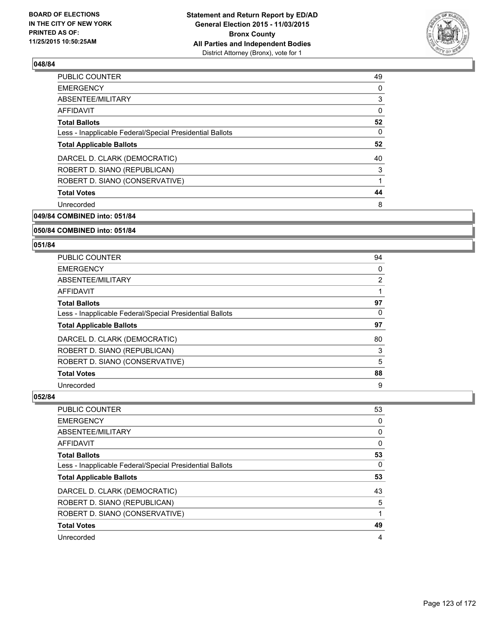

| PUBLIC COUNTER                                           | 49 |
|----------------------------------------------------------|----|
| <b>EMERGENCY</b>                                         | 0  |
| ABSENTEE/MILITARY                                        | 3  |
| AFFIDAVIT                                                | 0  |
| <b>Total Ballots</b>                                     | 52 |
| Less - Inapplicable Federal/Special Presidential Ballots | 0  |
| <b>Total Applicable Ballots</b>                          | 52 |
| DARCEL D. CLARK (DEMOCRATIC)                             | 40 |
| ROBERT D. SIANO (REPUBLICAN)                             | 3  |
| ROBERT D. SIANO (CONSERVATIVE)                           |    |
| <b>Total Votes</b>                                       | 44 |
| Unrecorded                                               | 8  |
|                                                          |    |

**049/84 COMBINED into: 051/84**

### **050/84 COMBINED into: 051/84**

### **051/84**

| PUBLIC COUNTER                                           | 94 |
|----------------------------------------------------------|----|
| <b>EMERGENCY</b>                                         | 0  |
| ABSENTEE/MILITARY                                        | 2  |
| AFFIDAVIT                                                |    |
| <b>Total Ballots</b>                                     | 97 |
| Less - Inapplicable Federal/Special Presidential Ballots | 0  |
| <b>Total Applicable Ballots</b>                          | 97 |
| DARCEL D. CLARK (DEMOCRATIC)                             | 80 |
| ROBERT D. SIANO (REPUBLICAN)                             | 3  |
| ROBERT D. SIANO (CONSERVATIVE)                           | 5  |
| <b>Total Votes</b>                                       | 88 |
|                                                          |    |

| <b>PUBLIC COUNTER</b>                                    | 53 |
|----------------------------------------------------------|----|
| <b>EMERGENCY</b>                                         | 0  |
| ABSENTEE/MILITARY                                        | 0  |
| AFFIDAVIT                                                | 0  |
| <b>Total Ballots</b>                                     | 53 |
| Less - Inapplicable Federal/Special Presidential Ballots | 0  |
| <b>Total Applicable Ballots</b>                          | 53 |
| DARCEL D. CLARK (DEMOCRATIC)                             | 43 |
| ROBERT D. SIANO (REPUBLICAN)                             | 5  |
| ROBERT D. SIANO (CONSERVATIVE)                           |    |
| <b>Total Votes</b>                                       | 49 |
| Unrecorded                                               | 4  |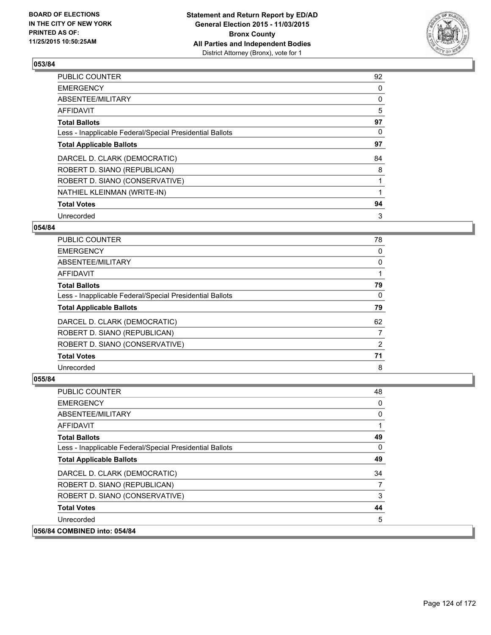

| <b>PUBLIC COUNTER</b>                                    | 92 |
|----------------------------------------------------------|----|
| <b>EMERGENCY</b>                                         | 0  |
| ABSENTEE/MILITARY                                        | 0  |
| <b>AFFIDAVIT</b>                                         | 5  |
| <b>Total Ballots</b>                                     | 97 |
| Less - Inapplicable Federal/Special Presidential Ballots | 0  |
| <b>Total Applicable Ballots</b>                          | 97 |
| DARCEL D. CLARK (DEMOCRATIC)                             | 84 |
| ROBERT D. SIANO (REPUBLICAN)                             | 8  |
| ROBERT D. SIANO (CONSERVATIVE)                           |    |
| NATHIEL KLEINMAN (WRITE-IN)                              |    |
| <b>Total Votes</b>                                       | 94 |
| Unrecorded                                               | 3  |

## **054/84**

| PUBLIC COUNTER                                           | 78 |
|----------------------------------------------------------|----|
| <b>EMERGENCY</b>                                         | 0  |
| ABSENTEE/MILITARY                                        | 0  |
| AFFIDAVIT                                                |    |
| <b>Total Ballots</b>                                     | 79 |
| Less - Inapplicable Federal/Special Presidential Ballots | 0  |
| <b>Total Applicable Ballots</b>                          | 79 |
|                                                          |    |
| DARCEL D. CLARK (DEMOCRATIC)                             | 62 |
| ROBERT D. SIANO (REPUBLICAN)                             | 7  |
| ROBERT D. SIANO (CONSERVATIVE)                           | 2  |
| <b>Total Votes</b>                                       | 71 |

| <b>PUBLIC COUNTER</b>                                    | 48 |
|----------------------------------------------------------|----|
| <b>EMERGENCY</b>                                         | 0  |
| ABSENTEE/MILITARY                                        | 0  |
| AFFIDAVIT                                                |    |
| <b>Total Ballots</b>                                     | 49 |
| Less - Inapplicable Federal/Special Presidential Ballots | 0  |
| <b>Total Applicable Ballots</b>                          | 49 |
| DARCEL D. CLARK (DEMOCRATIC)                             | 34 |
| ROBERT D. SIANO (REPUBLICAN)                             | 7  |
| ROBERT D. SIANO (CONSERVATIVE)                           | 3  |
| <b>Total Votes</b>                                       | 44 |
| Unrecorded                                               | 5  |
| 056/84 COMBINED into: 054/84                             |    |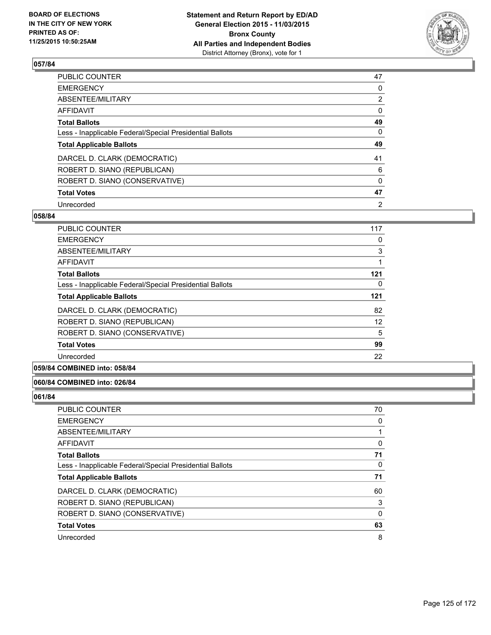

| PUBLIC COUNTER                                           | 47             |
|----------------------------------------------------------|----------------|
| <b>EMERGENCY</b>                                         | 0              |
| ABSENTEE/MILITARY                                        | $\overline{2}$ |
| <b>AFFIDAVIT</b>                                         | $\Omega$       |
| <b>Total Ballots</b>                                     | 49             |
| Less - Inapplicable Federal/Special Presidential Ballots | 0              |
| <b>Total Applicable Ballots</b>                          | 49             |
| DARCEL D. CLARK (DEMOCRATIC)                             | 41             |
| ROBERT D. SIANO (REPUBLICAN)                             | 6              |
| ROBERT D. SIANO (CONSERVATIVE)                           | $\Omega$       |
| <b>Total Votes</b>                                       | 47             |
| Unrecorded                                               | 2              |

### **058/84**

| <b>PUBLIC COUNTER</b>                                    | 117 |
|----------------------------------------------------------|-----|
| <b>EMERGENCY</b>                                         | 0   |
| ABSENTEE/MILITARY                                        | 3   |
| AFFIDAVIT                                                |     |
| <b>Total Ballots</b>                                     | 121 |
| Less - Inapplicable Federal/Special Presidential Ballots | 0   |
| <b>Total Applicable Ballots</b>                          | 121 |
| DARCEL D. CLARK (DEMOCRATIC)                             | 82  |
| ROBERT D. SIANO (REPUBLICAN)                             | 12  |
| ROBERT D. SIANO (CONSERVATIVE)                           | 5   |
| <b>Total Votes</b>                                       | 99  |
| Unrecorded                                               | 22  |

### **059/84 COMBINED into: 058/84**

### **060/84 COMBINED into: 026/84**

| <b>PUBLIC COUNTER</b>                                    | 70 |
|----------------------------------------------------------|----|
| <b>EMERGENCY</b>                                         | 0  |
| ABSENTEE/MILITARY                                        |    |
| AFFIDAVIT                                                | 0  |
| <b>Total Ballots</b>                                     | 71 |
| Less - Inapplicable Federal/Special Presidential Ballots | 0  |
| <b>Total Applicable Ballots</b>                          | 71 |
| DARCEL D. CLARK (DEMOCRATIC)                             | 60 |
| ROBERT D. SIANO (REPUBLICAN)                             | 3  |
| ROBERT D. SIANO (CONSERVATIVE)                           | 0  |
| <b>Total Votes</b>                                       | 63 |
| Unrecorded                                               | 8  |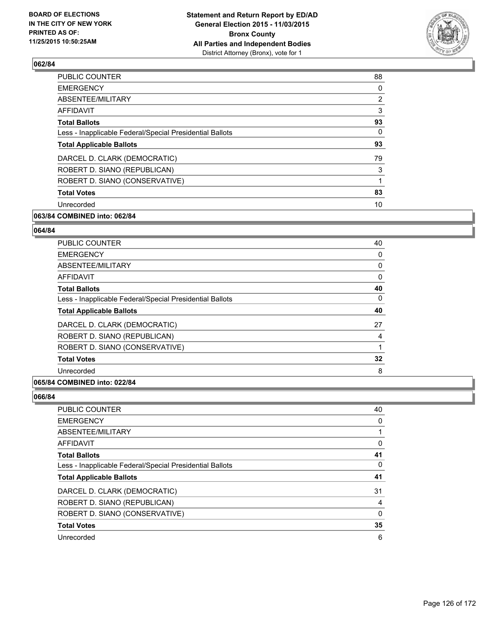

| <b>PUBLIC COUNTER</b>                                    | 88             |
|----------------------------------------------------------|----------------|
| <b>EMERGENCY</b>                                         | 0              |
| ABSENTEE/MILITARY                                        | $\overline{2}$ |
| AFFIDAVIT                                                | 3              |
| <b>Total Ballots</b>                                     | 93             |
| Less - Inapplicable Federal/Special Presidential Ballots | 0              |
| <b>Total Applicable Ballots</b>                          | 93             |
| DARCEL D. CLARK (DEMOCRATIC)                             | 79             |
| ROBERT D. SIANO (REPUBLICAN)                             | 3              |
| ROBERT D. SIANO (CONSERVATIVE)                           |                |
| <b>Total Votes</b>                                       | 83             |
| Unrecorded                                               | 10             |
|                                                          |                |

# **063/84 COMBINED into: 062/84**

## **064/84**

| PUBLIC COUNTER                                           | 40 |
|----------------------------------------------------------|----|
| <b>EMERGENCY</b>                                         | 0  |
| ABSENTEE/MILITARY                                        | 0  |
| AFFIDAVIT                                                | 0  |
| <b>Total Ballots</b>                                     | 40 |
| Less - Inapplicable Federal/Special Presidential Ballots | 0  |
| <b>Total Applicable Ballots</b>                          | 40 |
| DARCEL D. CLARK (DEMOCRATIC)                             | 27 |
| ROBERT D. SIANO (REPUBLICAN)                             | 4  |
| ROBERT D. SIANO (CONSERVATIVE)                           |    |
| <b>Total Votes</b>                                       | 32 |
| Unrecorded                                               | 8  |
|                                                          |    |

### **065/84 COMBINED into: 022/84**

| <b>PUBLIC COUNTER</b>                                    | 40 |
|----------------------------------------------------------|----|
| <b>EMERGENCY</b>                                         | 0  |
| ABSENTEE/MILITARY                                        |    |
| AFFIDAVIT                                                | 0  |
| <b>Total Ballots</b>                                     | 41 |
| Less - Inapplicable Federal/Special Presidential Ballots | 0  |
| <b>Total Applicable Ballots</b>                          | 41 |
| DARCEL D. CLARK (DEMOCRATIC)                             | 31 |
|                                                          |    |
| ROBERT D. SIANO (REPUBLICAN)                             | 4  |
| ROBERT D. SIANO (CONSERVATIVE)                           | 0  |
| <b>Total Votes</b>                                       | 35 |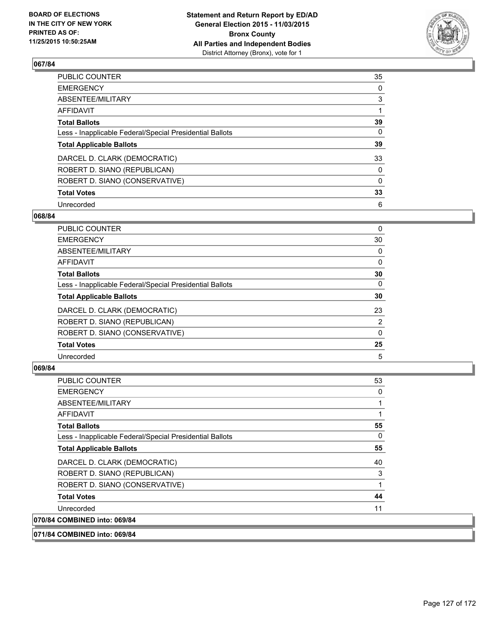

| PUBLIC COUNTER                                           | 35       |
|----------------------------------------------------------|----------|
| <b>EMERGENCY</b>                                         | 0        |
| ABSENTEE/MILITARY                                        | 3        |
| <b>AFFIDAVIT</b>                                         |          |
| <b>Total Ballots</b>                                     | 39       |
| Less - Inapplicable Federal/Special Presidential Ballots | $\Omega$ |
| <b>Total Applicable Ballots</b>                          | 39       |
| DARCEL D. CLARK (DEMOCRATIC)                             | 33       |
| ROBERT D. SIANO (REPUBLICAN)                             | 0        |
| ROBERT D. SIANO (CONSERVATIVE)                           | $\Omega$ |
| <b>Total Votes</b>                                       | 33       |
| Unrecorded                                               | 6        |

### **068/84**

| <b>PUBLIC COUNTER</b>                                    | 0              |
|----------------------------------------------------------|----------------|
| <b>EMERGENCY</b>                                         | 30             |
| <b>ABSENTEE/MILITARY</b>                                 | 0              |
| <b>AFFIDAVIT</b>                                         | 0              |
| <b>Total Ballots</b>                                     | 30             |
| Less - Inapplicable Federal/Special Presidential Ballots | 0              |
| <b>Total Applicable Ballots</b>                          | 30             |
| DARCEL D. CLARK (DEMOCRATIC)                             | 23             |
| ROBERT D. SIANO (REPUBLICAN)                             | $\overline{2}$ |
| ROBERT D. SIANO (CONSERVATIVE)                           | 0              |
| <b>Total Votes</b>                                       | 25             |
| Unrecorded                                               | 5              |
|                                                          |                |

# **069/84**

070/84

| <b>PUBLIC COUNTER</b>                                    | 53 |
|----------------------------------------------------------|----|
| <b>EMERGENCY</b>                                         | 0  |
| ABSENTEE/MILITARY                                        |    |
| <b>AFFIDAVIT</b>                                         | 1  |
| <b>Total Ballots</b>                                     | 55 |
| Less - Inapplicable Federal/Special Presidential Ballots | 0  |
| <b>Total Applicable Ballots</b>                          | 55 |
| DARCEL D. CLARK (DEMOCRATIC)                             | 40 |
| ROBERT D. SIANO (REPUBLICAN)                             | 3  |
| ROBERT D. SIANO (CONSERVATIVE)                           | 1  |
| <b>Total Votes</b>                                       | 44 |
| Unrecorded                                               | 11 |
| <b>COMBINED into: 069/84</b>                             |    |

## **071/84 COMBINED into: 069/84**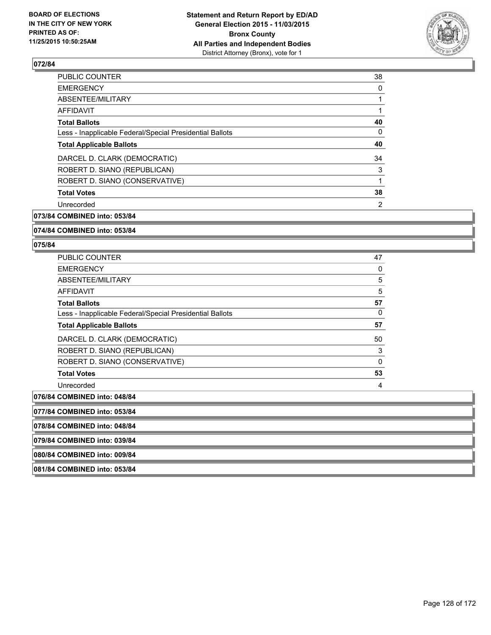

| <b>PUBLIC COUNTER</b>                                    | 38 |
|----------------------------------------------------------|----|
| <b>EMERGENCY</b>                                         | 0  |
| ABSENTEE/MILITARY                                        |    |
| AFFIDAVIT                                                |    |
| <b>Total Ballots</b>                                     | 40 |
| Less - Inapplicable Federal/Special Presidential Ballots | 0  |
| <b>Total Applicable Ballots</b>                          | 40 |
| DARCEL D. CLARK (DEMOCRATIC)                             | 34 |
| ROBERT D. SIANO (REPUBLICAN)                             | 3  |
| ROBERT D. SIANO (CONSERVATIVE)                           |    |
| <b>Total Votes</b>                                       | 38 |
| Unrecorded                                               | 2  |
|                                                          |    |

**073/84 COMBINED into: 053/84**

**074/84 COMBINED into: 053/84**

### **075/84**

| <b>PUBLIC COUNTER</b>                                    | 47 |
|----------------------------------------------------------|----|
| <b>EMERGENCY</b>                                         | 0  |
| ABSENTEE/MILITARY                                        | 5  |
| <b>AFFIDAVIT</b>                                         | 5  |
| <b>Total Ballots</b>                                     | 57 |
| Less - Inapplicable Federal/Special Presidential Ballots | 0  |
| <b>Total Applicable Ballots</b>                          | 57 |
| DARCEL D. CLARK (DEMOCRATIC)                             | 50 |
| ROBERT D. SIANO (REPUBLICAN)                             | 3  |
| ROBERT D. SIANO (CONSERVATIVE)                           | 0  |
| <b>Total Votes</b>                                       | 53 |
| Unrecorded                                               | 4  |
| <b>COMBINED into: 048/84</b>                             |    |

076/84 **077/84 COMBINED into: 053/84 078/84 COMBINED into: 048/84 079/84 COMBINED into: 039/84 080/84 COMBINED into: 009/84 081/84 COMBINED into: 053/84**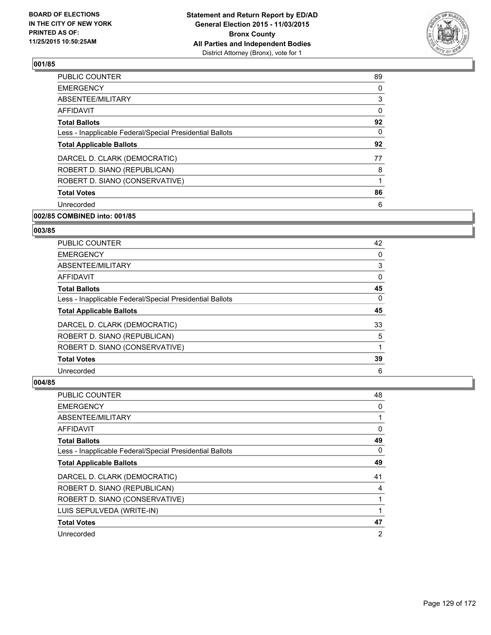

| <b>EMERGENCY</b><br>0<br>ABSENTEE/MILITARY<br>3<br>0<br><b>AFFIDAVIT</b><br><b>Total Ballots</b><br>0<br>Less - Inapplicable Federal/Special Presidential Ballots<br><b>Total Applicable Ballots</b><br>DARCEL D. CLARK (DEMOCRATIC)<br>77<br>ROBERT D. SIANO (REPUBLICAN)<br>8<br>ROBERT D. SIANO (CONSERVATIVE)<br>1<br><b>Total Votes</b><br>6<br>Unrecorded | <b>PUBLIC COUNTER</b> | 89 |
|-----------------------------------------------------------------------------------------------------------------------------------------------------------------------------------------------------------------------------------------------------------------------------------------------------------------------------------------------------------------|-----------------------|----|
|                                                                                                                                                                                                                                                                                                                                                                 |                       |    |
|                                                                                                                                                                                                                                                                                                                                                                 |                       |    |
|                                                                                                                                                                                                                                                                                                                                                                 |                       |    |
|                                                                                                                                                                                                                                                                                                                                                                 |                       | 92 |
|                                                                                                                                                                                                                                                                                                                                                                 |                       |    |
|                                                                                                                                                                                                                                                                                                                                                                 |                       | 92 |
|                                                                                                                                                                                                                                                                                                                                                                 |                       |    |
|                                                                                                                                                                                                                                                                                                                                                                 |                       |    |
|                                                                                                                                                                                                                                                                                                                                                                 |                       |    |
|                                                                                                                                                                                                                                                                                                                                                                 |                       | 86 |
|                                                                                                                                                                                                                                                                                                                                                                 |                       |    |

# **002/85 COMBINED into: 001/85**

## **003/85**

| PUBLIC COUNTER                                           | 42 |
|----------------------------------------------------------|----|
| <b>EMERGENCY</b>                                         | 0  |
| ABSENTEE/MILITARY                                        | 3  |
| AFFIDAVIT                                                | 0  |
| <b>Total Ballots</b>                                     | 45 |
| Less - Inapplicable Federal/Special Presidential Ballots | 0  |
| <b>Total Applicable Ballots</b>                          | 45 |
| DARCEL D. CLARK (DEMOCRATIC)                             | 33 |
| ROBERT D. SIANO (REPUBLICAN)                             | 5  |
| ROBERT D. SIANO (CONSERVATIVE)                           |    |
| <b>Total Votes</b>                                       | 39 |
| Unrecorded                                               | 6  |

| PUBLIC COUNTER                                           | 48             |
|----------------------------------------------------------|----------------|
| <b>EMERGENCY</b>                                         | 0              |
| ABSENTEE/MILITARY                                        |                |
| <b>AFFIDAVIT</b>                                         | 0              |
| <b>Total Ballots</b>                                     | 49             |
| Less - Inapplicable Federal/Special Presidential Ballots | 0              |
| <b>Total Applicable Ballots</b>                          | 49             |
| DARCEL D. CLARK (DEMOCRATIC)                             | 41             |
| ROBERT D. SIANO (REPUBLICAN)                             | 4              |
| ROBERT D. SIANO (CONSERVATIVE)                           |                |
| LUIS SEPULVEDA (WRITE-IN)                                |                |
| <b>Total Votes</b>                                       | 47             |
| Unrecorded                                               | $\overline{2}$ |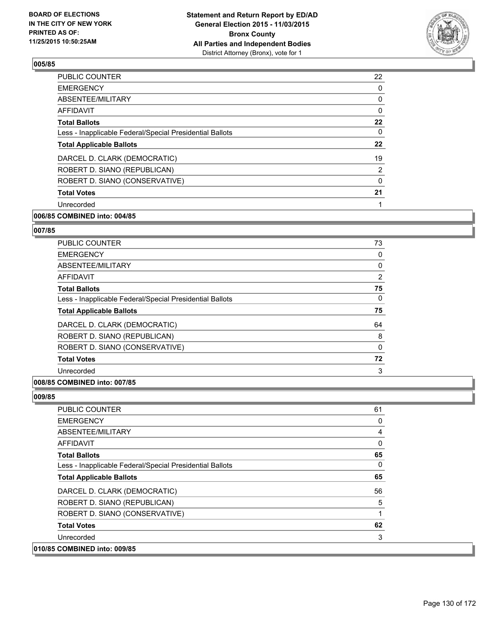

| 22             |
|----------------|
| 0              |
| 0              |
| 0              |
| 22             |
| 0              |
| 22             |
| 19             |
| $\overline{2}$ |
| 0              |
| 21             |
|                |
|                |

# **006/85 COMBINED into: 004/85**

## **007/85**

| <b>PUBLIC COUNTER</b>                                    | 73       |
|----------------------------------------------------------|----------|
| <b>EMERGENCY</b>                                         | 0        |
| ABSENTEE/MILITARY                                        | 0        |
| <b>AFFIDAVIT</b>                                         | 2        |
| <b>Total Ballots</b>                                     | 75       |
| Less - Inapplicable Federal/Special Presidential Ballots | 0        |
| <b>Total Applicable Ballots</b>                          | 75       |
| DARCEL D. CLARK (DEMOCRATIC)                             | 64       |
| ROBERT D. SIANO (REPUBLICAN)                             | 8        |
| ROBERT D. SIANO (CONSERVATIVE)                           | $\Omega$ |
| <b>Total Votes</b>                                       | 72       |
| Unrecorded                                               | 3        |

# **008/85 COMBINED into: 007/85**

| <b>PUBLIC COUNTER</b>                                    | 61 |
|----------------------------------------------------------|----|
| <b>EMERGENCY</b>                                         | 0  |
| ABSENTEE/MILITARY                                        | 4  |
| <b>AFFIDAVIT</b>                                         | 0  |
| <b>Total Ballots</b>                                     | 65 |
| Less - Inapplicable Federal/Special Presidential Ballots | 0  |
| <b>Total Applicable Ballots</b>                          | 65 |
| DARCEL D. CLARK (DEMOCRATIC)                             | 56 |
| ROBERT D. SIANO (REPUBLICAN)                             | 5  |
| ROBERT D. SIANO (CONSERVATIVE)                           |    |
| <b>Total Votes</b>                                       | 62 |
| Unrecorded                                               | 3  |
| 010/85 COMBINED into: 009/85                             |    |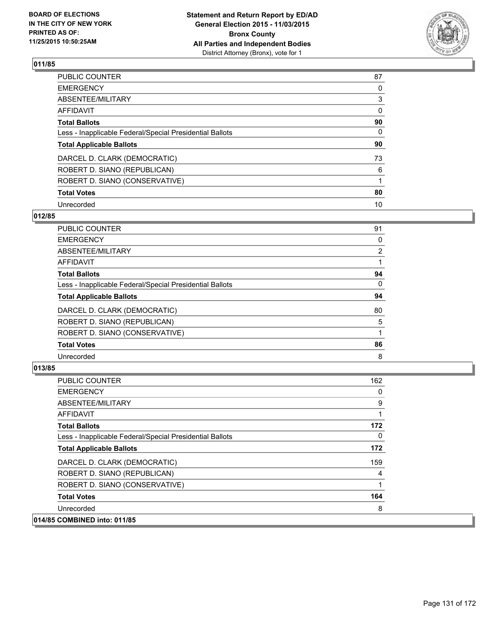

| PUBLIC COUNTER                                           | 87       |
|----------------------------------------------------------|----------|
| <b>EMERGENCY</b>                                         | 0        |
| ABSENTEE/MILITARY                                        | 3        |
| <b>AFFIDAVIT</b>                                         | 0        |
| <b>Total Ballots</b>                                     | 90       |
| Less - Inapplicable Federal/Special Presidential Ballots | $\Omega$ |
| <b>Total Applicable Ballots</b>                          | 90       |
| DARCEL D. CLARK (DEMOCRATIC)                             | 73       |
| ROBERT D. SIANO (REPUBLICAN)                             | 6        |
| ROBERT D. SIANO (CONSERVATIVE)                           |          |
| <b>Total Votes</b>                                       | 80       |
| Unrecorded                                               | 10       |

### **012/85**

| <b>PUBLIC COUNTER</b>                                    | 91             |
|----------------------------------------------------------|----------------|
| <b>EMERGENCY</b>                                         | 0              |
| <b>ABSENTEE/MILITARY</b>                                 | $\overline{2}$ |
| <b>AFFIDAVIT</b>                                         |                |
| <b>Total Ballots</b>                                     | 94             |
| Less - Inapplicable Federal/Special Presidential Ballots | 0              |
| <b>Total Applicable Ballots</b>                          | 94             |
| DARCEL D. CLARK (DEMOCRATIC)                             | 80             |
| ROBERT D. SIANO (REPUBLICAN)                             | 5              |
| ROBERT D. SIANO (CONSERVATIVE)                           |                |
| <b>Total Votes</b>                                       | 86             |
| Unrecorded                                               | 8              |

| PUBLIC COUNTER                                           | 162 |
|----------------------------------------------------------|-----|
| <b>EMERGENCY</b>                                         | 0   |
| ABSENTEE/MILITARY                                        | 9   |
| AFFIDAVIT                                                |     |
| <b>Total Ballots</b>                                     | 172 |
| Less - Inapplicable Federal/Special Presidential Ballots | 0   |
| <b>Total Applicable Ballots</b>                          | 172 |
| DARCEL D. CLARK (DEMOCRATIC)                             | 159 |
| ROBERT D. SIANO (REPUBLICAN)                             | 4   |
| ROBERT D. SIANO (CONSERVATIVE)                           |     |
| <b>Total Votes</b>                                       | 164 |
| Unrecorded                                               | 8   |
| 014/85 COMBINED into: 011/85                             |     |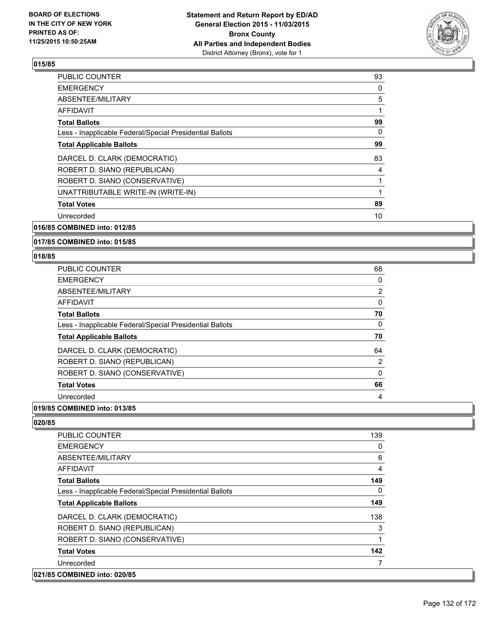

| <b>PUBLIC COUNTER</b>                                    | 93 |
|----------------------------------------------------------|----|
| <b>EMERGENCY</b>                                         | 0  |
| ABSENTEE/MILITARY                                        | 5  |
| AFFIDAVIT                                                |    |
| <b>Total Ballots</b>                                     | 99 |
| Less - Inapplicable Federal/Special Presidential Ballots | 0  |
| <b>Total Applicable Ballots</b>                          | 99 |
| DARCEL D. CLARK (DEMOCRATIC)                             | 83 |
| ROBERT D. SIANO (REPUBLICAN)                             | 4  |
| ROBERT D. SIANO (CONSERVATIVE)                           |    |
| UNATTRIBUTABLE WRITE-IN (WRITE-IN)                       |    |
| <b>Total Votes</b>                                       | 89 |
| Unrecorded                                               | 10 |
|                                                          |    |

# **016/85 COMBINED into: 012/85**

### **017/85 COMBINED into: 015/85**

### **018/85**

| PUBLIC COUNTER                                           | 68 |
|----------------------------------------------------------|----|
| <b>EMERGENCY</b>                                         | 0  |
| ABSENTEE/MILITARY                                        | 2  |
| <b>AFFIDAVIT</b>                                         | 0  |
| <b>Total Ballots</b>                                     | 70 |
| Less - Inapplicable Federal/Special Presidential Ballots | 0  |
| <b>Total Applicable Ballots</b>                          | 70 |
| DARCEL D. CLARK (DEMOCRATIC)                             | 64 |
| ROBERT D. SIANO (REPUBLICAN)                             | 2  |
| ROBERT D. SIANO (CONSERVATIVE)                           | 0  |
| <b>Total Votes</b>                                       | 66 |
| Unrecorded                                               | 4  |

# **019/85 COMBINED into: 013/85**

| PUBLIC COUNTER                                           | 139 |
|----------------------------------------------------------|-----|
| <b>EMERGENCY</b>                                         | 0   |
| ABSENTEE/MILITARY                                        | 6   |
| <b>AFFIDAVIT</b>                                         | 4   |
| <b>Total Ballots</b>                                     | 149 |
| Less - Inapplicable Federal/Special Presidential Ballots | 0   |
| <b>Total Applicable Ballots</b>                          | 149 |
| DARCEL D. CLARK (DEMOCRATIC)                             | 138 |
| ROBERT D. SIANO (REPUBLICAN)                             | 3   |
| ROBERT D. SIANO (CONSERVATIVE)                           | 4   |
| <b>Total Votes</b>                                       | 142 |
| Unrecorded                                               |     |
| 021/85 COMBINED into: 020/85                             |     |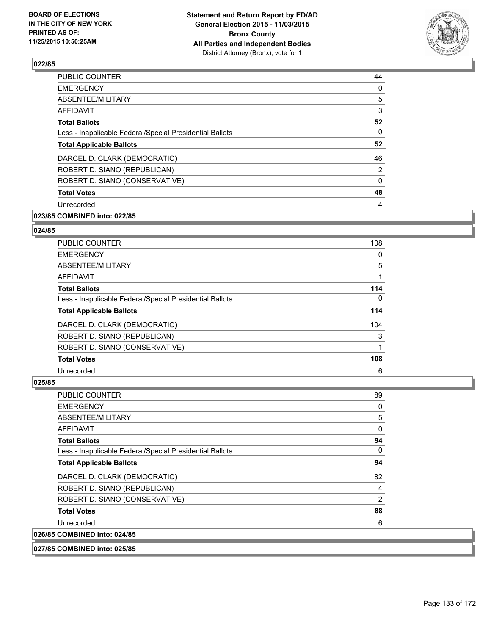

| 44             |
|----------------|
| 0              |
| 5              |
| 3              |
| 52             |
| 0              |
| 52             |
| 46             |
| $\overline{2}$ |
| 0              |
| 48             |
| 4              |
|                |

# **023/85 COMBINED into: 022/85**

## **024/85**

| <b>PUBLIC COUNTER</b>                                    | 108 |
|----------------------------------------------------------|-----|
| <b>EMERGENCY</b>                                         | 0   |
| ABSENTEE/MILITARY                                        | 5   |
| AFFIDAVIT                                                |     |
| <b>Total Ballots</b>                                     | 114 |
| Less - Inapplicable Federal/Special Presidential Ballots | 0   |
| <b>Total Applicable Ballots</b>                          | 114 |
| DARCEL D. CLARK (DEMOCRATIC)                             | 104 |
| ROBERT D. SIANO (REPUBLICAN)                             | 3   |
| ROBERT D. SIANO (CONSERVATIVE)                           |     |
| <b>Total Votes</b>                                       | 108 |
| Unrecorded                                               | 6   |

| <b>PUBLIC COUNTER</b>                                    | 89 |
|----------------------------------------------------------|----|
| <b>EMERGENCY</b>                                         | 0  |
| ABSENTEE/MILITARY                                        | 5  |
| AFFIDAVIT                                                | 0  |
| <b>Total Ballots</b>                                     | 94 |
| Less - Inapplicable Federal/Special Presidential Ballots | 0  |
| <b>Total Applicable Ballots</b>                          | 94 |
| DARCEL D. CLARK (DEMOCRATIC)                             | 82 |
| ROBERT D. SIANO (REPUBLICAN)                             | 4  |
| ROBERT D. SIANO (CONSERVATIVE)                           | 2  |
| <b>Total Votes</b>                                       | 88 |
| Unrecorded                                               | 6  |
| 026/85 COMBINED into: 024/85                             |    |
| 027/85 COMBINED into: 025/85                             |    |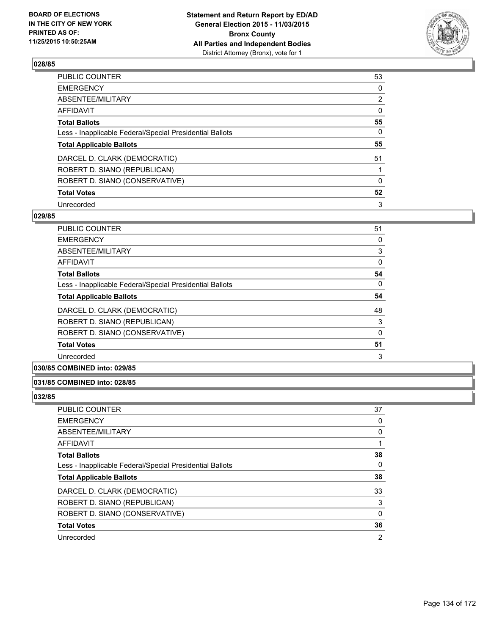

| PUBLIC COUNTER                                           | 53             |
|----------------------------------------------------------|----------------|
| <b>EMERGENCY</b>                                         | 0              |
| ABSENTEE/MILITARY                                        | $\overline{2}$ |
| <b>AFFIDAVIT</b>                                         | $\Omega$       |
| <b>Total Ballots</b>                                     | 55             |
| Less - Inapplicable Federal/Special Presidential Ballots | $\Omega$       |
| <b>Total Applicable Ballots</b>                          | 55             |
| DARCEL D. CLARK (DEMOCRATIC)                             | 51             |
| ROBERT D. SIANO (REPUBLICAN)                             |                |
| ROBERT D. SIANO (CONSERVATIVE)                           | $\Omega$       |
| <b>Total Votes</b>                                       | 52             |
| Unrecorded                                               | 3              |

### **029/85**

| <b>PUBLIC COUNTER</b>                                    | 51       |
|----------------------------------------------------------|----------|
| <b>EMERGENCY</b>                                         | 0        |
| ABSENTEE/MILITARY                                        | 3        |
| AFFIDAVIT                                                | 0        |
| <b>Total Ballots</b>                                     | 54       |
| Less - Inapplicable Federal/Special Presidential Ballots | $\Omega$ |
| <b>Total Applicable Ballots</b>                          | 54       |
| DARCEL D. CLARK (DEMOCRATIC)                             | 48       |
| ROBERT D. SIANO (REPUBLICAN)                             | 3        |
| ROBERT D. SIANO (CONSERVATIVE)                           | 0        |
| <b>Total Votes</b>                                       | 51       |
| Unrecorded                                               | 3        |

# **030/85 COMBINED into: 029/85**

### **031/85 COMBINED into: 028/85**

| PUBLIC COUNTER                                           | 37             |
|----------------------------------------------------------|----------------|
| <b>EMERGENCY</b>                                         | 0              |
| ABSENTEE/MILITARY                                        | 0              |
| AFFIDAVIT                                                |                |
| <b>Total Ballots</b>                                     | 38             |
| Less - Inapplicable Federal/Special Presidential Ballots | 0              |
| <b>Total Applicable Ballots</b>                          | 38             |
| DARCEL D. CLARK (DEMOCRATIC)                             | 33             |
| ROBERT D. SIANO (REPUBLICAN)                             | 3              |
| ROBERT D. SIANO (CONSERVATIVE)                           | 0              |
| <b>Total Votes</b>                                       | 36             |
| Unrecorded                                               | $\overline{2}$ |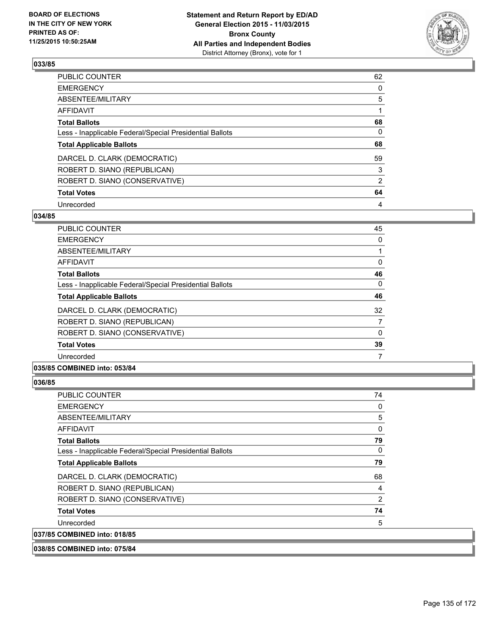

| PUBLIC COUNTER                                           | 62             |
|----------------------------------------------------------|----------------|
| <b>EMERGENCY</b>                                         | 0              |
| ABSENTEE/MILITARY                                        | 5              |
| <b>AFFIDAVIT</b>                                         |                |
| <b>Total Ballots</b>                                     | 68             |
| Less - Inapplicable Federal/Special Presidential Ballots | $\Omega$       |
| <b>Total Applicable Ballots</b>                          | 68             |
| DARCEL D. CLARK (DEMOCRATIC)                             | 59             |
| ROBERT D. SIANO (REPUBLICAN)                             | 3              |
| ROBERT D. SIANO (CONSERVATIVE)                           | $\overline{2}$ |
| <b>Total Votes</b>                                       | 64             |
| Unrecorded                                               | 4              |

### **034/85**

| PUBLIC COUNTER                                           | 45       |
|----------------------------------------------------------|----------|
| <b>EMERGENCY</b>                                         | 0        |
| ABSENTEE/MILITARY                                        |          |
| <b>AFFIDAVIT</b>                                         | 0        |
| <b>Total Ballots</b>                                     | 46       |
| Less - Inapplicable Federal/Special Presidential Ballots | $\Omega$ |
| <b>Total Applicable Ballots</b>                          | 46       |
| DARCEL D. CLARK (DEMOCRATIC)                             | 32       |
| ROBERT D. SIANO (REPUBLICAN)                             | 7        |
| ROBERT D. SIANO (CONSERVATIVE)                           | 0        |
| <b>Total Votes</b>                                       | 39       |
| Unrecorded                                               | 7        |
|                                                          |          |

### **035/85 COMBINED into: 053/84**

| PUBLIC COUNTER                                           | 74             |
|----------------------------------------------------------|----------------|
| <b>EMERGENCY</b>                                         | 0              |
| ABSENTEE/MILITARY                                        | 5              |
| <b>AFFIDAVIT</b>                                         | 0              |
| <b>Total Ballots</b>                                     | 79             |
| Less - Inapplicable Federal/Special Presidential Ballots | 0              |
| <b>Total Applicable Ballots</b>                          | 79             |
| DARCEL D. CLARK (DEMOCRATIC)                             | 68             |
| ROBERT D. SIANO (REPUBLICAN)                             | 4              |
| ROBERT D. SIANO (CONSERVATIVE)                           | $\overline{2}$ |
| <b>Total Votes</b>                                       | 74             |
| Unrecorded                                               | 5              |
| 037/85 COMBINED into: 018/85                             |                |
| 038/85 COMBINED into: 075/84                             |                |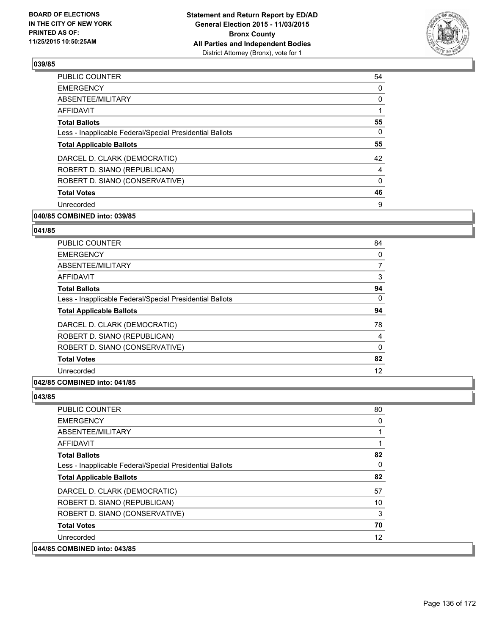

| <b>PUBLIC COUNTER</b>                                    | 54 |
|----------------------------------------------------------|----|
| <b>EMERGENCY</b>                                         | 0  |
| ABSENTEE/MILITARY                                        | 0  |
| AFFIDAVIT                                                |    |
| <b>Total Ballots</b>                                     | 55 |
| Less - Inapplicable Federal/Special Presidential Ballots | 0  |
| <b>Total Applicable Ballots</b>                          | 55 |
| DARCEL D. CLARK (DEMOCRATIC)                             | 42 |
| ROBERT D. SIANO (REPUBLICAN)                             | 4  |
| ROBERT D. SIANO (CONSERVATIVE)                           | 0  |
| <b>Total Votes</b>                                       | 46 |
| Unrecorded                                               | 9  |
|                                                          |    |

# **040/85 COMBINED into: 039/85**

### **041/85**

| <b>PUBLIC COUNTER</b>                                    | 84 |
|----------------------------------------------------------|----|
| <b>EMERGENCY</b>                                         | 0  |
| ABSENTEE/MILITARY                                        | 7  |
| AFFIDAVIT                                                | 3  |
| <b>Total Ballots</b>                                     | 94 |
| Less - Inapplicable Federal/Special Presidential Ballots | 0  |
| <b>Total Applicable Ballots</b>                          | 94 |
| DARCEL D. CLARK (DEMOCRATIC)                             | 78 |
| ROBERT D. SIANO (REPUBLICAN)                             | 4  |
| ROBERT D. SIANO (CONSERVATIVE)                           | 0  |
| <b>Total Votes</b>                                       | 82 |
| Unrecorded                                               | 12 |
|                                                          |    |

## **042/85 COMBINED into: 041/85**

| <b>PUBLIC COUNTER</b>                                    | 80 |
|----------------------------------------------------------|----|
| <b>EMERGENCY</b>                                         | 0  |
| ABSENTEE/MILITARY                                        |    |
| <b>AFFIDAVIT</b>                                         |    |
| <b>Total Ballots</b>                                     | 82 |
| Less - Inapplicable Federal/Special Presidential Ballots | 0  |
| <b>Total Applicable Ballots</b>                          | 82 |
| DARCEL D. CLARK (DEMOCRATIC)                             | 57 |
| ROBERT D. SIANO (REPUBLICAN)                             | 10 |
| ROBERT D. SIANO (CONSERVATIVE)                           | 3  |
| <b>Total Votes</b>                                       | 70 |
| Unrecorded                                               | 12 |
| 044/85 COMBINED into: 043/85                             |    |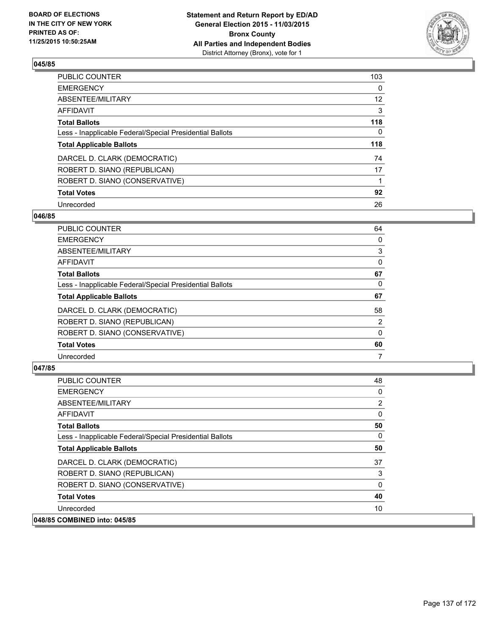

| PUBLIC COUNTER                                           | 103 |
|----------------------------------------------------------|-----|
| <b>EMERGENCY</b>                                         | 0   |
| ABSENTEE/MILITARY                                        | 12  |
| <b>AFFIDAVIT</b>                                         | 3   |
| <b>Total Ballots</b>                                     | 118 |
| Less - Inapplicable Federal/Special Presidential Ballots | 0   |
| <b>Total Applicable Ballots</b>                          | 118 |
| DARCEL D. CLARK (DEMOCRATIC)                             | 74  |
| ROBERT D. SIANO (REPUBLICAN)                             | 17  |
| ROBERT D. SIANO (CONSERVATIVE)                           |     |
| <b>Total Votes</b>                                       | 92  |
| Unrecorded                                               | 26  |

### **046/85**

| <b>PUBLIC COUNTER</b>                                    | 64             |
|----------------------------------------------------------|----------------|
| <b>EMERGENCY</b>                                         | 0              |
| ABSENTEE/MILITARY                                        | 3              |
| <b>AFFIDAVIT</b>                                         | 0              |
| <b>Total Ballots</b>                                     | 67             |
| Less - Inapplicable Federal/Special Presidential Ballots | 0              |
| <b>Total Applicable Ballots</b>                          | 67             |
| DARCEL D. CLARK (DEMOCRATIC)                             | 58             |
| ROBERT D. SIANO (REPUBLICAN)                             | $\overline{2}$ |
| ROBERT D. SIANO (CONSERVATIVE)                           | 0              |
| <b>Total Votes</b>                                       | 60             |
| Unrecorded                                               | 7              |
|                                                          |                |

| <b>PUBLIC COUNTER</b>                                    | 48       |
|----------------------------------------------------------|----------|
| <b>EMERGENCY</b>                                         | $\Omega$ |
| ABSENTEE/MILITARY                                        | 2        |
| AFFIDAVIT                                                | 0        |
| <b>Total Ballots</b>                                     | 50       |
| Less - Inapplicable Federal/Special Presidential Ballots | 0        |
| <b>Total Applicable Ballots</b>                          | 50       |
| DARCEL D. CLARK (DEMOCRATIC)                             | 37       |
| ROBERT D. SIANO (REPUBLICAN)                             | 3        |
| ROBERT D. SIANO (CONSERVATIVE)                           | 0        |
| <b>Total Votes</b>                                       | 40       |
| Unrecorded                                               | 10       |
| 048/85 COMBINED into: 045/85                             |          |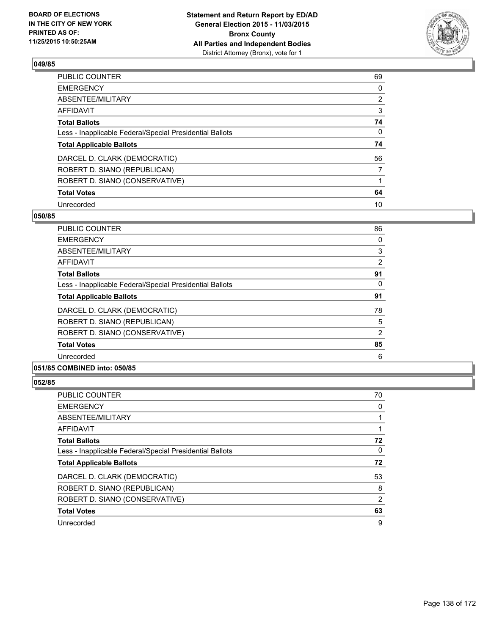

| PUBLIC COUNTER                                           | 69             |
|----------------------------------------------------------|----------------|
| <b>EMERGENCY</b>                                         | 0              |
| ABSENTEE/MILITARY                                        | $\overline{2}$ |
| <b>AFFIDAVIT</b>                                         | 3              |
| <b>Total Ballots</b>                                     | 74             |
| Less - Inapplicable Federal/Special Presidential Ballots | $\Omega$       |
| <b>Total Applicable Ballots</b>                          | 74             |
| DARCEL D. CLARK (DEMOCRATIC)                             | 56             |
| ROBERT D. SIANO (REPUBLICAN)                             | 7              |
| ROBERT D. SIANO (CONSERVATIVE)                           |                |
| <b>Total Votes</b>                                       | 64             |
| Unrecorded                                               | 10             |

### **050/85**

| <b>PUBLIC COUNTER</b>                                    | 86 |
|----------------------------------------------------------|----|
| <b>EMERGENCY</b>                                         | 0  |
| ABSENTEE/MILITARY                                        | 3  |
| AFFIDAVIT                                                | 2  |
| <b>Total Ballots</b>                                     | 91 |
| Less - Inapplicable Federal/Special Presidential Ballots | 0  |
| <b>Total Applicable Ballots</b>                          | 91 |
| DARCEL D. CLARK (DEMOCRATIC)                             | 78 |
| ROBERT D. SIANO (REPUBLICAN)                             | 5  |
| ROBERT D. SIANO (CONSERVATIVE)                           | 2  |
| <b>Total Votes</b>                                       | 85 |
| Unrecorded                                               | 6  |
|                                                          |    |

## **051/85 COMBINED into: 050/85**

| PUBLIC COUNTER                                           | 70 |
|----------------------------------------------------------|----|
| <b>EMERGENCY</b>                                         | 0  |
| ABSENTEE/MILITARY                                        |    |
| <b>AFFIDAVIT</b>                                         |    |
| <b>Total Ballots</b>                                     | 72 |
| Less - Inapplicable Federal/Special Presidential Ballots | 0  |
| <b>Total Applicable Ballots</b>                          | 72 |
| DARCEL D. CLARK (DEMOCRATIC)                             | 53 |
| ROBERT D. SIANO (REPUBLICAN)                             | 8  |
| ROBERT D. SIANO (CONSERVATIVE)                           | 2  |
| <b>Total Votes</b>                                       | 63 |
| Unrecorded                                               | 9  |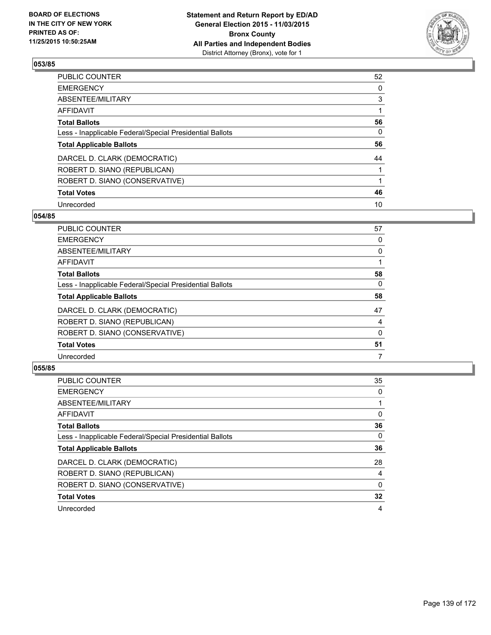

| PUBLIC COUNTER                                           | 52 |
|----------------------------------------------------------|----|
| <b>EMERGENCY</b>                                         | 0  |
| ABSENTEE/MILITARY                                        | 3  |
| <b>AFFIDAVIT</b>                                         |    |
| <b>Total Ballots</b>                                     | 56 |
| Less - Inapplicable Federal/Special Presidential Ballots | 0  |
| <b>Total Applicable Ballots</b>                          | 56 |
| DARCEL D. CLARK (DEMOCRATIC)                             | 44 |
| ROBERT D. SIANO (REPUBLICAN)                             |    |
| ROBERT D. SIANO (CONSERVATIVE)                           |    |
| <b>Total Votes</b>                                       | 46 |
| Unrecorded                                               | 10 |

### **054/85**

| <b>PUBLIC COUNTER</b>                                    | 57 |
|----------------------------------------------------------|----|
| <b>EMERGENCY</b>                                         | 0  |
| ABSENTEE/MILITARY                                        | 0  |
| <b>AFFIDAVIT</b>                                         |    |
| <b>Total Ballots</b>                                     | 58 |
| Less - Inapplicable Federal/Special Presidential Ballots | 0  |
| <b>Total Applicable Ballots</b>                          | 58 |
| DARCEL D. CLARK (DEMOCRATIC)                             | 47 |
| ROBERT D. SIANO (REPUBLICAN)                             | 4  |
| ROBERT D. SIANO (CONSERVATIVE)                           | 0  |
| <b>Total Votes</b>                                       | 51 |
| Unrecorded                                               | 7  |
|                                                          |    |

| PUBLIC COUNTER                                           | 35 |
|----------------------------------------------------------|----|
| <b>EMERGENCY</b>                                         | 0  |
| ABSENTEE/MILITARY                                        |    |
| <b>AFFIDAVIT</b>                                         | 0  |
| <b>Total Ballots</b>                                     | 36 |
| Less - Inapplicable Federal/Special Presidential Ballots | 0  |
| <b>Total Applicable Ballots</b>                          | 36 |
| DARCEL D. CLARK (DEMOCRATIC)                             | 28 |
| ROBERT D. SIANO (REPUBLICAN)                             | 4  |
| ROBERT D. SIANO (CONSERVATIVE)                           | 0  |
| <b>Total Votes</b>                                       | 32 |
| Unrecorded                                               | 4  |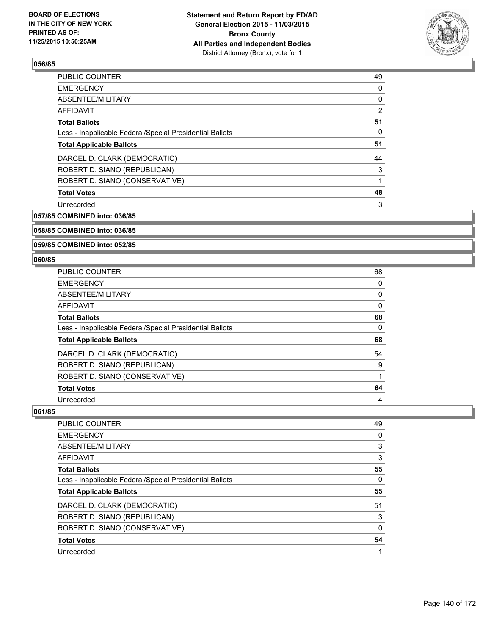

| <b>PUBLIC COUNTER</b>                                    | 49             |
|----------------------------------------------------------|----------------|
| <b>EMERGENCY</b>                                         | 0              |
| ABSENTEE/MILITARY                                        | 0              |
| AFFIDAVIT                                                | $\overline{2}$ |
| <b>Total Ballots</b>                                     | 51             |
| Less - Inapplicable Federal/Special Presidential Ballots | 0              |
| <b>Total Applicable Ballots</b>                          | 51             |
| DARCEL D. CLARK (DEMOCRATIC)                             | 44             |
| ROBERT D. SIANO (REPUBLICAN)                             | 3              |
| ROBERT D. SIANO (CONSERVATIVE)                           | 1              |
| <b>Total Votes</b>                                       | 48             |
| Unrecorded                                               | 3              |
|                                                          |                |

**057/85 COMBINED into: 036/85**

## **058/85 COMBINED into: 036/85**

## **059/85 COMBINED into: 052/85**

### **060/85**

| <b>PUBLIC COUNTER</b>                                    | 68 |
|----------------------------------------------------------|----|
| <b>EMERGENCY</b>                                         | 0  |
| ABSENTEE/MILITARY                                        | 0  |
| <b>AFFIDAVIT</b>                                         | 0  |
| <b>Total Ballots</b>                                     | 68 |
| Less - Inapplicable Federal/Special Presidential Ballots | 0  |
| <b>Total Applicable Ballots</b>                          | 68 |
| DARCEL D. CLARK (DEMOCRATIC)                             | 54 |
| ROBERT D. SIANO (REPUBLICAN)                             | 9  |
| ROBERT D. SIANO (CONSERVATIVE)                           |    |
| <b>Total Votes</b>                                       | 64 |
|                                                          |    |

| 49 |
|----|
| 0  |
| 3  |
| 3  |
| 55 |
| 0  |
| 55 |
| 51 |
| 3  |
| 0  |
| 54 |
|    |
|    |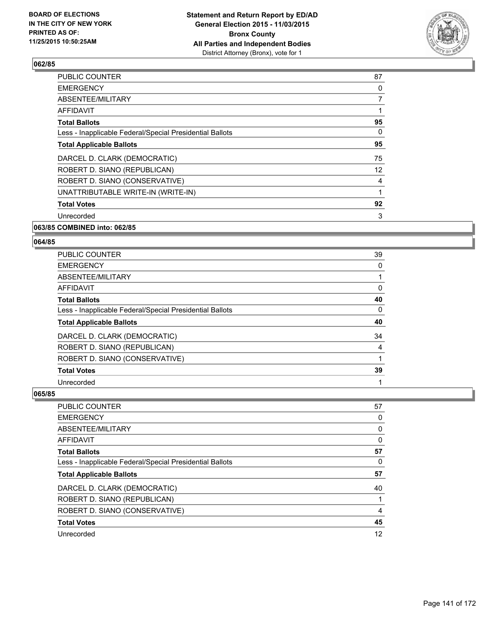

| <b>PUBLIC COUNTER</b>                                    | 87 |
|----------------------------------------------------------|----|
| <b>EMERGENCY</b>                                         | 0  |
| ABSENTEE/MILITARY                                        | 7  |
| AFFIDAVIT                                                | 1  |
| <b>Total Ballots</b>                                     | 95 |
| Less - Inapplicable Federal/Special Presidential Ballots | 0  |
| <b>Total Applicable Ballots</b>                          | 95 |
| DARCEL D. CLARK (DEMOCRATIC)                             | 75 |
| ROBERT D. SIANO (REPUBLICAN)                             | 12 |
| ROBERT D. SIANO (CONSERVATIVE)                           | 4  |
| UNATTRIBUTABLE WRITE-IN (WRITE-IN)                       | 1  |
| <b>Total Votes</b>                                       | 92 |
| Unrecorded                                               | 3  |
|                                                          |    |

# **063/85 COMBINED into: 062/85**

#### **064/85**

| PUBLIC COUNTER                                           | 39 |
|----------------------------------------------------------|----|
| <b>EMERGENCY</b>                                         | 0  |
| ABSENTEE/MILITARY                                        |    |
| <b>AFFIDAVIT</b>                                         | 0  |
| <b>Total Ballots</b>                                     | 40 |
| Less - Inapplicable Federal/Special Presidential Ballots | 0  |
| <b>Total Applicable Ballots</b>                          | 40 |
| DARCEL D. CLARK (DEMOCRATIC)                             | 34 |
| ROBERT D. SIANO (REPUBLICAN)                             | 4  |
| ROBERT D. SIANO (CONSERVATIVE)                           |    |
| <b>Total Votes</b>                                       | 39 |
| Unrecorded                                               |    |

| PUBLIC COUNTER                                           | 57 |
|----------------------------------------------------------|----|
| <b>EMERGENCY</b>                                         | 0  |
| ABSENTEE/MILITARY                                        | 0  |
| <b>AFFIDAVIT</b>                                         | 0  |
| <b>Total Ballots</b>                                     | 57 |
| Less - Inapplicable Federal/Special Presidential Ballots | 0  |
| <b>Total Applicable Ballots</b>                          | 57 |
| DARCEL D. CLARK (DEMOCRATIC)                             | 40 |
| ROBERT D. SIANO (REPUBLICAN)                             |    |
| ROBERT D. SIANO (CONSERVATIVE)                           | 4  |
| <b>Total Votes</b>                                       | 45 |
| Unrecorded                                               | 12 |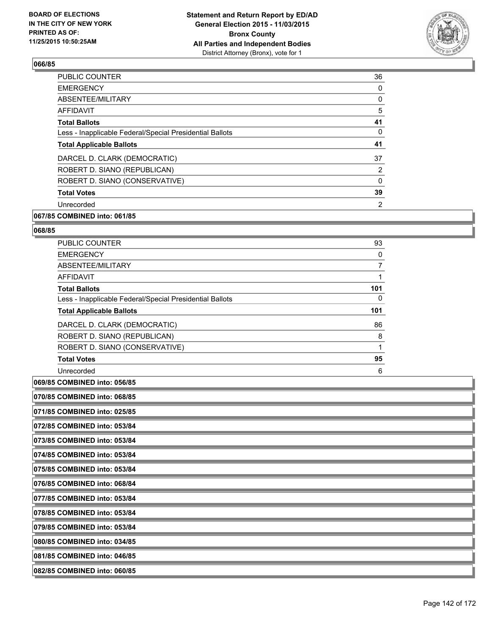

| <b>PUBLIC COUNTER</b>                                    | 36 |
|----------------------------------------------------------|----|
| <b>EMERGENCY</b>                                         | 0  |
| ABSENTEE/MILITARY                                        | 0  |
| AFFIDAVIT                                                | 5  |
| <b>Total Ballots</b>                                     | 41 |
| Less - Inapplicable Federal/Special Presidential Ballots | 0  |
| <b>Total Applicable Ballots</b>                          | 41 |
| DARCEL D. CLARK (DEMOCRATIC)                             | 37 |
| ROBERT D. SIANO (REPUBLICAN)                             | 2  |
| ROBERT D. SIANO (CONSERVATIVE)                           | 0  |
| <b>Total Votes</b>                                       | 39 |
| Unrecorded                                               | 2  |
|                                                          |    |

# **067/85 COMBINED into: 061/85**

#### **068/85**

| <b>PUBLIC COUNTER</b>                                    | 93  |
|----------------------------------------------------------|-----|
| <b>EMERGENCY</b>                                         | 0   |
| ABSENTEE/MILITARY                                        |     |
| <b>AFFIDAVIT</b>                                         |     |
| <b>Total Ballots</b>                                     | 101 |
| Less - Inapplicable Federal/Special Presidential Ballots | 0   |
| <b>Total Applicable Ballots</b>                          | 101 |
|                                                          |     |
| DARCEL D. CLARK (DEMOCRATIC)                             | 86  |
| ROBERT D. SIANO (REPUBLICAN)                             | 8   |
| ROBERT D. SIANO (CONSERVATIVE)                           |     |
| <b>Total Votes</b>                                       | 95  |

**069/85 COMBINED into: 056/85**

**070/85 COMBINED into: 068/85**

**071/85 COMBINED into: 025/85**

**072/85 COMBINED into: 053/84**

**073/85 COMBINED into: 053/84**

**074/85 COMBINED into: 053/84**

**075/85 COMBINED into: 053/84**

**076/85 COMBINED into: 068/84**

**077/85 COMBINED into: 053/84**

**078/85 COMBINED into: 053/84**

**079/85 COMBINED into: 053/84**

**080/85 COMBINED into: 034/85**

**081/85 COMBINED into: 046/85**

**082/85 COMBINED into: 060/85**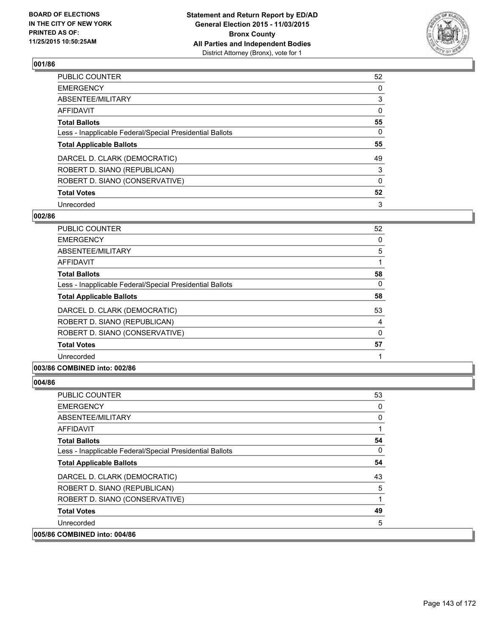

| PUBLIC COUNTER                                           | 52       |
|----------------------------------------------------------|----------|
| <b>EMERGENCY</b>                                         | 0        |
| ABSENTEE/MILITARY                                        | 3        |
| <b>AFFIDAVIT</b>                                         | $\Omega$ |
| <b>Total Ballots</b>                                     | 55       |
| Less - Inapplicable Federal/Special Presidential Ballots | 0        |
| <b>Total Applicable Ballots</b>                          | 55       |
| DARCEL D. CLARK (DEMOCRATIC)                             | 49       |
| ROBERT D. SIANO (REPUBLICAN)                             | 3        |
| ROBERT D. SIANO (CONSERVATIVE)                           | $\Omega$ |
| <b>Total Votes</b>                                       | 52       |
| Unrecorded                                               | 3        |

### **002/86**

| <b>PUBLIC COUNTER</b>                                    | 52 |
|----------------------------------------------------------|----|
| <b>EMERGENCY</b>                                         | 0  |
| ABSENTEE/MILITARY                                        | 5  |
| AFFIDAVIT                                                |    |
| <b>Total Ballots</b>                                     | 58 |
| Less - Inapplicable Federal/Special Presidential Ballots | 0  |
| <b>Total Applicable Ballots</b>                          | 58 |
| DARCEL D. CLARK (DEMOCRATIC)                             | 53 |
| ROBERT D. SIANO (REPUBLICAN)                             | 4  |
| ROBERT D. SIANO (CONSERVATIVE)                           | 0  |
| <b>Total Votes</b>                                       | 57 |
| Unrecorded                                               |    |
|                                                          |    |

### **003/86 COMBINED into: 002/86**

| <b>PUBLIC COUNTER</b>                                    | 53 |
|----------------------------------------------------------|----|
| <b>EMERGENCY</b>                                         | 0  |
| ABSENTEE/MILITARY                                        | 0  |
| AFFIDAVIT                                                | 1  |
| <b>Total Ballots</b>                                     | 54 |
| Less - Inapplicable Federal/Special Presidential Ballots | 0  |
| <b>Total Applicable Ballots</b>                          | 54 |
| DARCEL D. CLARK (DEMOCRATIC)                             | 43 |
| ROBERT D. SIANO (REPUBLICAN)                             | 5  |
| ROBERT D. SIANO (CONSERVATIVE)                           | 1  |
| <b>Total Votes</b>                                       | 49 |
| Unrecorded                                               | 5  |
| 005/86 COMBINED into: 004/86                             |    |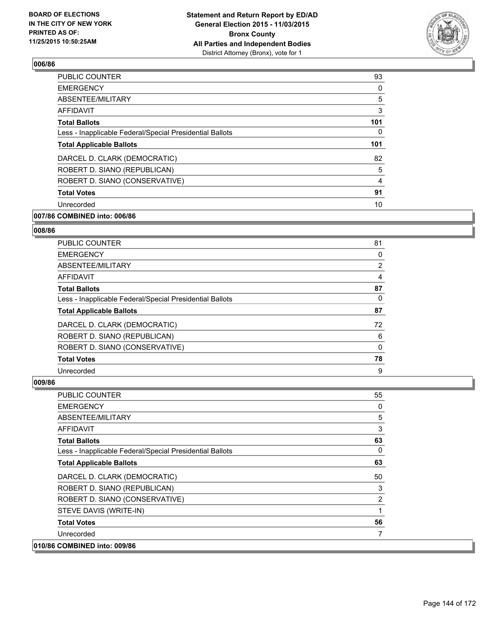

| <b>PUBLIC COUNTER</b>                                    | 93  |
|----------------------------------------------------------|-----|
| <b>EMERGENCY</b>                                         | 0   |
| ABSENTEE/MILITARY                                        | 5   |
| AFFIDAVIT                                                | 3   |
| <b>Total Ballots</b>                                     | 101 |
| Less - Inapplicable Federal/Special Presidential Ballots | 0   |
| <b>Total Applicable Ballots</b>                          | 101 |
| DARCEL D. CLARK (DEMOCRATIC)                             | 82  |
| ROBERT D. SIANO (REPUBLICAN)                             | 5   |
| ROBERT D. SIANO (CONSERVATIVE)                           | 4   |
| <b>Total Votes</b>                                       | 91  |
| Unrecorded                                               | 10  |
|                                                          |     |

# **007/86 COMBINED into: 006/86**

#### **008/86**

| PUBLIC COUNTER                                           | 81 |
|----------------------------------------------------------|----|
| <b>EMERGENCY</b>                                         | 0  |
| ABSENTEE/MILITARY                                        | 2  |
| AFFIDAVIT                                                | 4  |
| <b>Total Ballots</b>                                     | 87 |
| Less - Inapplicable Federal/Special Presidential Ballots | 0  |
| <b>Total Applicable Ballots</b>                          | 87 |
| DARCEL D. CLARK (DEMOCRATIC)                             | 72 |
| ROBERT D. SIANO (REPUBLICAN)                             | 6  |
| ROBERT D. SIANO (CONSERVATIVE)                           | 0  |
| <b>Total Votes</b>                                       | 78 |
| Unrecorded                                               | 9  |

| <b>PUBLIC COUNTER</b>                                    | 55       |
|----------------------------------------------------------|----------|
| <b>EMERGENCY</b>                                         | 0        |
| ABSENTEE/MILITARY                                        | 5        |
| <b>AFFIDAVIT</b>                                         | 3        |
| <b>Total Ballots</b>                                     | 63       |
| Less - Inapplicable Federal/Special Presidential Ballots | $\Omega$ |
| <b>Total Applicable Ballots</b>                          | 63       |
| DARCEL D. CLARK (DEMOCRATIC)                             | 50       |
| ROBERT D. SIANO (REPUBLICAN)                             | 3        |
| ROBERT D. SIANO (CONSERVATIVE)                           | 2        |
| STEVE DAVIS (WRITE-IN)                                   | 1        |
| <b>Total Votes</b>                                       | 56       |
| Unrecorded                                               | 7        |
| 010/86 COMBINED into: 009/86                             |          |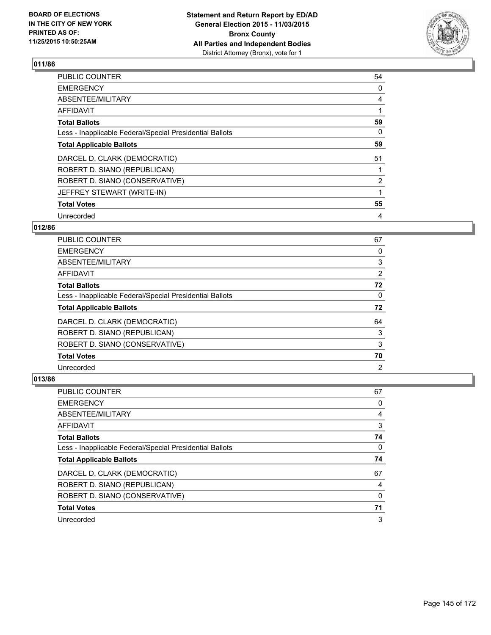

| <b>PUBLIC COUNTER</b>                                    | 54             |
|----------------------------------------------------------|----------------|
| <b>EMERGENCY</b>                                         | 0              |
| ABSENTEE/MILITARY                                        | 4              |
| <b>AFFIDAVIT</b>                                         |                |
| <b>Total Ballots</b>                                     | 59             |
| Less - Inapplicable Federal/Special Presidential Ballots | 0              |
| <b>Total Applicable Ballots</b>                          | 59             |
| DARCEL D. CLARK (DEMOCRATIC)                             | 51             |
| ROBERT D. SIANO (REPUBLICAN)                             |                |
| ROBERT D. SIANO (CONSERVATIVE)                           | $\overline{2}$ |
| JEFFREY STEWART (WRITE-IN)                               |                |
| <b>Total Votes</b>                                       | 55             |
| Unrecorded                                               | 4              |

# **012/86**

| <b>PUBLIC COUNTER</b>                                    | 67                    |
|----------------------------------------------------------|-----------------------|
| <b>EMERGENCY</b>                                         | 0                     |
| ABSENTEE/MILITARY                                        | 3                     |
| AFFIDAVIT                                                | $\mathbf{2}^{\prime}$ |
| <b>Total Ballots</b>                                     | 72                    |
| Less - Inapplicable Federal/Special Presidential Ballots | 0                     |
| <b>Total Applicable Ballots</b>                          | 72                    |
| DARCEL D. CLARK (DEMOCRATIC)                             | 64                    |
| ROBERT D. SIANO (REPUBLICAN)                             | 3                     |
| ROBERT D. SIANO (CONSERVATIVE)                           | 3                     |
| <b>Total Votes</b>                                       | 70                    |
| Unrecorded                                               | 2                     |

| <b>PUBLIC COUNTER</b>                                    | 67 |
|----------------------------------------------------------|----|
| <b>EMERGENCY</b>                                         | 0  |
| ABSENTEE/MILITARY                                        | 4  |
| AFFIDAVIT                                                | 3  |
| <b>Total Ballots</b>                                     | 74 |
| Less - Inapplicable Federal/Special Presidential Ballots | 0  |
| <b>Total Applicable Ballots</b>                          | 74 |
|                                                          |    |
| DARCEL D. CLARK (DEMOCRATIC)                             | 67 |
| ROBERT D. SIANO (REPUBLICAN)                             | 4  |
| ROBERT D. SIANO (CONSERVATIVE)                           | 0  |
| <b>Total Votes</b>                                       | 71 |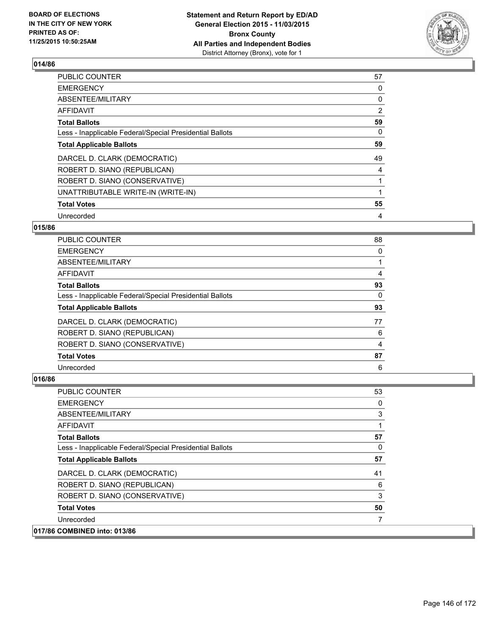

| PUBLIC COUNTER                                           | 57             |
|----------------------------------------------------------|----------------|
| <b>EMERGENCY</b>                                         | 0              |
| ABSENTEE/MILITARY                                        | 0              |
| AFFIDAVIT                                                | $\overline{2}$ |
| <b>Total Ballots</b>                                     | 59             |
| Less - Inapplicable Federal/Special Presidential Ballots | 0              |
| <b>Total Applicable Ballots</b>                          | 59             |
| DARCEL D. CLARK (DEMOCRATIC)                             | 49             |
| ROBERT D. SIANO (REPUBLICAN)                             | 4              |
| ROBERT D. SIANO (CONSERVATIVE)                           |                |
| UNATTRIBUTABLE WRITE-IN (WRITE-IN)                       |                |
| <b>Total Votes</b>                                       | 55             |
| Unrecorded                                               | 4              |

## **015/86**

| <b>PUBLIC COUNTER</b>                                    | 88 |
|----------------------------------------------------------|----|
| <b>EMERGENCY</b>                                         | 0  |
| ABSENTEE/MILITARY                                        |    |
| AFFIDAVIT                                                | 4  |
| <b>Total Ballots</b>                                     | 93 |
| Less - Inapplicable Federal/Special Presidential Ballots | 0  |
| <b>Total Applicable Ballots</b>                          | 93 |
| DARCEL D. CLARK (DEMOCRATIC)                             | 77 |
| ROBERT D. SIANO (REPUBLICAN)                             | 6  |
| ROBERT D. SIANO (CONSERVATIVE)                           | 4  |
| <b>Total Votes</b>                                       | 87 |
| Unrecorded                                               | 6  |

| <b>PUBLIC COUNTER</b>                                    | 53 |
|----------------------------------------------------------|----|
| <b>EMERGENCY</b>                                         | 0  |
| ABSENTEE/MILITARY                                        | 3  |
| AFFIDAVIT                                                | 1  |
| <b>Total Ballots</b>                                     | 57 |
| Less - Inapplicable Federal/Special Presidential Ballots | 0  |
| <b>Total Applicable Ballots</b>                          | 57 |
| DARCEL D. CLARK (DEMOCRATIC)                             | 41 |
| ROBERT D. SIANO (REPUBLICAN)                             | 6  |
| ROBERT D. SIANO (CONSERVATIVE)                           | 3  |
| <b>Total Votes</b>                                       | 50 |
| Unrecorded                                               |    |
| 017/86 COMBINED into: 013/86                             |    |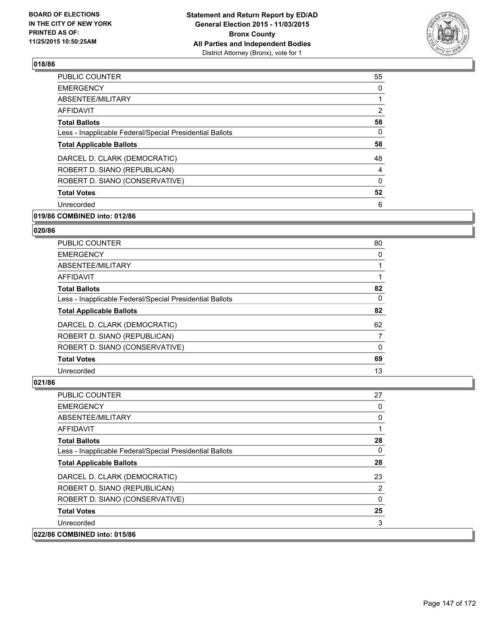

| <b>PUBLIC COUNTER</b>                                    | 55             |
|----------------------------------------------------------|----------------|
| <b>EMERGENCY</b>                                         | 0              |
| ABSENTEE/MILITARY                                        |                |
| AFFIDAVIT                                                | $\overline{2}$ |
| <b>Total Ballots</b>                                     | 58             |
| Less - Inapplicable Federal/Special Presidential Ballots | 0              |
| <b>Total Applicable Ballots</b>                          | 58             |
| DARCEL D. CLARK (DEMOCRATIC)                             | 48             |
| ROBERT D. SIANO (REPUBLICAN)                             | 4              |
| ROBERT D. SIANO (CONSERVATIVE)                           | 0              |
| <b>Total Votes</b>                                       | 52             |
| Unrecorded                                               | 6              |
|                                                          |                |

# **019/86 COMBINED into: 012/86**

#### **020/86**

| <b>PUBLIC COUNTER</b>                                    | 80 |
|----------------------------------------------------------|----|
| <b>EMERGENCY</b>                                         | 0  |
| ABSENTEE/MILITARY                                        |    |
| AFFIDAVIT                                                |    |
| <b>Total Ballots</b>                                     | 82 |
| Less - Inapplicable Federal/Special Presidential Ballots | 0  |
| <b>Total Applicable Ballots</b>                          | 82 |
| DARCEL D. CLARK (DEMOCRATIC)                             | 62 |
| ROBERT D. SIANO (REPUBLICAN)                             | 7  |
| ROBERT D. SIANO (CONSERVATIVE)                           | 0  |
| <b>Total Votes</b>                                       | 69 |
| Unrecorded                                               | 13 |

| <b>PUBLIC COUNTER</b>                                    | 27 |
|----------------------------------------------------------|----|
| <b>EMERGENCY</b>                                         | 0  |
| ABSENTEE/MILITARY                                        | 0  |
| <b>AFFIDAVIT</b>                                         | 1  |
| <b>Total Ballots</b>                                     | 28 |
| Less - Inapplicable Federal/Special Presidential Ballots | 0  |
| <b>Total Applicable Ballots</b>                          | 28 |
| DARCEL D. CLARK (DEMOCRATIC)                             | 23 |
| ROBERT D. SIANO (REPUBLICAN)                             | 2  |
| ROBERT D. SIANO (CONSERVATIVE)                           | 0  |
| <b>Total Votes</b>                                       | 25 |
| Unrecorded                                               | 3  |
| 022/86 COMBINED into: 015/86                             |    |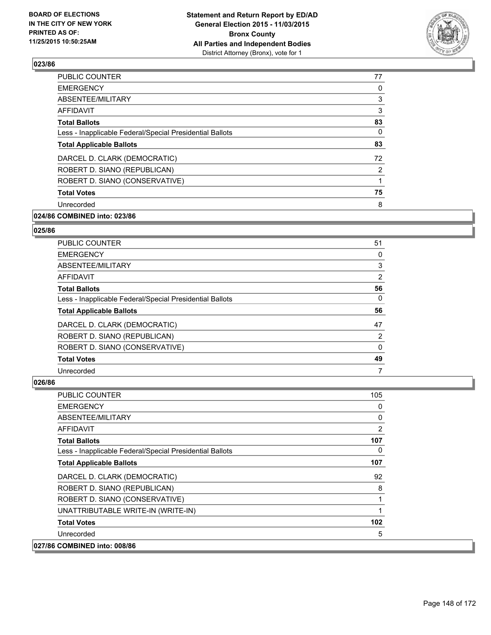

| <b>PUBLIC COUNTER</b>                                    | 77           |
|----------------------------------------------------------|--------------|
| <b>EMERGENCY</b>                                         | 0            |
| ABSENTEE/MILITARY                                        | 3            |
| AFFIDAVIT                                                | 3            |
| <b>Total Ballots</b>                                     | 83           |
| Less - Inapplicable Federal/Special Presidential Ballots | 0            |
| <b>Total Applicable Ballots</b>                          | 83           |
| DARCEL D. CLARK (DEMOCRATIC)                             | 72           |
| ROBERT D. SIANO (REPUBLICAN)                             | 2            |
| ROBERT D. SIANO (CONSERVATIVE)                           | $\mathbf{1}$ |
| <b>Total Votes</b>                                       | 75           |
| Unrecorded                                               | 8            |
|                                                          |              |

# **024/86 COMBINED into: 023/86**

#### **025/86**

| PUBLIC COUNTER                                           | 51                    |
|----------------------------------------------------------|-----------------------|
| <b>EMERGENCY</b>                                         | 0                     |
| ABSENTEE/MILITARY                                        | 3                     |
| AFFIDAVIT                                                | $\mathbf{2}^{\prime}$ |
| <b>Total Ballots</b>                                     | 56                    |
| Less - Inapplicable Federal/Special Presidential Ballots | 0                     |
| <b>Total Applicable Ballots</b>                          | 56                    |
| DARCEL D. CLARK (DEMOCRATIC)                             | 47                    |
| ROBERT D. SIANO (REPUBLICAN)                             | 2                     |
| ROBERT D. SIANO (CONSERVATIVE)                           | 0                     |
| <b>Total Votes</b>                                       | 49                    |
| Unrecorded                                               | 7                     |

| <b>PUBLIC COUNTER</b>                                    | 105 |
|----------------------------------------------------------|-----|
| <b>EMERGENCY</b>                                         | 0   |
| ABSENTEE/MILITARY                                        | 0   |
| <b>AFFIDAVIT</b>                                         | 2   |
| <b>Total Ballots</b>                                     | 107 |
| Less - Inapplicable Federal/Special Presidential Ballots | 0   |
| <b>Total Applicable Ballots</b>                          | 107 |
| DARCEL D. CLARK (DEMOCRATIC)                             | 92  |
| ROBERT D. SIANO (REPUBLICAN)                             | 8   |
| ROBERT D. SIANO (CONSERVATIVE)                           | 1   |
| UNATTRIBUTABLE WRITE-IN (WRITE-IN)                       | 1   |
| <b>Total Votes</b>                                       | 102 |
| Unrecorded                                               | 5   |
| 027/86 COMBINED into: 008/86                             |     |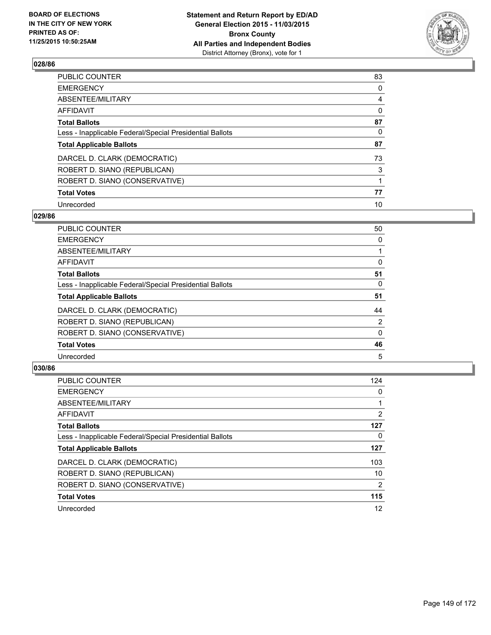

| PUBLIC COUNTER                                           | 83       |
|----------------------------------------------------------|----------|
| <b>EMERGENCY</b>                                         | 0        |
| ABSENTEE/MILITARY                                        | 4        |
| <b>AFFIDAVIT</b>                                         | 0        |
| <b>Total Ballots</b>                                     | 87       |
| Less - Inapplicable Federal/Special Presidential Ballots | $\Omega$ |
| <b>Total Applicable Ballots</b>                          | 87       |
| DARCEL D. CLARK (DEMOCRATIC)                             | 73       |
| ROBERT D. SIANO (REPUBLICAN)                             | 3        |
| ROBERT D. SIANO (CONSERVATIVE)                           |          |
| <b>Total Votes</b>                                       | 77       |
| Unrecorded                                               | 10       |

### **029/86**

| PUBLIC COUNTER                                           | 50 |
|----------------------------------------------------------|----|
| <b>EMERGENCY</b>                                         | 0  |
| ABSENTEE/MILITARY                                        |    |
| <b>AFFIDAVIT</b>                                         | 0  |
| <b>Total Ballots</b>                                     | 51 |
| Less - Inapplicable Federal/Special Presidential Ballots | 0  |
| <b>Total Applicable Ballots</b>                          | 51 |
| DARCEL D. CLARK (DEMOCRATIC)                             | 44 |
| ROBERT D. SIANO (REPUBLICAN)                             | 2  |
| ROBERT D. SIANO (CONSERVATIVE)                           | 0  |
| <b>Total Votes</b>                                       | 46 |
| Unrecorded                                               | 5  |

| PUBLIC COUNTER                                           | 124            |
|----------------------------------------------------------|----------------|
| <b>EMERGENCY</b>                                         | 0              |
| ABSENTEE/MILITARY                                        |                |
| <b>AFFIDAVIT</b>                                         | $\overline{2}$ |
| <b>Total Ballots</b>                                     | 127            |
| Less - Inapplicable Federal/Special Presidential Ballots | 0              |
| <b>Total Applicable Ballots</b>                          | 127            |
| DARCEL D. CLARK (DEMOCRATIC)                             | 103            |
| ROBERT D. SIANO (REPUBLICAN)                             | 10             |
| ROBERT D. SIANO (CONSERVATIVE)                           | 2              |
| <b>Total Votes</b>                                       | 115            |
| Unrecorded                                               | 12             |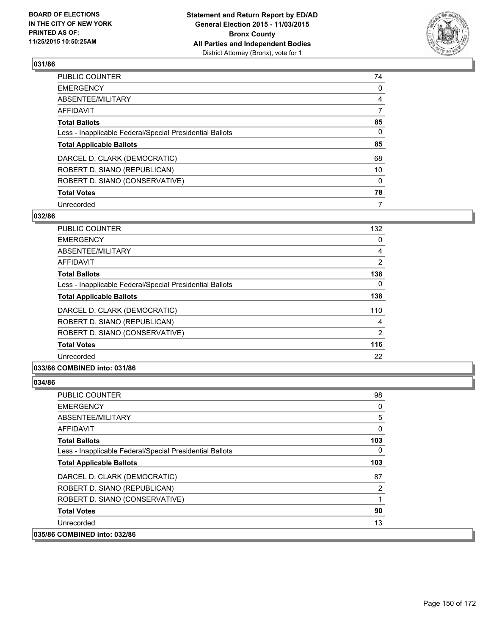

| PUBLIC COUNTER                                           | 74             |
|----------------------------------------------------------|----------------|
| <b>EMERGENCY</b>                                         | 0              |
| ABSENTEE/MILITARY                                        | $\overline{4}$ |
| <b>AFFIDAVIT</b>                                         | 7              |
| <b>Total Ballots</b>                                     | 85             |
| Less - Inapplicable Federal/Special Presidential Ballots | $\Omega$       |
| <b>Total Applicable Ballots</b>                          | 85             |
| DARCEL D. CLARK (DEMOCRATIC)                             | 68             |
| ROBERT D. SIANO (REPUBLICAN)                             | 10             |
| ROBERT D. SIANO (CONSERVATIVE)                           | $\Omega$       |
| <b>Total Votes</b>                                       | 78             |
| Unrecorded                                               | 7              |

### **032/86**

| <b>PUBLIC COUNTER</b>                                    | 132 |
|----------------------------------------------------------|-----|
| <b>EMERGENCY</b>                                         | 0   |
| ABSENTEE/MILITARY                                        | 4   |
| <b>AFFIDAVIT</b>                                         | 2   |
| <b>Total Ballots</b>                                     | 138 |
| Less - Inapplicable Federal/Special Presidential Ballots | 0   |
| <b>Total Applicable Ballots</b>                          | 138 |
| DARCEL D. CLARK (DEMOCRATIC)                             | 110 |
| ROBERT D. SIANO (REPUBLICAN)                             | 4   |
| ROBERT D. SIANO (CONSERVATIVE)                           | 2   |
| <b>Total Votes</b>                                       | 116 |
| Unrecorded                                               | 22  |
|                                                          |     |

## **033/86 COMBINED into: 031/86**

| <b>PUBLIC COUNTER</b>                                    | 98       |
|----------------------------------------------------------|----------|
| <b>EMERGENCY</b>                                         | 0        |
| ABSENTEE/MILITARY                                        | 5        |
| <b>AFFIDAVIT</b>                                         | 0        |
| <b>Total Ballots</b>                                     | 103      |
| Less - Inapplicable Federal/Special Presidential Ballots | $\Omega$ |
| <b>Total Applicable Ballots</b>                          | 103      |
| DARCEL D. CLARK (DEMOCRATIC)                             | 87       |
| ROBERT D. SIANO (REPUBLICAN)                             | 2        |
| ROBERT D. SIANO (CONSERVATIVE)                           | 1        |
| <b>Total Votes</b>                                       | 90       |
| Unrecorded                                               | 13       |
| 035/86 COMBINED into: 032/86                             |          |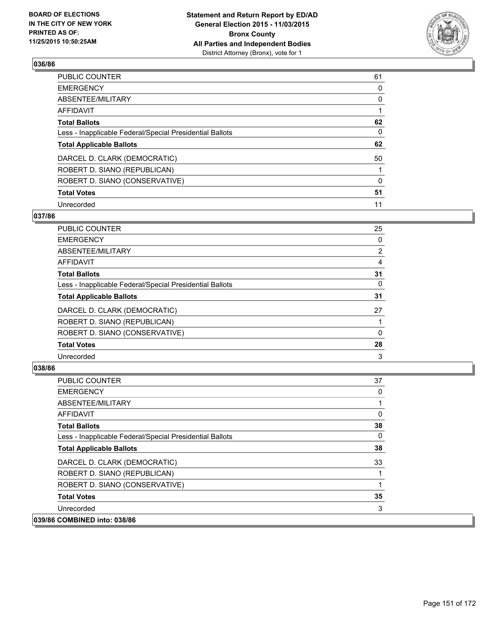

| PUBLIC COUNTER                                           | 61       |
|----------------------------------------------------------|----------|
| <b>EMERGENCY</b>                                         | 0        |
| ABSENTEE/MILITARY                                        | 0        |
| <b>AFFIDAVIT</b>                                         |          |
| <b>Total Ballots</b>                                     | 62       |
| Less - Inapplicable Federal/Special Presidential Ballots | $\Omega$ |
| <b>Total Applicable Ballots</b>                          | 62       |
| DARCEL D. CLARK (DEMOCRATIC)                             | 50       |
| ROBERT D. SIANO (REPUBLICAN)                             |          |
| ROBERT D. SIANO (CONSERVATIVE)                           | $\Omega$ |
| <b>Total Votes</b>                                       | 51       |
| Unrecorded                                               | 11       |

### **037/86**

| 25             |
|----------------|
| 0              |
| $\overline{2}$ |
| 4              |
| 31             |
| 0              |
| 31             |
| 27             |
|                |
| 0              |
| 28             |
| 3              |
|                |

| <b>PUBLIC COUNTER</b>                                    | 37 |
|----------------------------------------------------------|----|
| <b>EMERGENCY</b>                                         | 0  |
| ABSENTEE/MILITARY                                        |    |
| AFFIDAVIT                                                | 0  |
| <b>Total Ballots</b>                                     | 38 |
| Less - Inapplicable Federal/Special Presidential Ballots | 0  |
| <b>Total Applicable Ballots</b>                          | 38 |
| DARCEL D. CLARK (DEMOCRATIC)                             | 33 |
| ROBERT D. SIANO (REPUBLICAN)                             |    |
| ROBERT D. SIANO (CONSERVATIVE)                           |    |
| <b>Total Votes</b>                                       | 35 |
| Unrecorded                                               | 3  |
| 039/86 COMBINED into: 038/86                             |    |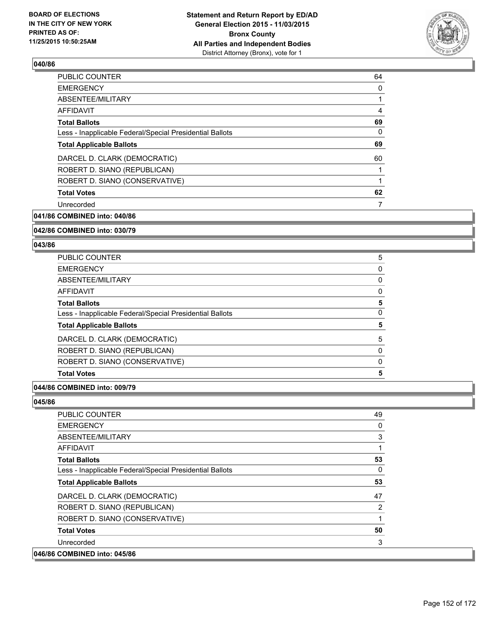

| <b>PUBLIC COUNTER</b>                                    | 64 |
|----------------------------------------------------------|----|
| <b>EMERGENCY</b>                                         | 0  |
| ABSENTEE/MILITARY                                        |    |
| AFFIDAVIT                                                | 4  |
| <b>Total Ballots</b>                                     | 69 |
| Less - Inapplicable Federal/Special Presidential Ballots | 0  |
| <b>Total Applicable Ballots</b>                          | 69 |
| DARCEL D. CLARK (DEMOCRATIC)                             | 60 |
| ROBERT D. SIANO (REPUBLICAN)                             |    |
| ROBERT D. SIANO (CONSERVATIVE)                           |    |
| <b>Total Votes</b>                                       | 62 |
| Unrecorded                                               | 7  |
|                                                          |    |

**041/86 COMBINED into: 040/86**

### **042/86 COMBINED into: 030/79**

#### **043/86**

| PUBLIC COUNTER                                           | 5 |
|----------------------------------------------------------|---|
| <b>EMERGENCY</b>                                         | 0 |
| ABSENTEE/MILITARY                                        | 0 |
| <b>AFFIDAVIT</b>                                         | 0 |
| <b>Total Ballots</b>                                     | 5 |
| Less - Inapplicable Federal/Special Presidential Ballots | 0 |
| <b>Total Applicable Ballots</b>                          | 5 |
| DARCEL D. CLARK (DEMOCRATIC)                             | 5 |
| ROBERT D. SIANO (REPUBLICAN)                             | 0 |
| ROBERT D. SIANO (CONSERVATIVE)                           | 0 |
| <b>Total Votes</b>                                       | 5 |
|                                                          |   |

## **044/86 COMBINED into: 009/79**

| <b>PUBLIC COUNTER</b>                                    | 49 |
|----------------------------------------------------------|----|
| <b>EMERGENCY</b>                                         | 0  |
| ABSENTEE/MILITARY                                        | 3  |
| <b>AFFIDAVIT</b>                                         | 1  |
| <b>Total Ballots</b>                                     | 53 |
| Less - Inapplicable Federal/Special Presidential Ballots | 0  |
| <b>Total Applicable Ballots</b>                          | 53 |
| DARCEL D. CLARK (DEMOCRATIC)                             | 47 |
| ROBERT D. SIANO (REPUBLICAN)                             | 2  |
| ROBERT D. SIANO (CONSERVATIVE)                           | 1  |
| <b>Total Votes</b>                                       | 50 |
| Unrecorded                                               | 3  |
| 046/86 COMBINED into: 045/86                             |    |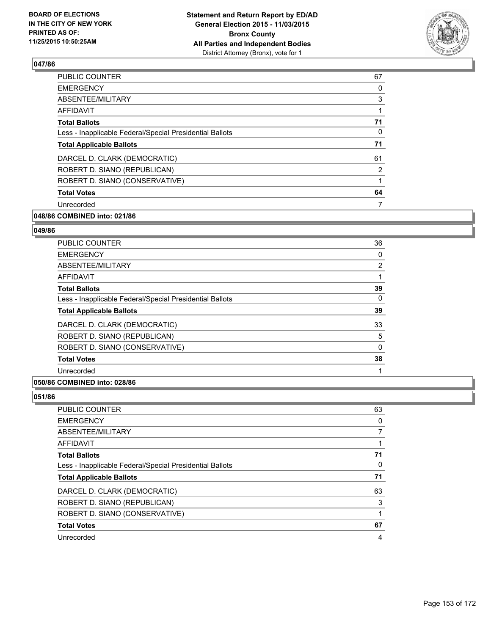

| <b>PUBLIC COUNTER</b>                                    | 67 |
|----------------------------------------------------------|----|
| <b>EMERGENCY</b>                                         | 0  |
| ABSENTEE/MILITARY                                        | 3  |
| AFFIDAVIT                                                |    |
| <b>Total Ballots</b>                                     | 71 |
| Less - Inapplicable Federal/Special Presidential Ballots | 0  |
| <b>Total Applicable Ballots</b>                          | 71 |
| DARCEL D. CLARK (DEMOCRATIC)                             | 61 |
| ROBERT D. SIANO (REPUBLICAN)                             | 2  |
| ROBERT D. SIANO (CONSERVATIVE)                           |    |
| <b>Total Votes</b>                                       | 64 |
| Unrecorded                                               |    |
|                                                          |    |

# **048/86 COMBINED into: 021/86**

#### **049/86**

| <b>PUBLIC COUNTER</b>                                    | 36       |
|----------------------------------------------------------|----------|
| <b>EMERGENCY</b>                                         | 0        |
| ABSENTEE/MILITARY                                        | 2        |
| <b>AFFIDAVIT</b>                                         |          |
| <b>Total Ballots</b>                                     | 39       |
| Less - Inapplicable Federal/Special Presidential Ballots | $\Omega$ |
| <b>Total Applicable Ballots</b>                          | 39       |
| DARCEL D. CLARK (DEMOCRATIC)                             | 33       |
| ROBERT D. SIANO (REPUBLICAN)                             | 5        |
| ROBERT D. SIANO (CONSERVATIVE)                           | $\Omega$ |
| <b>Total Votes</b>                                       | 38       |
| Unrecorded                                               |          |

### **050/86 COMBINED into: 028/86**

| <b>PUBLIC COUNTER</b>                                    | 63 |
|----------------------------------------------------------|----|
| <b>EMERGENCY</b>                                         | 0  |
| ABSENTEE/MILITARY                                        |    |
| AFFIDAVIT                                                |    |
| <b>Total Ballots</b>                                     | 71 |
| Less - Inapplicable Federal/Special Presidential Ballots | 0  |
| <b>Total Applicable Ballots</b>                          | 71 |
| DARCEL D. CLARK (DEMOCRATIC)                             | 63 |
| ROBERT D. SIANO (REPUBLICAN)                             | 3  |
| ROBERT D. SIANO (CONSERVATIVE)                           |    |
| <b>Total Votes</b>                                       | 67 |
| Unrecorded                                               | 4  |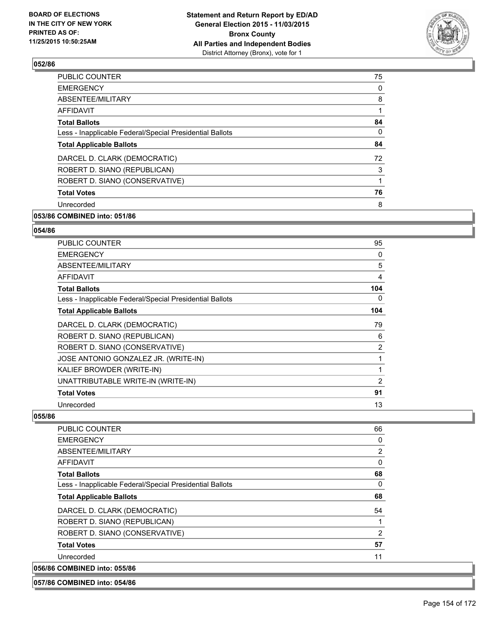

| <b>PUBLIC COUNTER</b>                                    | 75           |
|----------------------------------------------------------|--------------|
| <b>EMERGENCY</b>                                         | 0            |
| ABSENTEE/MILITARY                                        | 8            |
| AFFIDAVIT                                                |              |
| <b>Total Ballots</b>                                     | 84           |
| Less - Inapplicable Federal/Special Presidential Ballots | 0            |
| <b>Total Applicable Ballots</b>                          | 84           |
| DARCEL D. CLARK (DEMOCRATIC)                             | 72           |
| ROBERT D. SIANO (REPUBLICAN)                             | 3            |
| ROBERT D. SIANO (CONSERVATIVE)                           | $\mathbf{1}$ |
| <b>Total Votes</b>                                       | 76           |
| Unrecorded                                               | 8            |
|                                                          |              |

# **053/86 COMBINED into: 051/86**

#### **054/86**

| <b>PUBLIC COUNTER</b>                                    | 95             |
|----------------------------------------------------------|----------------|
| <b>EMERGENCY</b>                                         | 0              |
| <b>ABSENTEE/MILITARY</b>                                 | 5              |
| AFFIDAVIT                                                | 4              |
| <b>Total Ballots</b>                                     | 104            |
| Less - Inapplicable Federal/Special Presidential Ballots | 0              |
| <b>Total Applicable Ballots</b>                          | 104            |
| DARCEL D. CLARK (DEMOCRATIC)                             | 79             |
| ROBERT D. SIANO (REPUBLICAN)                             | 6              |
| ROBERT D. SIANO (CONSERVATIVE)                           | 2              |
| JOSE ANTONIO GONZALEZ JR. (WRITE-IN)                     | 1              |
| KALIEF BROWDER (WRITE-IN)                                | 1              |
| UNATTRIBUTABLE WRITE-IN (WRITE-IN)                       | $\overline{2}$ |
| <b>Total Votes</b>                                       | 91             |
| Unrecorded                                               | 13             |

| <b>PUBLIC COUNTER</b>                                    | 66           |
|----------------------------------------------------------|--------------|
| <b>EMERGENCY</b>                                         | 0            |
| ABSENTEE/MILITARY                                        | 2            |
| AFFIDAVIT                                                | $\mathbf{0}$ |
| <b>Total Ballots</b>                                     | 68           |
| Less - Inapplicable Federal/Special Presidential Ballots | 0            |
| <b>Total Applicable Ballots</b>                          | 68           |
| DARCEL D. CLARK (DEMOCRATIC)                             | 54           |
| ROBERT D. SIANO (REPUBLICAN)                             |              |
| ROBERT D. SIANO (CONSERVATIVE)                           | 2            |
| <b>Total Votes</b>                                       | 57           |
| Unrecorded                                               | 11           |
| 056/86 COMBINED into: 055/86                             |              |
|                                                          |              |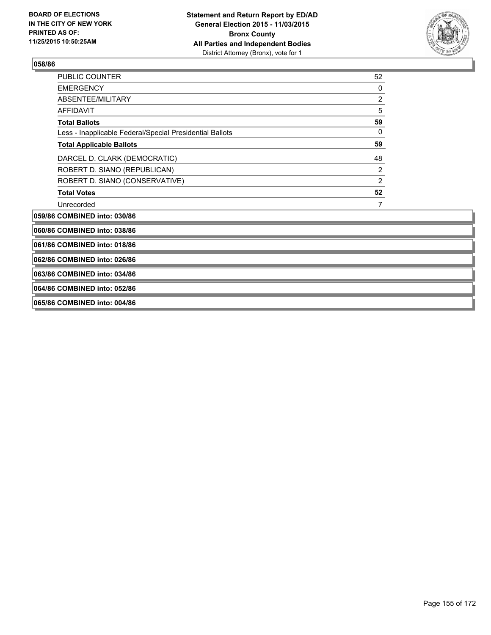

| <b>PUBLIC COUNTER</b>                                    | 52             |
|----------------------------------------------------------|----------------|
| <b>EMERGENCY</b>                                         | 0              |
| <b>ABSENTEE/MILITARY</b>                                 | $\overline{2}$ |
| <b>AFFIDAVIT</b>                                         | 5              |
| <b>Total Ballots</b>                                     | 59             |
| Less - Inapplicable Federal/Special Presidential Ballots | 0              |
| <b>Total Applicable Ballots</b>                          | 59             |
| DARCEL D. CLARK (DEMOCRATIC)                             | 48             |
| ROBERT D. SIANO (REPUBLICAN)                             | 2              |
| ROBERT D. SIANO (CONSERVATIVE)                           | $\overline{2}$ |
| <b>Total Votes</b>                                       | 52             |
| Unrecorded                                               | 7              |
| 059/86 COMBINED into: 030/86                             |                |
| 060/86 COMBINED into: 038/86                             |                |
| 061/86 COMBINED into: 018/86                             |                |
| 062/86 COMBINED into: 026/86                             |                |
| 063/86 COMBINED into: 034/86                             |                |
| 064/86 COMBINED into: 052/86                             |                |
| 065/86 COMBINED into: 004/86                             |                |
|                                                          |                |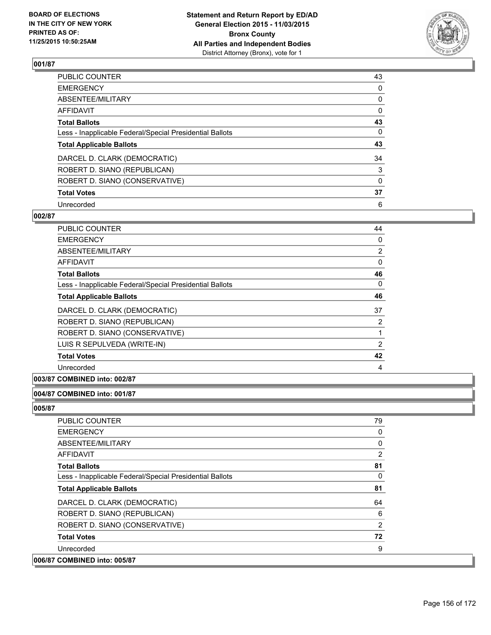

| PUBLIC COUNTER                                           | 43       |
|----------------------------------------------------------|----------|
| <b>EMERGENCY</b>                                         | 0        |
| ABSENTEE/MILITARY                                        | 0        |
| <b>AFFIDAVIT</b>                                         | 0        |
| <b>Total Ballots</b>                                     | 43       |
| Less - Inapplicable Federal/Special Presidential Ballots | 0        |
| <b>Total Applicable Ballots</b>                          | 43       |
| DARCEL D. CLARK (DEMOCRATIC)                             | 34       |
| ROBERT D. SIANO (REPUBLICAN)                             | 3        |
| ROBERT D. SIANO (CONSERVATIVE)                           | $\Omega$ |
| <b>Total Votes</b>                                       | 37       |
| Unrecorded                                               | 6        |

### **002/87**

| PUBLIC COUNTER                                           | 44 |
|----------------------------------------------------------|----|
| <b>EMERGENCY</b>                                         | 0  |
| ABSENTEE/MILITARY                                        | 2  |
| AFFIDAVIT                                                | 0  |
| <b>Total Ballots</b>                                     | 46 |
| Less - Inapplicable Federal/Special Presidential Ballots | 0  |
| <b>Total Applicable Ballots</b>                          | 46 |
| DARCEL D. CLARK (DEMOCRATIC)                             | 37 |
| ROBERT D. SIANO (REPUBLICAN)                             | 2  |
| ROBERT D. SIANO (CONSERVATIVE)                           |    |
| LUIS R SEPULVEDA (WRITE-IN)                              | 2  |
| <b>Total Votes</b>                                       | 42 |
| Unrecorded                                               | 4  |

## **003/87 COMBINED into: 002/87**

### **004/87 COMBINED into: 001/87**

| <b>PUBLIC COUNTER</b>                                    | 79       |
|----------------------------------------------------------|----------|
| <b>EMERGENCY</b>                                         | 0        |
| ABSENTEE/MILITARY                                        | $\Omega$ |
| AFFIDAVIT                                                | 2        |
| <b>Total Ballots</b>                                     | 81       |
| Less - Inapplicable Federal/Special Presidential Ballots | 0        |
| <b>Total Applicable Ballots</b>                          | 81       |
| DARCEL D. CLARK (DEMOCRATIC)                             | 64       |
| ROBERT D. SIANO (REPUBLICAN)                             | 6        |
| ROBERT D. SIANO (CONSERVATIVE)                           | 2        |
| <b>Total Votes</b>                                       | 72       |
| Unrecorded                                               | 9        |
| 006/87 COMBINED into: 005/87                             |          |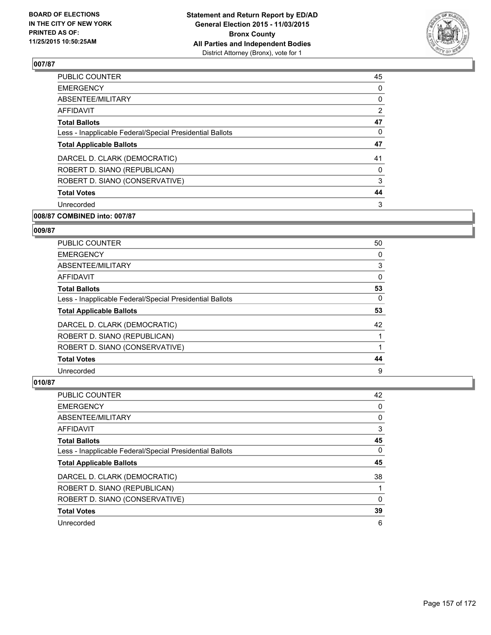

| <b>PUBLIC COUNTER</b>                                    | 45             |
|----------------------------------------------------------|----------------|
| <b>EMERGENCY</b>                                         | 0              |
| ABSENTEE/MILITARY                                        | 0              |
| AFFIDAVIT                                                | $\overline{2}$ |
| <b>Total Ballots</b>                                     | 47             |
| Less - Inapplicable Federal/Special Presidential Ballots | 0              |
| <b>Total Applicable Ballots</b>                          | 47             |
| DARCEL D. CLARK (DEMOCRATIC)                             | 41             |
| ROBERT D. SIANO (REPUBLICAN)                             | 0              |
| ROBERT D. SIANO (CONSERVATIVE)                           | 3              |
| <b>Total Votes</b>                                       | 44             |
| Unrecorded                                               | 3              |
|                                                          |                |

# **008/87 COMBINED into: 007/87**

#### **009/87**

| <b>PUBLIC COUNTER</b>                                    | 50 |
|----------------------------------------------------------|----|
| <b>EMERGENCY</b>                                         | 0  |
| ABSENTEE/MILITARY                                        | 3  |
| AFFIDAVIT                                                | 0  |
| <b>Total Ballots</b>                                     | 53 |
| Less - Inapplicable Federal/Special Presidential Ballots | 0  |
| <b>Total Applicable Ballots</b>                          | 53 |
| DARCEL D. CLARK (DEMOCRATIC)                             | 42 |
| ROBERT D. SIANO (REPUBLICAN)                             |    |
| ROBERT D. SIANO (CONSERVATIVE)                           |    |
| <b>Total Votes</b>                                       | 44 |
| Unrecorded                                               | 9  |

| <b>PUBLIC COUNTER</b>                                    | 42 |
|----------------------------------------------------------|----|
| <b>EMERGENCY</b>                                         | 0  |
| ABSENTEE/MILITARY                                        | 0  |
| <b>AFFIDAVIT</b>                                         | 3  |
| <b>Total Ballots</b>                                     | 45 |
| Less - Inapplicable Federal/Special Presidential Ballots | 0  |
| <b>Total Applicable Ballots</b>                          | 45 |
| DARCEL D. CLARK (DEMOCRATIC)                             | 38 |
| ROBERT D. SIANO (REPUBLICAN)                             |    |
| ROBERT D. SIANO (CONSERVATIVE)                           | 0  |
| <b>Total Votes</b>                                       | 39 |
| Unrecorded                                               | 6  |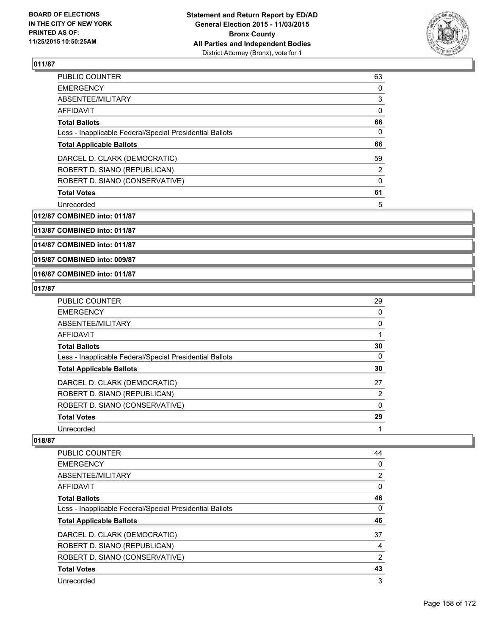

| <b>PUBLIC COUNTER</b>                                    | 63       |
|----------------------------------------------------------|----------|
| <b>EMERGENCY</b>                                         | 0        |
| ABSENTEE/MILITARY                                        | 3        |
| <b>AFFIDAVIT</b>                                         | $\Omega$ |
| <b>Total Ballots</b>                                     | 66       |
| Less - Inapplicable Federal/Special Presidential Ballots | 0        |
| <b>Total Applicable Ballots</b>                          | 66       |
| DARCEL D. CLARK (DEMOCRATIC)                             | 59       |
| ROBERT D. SIANO (REPUBLICAN)                             | 2        |
| ROBERT D. SIANO (CONSERVATIVE)                           | 0        |
| <b>Total Votes</b>                                       | 61       |
| Unrecorded                                               | 5        |

**012/87 COMBINED into: 011/87**

**013/87 COMBINED into: 011/87**

**014/87 COMBINED into: 011/87**

**015/87 COMBINED into: 009/87**

## **016/87 COMBINED into: 011/87**

### **017/87**

| PUBLIC COUNTER                                           | 29             |
|----------------------------------------------------------|----------------|
| <b>EMERGENCY</b>                                         | 0              |
| ABSENTEE/MILITARY                                        | $\Omega$       |
| AFFIDAVIT                                                |                |
| <b>Total Ballots</b>                                     | 30             |
| Less - Inapplicable Federal/Special Presidential Ballots | 0              |
| <b>Total Applicable Ballots</b>                          | 30             |
| DARCEL D. CLARK (DEMOCRATIC)                             | 27             |
| ROBERT D. SIANO (REPUBLICAN)                             | $\overline{2}$ |
| ROBERT D. SIANO (CONSERVATIVE)                           | $\Omega$       |
| <b>Total Votes</b>                                       | 29             |
| Unrecorded                                               |                |

| PUBLIC COUNTER                                           | 44 |
|----------------------------------------------------------|----|
| <b>EMERGENCY</b>                                         | 0  |
| ABSENTEE/MILITARY                                        | 2  |
| <b>AFFIDAVIT</b>                                         | 0  |
| <b>Total Ballots</b>                                     | 46 |
| Less - Inapplicable Federal/Special Presidential Ballots | 0  |
|                                                          |    |
| <b>Total Applicable Ballots</b>                          | 46 |
| DARCEL D. CLARK (DEMOCRATIC)                             | 37 |
| ROBERT D. SIANO (REPUBLICAN)                             | 4  |
| ROBERT D. SIANO (CONSERVATIVE)                           | 2  |
| <b>Total Votes</b>                                       | 43 |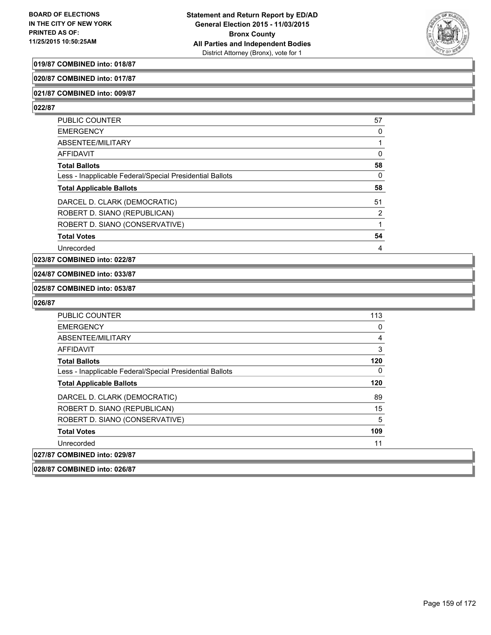

## **019/87 COMBINED into: 018/87**

**020/87 COMBINED into: 017/87**

#### **021/87 COMBINED into: 009/87**

**022/87** 

| <b>PUBLIC COUNTER</b>                                    | 57 |
|----------------------------------------------------------|----|
| <b>EMERGENCY</b>                                         | 0  |
| ABSENTEE/MILITARY                                        |    |
| AFFIDAVIT                                                | 0  |
| <b>Total Ballots</b>                                     | 58 |
| Less - Inapplicable Federal/Special Presidential Ballots | 0  |
| <b>Total Applicable Ballots</b>                          | 58 |
| DARCEL D. CLARK (DEMOCRATIC)                             | 51 |
| ROBERT D. SIANO (REPUBLICAN)                             | 2  |
| ROBERT D. SIANO (CONSERVATIVE)                           |    |
| <b>Total Votes</b>                                       | 54 |
| Unrecorded                                               | 4  |

#### **023/87 COMBINED into: 022/87**

#### **024/87 COMBINED into: 033/87**

#### **025/87 COMBINED into: 053/87**

| 027/87 COMBINED into: 029/87                             |     |
|----------------------------------------------------------|-----|
| Unrecorded                                               | 11  |
| <b>Total Votes</b>                                       | 109 |
| ROBERT D. SIANO (CONSERVATIVE)                           | 5   |
| ROBERT D. SIANO (REPUBLICAN)                             | 15  |
| DARCEL D. CLARK (DEMOCRATIC)                             | 89  |
| <b>Total Applicable Ballots</b>                          | 120 |
| Less - Inapplicable Federal/Special Presidential Ballots | 0   |
| <b>Total Ballots</b>                                     | 120 |
| <b>AFFIDAVIT</b>                                         | 3   |
| ABSENTEE/MILITARY                                        | 4   |
| <b>EMERGENCY</b>                                         | 0   |
| <b>PUBLIC COUNTER</b>                                    | 113 |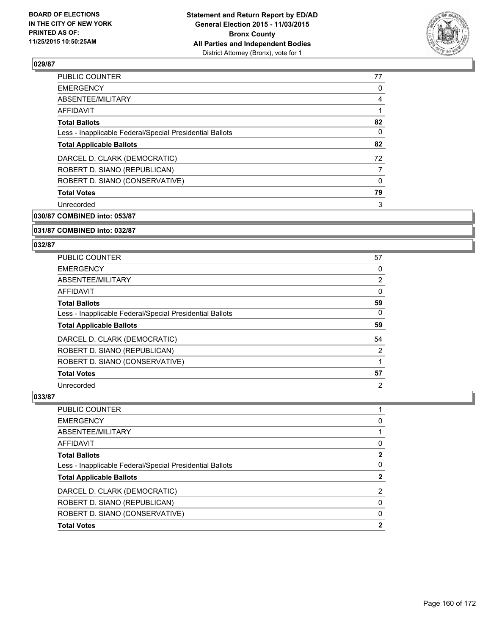

| <b>PUBLIC COUNTER</b>                                    | 77 |
|----------------------------------------------------------|----|
| <b>EMERGENCY</b>                                         | 0  |
| ABSENTEE/MILITARY                                        | 4  |
| AFFIDAVIT                                                |    |
| <b>Total Ballots</b>                                     | 82 |
| Less - Inapplicable Federal/Special Presidential Ballots | 0  |
| <b>Total Applicable Ballots</b>                          | 82 |
| DARCEL D. CLARK (DEMOCRATIC)                             | 72 |
| ROBERT D. SIANO (REPUBLICAN)                             | 7  |
| ROBERT D. SIANO (CONSERVATIVE)                           | 0  |
| <b>Total Votes</b>                                       | 79 |
| Unrecorded                                               | 3  |
|                                                          |    |

**030/87 COMBINED into: 053/87**

**031/87 COMBINED into: 032/87**

#### **032/87**

| PUBLIC COUNTER                                           | 57                    |
|----------------------------------------------------------|-----------------------|
| <b>EMERGENCY</b>                                         | 0                     |
| ABSENTEE/MILITARY                                        | $\mathbf{2}^{\prime}$ |
| AFFIDAVIT                                                | 0                     |
| <b>Total Ballots</b>                                     | 59                    |
| Less - Inapplicable Federal/Special Presidential Ballots | 0                     |
| <b>Total Applicable Ballots</b>                          | 59                    |
| DARCEL D. CLARK (DEMOCRATIC)                             | 54                    |
| ROBERT D. SIANO (REPUBLICAN)                             | 2                     |
| ROBERT D. SIANO (CONSERVATIVE)                           |                       |
| <b>Total Votes</b>                                       | 57                    |
|                                                          |                       |

| PUBLIC COUNTER                                           |             |
|----------------------------------------------------------|-------------|
| <b>EMERGENCY</b>                                         | 0           |
| ABSENTEE/MILITARY                                        |             |
| <b>AFFIDAVIT</b>                                         | 0           |
| <b>Total Ballots</b>                                     | $\mathbf 2$ |
| Less - Inapplicable Federal/Special Presidential Ballots | 0           |
| <b>Total Applicable Ballots</b>                          | 2           |
| DARCEL D. CLARK (DEMOCRATIC)                             | 2           |
| ROBERT D. SIANO (REPUBLICAN)                             | 0           |
| ROBERT D. SIANO (CONSERVATIVE)                           | 0           |
| <b>Total Votes</b>                                       | 2           |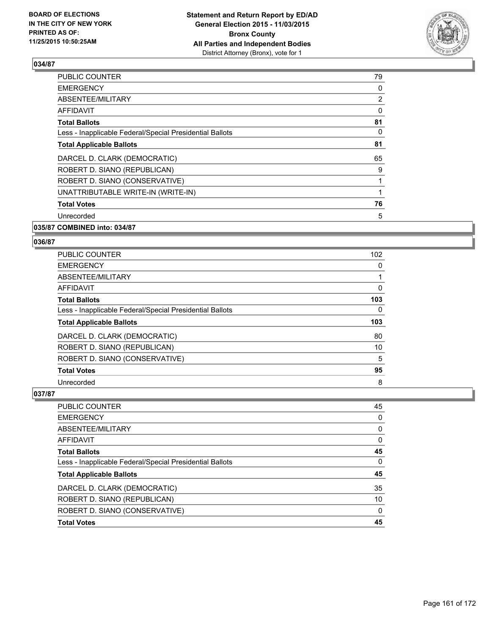

| <b>PUBLIC COUNTER</b>                                    | 79             |
|----------------------------------------------------------|----------------|
| <b>EMERGENCY</b>                                         | 0              |
| ABSENTEE/MILITARY                                        | $\overline{2}$ |
| AFFIDAVIT                                                | 0              |
| <b>Total Ballots</b>                                     | 81             |
| Less - Inapplicable Federal/Special Presidential Ballots | 0              |
| <b>Total Applicable Ballots</b>                          | 81             |
| DARCEL D. CLARK (DEMOCRATIC)                             | 65             |
| ROBERT D. SIANO (REPUBLICAN)                             | 9              |
| ROBERT D. SIANO (CONSERVATIVE)                           |                |
| UNATTRIBUTABLE WRITE-IN (WRITE-IN)                       |                |
| <b>Total Votes</b>                                       | 76             |
| Unrecorded                                               | 5              |
|                                                          |                |

## **035/87 COMBINED into: 034/87**

## **036/87**

| PUBLIC COUNTER                                           | 102 |
|----------------------------------------------------------|-----|
| <b>EMERGENCY</b>                                         | 0   |
| ABSENTEE/MILITARY                                        |     |
| AFFIDAVIT                                                | 0   |
| <b>Total Ballots</b>                                     | 103 |
| Less - Inapplicable Federal/Special Presidential Ballots | 0   |
| <b>Total Applicable Ballots</b>                          | 103 |
| DARCEL D. CLARK (DEMOCRATIC)                             | 80  |
| ROBERT D. SIANO (REPUBLICAN)                             | 10  |
| ROBERT D. SIANO (CONSERVATIVE)                           | 5   |
| <b>Total Votes</b>                                       | 95  |
|                                                          |     |

| PUBLIC COUNTER                                           | 45 |
|----------------------------------------------------------|----|
| <b>EMERGENCY</b>                                         | 0  |
| ABSENTEE/MILITARY                                        | 0  |
| AFFIDAVIT                                                | 0  |
| Total Ballots                                            | 45 |
| Less - Inapplicable Federal/Special Presidential Ballots | 0  |
| <b>Total Applicable Ballots</b>                          | 45 |
| DARCEL D. CLARK (DEMOCRATIC)                             | 35 |
| ROBERT D. SIANO (REPUBLICAN)                             | 10 |
| ROBERT D. SIANO (CONSERVATIVE)                           | 0  |
| <b>Total Votes</b>                                       | 45 |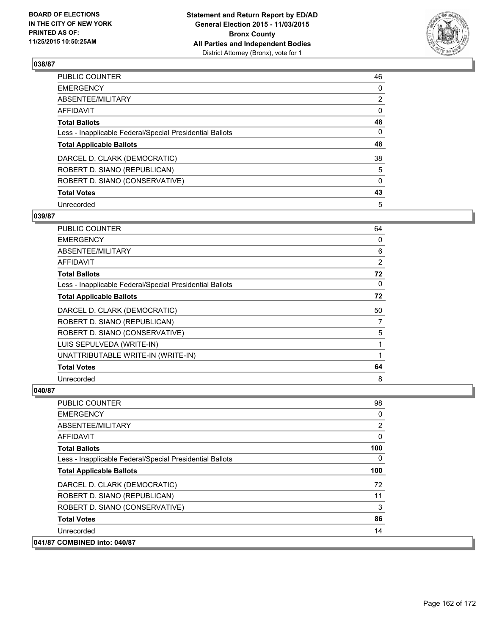

| PUBLIC COUNTER                                           | 46             |
|----------------------------------------------------------|----------------|
| <b>EMERGENCY</b>                                         | 0              |
| ABSENTEE/MILITARY                                        | $\overline{2}$ |
| <b>AFFIDAVIT</b>                                         | 0              |
| <b>Total Ballots</b>                                     | 48             |
| Less - Inapplicable Federal/Special Presidential Ballots | 0              |
| <b>Total Applicable Ballots</b>                          | 48             |
| DARCEL D. CLARK (DEMOCRATIC)                             | 38             |
| ROBERT D. SIANO (REPUBLICAN)                             | 5              |
| ROBERT D. SIANO (CONSERVATIVE)                           | $\Omega$       |
| <b>Total Votes</b>                                       | 43             |
| Unrecorded                                               | 5              |

### **039/87**

| PUBLIC COUNTER                                           | 64 |
|----------------------------------------------------------|----|
| <b>EMERGENCY</b>                                         | 0  |
| ABSENTEE/MILITARY                                        | 6  |
| <b>AFFIDAVIT</b>                                         | 2  |
| <b>Total Ballots</b>                                     | 72 |
| Less - Inapplicable Federal/Special Presidential Ballots | 0  |
| <b>Total Applicable Ballots</b>                          | 72 |
| DARCEL D. CLARK (DEMOCRATIC)                             | 50 |
| ROBERT D. SIANO (REPUBLICAN)                             | 7  |
| ROBERT D. SIANO (CONSERVATIVE)                           | 5  |
| LUIS SEPULVEDA (WRITE-IN)                                | 1  |
| UNATTRIBUTABLE WRITE-IN (WRITE-IN)                       | 1  |
| <b>Total Votes</b>                                       | 64 |
| Unrecorded                                               | 8  |

| <b>PUBLIC COUNTER</b>                                    | 98  |
|----------------------------------------------------------|-----|
| <b>EMERGENCY</b>                                         | 0   |
| ABSENTEE/MILITARY                                        | 2   |
| AFFIDAVIT                                                | 0   |
| <b>Total Ballots</b>                                     | 100 |
| Less - Inapplicable Federal/Special Presidential Ballots | 0   |
| <b>Total Applicable Ballots</b>                          | 100 |
| DARCEL D. CLARK (DEMOCRATIC)                             | 72  |
| ROBERT D. SIANO (REPUBLICAN)                             | 11  |
| ROBERT D. SIANO (CONSERVATIVE)                           | 3   |
| <b>Total Votes</b>                                       | 86  |
| Unrecorded                                               | 14  |
| 041/87 COMBINED into: 040/87                             |     |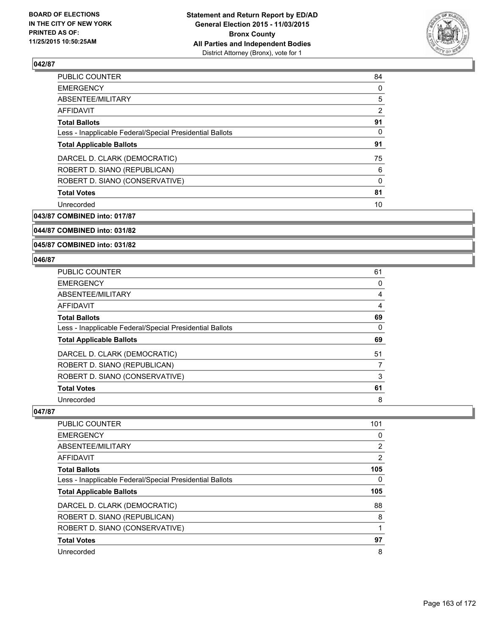

| PUBLIC COUNTER                                           | 84             |
|----------------------------------------------------------|----------------|
| <b>EMERGENCY</b>                                         | 0              |
| ABSENTEE/MILITARY                                        | 5              |
| AFFIDAVIT                                                | $\overline{2}$ |
| <b>Total Ballots</b>                                     | 91             |
| Less - Inapplicable Federal/Special Presidential Ballots | 0              |
| <b>Total Applicable Ballots</b>                          | 91             |
| DARCEL D. CLARK (DEMOCRATIC)                             | 75             |
| ROBERT D. SIANO (REPUBLICAN)                             | 6              |
| ROBERT D. SIANO (CONSERVATIVE)                           | 0              |
| <b>Total Votes</b>                                       | 81             |
| Unrecorded                                               | 10             |

**043/87 COMBINED into: 017/87**

**044/87 COMBINED into: 031/82**

**045/87 COMBINED into: 031/82**

### **046/87**

| <b>PUBLIC COUNTER</b>                                    | 61 |
|----------------------------------------------------------|----|
| <b>EMERGENCY</b>                                         | 0  |
| ABSENTEE/MILITARY                                        | 4  |
| <b>AFFIDAVIT</b>                                         | 4  |
| <b>Total Ballots</b>                                     | 69 |
| Less - Inapplicable Federal/Special Presidential Ballots | 0  |
| <b>Total Applicable Ballots</b>                          | 69 |
| DARCEL D. CLARK (DEMOCRATIC)                             | 51 |
| ROBERT D. SIANO (REPUBLICAN)                             |    |
| ROBERT D. SIANO (CONSERVATIVE)                           | 3  |
| <b>Total Votes</b>                                       | 61 |
| Unrecorded                                               | 8  |

| <b>PUBLIC COUNTER</b>                                    | 101 |
|----------------------------------------------------------|-----|
| <b>EMERGENCY</b>                                         | 0   |
| ABSENTEE/MILITARY                                        | 2   |
| AFFIDAVIT                                                | 2   |
| <b>Total Ballots</b>                                     | 105 |
| Less - Inapplicable Federal/Special Presidential Ballots | 0   |
| <b>Total Applicable Ballots</b>                          | 105 |
| DARCEL D. CLARK (DEMOCRATIC)                             | 88  |
| ROBERT D. SIANO (REPUBLICAN)                             | 8   |
| ROBERT D. SIANO (CONSERVATIVE)                           |     |
| <b>Total Votes</b>                                       | 97  |
| Unrecorded                                               | 8   |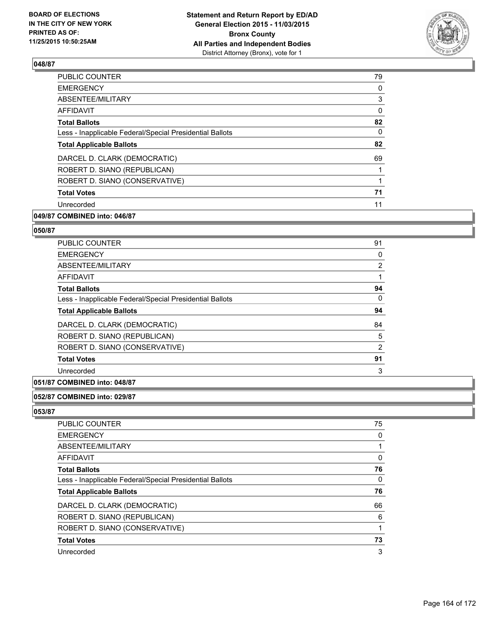

| <b>PUBLIC COUNTER</b>                                    | 79 |
|----------------------------------------------------------|----|
| <b>EMERGENCY</b>                                         | 0  |
| ABSENTEE/MILITARY                                        | 3  |
| AFFIDAVIT                                                | 0  |
| <b>Total Ballots</b>                                     | 82 |
| Less - Inapplicable Federal/Special Presidential Ballots | 0  |
| <b>Total Applicable Ballots</b>                          | 82 |
| DARCEL D. CLARK (DEMOCRATIC)                             | 69 |
| ROBERT D. SIANO (REPUBLICAN)                             |    |
| ROBERT D. SIANO (CONSERVATIVE)                           |    |
| <b>Total Votes</b>                                       | 71 |
| Unrecorded                                               | 11 |
|                                                          |    |

# **049/87 COMBINED into: 046/87**

#### **050/87**

| 91 |
|----|
| 0  |
| 2  |
|    |
| 94 |
| 0  |
| 94 |
| 84 |
| 5  |
| 2  |
| 91 |
| 3  |
|    |

# **051/87 COMBINED into: 048/87**

# **052/87 COMBINED into: 029/87**

| <b>PUBLIC COUNTER</b>                                    | 75 |
|----------------------------------------------------------|----|
| <b>EMERGENCY</b>                                         | 0  |
| ABSENTEE/MILITARY                                        |    |
| AFFIDAVIT                                                | 0  |
| <b>Total Ballots</b>                                     | 76 |
| Less - Inapplicable Federal/Special Presidential Ballots | 0  |
| <b>Total Applicable Ballots</b>                          | 76 |
| DARCEL D. CLARK (DEMOCRATIC)                             | 66 |
| ROBERT D. SIANO (REPUBLICAN)                             | 6  |
| ROBERT D. SIANO (CONSERVATIVE)                           |    |
|                                                          |    |
|                                                          | 73 |
| <b>Total Votes</b><br>Unrecorded                         | 3  |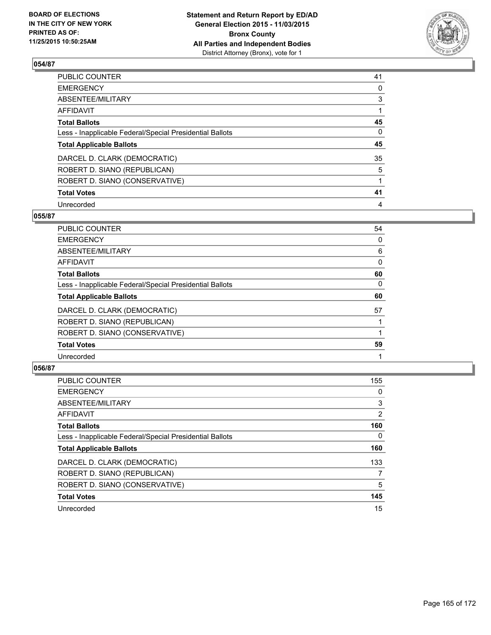

| PUBLIC COUNTER                                           | 41 |
|----------------------------------------------------------|----|
| <b>EMERGENCY</b>                                         | 0  |
| ABSENTEE/MILITARY                                        | 3  |
| <b>AFFIDAVIT</b>                                         |    |
| <b>Total Ballots</b>                                     | 45 |
| Less - Inapplicable Federal/Special Presidential Ballots | 0  |
| <b>Total Applicable Ballots</b>                          | 45 |
| DARCEL D. CLARK (DEMOCRATIC)                             | 35 |
| ROBERT D. SIANO (REPUBLICAN)                             | 5  |
| ROBERT D. SIANO (CONSERVATIVE)                           |    |
| <b>Total Votes</b>                                       | 41 |
| Unrecorded                                               | 4  |

### **055/87**

| <b>PUBLIC COUNTER</b>                                    | 54 |
|----------------------------------------------------------|----|
| <b>EMERGENCY</b>                                         | 0  |
| ABSENTEE/MILITARY                                        | 6  |
| <b>AFFIDAVIT</b>                                         | 0  |
| <b>Total Ballots</b>                                     | 60 |
| Less - Inapplicable Federal/Special Presidential Ballots | 0  |
| <b>Total Applicable Ballots</b>                          | 60 |
| DARCEL D. CLARK (DEMOCRATIC)                             | 57 |
| ROBERT D. SIANO (REPUBLICAN)                             |    |
| ROBERT D. SIANO (CONSERVATIVE)                           |    |
| <b>Total Votes</b>                                       | 59 |
| Unrecorded                                               |    |

| PUBLIC COUNTER                                           | 155 |
|----------------------------------------------------------|-----|
| <b>EMERGENCY</b>                                         | 0   |
| ABSENTEE/MILITARY                                        | 3   |
| <b>AFFIDAVIT</b>                                         | 2   |
| <b>Total Ballots</b>                                     | 160 |
| Less - Inapplicable Federal/Special Presidential Ballots | 0   |
| <b>Total Applicable Ballots</b>                          | 160 |
| DARCEL D. CLARK (DEMOCRATIC)                             | 133 |
| ROBERT D. SIANO (REPUBLICAN)                             | 7   |
| ROBERT D. SIANO (CONSERVATIVE)                           | 5   |
| <b>Total Votes</b>                                       | 145 |
| Unrecorded                                               | 15  |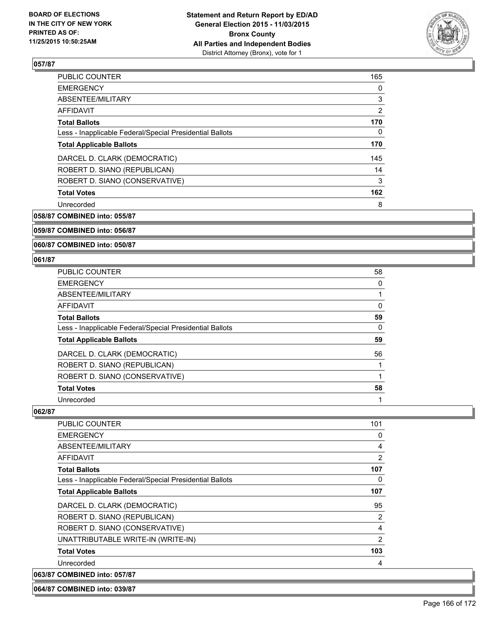

| <b>PUBLIC COUNTER</b>                                    | 165            |
|----------------------------------------------------------|----------------|
| <b>EMERGENCY</b>                                         | 0              |
| ABSENTEE/MILITARY                                        | 3              |
| AFFIDAVIT                                                | $\overline{2}$ |
| <b>Total Ballots</b>                                     | 170            |
| Less - Inapplicable Federal/Special Presidential Ballots | 0              |
| <b>Total Applicable Ballots</b>                          | 170            |
| DARCEL D. CLARK (DEMOCRATIC)                             | 145            |
| ROBERT D. SIANO (REPUBLICAN)                             | 14             |
| ROBERT D. SIANO (CONSERVATIVE)                           | 3              |
| <b>Total Votes</b>                                       | 162            |
| Unrecorded                                               | 8              |

**058/87 COMBINED into: 055/87**

## **059/87 COMBINED into: 056/87**

**060/87 COMBINED into: 050/87**

### **061/87**

| <b>PUBLIC COUNTER</b>                                    | 58 |
|----------------------------------------------------------|----|
| <b>EMERGENCY</b>                                         | 0  |
| ABSENTEE/MILITARY                                        |    |
| <b>AFFIDAVIT</b>                                         | 0  |
| <b>Total Ballots</b>                                     | 59 |
| Less - Inapplicable Federal/Special Presidential Ballots | 0  |
| <b>Total Applicable Ballots</b>                          | 59 |
| DARCEL D. CLARK (DEMOCRATIC)                             | 56 |
| ROBERT D. SIANO (REPUBLICAN)                             |    |
| ROBERT D. SIANO (CONSERVATIVE)                           |    |
| <b>Total Votes</b>                                       | 58 |
| Unrecorded                                               |    |

**062/87** 

| PUBLIC COUNTER                                           | 101            |
|----------------------------------------------------------|----------------|
| <b>EMERGENCY</b>                                         | 0              |
| ABSENTEE/MILITARY                                        | 4              |
| <b>AFFIDAVIT</b>                                         | 2              |
| <b>Total Ballots</b>                                     | 107            |
| Less - Inapplicable Federal/Special Presidential Ballots | 0              |
| <b>Total Applicable Ballots</b>                          | 107            |
| DARCEL D. CLARK (DEMOCRATIC)                             | 95             |
| ROBERT D. SIANO (REPUBLICAN)                             | 2              |
| ROBERT D. SIANO (CONSERVATIVE)                           | 4              |
| UNATTRIBUTABLE WRITE-IN (WRITE-IN)                       | $\overline{2}$ |
| <b>Total Votes</b>                                       | 103            |
| Unrecorded                                               | 4              |
| 063/87 COMBINED into: 057/87                             |                |

#### **064/87 COMBINED into: 039/87**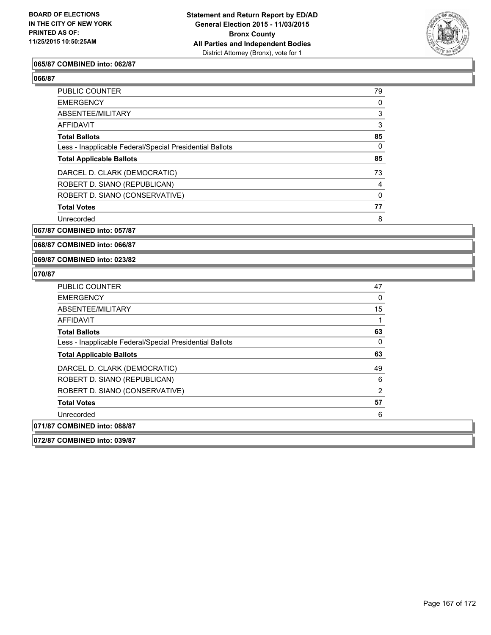

### **065/87 COMBINED into: 062/87**

**066/87** 

| <b>PUBLIC COUNTER</b>                                    | 79 |
|----------------------------------------------------------|----|
| <b>EMERGENCY</b>                                         | 0  |
| ABSENTEE/MILITARY                                        | 3  |
| AFFIDAVIT                                                | 3  |
| <b>Total Ballots</b>                                     | 85 |
| Less - Inapplicable Federal/Special Presidential Ballots | 0  |
| <b>Total Applicable Ballots</b>                          | 85 |
| DARCEL D. CLARK (DEMOCRATIC)                             | 73 |
| ROBERT D. SIANO (REPUBLICAN)                             | 4  |
| ROBERT D. SIANO (CONSERVATIVE)                           | 0  |
| <b>Total Votes</b>                                       | 77 |
| Unrecorded                                               | 8  |
|                                                          |    |

**067/87 COMBINED into: 057/87**

**068/87 COMBINED into: 066/87**

**069/87 COMBINED into: 023/82**

| <b>PUBLIC COUNTER</b>                                    | 47 |
|----------------------------------------------------------|----|
| <b>EMERGENCY</b>                                         | 0  |
| ABSENTEE/MILITARY                                        | 15 |
| AFFIDAVIT                                                |    |
| <b>Total Ballots</b>                                     | 63 |
| Less - Inapplicable Federal/Special Presidential Ballots | 0  |
| <b>Total Applicable Ballots</b>                          | 63 |
| DARCEL D. CLARK (DEMOCRATIC)                             | 49 |
| ROBERT D. SIANO (REPUBLICAN)                             | 6  |
| ROBERT D. SIANO (CONSERVATIVE)                           | 2  |
| <b>Total Votes</b>                                       | 57 |
| Unrecorded                                               | 6  |
| 071/87 COMBINED into: 088/87                             |    |
| 072/87 COMBINED into: 039/87                             |    |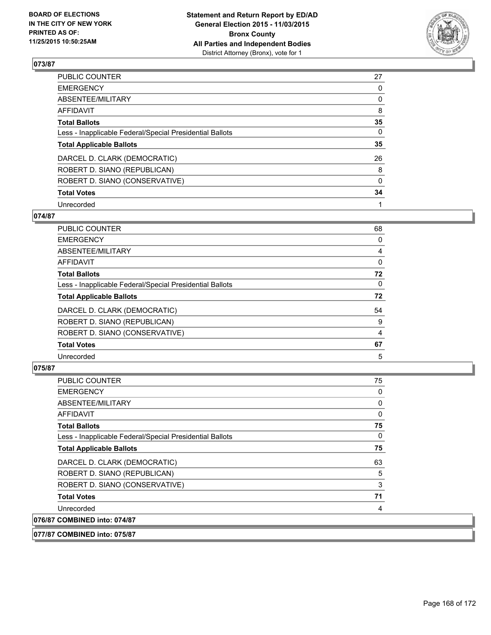

| PUBLIC COUNTER                                           | 27       |
|----------------------------------------------------------|----------|
| <b>EMERGENCY</b>                                         | 0        |
| ABSENTEE/MILITARY                                        | 0        |
| <b>AFFIDAVIT</b>                                         | 8        |
| <b>Total Ballots</b>                                     | 35       |
| Less - Inapplicable Federal/Special Presidential Ballots | $\Omega$ |
| <b>Total Applicable Ballots</b>                          | 35       |
| DARCEL D. CLARK (DEMOCRATIC)                             | 26       |
| ROBERT D. SIANO (REPUBLICAN)                             | 8        |
| ROBERT D. SIANO (CONSERVATIVE)                           | $\Omega$ |
| <b>Total Votes</b>                                       | 34       |
| Unrecorded                                               |          |

### **074/87**

| <b>PUBLIC COUNTER</b>                                    | 68       |
|----------------------------------------------------------|----------|
| <b>EMERGENCY</b>                                         | 0        |
| ABSENTEE/MILITARY                                        | 4        |
| <b>AFFIDAVIT</b>                                         | 0        |
| <b>Total Ballots</b>                                     | 72       |
| Less - Inapplicable Federal/Special Presidential Ballots | $\Omega$ |
| <b>Total Applicable Ballots</b>                          | 72       |
| DARCEL D. CLARK (DEMOCRATIC)                             | 54       |
| ROBERT D. SIANO (REPUBLICAN)                             | 9        |
| ROBERT D. SIANO (CONSERVATIVE)                           | 4        |
| <b>Total Votes</b>                                       | 67       |
| Unrecorded                                               | 5        |

# **075/87**

| <b>PUBLIC COUNTER</b>                                    | 75 |
|----------------------------------------------------------|----|
| <b>EMERGENCY</b>                                         | 0  |
| ABSENTEE/MILITARY                                        | 0  |
| AFFIDAVIT                                                | 0  |
| <b>Total Ballots</b>                                     | 75 |
| Less - Inapplicable Federal/Special Presidential Ballots | 0  |
| <b>Total Applicable Ballots</b>                          | 75 |
| DARCEL D. CLARK (DEMOCRATIC)                             | 63 |
| ROBERT D. SIANO (REPUBLICAN)                             | 5  |
| ROBERT D. SIANO (CONSERVATIVE)                           | 3  |
| <b>Total Votes</b>                                       | 71 |
| Unrecorded                                               | 4  |
| 076/87 COMBINED into: 074/87                             |    |

## **077/87 COMBINED into: 075/87**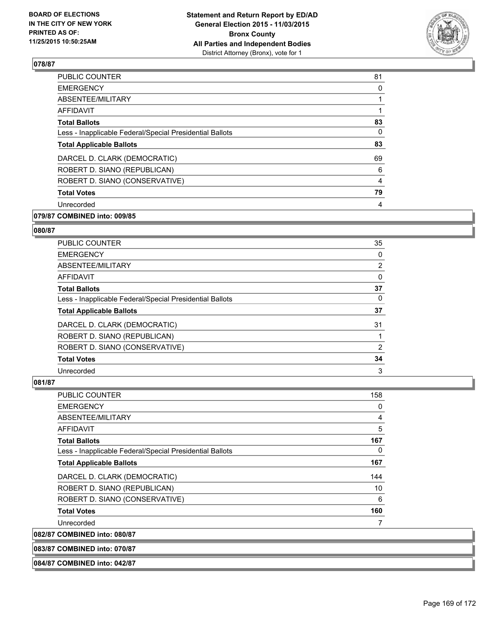

| <b>EMERGENCY</b><br>0<br>ABSENTEE/MILITARY<br>1<br>AFFIDAVIT<br><b>Total Ballots</b><br>0<br>Less - Inapplicable Federal/Special Presidential Ballots<br><b>Total Applicable Ballots</b><br>DARCEL D. CLARK (DEMOCRATIC)<br>ROBERT D. SIANO (REPUBLICAN)<br>ROBERT D. SIANO (CONSERVATIVE)<br>4<br><b>Total Votes</b><br>Unrecorded<br>4 | <b>PUBLIC COUNTER</b> | 81 |
|------------------------------------------------------------------------------------------------------------------------------------------------------------------------------------------------------------------------------------------------------------------------------------------------------------------------------------------|-----------------------|----|
|                                                                                                                                                                                                                                                                                                                                          |                       |    |
|                                                                                                                                                                                                                                                                                                                                          |                       |    |
|                                                                                                                                                                                                                                                                                                                                          |                       |    |
|                                                                                                                                                                                                                                                                                                                                          |                       | 83 |
|                                                                                                                                                                                                                                                                                                                                          |                       |    |
|                                                                                                                                                                                                                                                                                                                                          |                       | 83 |
|                                                                                                                                                                                                                                                                                                                                          |                       | 69 |
|                                                                                                                                                                                                                                                                                                                                          |                       | 6  |
|                                                                                                                                                                                                                                                                                                                                          |                       |    |
|                                                                                                                                                                                                                                                                                                                                          |                       | 79 |
|                                                                                                                                                                                                                                                                                                                                          |                       |    |

# **079/87 COMBINED into: 009/85**

#### **080/87**

| PUBLIC COUNTER                                           | 35 |
|----------------------------------------------------------|----|
| <b>EMERGENCY</b>                                         | 0  |
| ABSENTEE/MILITARY                                        | 2  |
| AFFIDAVIT                                                | 0  |
| <b>Total Ballots</b>                                     | 37 |
| Less - Inapplicable Federal/Special Presidential Ballots | 0  |
| <b>Total Applicable Ballots</b>                          | 37 |
| DARCEL D. CLARK (DEMOCRATIC)                             | 31 |
| ROBERT D. SIANO (REPUBLICAN)                             |    |
| ROBERT D. SIANO (CONSERVATIVE)                           | 2  |
| <b>Total Votes</b>                                       | 34 |
| Unrecorded                                               | 3  |

| <b>PUBLIC COUNTER</b>                                    | 158 |
|----------------------------------------------------------|-----|
| <b>EMERGENCY</b>                                         | 0   |
| ABSENTEE/MILITARY                                        | 4   |
| AFFIDAVIT                                                | 5   |
| <b>Total Ballots</b>                                     | 167 |
| Less - Inapplicable Federal/Special Presidential Ballots | 0   |
| <b>Total Applicable Ballots</b>                          | 167 |
| DARCEL D. CLARK (DEMOCRATIC)                             | 144 |
| ROBERT D. SIANO (REPUBLICAN)                             | 10  |
| ROBERT D. SIANO (CONSERVATIVE)                           | 6   |
| <b>Total Votes</b>                                       | 160 |
| Unrecorded                                               | 7   |
| 082/87 COMBINED into: 080/87                             |     |
| 083/87 COMBINED into: 070/87                             |     |
| 084/87 COMBINED into: 042/87                             |     |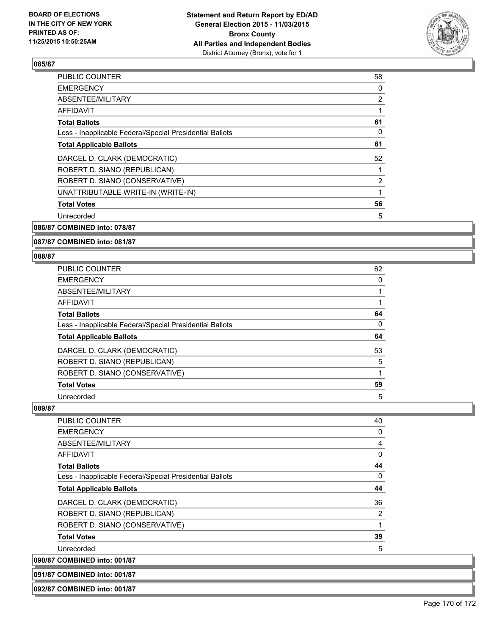

| <b>PUBLIC COUNTER</b>                                    | 58             |
|----------------------------------------------------------|----------------|
| <b>EMERGENCY</b>                                         | 0              |
| ABSENTEE/MILITARY                                        | $\overline{2}$ |
| <b>AFFIDAVIT</b>                                         |                |
| <b>Total Ballots</b>                                     | 61             |
| Less - Inapplicable Federal/Special Presidential Ballots | 0              |
| <b>Total Applicable Ballots</b>                          | 61             |
| DARCEL D. CLARK (DEMOCRATIC)                             | 52             |
| ROBERT D. SIANO (REPUBLICAN)                             |                |
| ROBERT D. SIANO (CONSERVATIVE)                           | $\overline{2}$ |
| UNATTRIBUTABLE WRITE-IN (WRITE-IN)                       |                |
| <b>Total Votes</b>                                       | 56             |
| Unrecorded                                               | 5              |
|                                                          |                |

# **086/87 COMBINED into: 078/87**

### **087/87 COMBINED into: 081/87**

#### **088/87**

| <b>PUBLIC COUNTER</b>                                    | 62 |
|----------------------------------------------------------|----|
| <b>EMERGENCY</b>                                         | 0  |
| ABSENTEE/MILITARY                                        |    |
| <b>AFFIDAVIT</b>                                         |    |
| <b>Total Ballots</b>                                     | 64 |
| Less - Inapplicable Federal/Special Presidential Ballots | 0  |
| <b>Total Applicable Ballots</b>                          | 64 |
| DARCEL D. CLARK (DEMOCRATIC)                             | 53 |
| ROBERT D. SIANO (REPUBLICAN)                             | 5  |
| ROBERT D. SIANO (CONSERVATIVE)                           |    |
| <b>Total Votes</b>                                       | 59 |
| Unrecorded                                               | 5  |

## **089/87**

| <b>PUBLIC COUNTER</b>                                    | 40             |
|----------------------------------------------------------|----------------|
| <b>EMERGENCY</b>                                         | 0              |
| ABSENTEE/MILITARY                                        | $\overline{4}$ |
| AFFIDAVIT                                                | 0              |
| <b>Total Ballots</b>                                     | 44             |
| Less - Inapplicable Federal/Special Presidential Ballots | 0              |
| <b>Total Applicable Ballots</b>                          | 44             |
| DARCEL D. CLARK (DEMOCRATIC)                             | 36             |
| ROBERT D. SIANO (REPUBLICAN)                             | 2              |
| ROBERT D. SIANO (CONSERVATIVE)                           | 1              |
| <b>Total Votes</b>                                       | 39             |
| Unrecorded                                               | 5              |
| 090/87 COMBINED into: 001/87                             |                |

# **091/87 COMBINED into: 001/87**

### **092/87 COMBINED into: 001/87**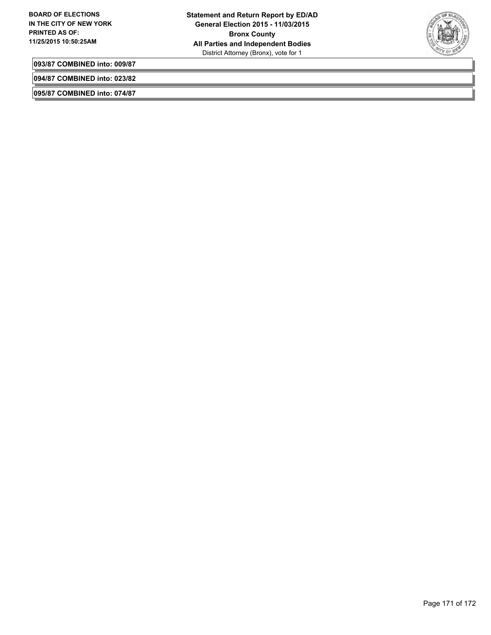

**093/87 COMBINED into: 009/87**

**094/87 COMBINED into: 023/82**

**095/87 COMBINED into: 074/87**